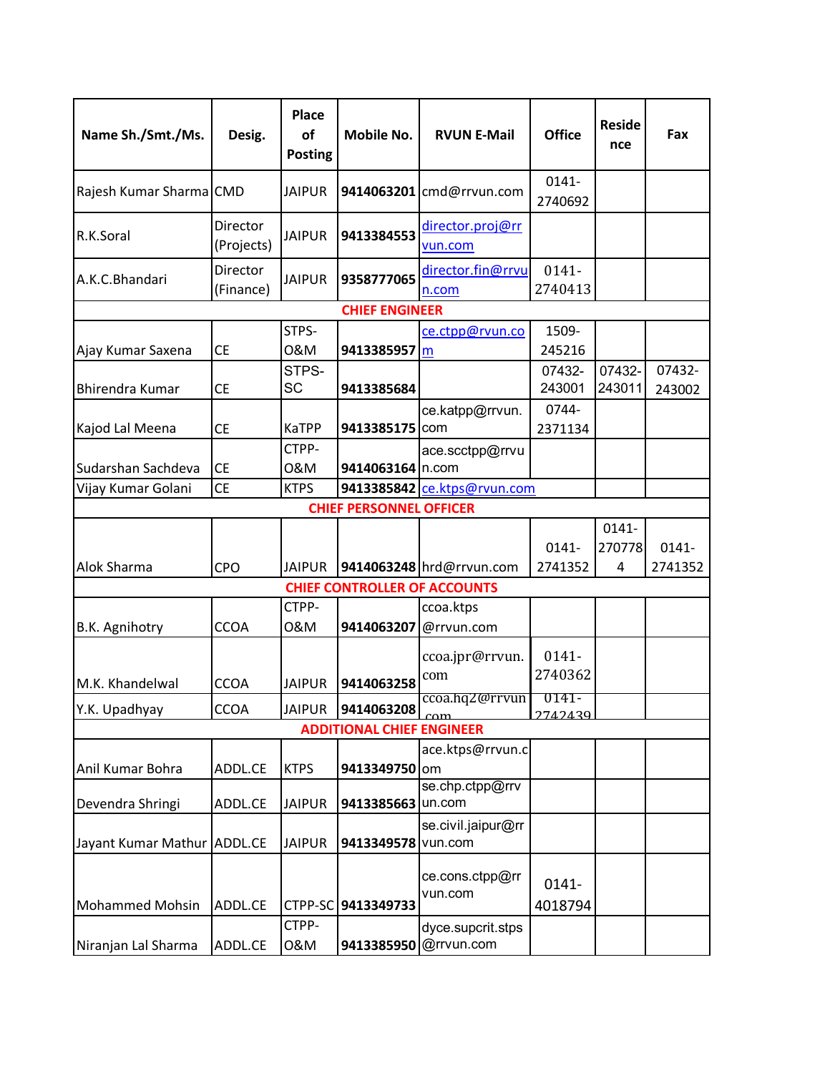| Name Sh./Smt./Ms.           | Desig.                         | Place<br>of<br><b>Posting</b> | Mobile No.                       | <b>RVUN E-Mail</b>                      | <b>Office</b>       | <b>Reside</b><br>nce | Fax              |  |  |  |  |
|-----------------------------|--------------------------------|-------------------------------|----------------------------------|-----------------------------------------|---------------------|----------------------|------------------|--|--|--|--|
| Rajesh Kumar Sharma CMD     |                                | <b>JAIPUR</b>                 | 9414063201                       | cmd@rrvun.com                           | $0141 -$<br>2740692 |                      |                  |  |  |  |  |
| R.K.Soral                   | Director<br>(Projects)         | <b>JAIPUR</b>                 | 9413384553                       | director.proj@rr<br>vun.com             |                     |                      |                  |  |  |  |  |
| A.K.C.Bhandari              | Director<br>(Finance)          | <b>JAIPUR</b>                 | 9358777065                       | director.fin@rrvu<br>n.com              | $0141 -$<br>2740413 |                      |                  |  |  |  |  |
|                             |                                |                               | <b>CHIEF ENGINEER</b>            |                                         |                     |                      |                  |  |  |  |  |
| Ajay Kumar Saxena           | СE                             | STPS-<br>0&M                  | 9413385957 m                     | ce.ctpp@rvun.co                         | 1509-<br>245216     |                      |                  |  |  |  |  |
| <b>Bhirendra Kumar</b>      | <b>CE</b>                      | STPS-<br><b>SC</b>            | 9413385684                       |                                         | 07432-<br>243001    | 07432-<br>243011     | 07432-<br>243002 |  |  |  |  |
| Kajod Lal Meena             | <b>CE</b>                      | KaTPP                         | 9413385175                       | ce.katpp@rrvun.<br>com                  | 0744-<br>2371134    |                      |                  |  |  |  |  |
| Sudarshan Sachdeva          | <b>CE</b>                      | CTPP-<br>0&M                  | 9414063164 n.com                 | ace.scctpp@rrvu                         |                     |                      |                  |  |  |  |  |
| Vijay Kumar Golani          | <b>CE</b>                      | <b>KTPS</b>                   |                                  | 9413385842 ce.ktps@rvun.com             |                     |                      |                  |  |  |  |  |
|                             | <b>CHIEF PERSONNEL OFFICER</b> |                               |                                  |                                         |                     |                      |                  |  |  |  |  |
|                             |                                |                               |                                  |                                         | $0141 -$            | $0141 -$<br>270778   | $0141 -$         |  |  |  |  |
| Alok Sharma                 | <b>CPO</b>                     | <b>JAIPUR</b>                 |                                  | 9414063248 hrd@rrvun.com                | 2741352             | 4                    | 2741352          |  |  |  |  |
|                             |                                |                               |                                  | <b>CHIEF CONTROLLER OF ACCOUNTS</b>     |                     |                      |                  |  |  |  |  |
| B.K. Agnihotry              | <b>CCOA</b>                    | CTPP-<br>0&M                  | 9414063207                       | ccoa.ktps<br>@rrvun.com                 |                     |                      |                  |  |  |  |  |
| M.K. Khandelwal             | <b>CCOA</b>                    | JAIPUR                        | 9414063258                       | ccoa.jpr@rrvun.<br>com                  | 0141-<br>2740362    |                      |                  |  |  |  |  |
| Y.K. Upadhyay               | <b>CCOA</b>                    | <b>JAIPUR</b>                 | 9414063208                       | ccoa.hq <i>z@rrvun</i><br>$_{\rm{com}}$ | 0141-<br>2742439    |                      |                  |  |  |  |  |
|                             |                                |                               | <b>ADDITIONAL CHIEF ENGINEER</b> |                                         |                     |                      |                  |  |  |  |  |
| Anil Kumar Bohra            | ADDL.CE                        | <b>KTPS</b>                   | 9413349750 om                    | ace.ktps@rrvun.c                        |                     |                      |                  |  |  |  |  |
| Devendra Shringi            | ADDL.CE                        | <b>JAIPUR</b>                 | 9413385663                       | se.chp.ctpp@rrv<br>un.com               |                     |                      |                  |  |  |  |  |
| Jayant Kumar Mathur ADDL.CE |                                | <b>JAIPUR</b>                 | 9413349578                       | se.civil.jaipur@rr<br>vun.com           |                     |                      |                  |  |  |  |  |
| <b>Mohammed Mohsin</b>      | ADDL.CE                        | CTPP-SC                       | 9413349733                       | ce.cons.ctpp@rr<br>vun.com              | 0141-<br>4018794    |                      |                  |  |  |  |  |
| Niranjan Lal Sharma         | ADDL.CE                        | CTPP-<br>0&M                  | 9413385950                       | dyce.supcrit.stps<br>@rrvun.com         |                     |                      |                  |  |  |  |  |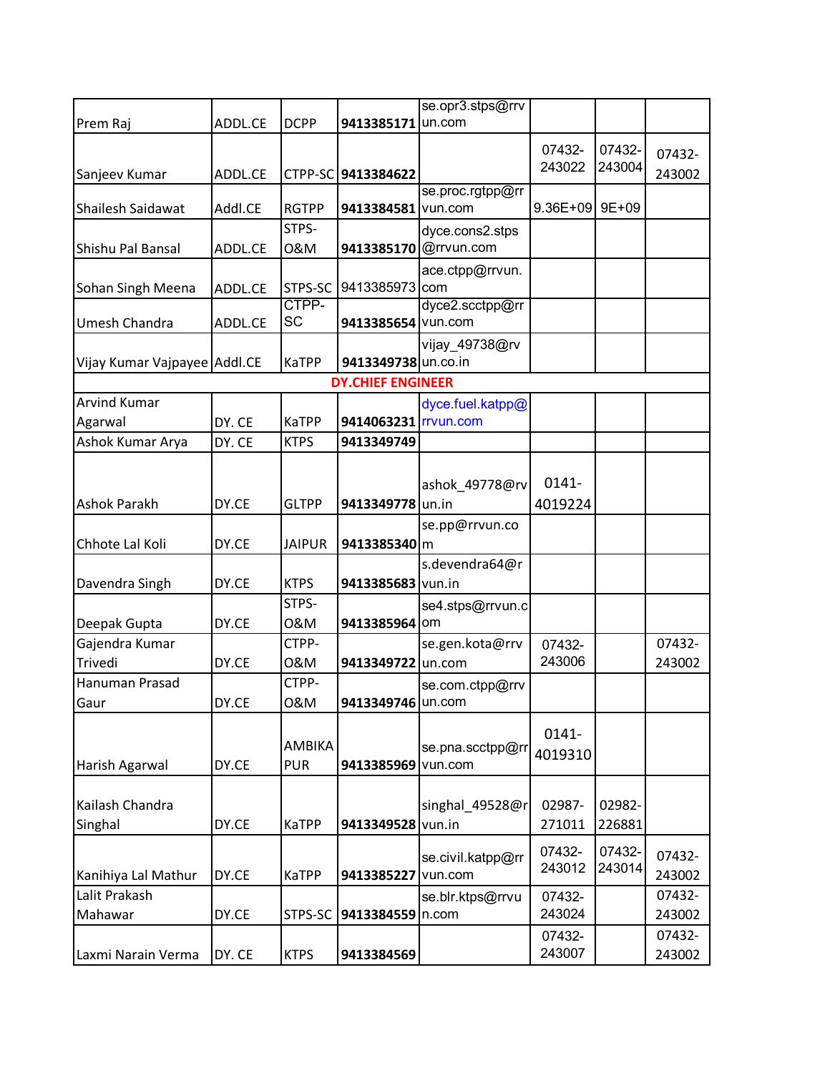|                              |         |               |                          | se.opr3.stps@rrv  |          |        |                  |
|------------------------------|---------|---------------|--------------------------|-------------------|----------|--------|------------------|
| Prem Raj                     | ADDL.CE | <b>DCPP</b>   | 9413385171               | un.com            |          |        |                  |
|                              |         |               |                          |                   | 07432-   | 07432- |                  |
| Sanjeev Kumar                |         |               | CTPP-SC 9413384622       |                   | 243022   | 243004 | 07432-<br>243002 |
|                              | ADDL.CE |               |                          | se.proc.rgtpp@rr  |          |        |                  |
| Shailesh Saidawat            | Addl.CE | <b>RGTPP</b>  | 9413384581               | vun.com           | 9.36E+09 | 9E+09  |                  |
|                              |         | STPS-         |                          | dyce.cons2.stps   |          |        |                  |
| Shishu Pal Bansal            | ADDL.CE | 0&M           | 9413385170               | @rrvun.com        |          |        |                  |
|                              |         |               |                          | ace.ctpp@rrvun.   |          |        |                  |
| Sohan Singh Meena            | ADDL.CE | STPS-SC       | 9413385973               | com               |          |        |                  |
|                              |         | CTPP-         |                          | dyce2.scctpp@rr   |          |        |                  |
| Umesh Chandra                | ADDL.CE | <b>SC</b>     | 9413385654 vun.com       |                   |          |        |                  |
|                              |         |               |                          | vijay_49738@rv    |          |        |                  |
| Vijay Kumar Vajpayee Addl.CE |         | <b>KaTPP</b>  | 9413349738 un.co.in      |                   |          |        |                  |
|                              |         |               | <b>DY.CHIEF ENGINEER</b> |                   |          |        |                  |
| <b>Arvind Kumar</b>          |         |               |                          | dyce.fuel.katpp@  |          |        |                  |
| Agarwal                      | DY. CE  | <b>KaTPP</b>  | 9414063231 rvun.com      |                   |          |        |                  |
| Ashok Kumar Arya             | DY. CE  | <b>KTPS</b>   | 9413349749               |                   |          |        |                  |
|                              |         |               |                          |                   |          |        |                  |
|                              |         |               |                          | ashok_49778@rv    | $0141 -$ |        |                  |
| <b>Ashok Parakh</b>          | DY.CE   | <b>GLTPP</b>  | 9413349778               | un.in             | 4019224  |        |                  |
|                              |         |               |                          | se.pp@rrvun.co    |          |        |                  |
| Chhote Lal Koli              | DY.CE   | <b>JAIPUR</b> | 9413385340 m             |                   |          |        |                  |
|                              |         |               |                          | s.devendra64@r    |          |        |                  |
| Davendra Singh               | DY.CE   | <b>KTPS</b>   | 9413385683 vun.in        |                   |          |        |                  |
|                              |         | STPS-         |                          | se4.stps@rrvun.c  |          |        |                  |
| Deepak Gupta                 | DY.CE   | 0&M           | 9413385964               | om                |          |        |                  |
| Gajendra Kumar               |         | CTPP-         |                          | se.gen.kota@rrv   | 07432-   |        | 07432-           |
| Trivedi                      | DY.CE   | 0&M           | 9413349722               | un.com            | 243006   |        | 243002           |
| Hanuman Prasad               |         | CTPP-         |                          | se.com.ctpp@rrv   |          |        |                  |
| Gaur                         | DY.CE   | 0&M           | 9413349746 un.com        |                   |          |        |                  |
|                              |         |               |                          |                   |          |        |                  |
|                              |         | AMBIKA        |                          | se.pna.scctpp@rr  | 0141-    |        |                  |
| Harish Agarwal               | DY.CE   | <b>PUR</b>    | 9413385969               | vun.com           | 4019310  |        |                  |
|                              |         |               |                          |                   |          |        |                  |
| Kailash Chandra              |         |               |                          | singhal 49528@r   | 02987-   | 02982- |                  |
| Singhal                      | DY.CE   | <b>KaTPP</b>  | 9413349528               | vun.in            | 271011   | 226881 |                  |
|                              |         |               |                          |                   |          |        |                  |
|                              |         |               |                          | se.civil.katpp@rr | 07432-   | 07432- | 07432-           |
| Kanihiya Lal Mathur          | DY.CE   | <b>KaTPP</b>  | 9413385227               | vun.com           | 243012   | 243014 | 243002           |
| Lalit Prakash                |         |               |                          | se.blr.ktps@rrvu  | 07432-   |        | 07432-           |
| Mahawar                      | DY.CE   | STPS-SC       | 9413384559               | n.com             | 243024   |        | 243002           |
|                              |         |               |                          |                   | 07432-   |        | 07432-           |
| Laxmi Narain Verma           | DY. CE  | <b>KTPS</b>   | 9413384569               |                   | 243007   |        | 243002           |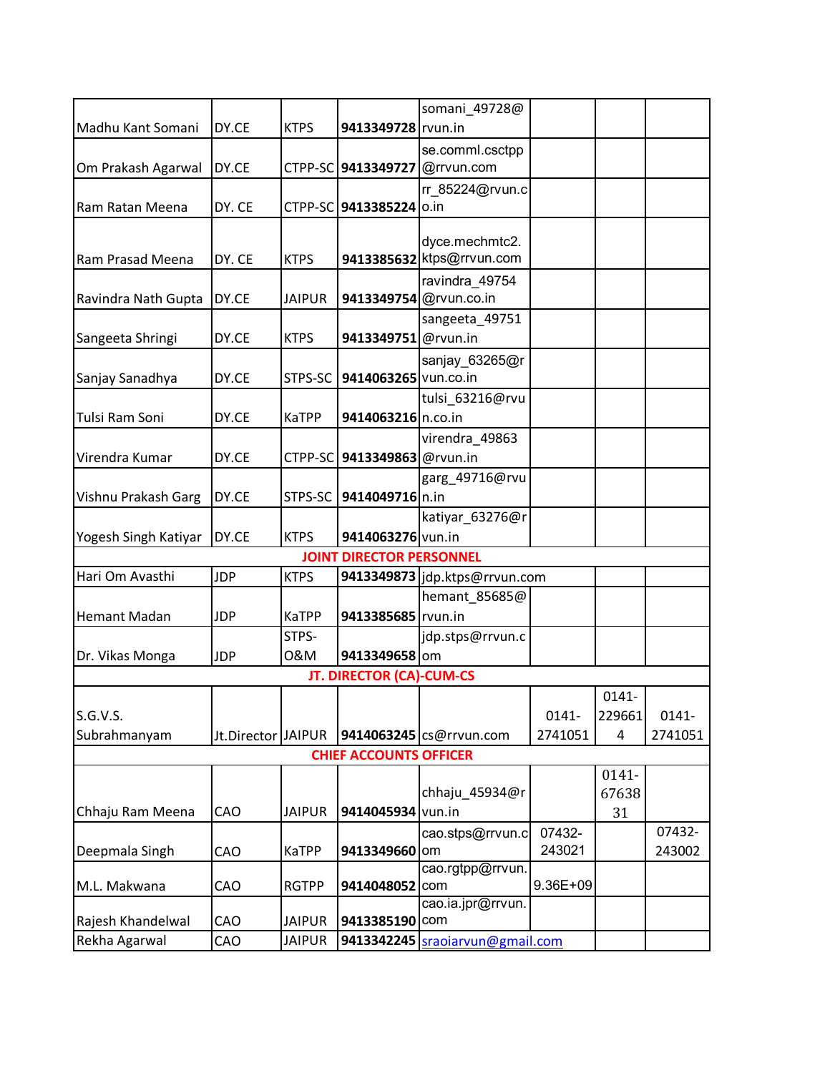|                      |                    |               |                                 | somani_49728@                   |          |          |          |
|----------------------|--------------------|---------------|---------------------------------|---------------------------------|----------|----------|----------|
| Madhu Kant Somani    | DY.CE              | <b>KTPS</b>   | 9413349728 rvun.in              |                                 |          |          |          |
|                      |                    |               |                                 | se.comml.csctpp                 |          |          |          |
| Om Prakash Agarwal   | DY.CE              |               | CTPP-SC 9413349727              | @rrvun.com                      |          |          |          |
|                      |                    |               |                                 | rr 85224@rvun.c                 |          |          |          |
| Ram Ratan Meena      | DY. CE             |               | CTPP-SC 9413385224              | o.in                            |          |          |          |
|                      |                    |               |                                 |                                 |          |          |          |
|                      |                    |               |                                 | dyce.mechmtc2.                  |          |          |          |
| Ram Prasad Meena     | DY. CE             | <b>KTPS</b>   |                                 | 9413385632 ktps@rrvun.com       |          |          |          |
|                      |                    |               |                                 | ravindra 49754                  |          |          |          |
| Ravindra Nath Gupta  | DY.CE              | <b>JAIPUR</b> | 9413349754 @rvun.co.in          |                                 |          |          |          |
|                      |                    |               |                                 | sangeeta_49751                  |          |          |          |
| Sangeeta Shringi     | DY.CE              | <b>KTPS</b>   | 9413349751 @rvun.in             |                                 |          |          |          |
|                      |                    |               |                                 | sanjay_63265@r                  |          |          |          |
| Sanjay Sanadhya      | DY.CE              | STPS-SC       | 9414063265 vun.co.in            |                                 |          |          |          |
|                      |                    |               |                                 | tulsi_63216@rvu                 |          |          |          |
| Tulsi Ram Soni       | DY.CE              | KaTPP         | 9414063216 n.co.in              |                                 |          |          |          |
|                      |                    |               |                                 | virendra_49863                  |          |          |          |
| Virendra Kumar       | DY.CE              | CTPP-SC       | 9413349863 @rvun.in             |                                 |          |          |          |
|                      |                    |               |                                 | garg_49716@rvu                  |          |          |          |
| Vishnu Prakash Garg  | DY.CE              | STPS-SC       | 9414049716 n.in                 |                                 |          |          |          |
|                      |                    |               |                                 | katiyar_63276@r                 |          |          |          |
| Yogesh Singh Katiyar | DY.CE              | <b>KTPS</b>   | 9414063276 vun.in               |                                 |          |          |          |
|                      |                    |               | <b>JOINT DIRECTOR PERSONNEL</b> |                                 |          |          |          |
| Hari Om Avasthi      | <b>JDP</b>         | <b>KTPS</b>   |                                 | 9413349873 jdp.ktps@rrvun.com   |          |          |          |
|                      |                    |               |                                 | hemant_85685@                   |          |          |          |
| <b>Hemant Madan</b>  | <b>JDP</b>         | KaTPP         | 9413385685 rvun.in              |                                 |          |          |          |
|                      |                    | STPS-         |                                 | jdp.stps@rrvun.c                |          |          |          |
| Dr. Vikas Monga      | <b>JDP</b>         | 0&M           | 9413349658 om                   |                                 |          |          |          |
|                      |                    |               | <b>JT. DIRECTOR (CA)-CUM-CS</b> |                                 |          |          |          |
|                      |                    |               |                                 |                                 |          | $0141 -$ |          |
| S.G.V.S.             |                    |               |                                 |                                 | $0141 -$ | 229661   | $0141 -$ |
| Subrahmanyam         | Jt.Director JAIPUR |               |                                 | 9414063245 cs@rrvun.com         | 2741051  | 4        | 2741051  |
|                      |                    |               | <b>CHIEF ACCOUNTS OFFICER</b>   |                                 |          |          |          |
|                      |                    |               |                                 |                                 |          | 0141-    |          |
|                      |                    |               |                                 | chhaju 45934@r                  |          | 67638    |          |
| Chhaju Ram Meena     | CAO                | <b>JAIPUR</b> | 9414045934                      | vun.in                          |          | 31       |          |
|                      |                    |               |                                 | cao.stps@rrvun.c                | 07432-   |          | 07432-   |
| Deepmala Singh       | CAO                | KaTPP         | 9413349660 om                   |                                 | 243021   |          | 243002   |
|                      |                    |               |                                 | cao.rgtpp@rrvun.                |          |          |          |
| M.L. Makwana         | CAO                | <b>RGTPP</b>  | 9414048052                      | com                             | 9.36E+09 |          |          |
|                      |                    |               |                                 | cao.ia.jpr@rrvun.               |          |          |          |
| Rajesh Khandelwal    | CAO                | <b>JAIPUR</b> | 9413385190 com                  |                                 |          |          |          |
| Rekha Agarwal        | CAO                | <b>JAIPUR</b> |                                 | 9413342245 sraoiarvun@gmail.com |          |          |          |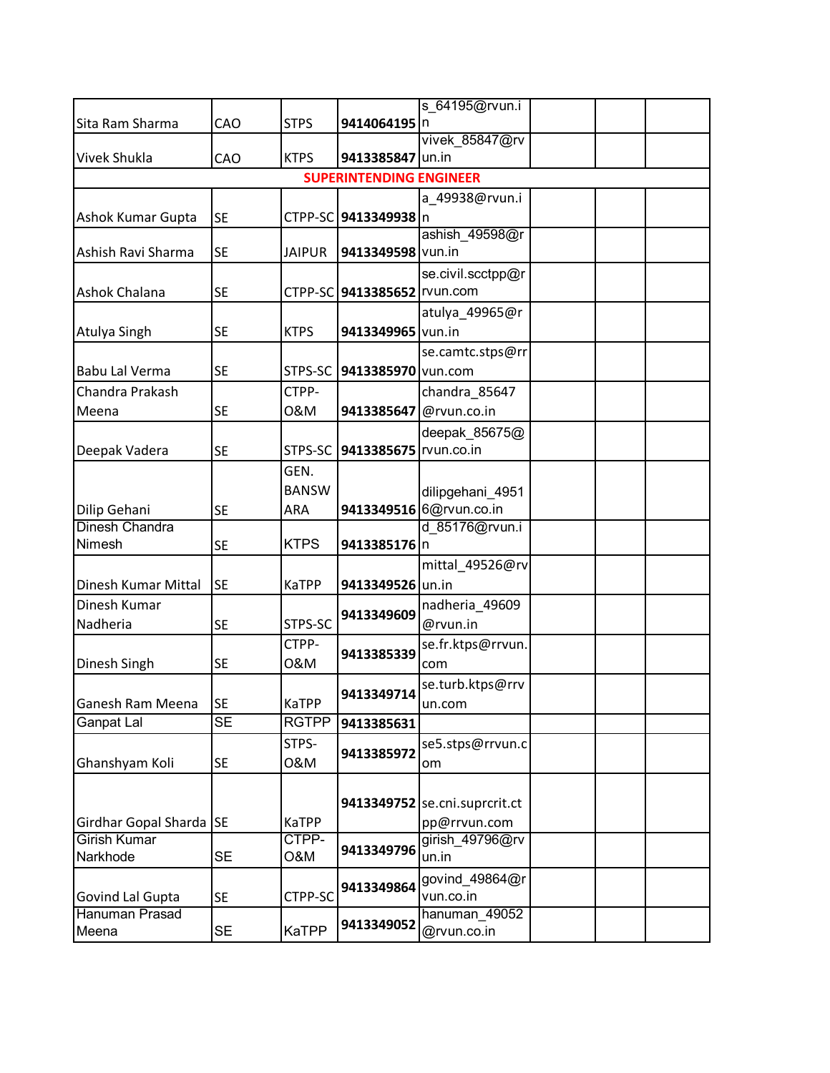|                         |           |               |                                   | s 64195@rvun.i                |  |  |
|-------------------------|-----------|---------------|-----------------------------------|-------------------------------|--|--|
| Sita Ram Sharma         | CAO       | <b>STPS</b>   | 9414064195 n                      |                               |  |  |
|                         |           |               |                                   | vivek 85847@rv                |  |  |
| <b>Vivek Shukla</b>     | CAO       | <b>KTPS</b>   | 9413385847 un.in                  |                               |  |  |
|                         |           |               | <b>SUPERINTENDING ENGINEER</b>    |                               |  |  |
|                         |           |               |                                   | a_49938@rvun.i                |  |  |
| Ashok Kumar Gupta       | <b>SE</b> |               | CTPP-SC 9413349938 n              |                               |  |  |
|                         |           |               |                                   | ashish 49598@r                |  |  |
| Ashish Ravi Sharma      | <b>SE</b> | <b>JAIPUR</b> | 9413349598 vun.in                 |                               |  |  |
|                         |           |               |                                   | se.civil.scctpp@r             |  |  |
| Ashok Chalana           | <b>SE</b> |               | CTPP-SC   9413385652   rvun.com   |                               |  |  |
|                         |           |               |                                   | atulya_49965@r                |  |  |
| Atulya Singh            | <b>SE</b> | <b>KTPS</b>   | 9413349965 vun.in                 |                               |  |  |
|                         |           |               |                                   | se.camtc.stps@rr              |  |  |
| <b>Babu Lal Verma</b>   | <b>SE</b> | STPS-SC       | 9413385970 vun.com                |                               |  |  |
| Chandra Prakash         |           | CTPP-         |                                   | chandra_85647                 |  |  |
| Meena                   | <b>SE</b> | 0&M           | 9413385647 @rvun.co.in            |                               |  |  |
|                         |           |               |                                   | deepak_85675@                 |  |  |
| Deepak Vadera           | <b>SE</b> |               | STPS-SC   9413385675   rvun.co.in |                               |  |  |
|                         |           | GEN.          |                                   |                               |  |  |
|                         |           | <b>BANSW</b>  |                                   | dilipgehani_4951              |  |  |
| Dilip Gehani            | <b>SE</b> | ARA           |                                   | 9413349516 6@rvun.co.in       |  |  |
| <b>Dinesh Chandra</b>   |           |               |                                   | d 85176@rvun.i                |  |  |
| Nimesh                  | <b>SE</b> | <b>KTPS</b>   | 9413385176 n                      |                               |  |  |
|                         |           |               |                                   | mittal_49526@rv               |  |  |
| Dinesh Kumar Mittal     | <b>SE</b> | <b>KaTPP</b>  | 9413349526 un.in                  |                               |  |  |
| Dinesh Kumar            |           |               |                                   | nadheria_49609                |  |  |
| Nadheria                | <b>SE</b> | STPS-SC       | 9413349609                        | @rvun.in                      |  |  |
|                         |           | CTPP-         |                                   | se.fr.ktps@rrvun.             |  |  |
| Dinesh Singh            | <b>SE</b> | 0&M           | 9413385339                        | com                           |  |  |
|                         |           |               |                                   | se.turb.ktps@rrv              |  |  |
| Ganesh Ram Meena        | <b>SE</b> | <b>KaTPP</b>  | 9413349714                        | un.com                        |  |  |
| Ganpat Lal              | <b>SE</b> | <b>RGTPP</b>  | 9413385631                        |                               |  |  |
|                         |           | STPS-         |                                   | se5.stps@rrvun.c              |  |  |
| Ghanshyam Koli          | <b>SE</b> | 0&M           | 9413385972                        | om                            |  |  |
|                         |           |               |                                   |                               |  |  |
|                         |           |               |                                   | 9413349752 se.cni.suprcrit.ct |  |  |
| Girdhar Gopal Sharda SE |           | <b>KaTPP</b>  |                                   | pp@rrvun.com                  |  |  |
| <b>Girish Kumar</b>     |           | CTPP-         |                                   | girish 49796@rv               |  |  |
| Narkhode                | <b>SE</b> | O&M           | 9413349796                        | un.in                         |  |  |
|                         |           |               |                                   | govind_49864@r                |  |  |
| Govind Lal Gupta        | <b>SE</b> | CTPP-SC       | 9413349864                        | vun.co.in                     |  |  |
| Hanuman Prasad          |           |               |                                   | hanuman 49052                 |  |  |
| Meena                   | <b>SE</b> | <b>KaTPP</b>  | 9413349052                        | @rvun.co.in                   |  |  |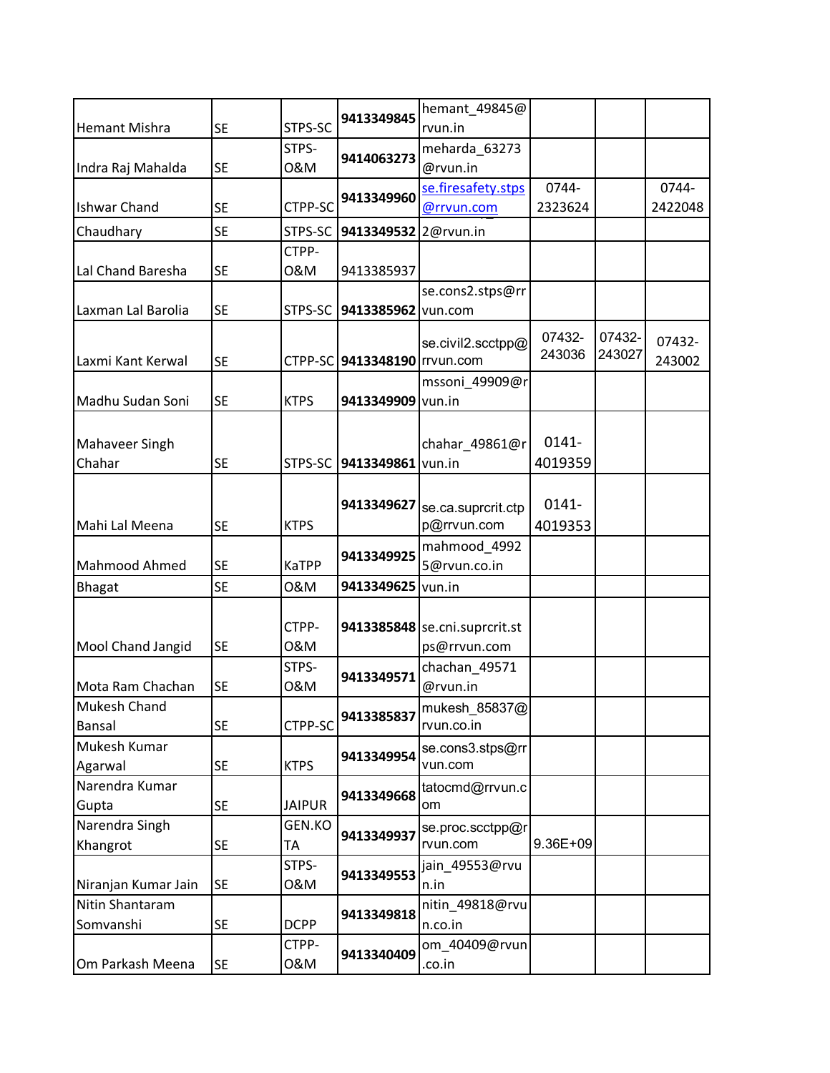|                       |           |               |                              | hemant_49845@                     |          |        |         |
|-----------------------|-----------|---------------|------------------------------|-----------------------------------|----------|--------|---------|
| <b>Hemant Mishra</b>  | <b>SE</b> | STPS-SC       | 9413349845                   | rvun.in                           |          |        |         |
|                       |           | STPS-         | 9414063273                   | meharda_63273                     |          |        |         |
| Indra Raj Mahalda     | <b>SE</b> | 0&M           |                              | @rvun.in                          |          |        |         |
|                       |           |               | 9413349960                   | se.firesafety.stps                | 0744-    |        | 0744-   |
| <b>Ishwar Chand</b>   | <b>SE</b> | CTPP-SC       |                              | @rrvun.com                        | 2323624  |        | 2422048 |
| Chaudhary             | <b>SE</b> | STPS-SC       | 9413349532                   | 2@rvun.in                         |          |        |         |
|                       |           | CTPP-         |                              |                                   |          |        |         |
| Lal Chand Baresha     | <b>SE</b> | 0&M           | 9413385937                   |                                   |          |        |         |
|                       |           |               |                              | se.cons2.stps@rr                  |          |        |         |
| Laxman Lal Barolia    | <b>SE</b> | STPS-SC       | 9413385962                   | vun.com                           |          |        |         |
|                       |           |               |                              | se.civil2.scctpp@                 | 07432-   | 07432- | 07432-  |
| Laxmi Kant Kerwal     | <b>SE</b> |               | CTPP-SC 9413348190 rrvun.com |                                   | 243036   | 243027 | 243002  |
|                       |           |               |                              | mssoni_49909@r                    |          |        |         |
| Madhu Sudan Soni      | <b>SE</b> | <b>KTPS</b>   | 9413349909 vun.in            |                                   |          |        |         |
|                       |           |               |                              |                                   |          |        |         |
| <b>Mahaveer Singh</b> |           |               |                              | chahar 49861@r                    | $0141 -$ |        |         |
| Chahar                | <b>SE</b> | STPS-SC       | 9413349861                   | vun.in                            | 4019359  |        |         |
|                       |           |               |                              |                                   |          |        |         |
|                       |           |               | 9413349627                   |                                   | $0141 -$ |        |         |
| Mahi Lal Meena        | <b>SE</b> | <b>KTPS</b>   |                              | se.ca.suprcrit.ctp<br>p@rrvun.com | 4019353  |        |         |
|                       |           |               |                              | mahmood_4992                      |          |        |         |
| Mahmood Ahmed         | <b>SE</b> | <b>KaTPP</b>  | 9413349925                   | 5@rvun.co.in                      |          |        |         |
| <b>Bhagat</b>         | <b>SE</b> | 0&M           | 9413349625                   | vun.in                            |          |        |         |
|                       |           |               |                              |                                   |          |        |         |
|                       |           | CTPP-         |                              | 9413385848 se.cni.suprcrit.st     |          |        |         |
| Mool Chand Jangid     | <b>SE</b> | 0&M           |                              | ps@rrvun.com                      |          |        |         |
|                       |           | STPS-         |                              | chachan 49571                     |          |        |         |
| Mota Ram Chachan      | <b>SE</b> | 0&M           | 9413349571                   | @rvun.in                          |          |        |         |
| <b>Mukesh Chand</b>   |           |               |                              | 9413385837 mukesh_85837@          |          |        |         |
| Bansal                | <b>SE</b> | CTPP-SC       |                              | rvun.co.in                        |          |        |         |
| Mukesh Kumar          |           |               |                              | se.cons3.stps@rr                  |          |        |         |
| Agarwal               | <b>SE</b> | <b>KTPS</b>   | 9413349954                   | vun.com                           |          |        |         |
| Narendra Kumar        |           |               |                              | tatocmd@rrvun.c                   |          |        |         |
| Gupta                 | <b>SE</b> | <b>JAIPUR</b> | 9413349668                   | om                                |          |        |         |
| Narendra Singh        |           | GEN.KO        | 9413349937                   | se.proc.scctpp@r                  |          |        |         |
| Khangrot              | <b>SE</b> | TA            |                              | rvun.com                          | 9.36E+09 |        |         |
|                       |           | STPS-         | 9413349553                   | jain_49553@rvu                    |          |        |         |
| Niranjan Kumar Jain   | <b>SE</b> | 0&M           |                              | n.in                              |          |        |         |
| Nitin Shantaram       |           |               | 9413349818                   | nitin_49818@rvu                   |          |        |         |
| Somvanshi             | <b>SE</b> | <b>DCPP</b>   |                              | n.co.in                           |          |        |         |
|                       |           | CTPP-         | 9413340409                   | om_40409@rvun                     |          |        |         |
| Om Parkash Meena      | <b>SE</b> | 0&M           |                              | .co.in                            |          |        |         |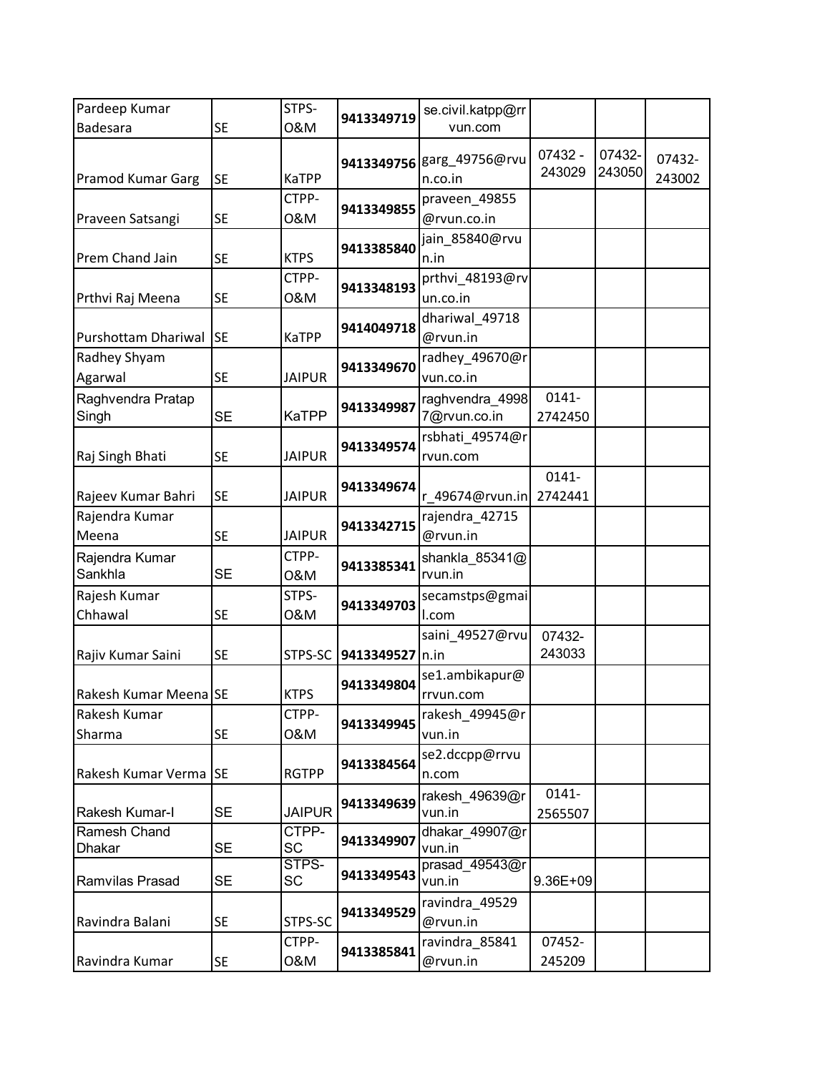| Pardeep Kumar            |           | STPS-         |            | se.civil.katpp@rr        |          |        |        |
|--------------------------|-----------|---------------|------------|--------------------------|----------|--------|--------|
| <b>Badesara</b>          | <b>SE</b> | 0&M           | 9413349719 | vun.com                  |          |        |        |
|                          |           |               |            |                          | 07432 -  | 07432- |        |
|                          |           |               | 9413349756 | garg_49756@rvu           | 243029   | 243050 | 07432- |
| <b>Pramod Kumar Garg</b> | <b>SE</b> | <b>KaTPP</b>  |            | n.co.in                  |          |        | 243002 |
|                          |           | CTPP-         | 9413349855 | praveen_49855            |          |        |        |
| Praveen Satsangi         | <b>SE</b> | 0&M           |            | @rvun.co.in              |          |        |        |
|                          |           |               | 9413385840 | jain_85840@rvu           |          |        |        |
| Prem Chand Jain          | <b>SE</b> | <b>KTPS</b>   |            | n.in                     |          |        |        |
|                          |           | CTPP-         | 9413348193 | prthvi_48193@rv          |          |        |        |
| Prthvi Raj Meena         | <b>SE</b> | 0&M           |            | un.co.in                 |          |        |        |
|                          |           |               | 9414049718 | dhariwal_49718           |          |        |        |
| Purshottam Dhariwal      | <b>SE</b> | <b>KaTPP</b>  |            | @rvun.in                 |          |        |        |
| Radhey Shyam             |           |               | 9413349670 | radhey_49670@r           |          |        |        |
| Agarwal                  | <b>SE</b> | <b>JAIPUR</b> |            | vun.co.in                |          |        |        |
| Raghvendra Pratap        |           |               | 9413349987 | raghvendra_4998          | $0141 -$ |        |        |
| Singh                    | <b>SE</b> | <b>KaTPP</b>  |            | 7@rvun.co.in             | 2742450  |        |        |
|                          |           |               | 9413349574 | rsbhati_49574@r          |          |        |        |
| Raj Singh Bhati          | <b>SE</b> | <b>JAIPUR</b> |            | rvun.com                 |          |        |        |
|                          |           |               |            |                          | $0141 -$ |        |        |
| Rajeev Kumar Bahri       | <b>SE</b> | <b>JAIPUR</b> | 9413349674 | r 49674@rvun.in          | 2742441  |        |        |
| Rajendra Kumar           |           |               |            | rajendra_42715           |          |        |        |
| Meena                    | <b>SE</b> | <b>JAIPUR</b> | 9413342715 | @rvun.in                 |          |        |        |
| Rajendra Kumar           |           | CTPP-         |            | shankla_85341@           |          |        |        |
| Sankhla                  | <b>SE</b> | 0&M           | 9413385341 | rvun.in                  |          |        |        |
| Rajesh Kumar             |           | STPS-         |            | secamstps@gmai           |          |        |        |
| Chhawal                  | <b>SE</b> | 0&M           | 9413349703 | I.com                    |          |        |        |
|                          |           |               |            | saini_49527@rvu          | 07432-   |        |        |
| Rajiv Kumar Saini        | <b>SE</b> | STPS-SC       | 9413349527 | n.in                     | 243033   |        |        |
|                          |           |               |            | se1.ambikapur@           |          |        |        |
| Rakesh Kumar Meena SE    |           | <b>KTPS</b>   | 9413349804 | rrvun.com                |          |        |        |
| Rakesh Kumar             |           | CTPP-         |            | rakesh_49945@r           |          |        |        |
| Sharma                   | <b>SE</b> | 0&M           | 9413349945 | vun.in                   |          |        |        |
|                          |           |               |            | se2.dccpp@rrvu           |          |        |        |
| Rakesh Kumar Verma       | <b>SE</b> | <b>RGTPP</b>  | 9413384564 | n.com                    |          |        |        |
|                          |           |               |            |                          | $0141 -$ |        |        |
| Rakesh Kumar-I           | <b>SE</b> | <b>JAIPUR</b> | 9413349639 | rakesh_49639@r<br>vun.in | 2565507  |        |        |
| Ramesh Chand             |           | CTPP-         |            | dhakar_49907@r           |          |        |        |
| <b>Dhakar</b>            | SE        | <b>SC</b>     | 9413349907 | vun.in                   |          |        |        |
|                          |           | STPS-         |            | prasad_49543@r           |          |        |        |
| Ramvilas Prasad          | <b>SE</b> | SC            | 9413349543 | vun.in                   | 9.36E+09 |        |        |
|                          |           |               |            | ravindra_49529           |          |        |        |
| Ravindra Balani          | <b>SE</b> | STPS-SC       | 9413349529 | @rvun.in                 |          |        |        |
|                          |           | CTPP-         |            | ravindra_85841           | 07452-   |        |        |
| Ravindra Kumar           | <b>SE</b> | 0&M           | 9413385841 | @rvun.in                 | 245209   |        |        |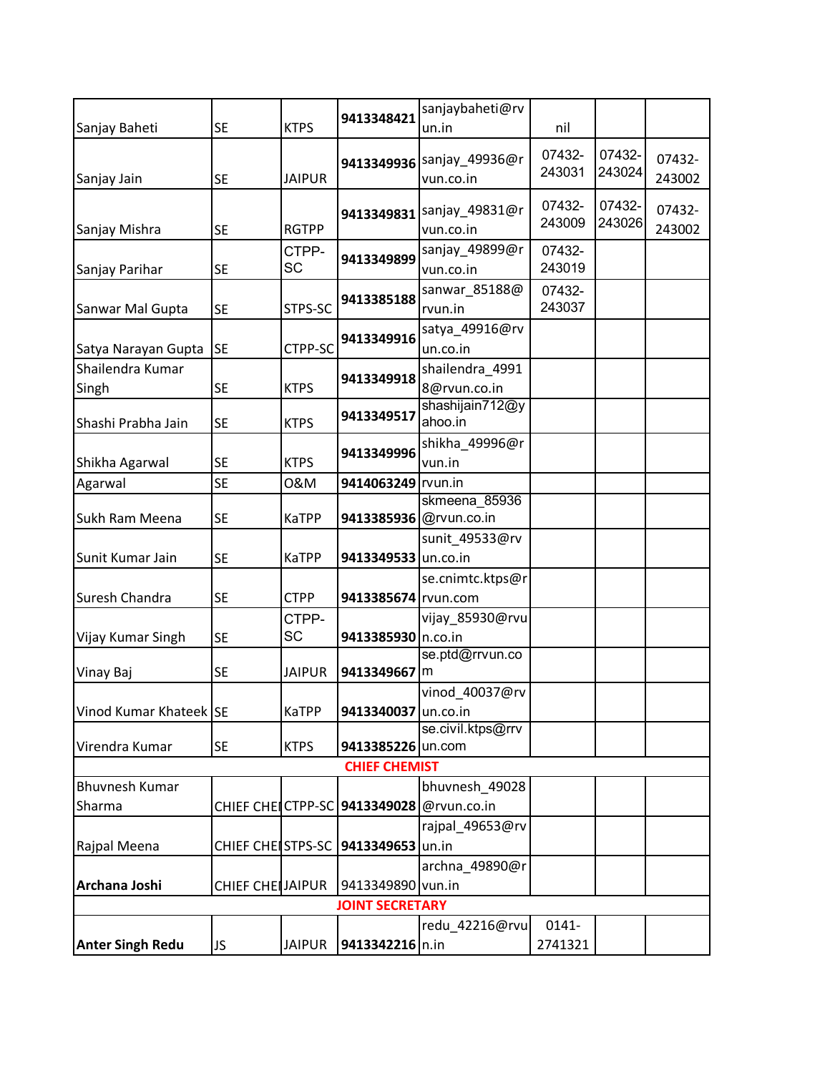|                         |                          |               | 9413348421                                   | sanjaybaheti@rv                        |          |        |        |
|-------------------------|--------------------------|---------------|----------------------------------------------|----------------------------------------|----------|--------|--------|
| Sanjay Baheti           | <b>SE</b>                | <b>KTPS</b>   |                                              | un.in                                  | nil      |        |        |
|                         |                          |               |                                              |                                        | 07432-   | 07432- | 07432- |
| Sanjay Jain             | <b>SE</b>                | <b>JAIPUR</b> |                                              | 9413349936 Sanjay_49936@r<br>vun.co.in | 243031   | 243024 | 243002 |
|                         |                          |               |                                              |                                        |          |        |        |
|                         |                          |               | 9413349831                                   | sanjay_49831@r                         | 07432-   | 07432- | 07432- |
| Sanjay Mishra           | <b>SE</b>                | <b>RGTPP</b>  |                                              | vun.co.in                              | 243009   | 243026 | 243002 |
|                         |                          | CTPP-         | 9413349899                                   | sanjay_49899@r                         | 07432-   |        |        |
| Sanjay Parihar          | <b>SE</b>                | <b>SC</b>     |                                              | vun.co.in                              | 243019   |        |        |
|                         |                          |               |                                              | sanwar_85188@                          | 07432-   |        |        |
| Sanwar Mal Gupta        | <b>SE</b>                | STPS-SC       | 9413385188                                   | rvun.in                                | 243037   |        |        |
|                         |                          |               |                                              | satya_49916@rv                         |          |        |        |
| Satya Narayan Gupta     | <b>SE</b>                | CTPP-SC       | 9413349916                                   | un.co.in                               |          |        |        |
| Shailendra Kumar        |                          |               |                                              | shailendra_4991                        |          |        |        |
| Singh                   | <b>SE</b>                | <b>KTPS</b>   | 9413349918                                   | 8@rvun.co.in                           |          |        |        |
|                         |                          |               | 9413349517                                   | shashijain712@y                        |          |        |        |
| Shashi Prabha Jain      | <b>SE</b>                | <b>KTPS</b>   |                                              | ahoo.in                                |          |        |        |
|                         |                          |               | 9413349996                                   | shikha_49996@r                         |          |        |        |
| Shikha Agarwal          | <b>SE</b>                | <b>KTPS</b>   |                                              | vun.in                                 |          |        |        |
| Agarwal                 | <b>SE</b>                | 0&M           | 9414063249 rvun.in                           |                                        |          |        |        |
|                         |                          |               |                                              | skmeena 85936                          |          |        |        |
| Sukh Ram Meena          | <b>SE</b>                | <b>KaTPP</b>  |                                              | 9413385936 @rvun.co.in                 |          |        |        |
|                         |                          |               |                                              | sunit_49533@rv                         |          |        |        |
| Sunit Kumar Jain        | <b>SE</b>                | KaTPP         | 9413349533 un.co.in                          |                                        |          |        |        |
|                         |                          |               |                                              | se.cnimtc.ktps@r                       |          |        |        |
| Suresh Chandra          | <b>SE</b>                | <b>CTPP</b>   | 9413385674 rvun.com                          |                                        |          |        |        |
|                         |                          | CTPP-         |                                              | vijay_85930@rvu                        |          |        |        |
| Vijay Kumar Singh       | <b>SE</b>                | SC            | 9413385930 n.co.in                           |                                        |          |        |        |
|                         | <b>SE</b>                | <b>JAIPUR</b> | 9413349667                                   | se.ptd@rrvun.co<br>Im                  |          |        |        |
| Vinay Baj               |                          |               |                                              | vinod 40037@rv                         |          |        |        |
| Vinod Kumar Khateek SE  |                          |               | 9413340037 un.co.in                          |                                        |          |        |        |
|                         |                          | <b>KaTPP</b>  |                                              | se.civil.ktps@rrv                      |          |        |        |
| Virendra Kumar          | <b>SE</b>                | <b>KTPS</b>   | 9413385226 un.com                            |                                        |          |        |        |
|                         |                          |               | <b>CHIEF CHEMIST</b>                         |                                        |          |        |        |
| <b>Bhuvnesh Kumar</b>   |                          |               |                                              | bhuvnesh_49028                         |          |        |        |
| Sharma                  |                          |               | CHIEF CHEICTPP-SC   9413349028   @rvun.co.in |                                        |          |        |        |
|                         |                          |               |                                              | rajpal_49653@rv                        |          |        |        |
| Rajpal Meena            | <b>CHIEF CHEISTPS-SC</b> |               | 9413349653 un.in                             |                                        |          |        |        |
|                         |                          |               |                                              | archna_49890@r                         |          |        |        |
| Archana Joshi           | <b>CHIEF CHEIJAIPUR</b>  |               | 9413349890 vun.in                            |                                        |          |        |        |
|                         |                          |               | <b>JOINT SECRETARY</b>                       |                                        |          |        |        |
|                         |                          |               |                                              | redu 42216@rvu                         | $0141 -$ |        |        |
| <b>Anter Singh Redu</b> | JS                       | <b>JAIPUR</b> | 9413342216 n.in                              |                                        | 2741321  |        |        |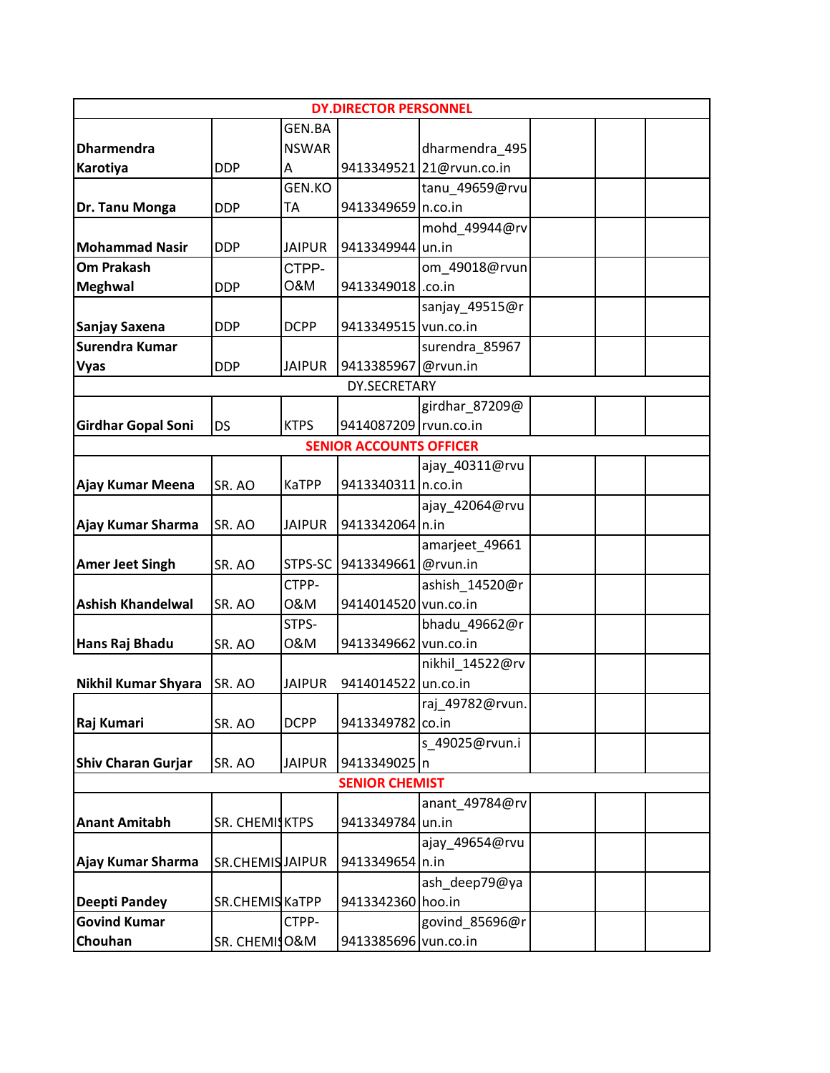|                           |                 |               | <b>DY.DIRECTOR PERSONNEL</b>   |                          |  |
|---------------------------|-----------------|---------------|--------------------------------|--------------------------|--|
|                           |                 | <b>GEN.BA</b> |                                |                          |  |
| <b>Dharmendra</b>         |                 | <b>NSWAR</b>  |                                | dharmendra 495           |  |
| Karotiya                  | <b>DDP</b>      | A             |                                | 9413349521 21@rvun.co.in |  |
|                           |                 | GEN.KO        |                                | tanu_49659@rvu           |  |
| Dr. Tanu Monga            | <b>DDP</b>      | TA            | 9413349659 n.co.in             |                          |  |
|                           |                 |               |                                | mohd_49944@rv            |  |
| <b>Mohammad Nasir</b>     | <b>DDP</b>      | <b>JAIPUR</b> | 9413349944 un.in               |                          |  |
| <b>Om Prakash</b>         |                 | CTPP-         |                                | om_49018@rvun            |  |
| <b>Meghwal</b>            | <b>DDP</b>      | O&M           | 9413349018.co.in               |                          |  |
|                           |                 |               |                                | sanjay_49515@r           |  |
| Sanjay Saxena             | <b>DDP</b>      | <b>DCPP</b>   | 9413349515 vun.co.in           |                          |  |
| Surendra Kumar            |                 |               |                                | surendra_85967           |  |
| <b>Vyas</b>               | <b>DDP</b>      | <b>JAIPUR</b> | 9413385967 @rvun.in            |                          |  |
|                           |                 |               | DY.SECRETARY                   |                          |  |
|                           |                 |               |                                | girdhar_87209@           |  |
| <b>Girdhar Gopal Soni</b> | <b>DS</b>       | <b>KTPS</b>   | 9414087209 rvun.co.in          |                          |  |
|                           |                 |               | <b>SENIOR ACCOUNTS OFFICER</b> |                          |  |
|                           |                 |               |                                | ajay_40311@rvu           |  |
| Ajay Kumar Meena          | SR. AO          | <b>KaTPP</b>  | 9413340311 n.co.in             |                          |  |
|                           |                 |               |                                | ajay_42064@rvu           |  |
| Ajay Kumar Sharma         | SR. AO          | <b>JAIPUR</b> | 9413342064 n.in                |                          |  |
|                           |                 |               |                                | amarjeet_49661           |  |
| <b>Amer Jeet Singh</b>    | SR. AO          | STPS-SC       | 9413349661                     | @rvun.in                 |  |
|                           |                 | CTPP-         |                                | ashish_14520@r           |  |
| <b>Ashish Khandelwal</b>  | SR. AO          | 0&M           | 9414014520 vun.co.in           |                          |  |
|                           |                 | STPS-         |                                | bhadu 49662@r            |  |
| Hans Raj Bhadu            | SR. AO          | 0&M           | 9413349662 vun.co.in           |                          |  |
|                           |                 |               |                                | nikhil_14522@rv          |  |
| Nikhil Kumar Shyara       | SR. AO          | <b>JAIPUR</b> | 9414014522                     | un.co.in                 |  |
|                           |                 |               |                                | raj_49782@rvun.          |  |
| Raj Kumari                | SR. AO          | <b>DCPP</b>   | 9413349782                     | co.in                    |  |
|                           |                 |               |                                | s 49025@rvun.i           |  |
| <b>Shiv Charan Gurjar</b> | SR. AO          | <b>JAIPUR</b> | 9413349025 n                   |                          |  |
|                           |                 |               | <b>SENIOR CHEMIST</b>          |                          |  |
|                           |                 |               |                                | anant 49784@rv           |  |
| <b>Anant Amitabh</b>      | SR. CHEMISKTPS  |               | 9413349784 un.in               |                          |  |
|                           |                 |               |                                | ajay_49654@rvu           |  |
| Ajay Kumar Sharma         | SR.CHEMISJAIPUR |               | 9413349654 n.in                |                          |  |
|                           |                 |               |                                | ash_deep79@ya            |  |
| <b>Deepti Pandey</b>      | SR.CHEMIS KaTPP |               | 9413342360 hoo.in              |                          |  |
| <b>Govind Kumar</b>       |                 | CTPP-         |                                | govind_85696@r           |  |
| Chouhan                   | SR. CHEMISO&M   |               | 9413385696 vun.co.in           |                          |  |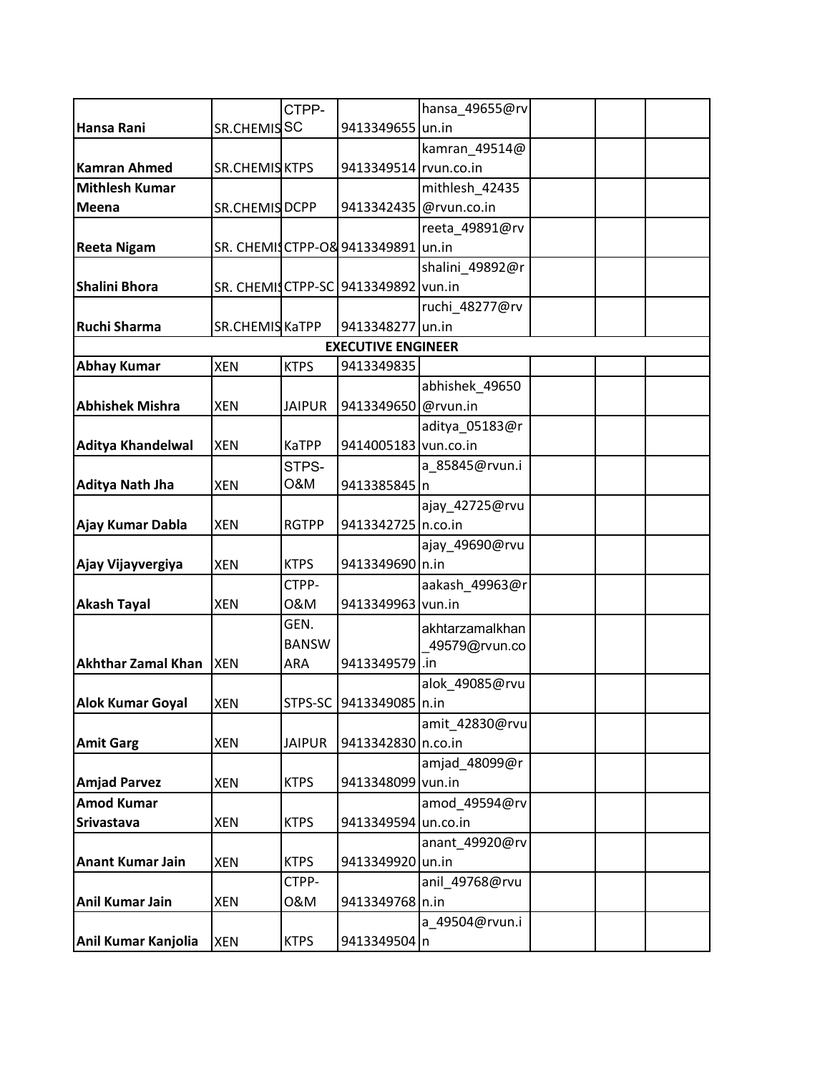|                           |                       | CTPP-         |                                     | hansa_49655@rv  |  |
|---------------------------|-----------------------|---------------|-------------------------------------|-----------------|--|
| Hansa Rani                | SR.CHEMISSC           |               | 9413349655 un.in                    |                 |  |
|                           |                       |               |                                     | kamran_49514@   |  |
| <b>Kamran Ahmed</b>       | <b>SR.CHEMIS KTPS</b> |               | 9413349514 rvun.co.in               |                 |  |
| <b>Mithlesh Kumar</b>     |                       |               |                                     | mithlesh_42435  |  |
| Meena                     | SR.CHEMIS DCPP        |               | 9413342435 @rvun.co.in              |                 |  |
|                           |                       |               |                                     | reeta_49891@rv  |  |
| <b>Reeta Nigam</b>        |                       |               | SR. CHEMISCTPP-08 9413349891        | un.in           |  |
|                           |                       |               |                                     | shalini_49892@r |  |
| <b>Shalini Bhora</b>      |                       |               | SR. CHEMISCTPP-SC 9413349892 vun.in |                 |  |
|                           |                       |               |                                     | ruchi_48277@rv  |  |
| <b>Ruchi Sharma</b>       | SR.CHEMIS KaTPP       |               | 9413348277 un.in                    |                 |  |
|                           |                       |               | <b>EXECUTIVE ENGINEER</b>           |                 |  |
| <b>Abhay Kumar</b>        | <b>XEN</b>            | <b>KTPS</b>   | 9413349835                          |                 |  |
|                           |                       |               |                                     | abhishek_49650  |  |
| <b>Abhishek Mishra</b>    | <b>XEN</b>            | <b>JAIPUR</b> | 9413349650 @rvun.in                 |                 |  |
|                           |                       |               |                                     | aditya_05183@r  |  |
| <b>Aditya Khandelwal</b>  | <b>XEN</b>            | <b>KaTPP</b>  | 9414005183 vun.co.in                |                 |  |
|                           |                       | STPS-         |                                     | a_85845@rvun.i  |  |
| <b>Aditya Nath Jha</b>    | <b>XEN</b>            | O&M           | 9413385845                          | n               |  |
|                           |                       |               |                                     | ajay_42725@rvu  |  |
| Ajay Kumar Dabla          | <b>XEN</b>            | <b>RGTPP</b>  | 9413342725 n.co.in                  |                 |  |
|                           |                       |               |                                     | ajay_49690@rvu  |  |
| Ajay Vijayvergiya         | <b>XEN</b>            | <b>KTPS</b>   | 9413349690 n.in                     |                 |  |
|                           |                       | CTPP-         |                                     | aakash_49963@r  |  |
| <b>Akash Tayal</b>        | <b>XEN</b>            | 0&M           | 9413349963 vun.in                   |                 |  |
|                           |                       | GEN.          |                                     | akhtarzamalkhan |  |
|                           |                       | <b>BANSW</b>  |                                     | 49579@rvun.co   |  |
| <b>Akhthar Zamal Khan</b> | <b>XEN</b>            | ARA           | 9413349579                          | .in             |  |
|                           |                       |               |                                     | alok_49085@rvu  |  |
| <b>Alok Kumar Goyal</b>   | <b>XEN</b>            |               | STPS-SC 9413349085 n.in             |                 |  |
|                           |                       |               |                                     | amit 42830@rvu  |  |
| <b>Amit Garg</b>          | <b>XEN</b>            | <b>JAIPUR</b> | 9413342830 n.co.in                  |                 |  |
|                           |                       |               |                                     | amjad 48099@r   |  |
| <b>Amjad Parvez</b>       | <b>XEN</b>            | <b>KTPS</b>   | 9413348099 vun.in                   |                 |  |
| <b>Amod Kumar</b>         |                       |               |                                     | amod 49594@rv   |  |
| <b>Srivastava</b>         | <b>XEN</b>            | <b>KTPS</b>   | 9413349594 un.co.in                 |                 |  |
|                           |                       |               |                                     | anant 49920@rv  |  |
| <b>Anant Kumar Jain</b>   | <b>XEN</b>            | <b>KTPS</b>   | 9413349920 un.in                    |                 |  |
|                           |                       | CTPP-         |                                     | anil_49768@rvu  |  |
| <b>Anil Kumar Jain</b>    | <b>XEN</b>            | 0&M           | 9413349768 n.in                     |                 |  |
|                           |                       |               |                                     | a_49504@rvun.i  |  |
| Anil Kumar Kanjolia       | <b>XEN</b>            | <b>KTPS</b>   | 9413349504 n                        |                 |  |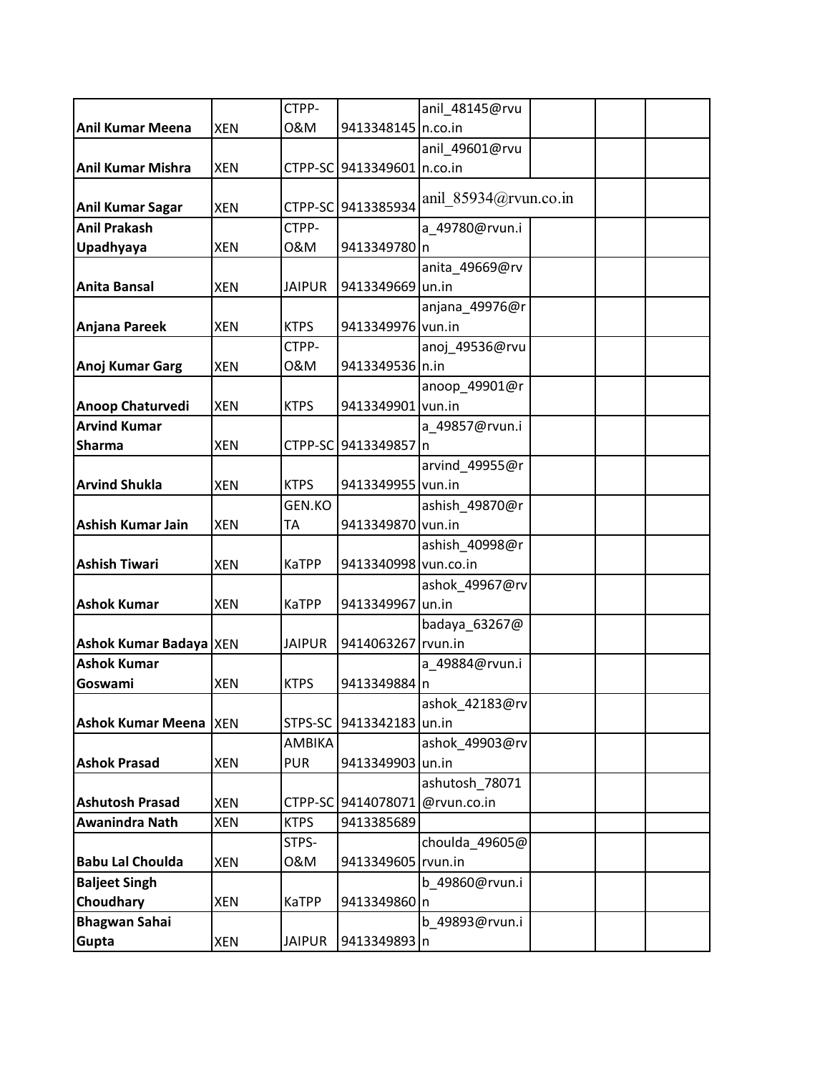|                              |            | CTPP-         |                            | anil_48145@rvu        |  |  |
|------------------------------|------------|---------------|----------------------------|-----------------------|--|--|
| <b>Anil Kumar Meena</b>      | <b>XEN</b> | 0&M           | 9413348145 n.co.in         |                       |  |  |
|                              |            |               |                            | anil 49601@rvu        |  |  |
| <b>Anil Kumar Mishra</b>     | <b>XEN</b> |               | CTPP-SC 9413349601 n.co.in |                       |  |  |
|                              |            |               |                            |                       |  |  |
| <b>Anil Kumar Sagar</b>      | <b>XEN</b> |               | CTPP-SC 9413385934         | anil 85934@rvun.co.in |  |  |
| <b>Anil Prakash</b>          |            | CTPP-         |                            | a_49780@rvun.i        |  |  |
| Upadhyaya                    | <b>XEN</b> | 0&M           | 9413349780 n               |                       |  |  |
|                              |            |               |                            | anita_49669@rv        |  |  |
| <b>Anita Bansal</b>          | <b>XEN</b> | <b>JAIPUR</b> | 9413349669 un.in           |                       |  |  |
|                              |            |               |                            | anjana_49976@r        |  |  |
| Anjana Pareek                | <b>XEN</b> | <b>KTPS</b>   | 9413349976 vun.in          |                       |  |  |
|                              |            | CTPP-         |                            | anoj_49536@rvu        |  |  |
| <b>Anoj Kumar Garg</b>       | <b>XEN</b> | 0&M           | 9413349536 n.in            |                       |  |  |
|                              |            |               |                            | anoop_49901@r         |  |  |
| Anoop Chaturvedi             | <b>XEN</b> | <b>KTPS</b>   | 9413349901 vun.in          |                       |  |  |
| <b>Arvind Kumar</b>          |            |               |                            | a 49857@rvun.i        |  |  |
| <b>Sharma</b>                | <b>XEN</b> |               | CTPP-SC 9413349857 n       |                       |  |  |
|                              |            |               |                            | arvind_49955@r        |  |  |
| <b>Arvind Shukla</b>         | <b>XEN</b> | <b>KTPS</b>   | 9413349955 vun.in          |                       |  |  |
|                              |            | <b>GEN.KO</b> |                            | ashish_49870@r        |  |  |
| Ashish Kumar Jain            | <b>XEN</b> | ТA            | 9413349870 vun.in          |                       |  |  |
|                              |            |               |                            | ashish_40998@r        |  |  |
| <b>Ashish Tiwari</b>         | <b>XEN</b> | <b>KaTPP</b>  | 9413340998 vun.co.in       |                       |  |  |
|                              |            |               |                            | ashok_49967@rv        |  |  |
| <b>Ashok Kumar</b>           | <b>XEN</b> | KaTPP         | 9413349967                 | un.in                 |  |  |
|                              |            |               |                            | badaya_63267@         |  |  |
| Ashok Kumar Badaya   XEN     |            | <b>JAIPUR</b> | 9414063267 rvun.in         |                       |  |  |
| <b>Ashok Kumar</b>           |            |               |                            | a_49884@rvun.i        |  |  |
| Goswami                      | <b>XEN</b> | <b>KTPS</b>   | 9413349884 n               |                       |  |  |
|                              |            |               |                            | ashok_42183@rv        |  |  |
| <b>Ashok Kumar Meena XEN</b> |            | STPS-SC       | 9413342183 un.in           |                       |  |  |
|                              |            | AMBIKA        |                            | ashok_49903@rv        |  |  |
| <b>Ashok Prasad</b>          | <b>XEN</b> | <b>PUR</b>    | 9413349903 un.in           |                       |  |  |
|                              |            |               |                            | ashutosh_78071        |  |  |
| <b>Ashutosh Prasad</b>       | <b>XEN</b> |               | CTPP-SC 9414078071         | @rvun.co.in           |  |  |
| <b>Awanindra Nath</b>        | XEN        | <b>KTPS</b>   | 9413385689                 |                       |  |  |
|                              |            | STPS-         |                            | choulda 49605@        |  |  |
| <b>Babu Lal Choulda</b>      | <b>XEN</b> | 0&M           | 9413349605 rvun.in         |                       |  |  |
| <b>Baljeet Singh</b>         |            |               |                            | b 49860@rvun.i        |  |  |
| Choudhary                    | XEN        | KaTPP         | 9413349860 n               |                       |  |  |
| <b>Bhagwan Sahai</b>         |            |               |                            | b_49893@rvun.i        |  |  |
| Gupta                        | <b>XEN</b> | <b>JAIPUR</b> | 9413349893 n               |                       |  |  |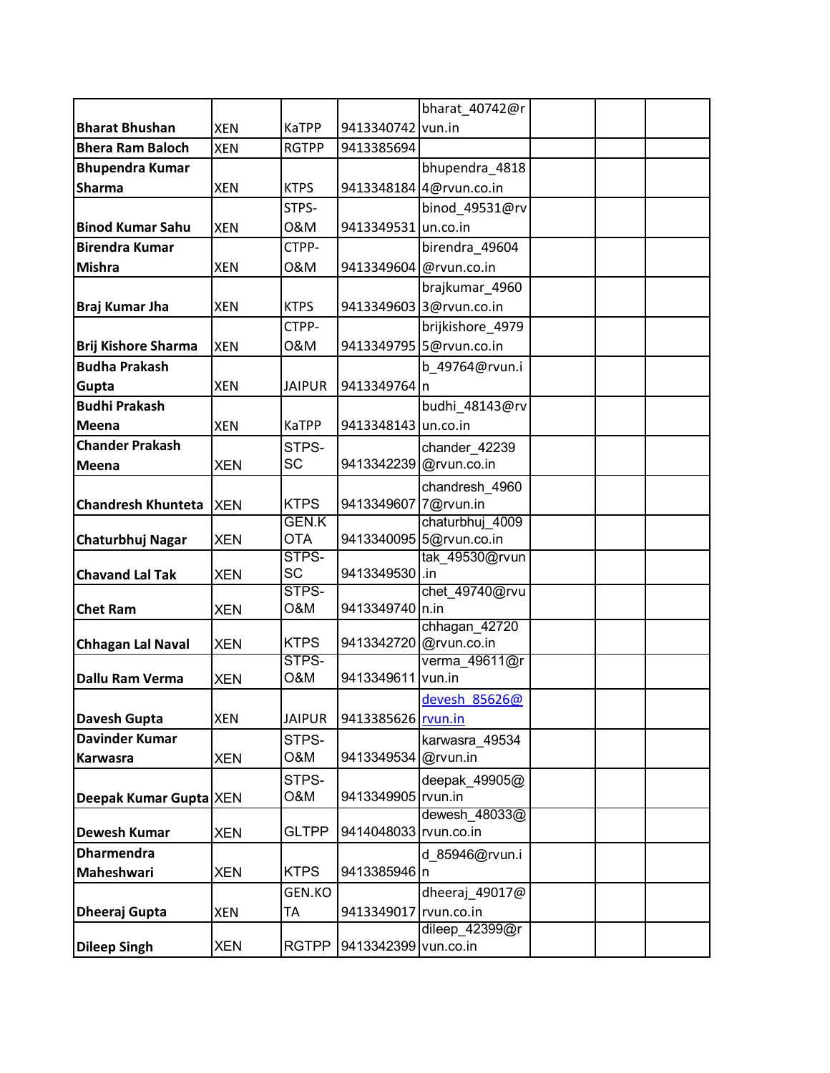|                            |            |               |                        | bharat_40742@r              |  |  |
|----------------------------|------------|---------------|------------------------|-----------------------------|--|--|
| <b>Bharat Bhushan</b>      | <b>XEN</b> | <b>KaTPP</b>  | 9413340742 vun.in      |                             |  |  |
| <b>Bhera Ram Baloch</b>    | <b>XEN</b> | <b>RGTPP</b>  | 9413385694             |                             |  |  |
| <b>Bhupendra Kumar</b>     |            |               |                        | bhupendra 4818              |  |  |
| <b>Sharma</b>              | <b>XEN</b> | <b>KTPS</b>   |                        | 9413348184 4@rvun.co.in     |  |  |
|                            |            | STPS-         |                        | binod 49531@rv              |  |  |
| <b>Binod Kumar Sahu</b>    | <b>XEN</b> | 0&M           | 9413349531 un.co.in    |                             |  |  |
| <b>Birendra Kumar</b>      |            | CTPP-         |                        | birendra 49604              |  |  |
| <b>Mishra</b>              | <b>XEN</b> | 0&M           | 9413349604 @rvun.co.in |                             |  |  |
|                            |            |               |                        | brajkumar_4960              |  |  |
| <b>Braj Kumar Jha</b>      | <b>XEN</b> | <b>KTPS</b>   |                        | 9413349603 3@rvun.co.in     |  |  |
|                            |            | CTPP-         |                        | brijkishore 4979            |  |  |
| <b>Brij Kishore Sharma</b> | <b>XEN</b> | 0&M           |                        | 9413349795 5@rvun.co.in     |  |  |
| <b>Budha Prakash</b>       |            |               |                        | b 49764@rvun.i              |  |  |
| Gupta                      | <b>XEN</b> | <b>JAIPUR</b> | 9413349764 n           |                             |  |  |
| <b>Budhi Prakash</b>       |            |               |                        | budhi 48143@rv              |  |  |
| Meena                      | <b>XEN</b> | <b>KaTPP</b>  | 9413348143 un.co.in    |                             |  |  |
| <b>Chander Prakash</b>     |            | STPS-         |                        | chander 42239               |  |  |
| Meena                      | <b>XEN</b> | <b>SC</b>     |                        | 9413342239 @rvun.co.in      |  |  |
|                            |            |               |                        | chandresh 4960              |  |  |
| <b>Chandresh Khunteta</b>  | <b>XEN</b> | <b>KTPS</b>   | 9413349607             | 7@rvun.in                   |  |  |
|                            |            | <b>GEN.K</b>  |                        | chaturbhuj 4009             |  |  |
| Chaturbhuj Nagar           | <b>XEN</b> | <b>OTA</b>    |                        | 9413340095 5@rvun.co.in     |  |  |
|                            |            | STPS-         |                        | tak 49530@rvun              |  |  |
| <b>Chavand Lal Tak</b>     | <b>XEN</b> | <b>SC</b>     | 9413349530             | .in                         |  |  |
| <b>Chet Ram</b>            | <b>XEN</b> | STPS-<br>O&M  | 9413349740 n.in        | chet_49740@rvu              |  |  |
|                            |            |               |                        | chhagan 42720               |  |  |
| <b>Chhagan Lal Naval</b>   | <b>XEN</b> | <b>KTPS</b>   |                        | 9413342720 @rvun.co.in      |  |  |
|                            |            | STPS-         |                        | verma 49611@r               |  |  |
| Dallu Ram Verma            | <b>XEN</b> | O&M           | 9413349611             | vun.in                      |  |  |
|                            |            |               |                        | devesh 85626@               |  |  |
| <b>Davesh Gupta</b>        | <b>XEN</b> | <b>JAIPUR</b> | 9413385626 rvun.in     |                             |  |  |
| <b>Davinder Kumar</b>      |            | STPS-         |                        | karwasra 49534              |  |  |
| <b>Karwasra</b>            | <b>XEN</b> | O&M           | 9413349534             | @rvun.in                    |  |  |
|                            |            | STPS-         |                        | deepak_49905@               |  |  |
| Deepak Kumar Gupta XEN     |            | O&M           | 9413349905 rvun.in     |                             |  |  |
|                            |            |               |                        | dewesh 48033@               |  |  |
| <b>Dewesh Kumar</b>        | <b>XEN</b> | <b>GLTPP</b>  | 9414048033 rvun.co.in  |                             |  |  |
| <b>Dharmendra</b>          |            |               |                        | d 85946@rvun.i              |  |  |
| Maheshwari                 | <b>XEN</b> | <b>KTPS</b>   | 9413385946 n           |                             |  |  |
|                            |            | GEN.KO        |                        | dheeraj_49017@              |  |  |
| Dheeraj Gupta              | <b>XEN</b> | TA            | 9413349017 rvun.co.in  |                             |  |  |
|                            | <b>XEN</b> | <b>RGTPP</b>  | 9413342399             | dileep_42399@r<br>vun.co.in |  |  |
| <b>Dileep Singh</b>        |            |               |                        |                             |  |  |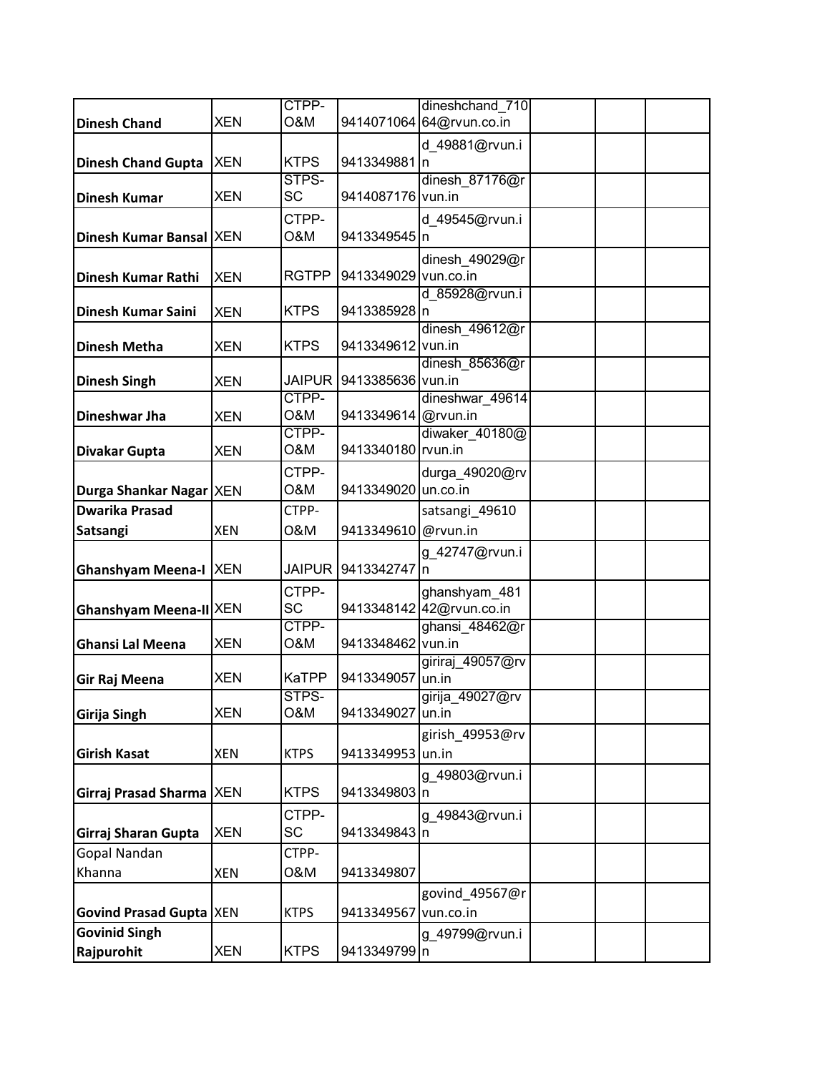|                                   |            | CTPP-          |                      | dineshchand 710          |  |
|-----------------------------------|------------|----------------|----------------------|--------------------------|--|
| <b>Dinesh Chand</b>               | XEN        | <b>O&amp;M</b> |                      | 9414071064 64@rvun.co.in |  |
|                                   |            |                |                      |                          |  |
|                                   |            |                |                      | d 49881@rvun.i           |  |
| <b>Dinesh Chand Gupta</b>         | <b>XEN</b> | <b>KTPS</b>    | 9413349881 n         |                          |  |
|                                   |            | STPS-          |                      | dinesh 87176@r           |  |
| <b>Dinesh Kumar</b>               | <b>XEN</b> | <b>SC</b>      | 9414087176 vun.in    |                          |  |
|                                   |            | CTPP-          |                      | d 49545@rvun.i           |  |
| Dinesh Kumar Bansal XEN           |            | <b>O&amp;M</b> | 9413349545 n         |                          |  |
|                                   |            |                |                      |                          |  |
|                                   |            |                |                      | dinesh 49029@r           |  |
| <b>Dinesh Kumar Rathi</b>         | <b>XEN</b> | <b>RGTPP</b>   | 9413349029 vun.co.in |                          |  |
|                                   |            |                |                      | d 85928@rvun.i           |  |
| <b>Dinesh Kumar Saini</b>         | <b>XEN</b> | <b>KTPS</b>    | 9413385928 n         |                          |  |
|                                   |            |                |                      | dinesh_49612@r           |  |
| <b>Dinesh Metha</b>               | <b>XEN</b> | <b>KTPS</b>    | 9413349612 vun.in    |                          |  |
|                                   |            |                |                      | dinesh 85636@r           |  |
| <b>Dinesh Singh</b>               | XEN        | <b>JAIPUR</b>  | 9413385636 vun.in    |                          |  |
|                                   |            | CTPP-          |                      | dineshwar 49614          |  |
| <b>Dineshwar Jha</b>              | <b>XEN</b> | <b>O&amp;M</b> | 9413349614 @rvun.in  |                          |  |
|                                   |            | CTPP-          |                      | diwaker 40180@           |  |
| <b>Divakar Gupta</b>              | <b>XEN</b> | <b>O&amp;M</b> | 9413340180 rvun.in   |                          |  |
|                                   |            | CTPP-          |                      | durga_49020@rv           |  |
| Durga Shankar Nagar XEN           |            | <b>O&amp;M</b> | 9413349020 un.co.in  |                          |  |
| <b>Dwarika Prasad</b>             |            | CTPP-          |                      |                          |  |
|                                   |            |                |                      | satsangi_49610           |  |
| Satsangi                          | <b>XEN</b> | 0&M            | 9413349610 @rvun.in  |                          |  |
|                                   |            |                |                      | g_42747@rvun.i           |  |
| <b>Ghanshyam Meena-I XEN</b>      |            | <b>JAIPUR</b>  | 9413342747 n         |                          |  |
|                                   |            | CTPP-          |                      | ghanshyam_481            |  |
| <b>Ghanshyam Meena-II XEN</b>     |            | <b>SC</b>      |                      | 9413348142 42@rvun.co.in |  |
|                                   |            | CTPP-          |                      | ghansi 48462@r           |  |
| <b>Ghansi Lal Meena</b>           | <b>XEN</b> | <b>O&amp;M</b> | 9413348462 vun.in    |                          |  |
|                                   |            |                |                      | giriraj 49057@rv         |  |
| Gir Raj Meena                     | <b>XEN</b> | <b>KaTPP</b>   | 9413349057 un.in     |                          |  |
|                                   |            | STPS-          |                      | girija 49027@rv          |  |
| <b>Girija Singh</b>               | <b>XEN</b> | <b>O&amp;M</b> | 9413349027 un.in     |                          |  |
|                                   |            |                |                      |                          |  |
|                                   |            |                |                      | girish_49953@rv          |  |
| <b>Girish Kasat</b>               | <b>XEN</b> | <b>KTPS</b>    | 9413349953 un.in     |                          |  |
|                                   |            |                |                      | g_49803@rvun.i           |  |
| <b>Girraj Prasad Sharma   XEN</b> |            | <b>KTPS</b>    | 9413349803 n         |                          |  |
|                                   |            | CTPP-          |                      | g 49843@rvun.i           |  |
| Girraj Sharan Gupta               | <b>XEN</b> | <b>SC</b>      | 9413349843 n         |                          |  |
| <b>Gopal Nandan</b>               |            | CTPP-          |                      |                          |  |
|                                   |            |                |                      |                          |  |
| Khanna                            | <b>XEN</b> | 0&M            | 9413349807           |                          |  |
|                                   |            |                |                      | govind_49567@r           |  |
| <b>Govind Prasad Gupta XEN</b>    |            | <b>KTPS</b>    | 9413349567           | vun.co.in                |  |
| <b>Govinid Singh</b>              |            |                |                      | g_49799@rvun.i           |  |
| Rajpurohit                        | <b>XEN</b> | <b>KTPS</b>    | 9413349799 n         |                          |  |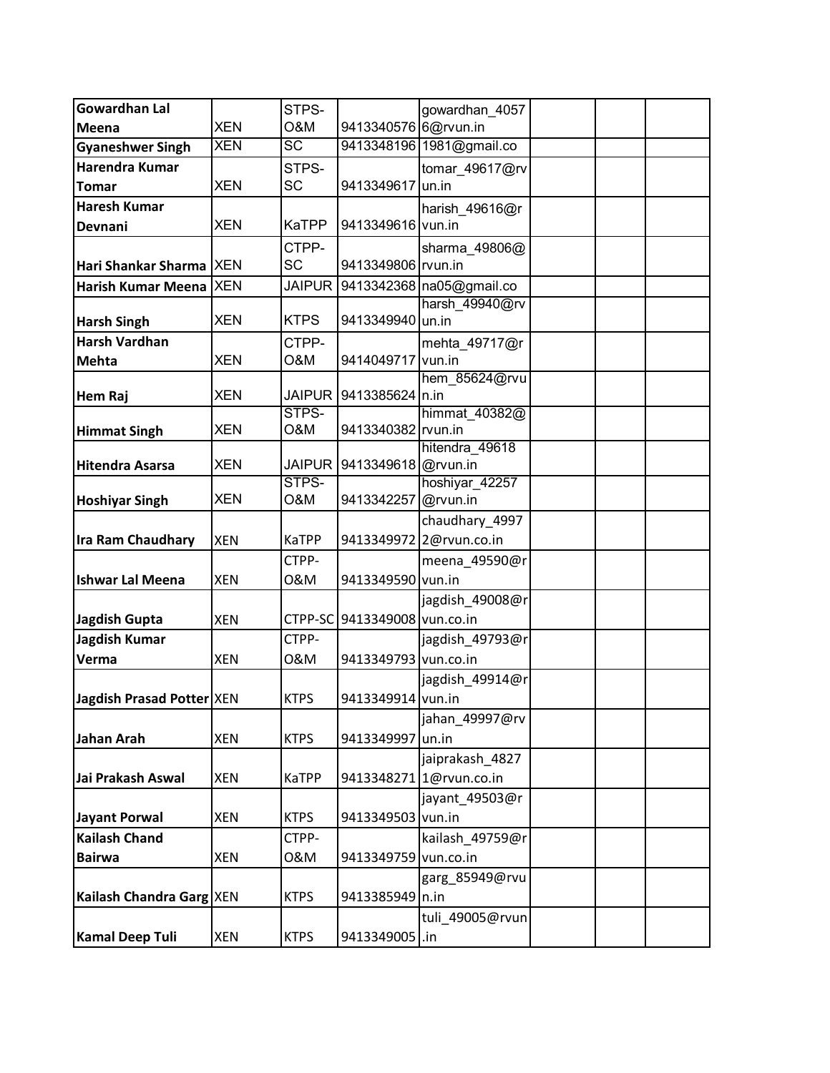| <b>Gowardhan Lal</b>      |            | STPS-          |                              | gowardhan 4057                            |  |
|---------------------------|------------|----------------|------------------------------|-------------------------------------------|--|
| Meena                     | <b>XEN</b> | <b>O&amp;M</b> | 9413340576 6@rvun.in         |                                           |  |
| <b>Gyaneshwer Singh</b>   | <b>XEN</b> | <b>SC</b>      |                              | 9413348196 1981@gmail.co                  |  |
| Harendra Kumar            |            | STPS-          |                              | tomar_49617@rv                            |  |
| <b>Tomar</b>              | <b>XEN</b> | <b>SC</b>      | 9413349617                   | un.in                                     |  |
| <b>Haresh Kumar</b>       |            |                |                              | harish 49616@r                            |  |
| Devnani                   | <b>XEN</b> | <b>KaTPP</b>   | 9413349616 vun.in            |                                           |  |
|                           |            | CTPP-          |                              | sharma_49806@                             |  |
| Hari Shankar Sharma XEN   |            | <b>SC</b>      | 9413349806 rvun.in           |                                           |  |
| <b>Harish Kumar Meena</b> | <b>XEN</b> | <b>JAIPUR</b>  |                              | 9413342368 na05@gmail.co                  |  |
|                           |            |                |                              | harsh 49940@rv                            |  |
| <b>Harsh Singh</b>        | <b>XEN</b> | <b>KTPS</b>    | 9413349940 un.in             |                                           |  |
| <b>Harsh Vardhan</b>      |            | CTPP-          |                              | mehta_49717@r                             |  |
| Mehta                     | <b>XEN</b> | <b>O&amp;M</b> | 9414049717 vun.in            | hem 85624@rvu                             |  |
| <b>Hem Raj</b>            | <b>XEN</b> | <b>JAIPUR</b>  | 9413385624 n.in              |                                           |  |
|                           |            | STPS-          |                              | himmat 40382@                             |  |
| <b>Himmat Singh</b>       | <b>XEN</b> | O&M            | 9413340382 rvun.in           |                                           |  |
|                           |            |                |                              | hitendra 49618                            |  |
| <b>Hitendra Asarsa</b>    | <b>XEN</b> | <b>JAIPUR</b>  | 9413349618 @rvun.in          |                                           |  |
|                           | <b>XEN</b> | STPS-<br>O&M   | 9413342257 @rvun.in          | hoshiyar 42257                            |  |
| <b>Hoshiyar Singh</b>     |            |                |                              |                                           |  |
| <b>Ira Ram Chaudhary</b>  | <b>XEN</b> | <b>KaTPP</b>   |                              | chaudhary_4997<br>9413349972 2@rvun.co.in |  |
|                           |            | CTPP-          |                              | meena_49590@r                             |  |
| <b>Ishwar Lal Meena</b>   | <b>XEN</b> | 0&M            | 9413349590 vun.in            |                                           |  |
|                           |            |                |                              | jagdish_49008@r                           |  |
| <b>Jagdish Gupta</b>      | <b>XEN</b> |                | CTPP-SC 9413349008 vun.co.in |                                           |  |
| <b>Jagdish Kumar</b>      |            | CTPP-          |                              | jagdish_49793@r                           |  |
| Verma                     | <b>XEN</b> | 0&M            | 9413349793 vun.co.in         |                                           |  |
|                           |            |                |                              | jagdish 49914@r                           |  |
| Jagdish Prasad Potter XEN |            | <b>KTPS</b>    | 9413349914 vun.in            |                                           |  |
|                           |            |                |                              | jahan_49997@rv                            |  |
| <b>Jahan Arah</b>         | <b>XEN</b> | <b>KTPS</b>    | 9413349997                   | un.in                                     |  |
|                           |            |                |                              | jaiprakash 4827                           |  |
| Jai Prakash Aswal         | <b>XEN</b> | <b>KaTPP</b>   |                              | 9413348271 1@rvun.co.in                   |  |
|                           |            |                |                              | jayant_49503@r                            |  |
| <b>Jayant Porwal</b>      | <b>XEN</b> | <b>KTPS</b>    | 9413349503 vun.in            |                                           |  |
| <b>Kailash Chand</b>      |            | CTPP-          |                              | kailash_49759@r                           |  |
| <b>Bairwa</b>             | <b>XEN</b> | 0&M            | 9413349759 vun.co.in         |                                           |  |
|                           |            |                |                              | garg_85949@rvu                            |  |
| Kailash Chandra Garg XEN  |            | <b>KTPS</b>    | 9413385949 n.in              |                                           |  |
|                           |            |                |                              | tuli 49005@rvun                           |  |
| <b>Kamal Deep Tuli</b>    | <b>XEN</b> | <b>KTPS</b>    | 9413349005 .in               |                                           |  |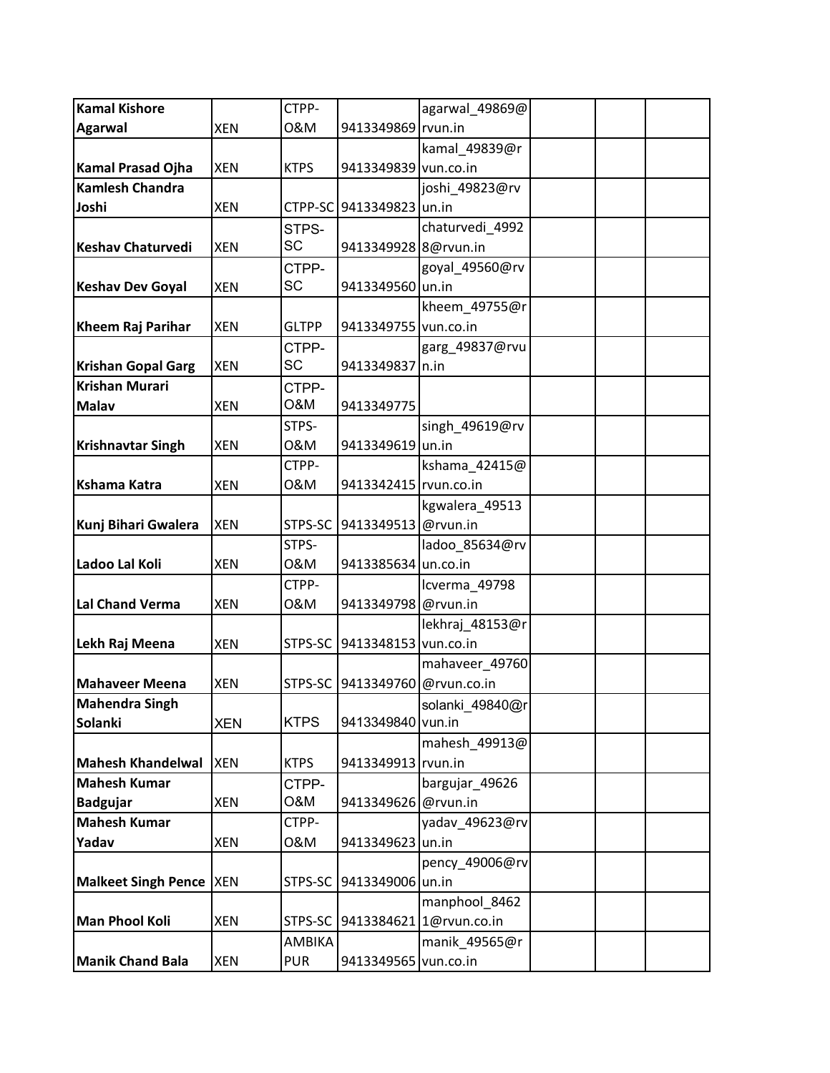| <b>Kamal Kishore</b>      |            | CTPP-        |                          | agarwal_49869@          |  |
|---------------------------|------------|--------------|--------------------------|-------------------------|--|
| <b>Agarwal</b>            | <b>XEN</b> | 0&M          | 9413349869 rvun.in       |                         |  |
|                           |            |              |                          | kamal_49839@r           |  |
| <b>Kamal Prasad Ojha</b>  | <b>XEN</b> | <b>KTPS</b>  | 9413349839 vun.co.in     |                         |  |
| <b>Kamlesh Chandra</b>    |            |              |                          | joshi_49823@rv          |  |
| Joshi                     | <b>XEN</b> |              | CTPP-SC 9413349823 un.in |                         |  |
|                           |            | STPS-        |                          | chaturvedi_4992         |  |
| <b>Keshav Chaturvedi</b>  | <b>XEN</b> | <b>SC</b>    | 9413349928 8@rvun.in     |                         |  |
|                           |            | CTPP-        |                          | goyal_49560@rv          |  |
| <b>Keshav Dev Goyal</b>   | <b>XEN</b> | SC           | 9413349560 un.in         |                         |  |
|                           |            |              |                          | kheem_49755@r           |  |
| <b>Kheem Raj Parihar</b>  | <b>XEN</b> | <b>GLTPP</b> | 9413349755 vun.co.in     |                         |  |
|                           |            | CTPP-        |                          | garg_49837@rvu          |  |
| <b>Krishan Gopal Garg</b> | <b>XEN</b> | SC           | 9413349837 n.in          |                         |  |
| <b>Krishan Murari</b>     |            | CTPP-        |                          |                         |  |
| <b>Malav</b>              | <b>XEN</b> | O&M          | 9413349775               |                         |  |
|                           |            | STPS-        |                          | singh_49619@rv          |  |
| <b>Krishnavtar Singh</b>  | <b>XEN</b> | 0&M          | 9413349619 un.in         |                         |  |
|                           |            | CTPP-        |                          | kshama_42415@           |  |
| <b>Kshama Katra</b>       | <b>XEN</b> | 0&M          | 9413342415 rvun.co.in    |                         |  |
|                           |            |              |                          | kgwalera_49513          |  |
| Kunj Bihari Gwalera       | <b>XEN</b> | STPS-SC      | 9413349513               | @rvun.in                |  |
|                           |            | STPS-        |                          | ladoo_85634@rv          |  |
| Ladoo Lal Koli            | <b>XEN</b> | 0&M          | 9413385634 un.co.in      |                         |  |
|                           |            | CTPP-        |                          | Icverma_49798           |  |
| <b>Lal Chand Verma</b>    | <b>XEN</b> | 0&M          | 9413349798 @rvun.in      |                         |  |
|                           |            |              |                          | lekhraj 48153@r         |  |
| Lekh Raj Meena            | <b>XEN</b> | STPS-SC      | 9413348153 vun.co.in     |                         |  |
|                           |            |              |                          | mahaveer 49760          |  |
| <b>Mahaveer Meena</b>     | <b>XEN</b> | STPS-SC      | 9413349760               | @rvun.co.in             |  |
| Mahendra Singh            |            |              |                          | solanki_49840@r         |  |
| Solanki                   | <b>XEN</b> | <b>KTPS</b>  | 9413349840 vun.in        |                         |  |
|                           |            |              |                          | mahesh_49913@           |  |
| <b>Mahesh Khandelwal</b>  | <b>XEN</b> | <b>KTPS</b>  | 9413349913 rvun.in       |                         |  |
| <b>Mahesh Kumar</b>       |            | CTPP-        |                          | bargujar_49626          |  |
| <b>Badgujar</b>           | <b>XEN</b> | O&M          | 9413349626               | @rvun.in                |  |
| <b>Mahesh Kumar</b>       |            | CTPP-        |                          | yadav_49623@rv          |  |
| Yadav                     | <b>XEN</b> | 0&M          | 9413349623               | un.in                   |  |
|                           |            |              |                          | pency_49006@rv          |  |
| Malkeet Singh Pence  XEN  |            | STPS-SC      | 9413349006 un.in         |                         |  |
|                           |            |              |                          | manphool 8462           |  |
| <b>Man Phool Koli</b>     | <b>XEN</b> | STPS-SC      |                          | 9413384621 1@rvun.co.in |  |
|                           |            | AMBIKA       |                          | manik_49565@r           |  |
| <b>Manik Chand Bala</b>   | <b>XEN</b> | <b>PUR</b>   | 9413349565 vun.co.in     |                         |  |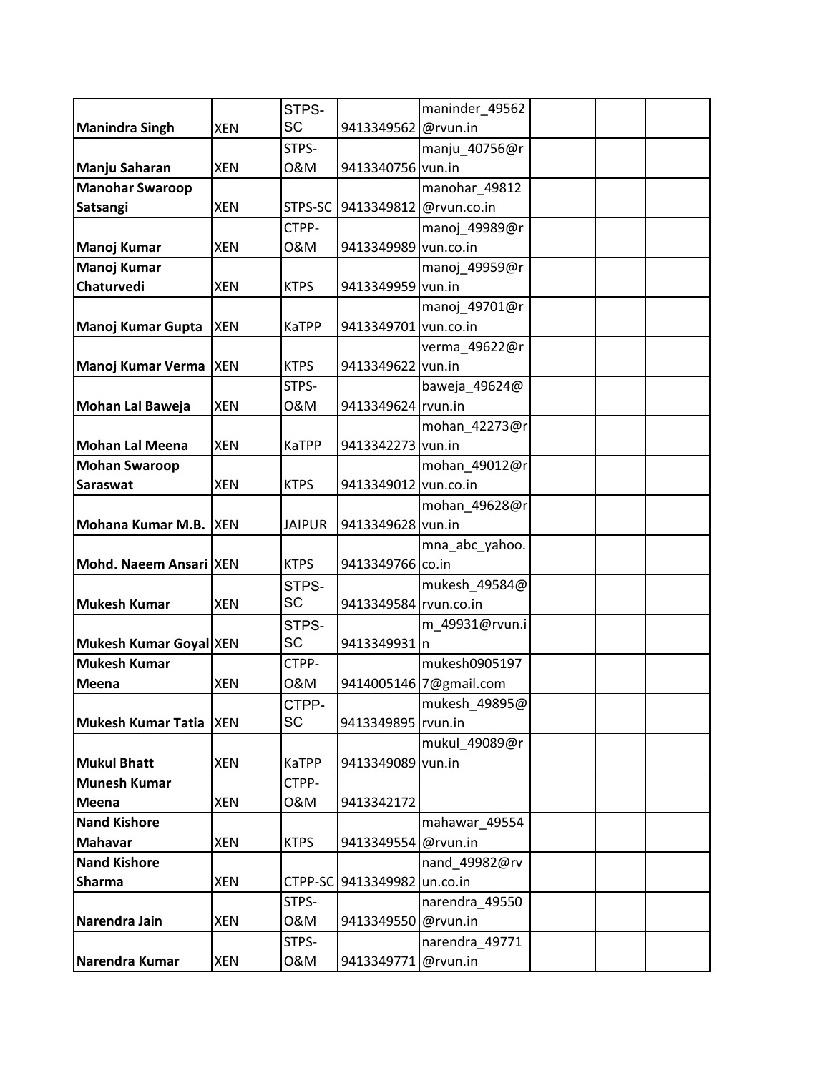|                          |            | STPS-         |                       | maninder_49562         |  |
|--------------------------|------------|---------------|-----------------------|------------------------|--|
| <b>Manindra Singh</b>    | <b>XEN</b> | <b>SC</b>     | 9413349562            | @rvun.in               |  |
|                          |            | STPS-         |                       | manju 40756@r          |  |
| Manju Saharan            | <b>XEN</b> | 0&M           | 9413340756 vun.in     |                        |  |
| <b>Manohar Swaroop</b>   |            |               |                       | manohar_49812          |  |
| Satsangi                 | <b>XEN</b> | STPS-SC       | 9413349812            | @rvun.co.in            |  |
|                          |            | CTPP-         |                       | manoj_49989@r          |  |
| <b>Manoj Kumar</b>       | <b>XEN</b> | 0&M           | 9413349989 vun.co.in  |                        |  |
| <b>Manoj Kumar</b>       |            |               |                       | manoj_49959@r          |  |
| Chaturvedi               | <b>XEN</b> | <b>KTPS</b>   | 9413349959 vun.in     |                        |  |
|                          |            |               |                       | manoj_49701@r          |  |
| Manoj Kumar Gupta        | <b>XEN</b> | KaTPP         | 9413349701 vun.co.in  |                        |  |
|                          |            |               |                       | verma_49622@r          |  |
| Manoj Kumar Verma   XEN  |            | <b>KTPS</b>   | 9413349622 vun.in     |                        |  |
|                          |            | STPS-         |                       | baweja_49624@          |  |
| Mohan Lal Baweja         | <b>XEN</b> | 0&M           | 9413349624 rvun.in    |                        |  |
|                          |            |               |                       | mohan_42273@r          |  |
| <b>Mohan Lal Meena</b>   | <b>XEN</b> | <b>KaTPP</b>  | 9413342273 vun.in     |                        |  |
| <b>Mohan Swaroop</b>     |            |               |                       | mohan_49012@r          |  |
| Saraswat                 | <b>XEN</b> | <b>KTPS</b>   | 9413349012 vun.co.in  |                        |  |
|                          |            |               |                       | mohan_49628@r          |  |
| Mohana Kumar M.B. XEN    |            | <b>JAIPUR</b> | 9413349628            | vun.in                 |  |
|                          |            |               |                       | mna_abc_yahoo.         |  |
| Mohd. Naeem Ansari   XEN |            | <b>KTPS</b>   | 9413349766 co.in      |                        |  |
|                          |            | STPS-         |                       | mukesh_49584@          |  |
| <b>Mukesh Kumar</b>      | <b>XEN</b> | SC            | 9413349584 rvun.co.in |                        |  |
|                          |            | STPS-         |                       | m_49931@rvun.i         |  |
| Mukesh Kumar Goyal XEN   |            | <b>SC</b>     | 9413349931 n          |                        |  |
| <b>Mukesh Kumar</b>      |            | CTPP-         |                       | mukesh0905197          |  |
| Meena                    | <b>XEN</b> | 0&M           |                       | 9414005146 7@gmail.com |  |
|                          |            | CTPP-         |                       | mukesh_49895@          |  |
| Mukesh Kumar Tatia   XEN |            | <b>SC</b>     | 9413349895   rvun.in  |                        |  |
|                          |            |               |                       | mukul 49089@r          |  |
| <b>Mukul Bhatt</b>       | <b>XEN</b> | <b>KaTPP</b>  | 9413349089 vun.in     |                        |  |
| <b>Munesh Kumar</b>      |            | CTPP-         |                       |                        |  |
| Meena                    | XEN        | 0&M           | 9413342172            |                        |  |
| <b>Nand Kishore</b>      |            |               |                       | mahawar_49554          |  |
| <b>Mahavar</b>           | <b>XEN</b> | <b>KTPS</b>   | 9413349554            | @rvun.in               |  |
| <b>Nand Kishore</b>      |            |               |                       | nand_49982@rv          |  |
| <b>Sharma</b>            | XEN        | CTPP-SC       | 9413349982            | un.co.in               |  |
|                          |            | STPS-         |                       | narendra_49550         |  |
| Narendra Jain            | <b>XEN</b> | 0&M           | 9413349550            | @rvun.in               |  |
|                          |            | STPS-         |                       | narendra_49771         |  |
| Narendra Kumar           | <b>XEN</b> | 0&M           | 9413349771 @rvun.in   |                        |  |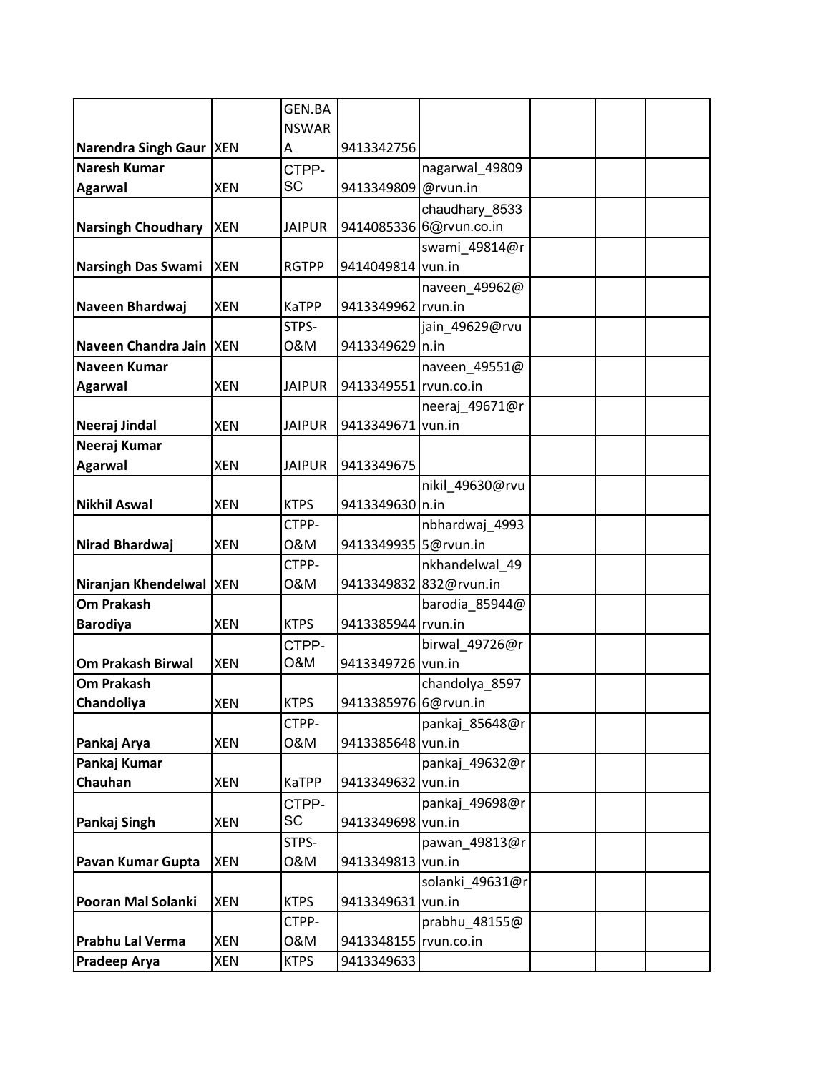|                           |            | GEN.BA        |                       |                         |  |  |
|---------------------------|------------|---------------|-----------------------|-------------------------|--|--|
|                           |            | <b>NSWAR</b>  |                       |                         |  |  |
| Narendra Singh Gaur  XEN  |            | A             | 9413342756            |                         |  |  |
| Naresh Kumar              |            | CTPP-         |                       | nagarwal 49809          |  |  |
| <b>Agarwal</b>            | <b>XEN</b> | <b>SC</b>     | 9413349809            | @rvun.in                |  |  |
|                           |            |               |                       | chaudhary 8533          |  |  |
| <b>Narsingh Choudhary</b> | <b>XEN</b> | <b>JAIPUR</b> |                       | 9414085336 6@rvun.co.in |  |  |
|                           |            |               |                       | swami_49814@r           |  |  |
| Narsingh Das Swami        | <b>XEN</b> | <b>RGTPP</b>  | 9414049814 vun.in     |                         |  |  |
|                           |            |               |                       | naveen_49962@           |  |  |
| Naveen Bhardwaj           | <b>XEN</b> | KaTPP         | 9413349962 rvun.in    |                         |  |  |
|                           |            | STPS-         |                       | jain_49629@rvu          |  |  |
| Naveen Chandra Jain   XEN |            | 0&M           | 9413349629 n.in       |                         |  |  |
| Naveen Kumar              |            |               |                       | naveen 49551@           |  |  |
| <b>Agarwal</b>            | <b>XEN</b> | <b>JAIPUR</b> | 9413349551 rvun.co.in |                         |  |  |
|                           |            |               |                       | neeraj 49671@r          |  |  |
| Neeraj Jindal             | <b>XEN</b> | <b>JAIPUR</b> | 9413349671            | vun.in                  |  |  |
| Neeraj Kumar              |            |               |                       |                         |  |  |
| <b>Agarwal</b>            | <b>XEN</b> | <b>JAIPUR</b> | 9413349675            |                         |  |  |
|                           |            |               |                       | nikil 49630@rvu         |  |  |
| <b>Nikhil Aswal</b>       | <b>XEN</b> | <b>KTPS</b>   | 9413349630 n.in       |                         |  |  |
|                           |            | CTPP-         |                       | nbhardwaj_4993          |  |  |
| Nirad Bhardwaj            | <b>XEN</b> | 0&M           | 9413349935 5@rvun.in  |                         |  |  |
|                           |            | CTPP-         |                       | nkhandelwal 49          |  |  |
| Niranjan Khendelwal  XEN  |            | 0&M           |                       | 9413349832 832@rvun.in  |  |  |
| <b>Om Prakash</b>         |            |               |                       | barodia_85944@          |  |  |
| <b>Barodiya</b>           | <b>XEN</b> | <b>KTPS</b>   | 9413385944 rvun.in    |                         |  |  |
|                           |            | CTPP-         |                       | birwal_49726@r          |  |  |
| <b>Om Prakash Birwal</b>  | <b>XEN</b> | O&M           | 9413349726 vun.in     |                         |  |  |
| <b>Om Prakash</b>         |            |               |                       | chandolya_8597          |  |  |
| Chandoliya                | <b>XEN</b> | <b>KTPS</b>   | 9413385976 6@rvun.in  |                         |  |  |
|                           |            | CTPP-         |                       | pankaj 85648@r          |  |  |
| Pankaj Arya               | <b>XEN</b> | 0&M           | 9413385648 vun.in     |                         |  |  |
| Pankaj Kumar              |            |               |                       | pankaj 49632@r          |  |  |
| Chauhan                   | <b>XEN</b> | <b>KaTPP</b>  | 9413349632 vun.in     |                         |  |  |
|                           |            | CTPP-         |                       | pankaj 49698@r          |  |  |
| Pankaj Singh              | <b>XEN</b> | <b>SC</b>     | 9413349698 vun.in     |                         |  |  |
|                           |            | STPS-         |                       | pawan_49813@r           |  |  |
| Pavan Kumar Gupta         | <b>XEN</b> | 0&M           | 9413349813 vun.in     |                         |  |  |
|                           |            |               |                       | solanki_49631@r         |  |  |
| Pooran Mal Solanki        | <b>XEN</b> | <b>KTPS</b>   | 9413349631            | vun.in                  |  |  |
|                           |            | CTPP-         |                       | prabhu_48155@           |  |  |
| Prabhu Lal Verma          | <b>XEN</b> | 0&M           | 9413348155 rvun.co.in |                         |  |  |
| <b>Pradeep Arya</b>       | <b>XEN</b> | <b>KTPS</b>   | 9413349633            |                         |  |  |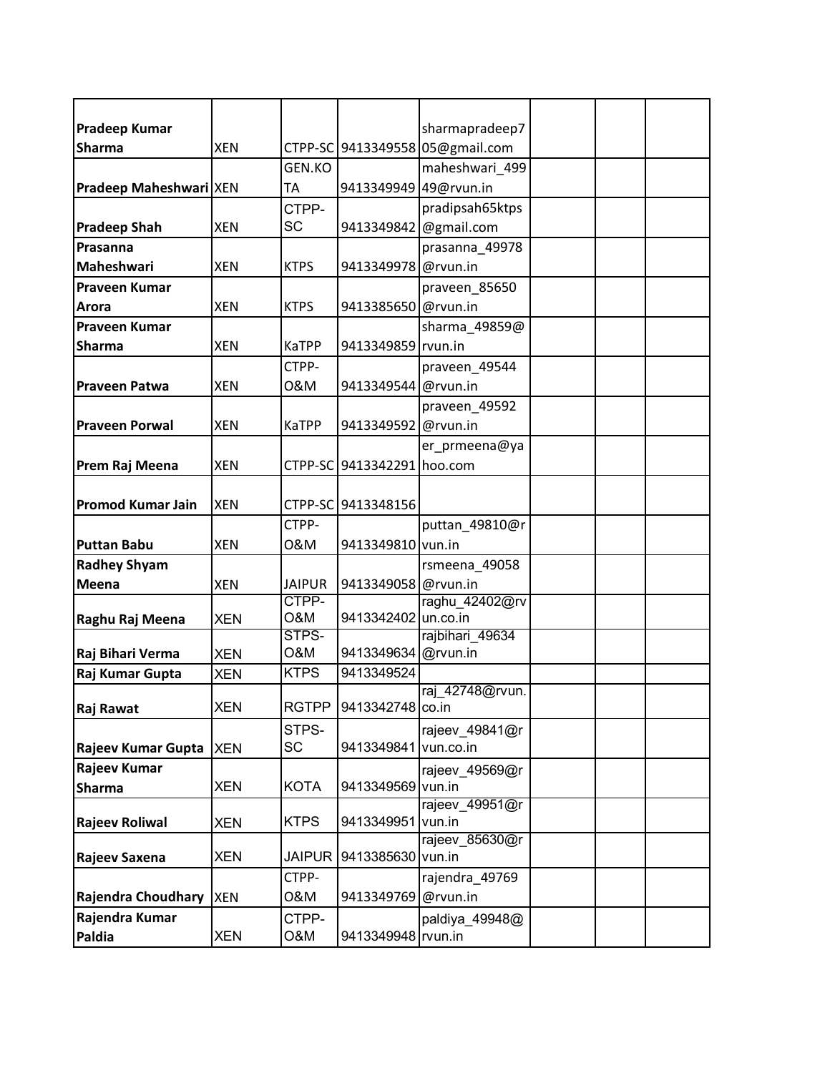| <b>Pradeep Kumar</b>     |            |               |                            | sharmapradeep7                  |  |  |
|--------------------------|------------|---------------|----------------------------|---------------------------------|--|--|
| <b>Sharma</b>            | <b>XEN</b> |               |                            | CTPP-SC 9413349558 05@gmail.com |  |  |
|                          |            | GEN.KO        |                            | maheshwari 499                  |  |  |
| Pradeep Maheshwari XEN   |            | ТA            | 9413349949 49@rvun.in      |                                 |  |  |
|                          |            | CTPP-         |                            | pradipsah65ktps                 |  |  |
|                          | <b>XEN</b> | SC            |                            |                                 |  |  |
| <b>Pradeep Shah</b>      |            |               | 9413349842                 | @gmail.com                      |  |  |
| Prasanna                 |            |               |                            | prasanna 49978                  |  |  |
| <b>Maheshwari</b>        | <b>XEN</b> | <b>KTPS</b>   | 9413349978                 | @rvun.in                        |  |  |
| <b>Praveen Kumar</b>     |            |               |                            | praveen_85650                   |  |  |
| Arora                    | <b>XEN</b> | <b>KTPS</b>   | 9413385650                 | @rvun.in                        |  |  |
| Praveen Kumar            |            |               |                            | sharma_49859@                   |  |  |
| <b>Sharma</b>            | <b>XEN</b> | <b>KaTPP</b>  | 9413349859                 | rvun.in                         |  |  |
|                          |            | CTPP-         |                            | praveen_49544                   |  |  |
| <b>Praveen Patwa</b>     | <b>XEN</b> | 0&M           | 9413349544                 | @rvun.in                        |  |  |
|                          |            |               |                            | praveen_49592                   |  |  |
| <b>Praveen Porwal</b>    | <b>XEN</b> | <b>KaTPP</b>  | 9413349592                 | @rvun.in                        |  |  |
|                          |            |               |                            | er_prmeena@ya                   |  |  |
| Prem Raj Meena           | <b>XEN</b> |               | CTPP-SC 9413342291 hoo.com |                                 |  |  |
|                          |            |               |                            |                                 |  |  |
|                          |            |               |                            |                                 |  |  |
| <b>Promod Kumar Jain</b> | <b>XEN</b> |               | CTPP-SC 9413348156         |                                 |  |  |
|                          |            | CTPP-         |                            | puttan_49810@r                  |  |  |
| <b>Puttan Babu</b>       | <b>XEN</b> | 0&M           | 9413349810 vun.in          |                                 |  |  |
| <b>Radhey Shyam</b>      |            |               |                            | rsmeena_49058                   |  |  |
| Meena                    | <b>XEN</b> | <b>JAIPUR</b> | 9413349058 @rvun.in        |                                 |  |  |
|                          |            | CTPP-         |                            | raghu_42402@rv                  |  |  |
| Raghu Raj Meena          | <b>XEN</b> | O&M           | 9413342402                 | un.co.in                        |  |  |
|                          |            | STPS-         |                            | rajbihari 49634                 |  |  |
| Raj Bihari Verma         | <b>XEN</b> | O&M           | 9413349634                 | @rvun.in                        |  |  |
| Raj Kumar Gupta          | <b>XEN</b> | <b>KTPS</b>   | 9413349524                 |                                 |  |  |
|                          |            |               |                            | raj 42748@rvun.                 |  |  |
| Raj Rawat                | <b>XEN</b> | <b>RGTPP</b>  | 9413342748 co.in           |                                 |  |  |
|                          |            | STPS-         |                            | rajeev_49841@r                  |  |  |
| Rajeev Kumar Gupta XEN   |            | SC            | 9413349841                 | vun.co.in                       |  |  |
| Rajeev Kumar             |            |               |                            | rajeev_49569@r                  |  |  |
| <b>Sharma</b>            | <b>XEN</b> | <b>KOTA</b>   | 9413349569 vun.in          |                                 |  |  |
|                          |            |               |                            | rajeev_49951@r                  |  |  |
| <b>Rajeev Roliwal</b>    | <b>XEN</b> | <b>KTPS</b>   | 9413349951                 | vun.in                          |  |  |
|                          |            |               |                            | rajeev 85630@r                  |  |  |
| Rajeev Saxena            | <b>XEN</b> | <b>JAIPUR</b> | 9413385630                 | vun.in                          |  |  |
|                          |            | CTPP-         |                            | rajendra_49769                  |  |  |
| Rajendra Choudhary       | <b>XEN</b> | 0&M           | 9413349769                 | @rvun.in                        |  |  |
| Rajendra Kumar           |            | CTPP-         |                            | paldiya_49948@                  |  |  |
| Paldia                   | <b>XEN</b> | O&M           | 9413349948 rvun.in         |                                 |  |  |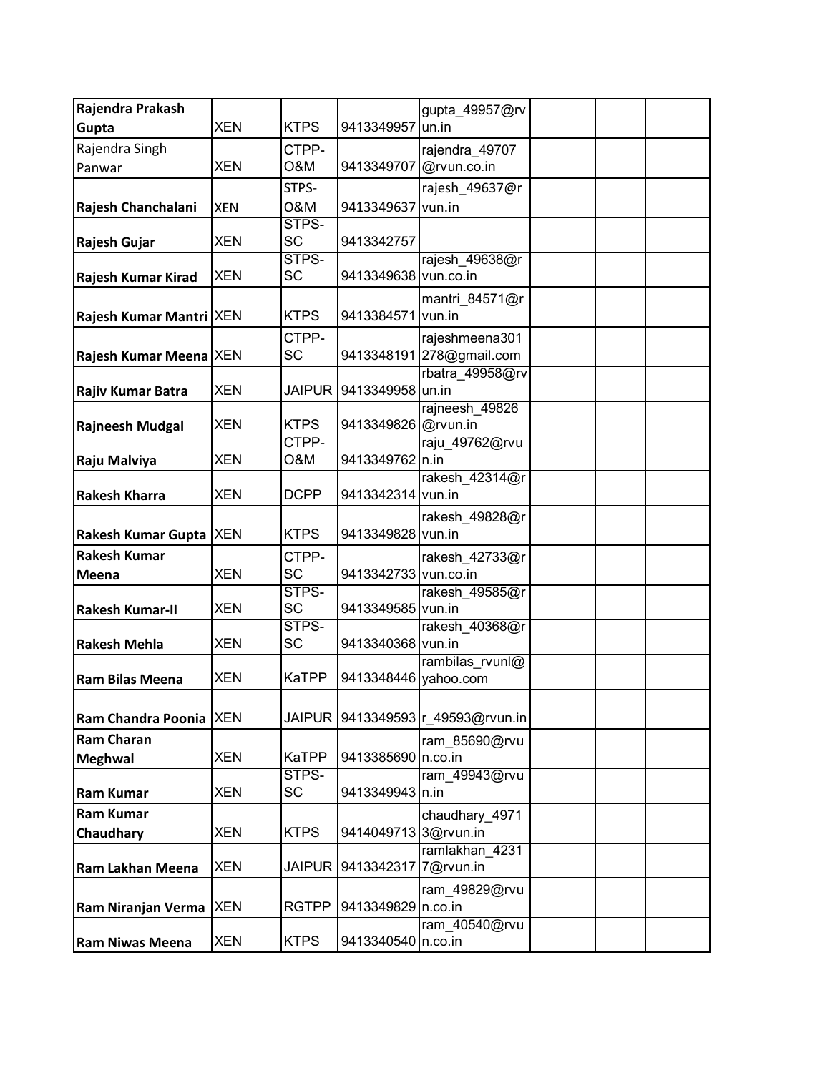| Rajendra Prakash         |            |                    |                      | gupta 49957@rv             |  |  |
|--------------------------|------------|--------------------|----------------------|----------------------------|--|--|
| Gupta                    | <b>XEN</b> | <b>KTPS</b>        | 9413349957           | un.in                      |  |  |
| Rajendra Singh           |            | CTPP-              |                      | rajendra_49707             |  |  |
| Panwar                   | <b>XEN</b> | O&M                | 9413349707           | @rvun.co.in                |  |  |
|                          |            | STPS-              |                      | rajesh 49637@r             |  |  |
| Rajesh Chanchalani       | <b>XEN</b> | 0&M                | 9413349637           | vun.in                     |  |  |
|                          |            | STPS-              |                      |                            |  |  |
| Rajesh Gujar             | <b>XEN</b> | <b>SC</b>          | 9413342757           |                            |  |  |
|                          |            | STPS-              |                      | rajesh_49638@r             |  |  |
| Rajesh Kumar Kirad       | <b>XEN</b> | <b>SC</b>          | 9413349638 vun.co.in |                            |  |  |
|                          |            |                    |                      | mantri_84571@r             |  |  |
| Rajesh Kumar Mantri XEN  |            | <b>KTPS</b>        | 9413384571           | vun.in                     |  |  |
|                          |            | CTPP-              |                      | rajeshmeena301             |  |  |
| Rajesh Kumar Meena XEN   |            | SC                 |                      | 9413348191 278@gmail.com   |  |  |
|                          |            |                    |                      | rbatra_49958@rv            |  |  |
| Rajiv Kumar Batra        | <b>XEN</b> | <b>JAIPUR</b>      | 9413349958           | un.in                      |  |  |
|                          |            |                    |                      | rajneesh 49826             |  |  |
| <b>Rajneesh Mudgal</b>   | <b>XEN</b> | <b>KTPS</b>        | 9413349826           | @rvun.in                   |  |  |
|                          |            | CTPP-              |                      | raju 49762@rvu             |  |  |
| Raju Malviya             | <b>XEN</b> | O&M                | 9413349762 n.in      |                            |  |  |
|                          |            |                    |                      | rakesh_42314@r             |  |  |
| <b>Rakesh Kharra</b>     | <b>XEN</b> | <b>DCPP</b>        | 9413342314 vun.in    |                            |  |  |
|                          |            |                    |                      | rakesh_49828@r             |  |  |
| Rakesh Kumar Gupta   XEN |            | <b>KTPS</b>        | 9413349828 vun.in    |                            |  |  |
| <b>Rakesh Kumar</b>      |            | CTPP-              |                      | rakesh_42733@r             |  |  |
| Meena                    | <b>XEN</b> | <b>SC</b>          | 9413342733 vun.co.in |                            |  |  |
|                          |            | STPS-              |                      | rakesh_49585@r             |  |  |
| <b>Rakesh Kumar-II</b>   | <b>XEN</b> | <b>SC</b>          | 9413349585 vun.in    |                            |  |  |
| <b>Rakesh Mehla</b>      | <b>XEN</b> | STPS-<br><b>SC</b> | 9413340368 vun.in    | rakesh 40368@r             |  |  |
|                          |            |                    |                      | rambilas rvunl@            |  |  |
| <b>Ram Bilas Meena</b>   | <b>XEN</b> | <b>KaTPP</b>       | 9413348446           | yahoo.com                  |  |  |
|                          |            |                    |                      |                            |  |  |
| Ram Chandra Poonia XEN   |            | <b>JAIPUR</b>      |                      | 9413349593 r 49593@rvun.in |  |  |
| <b>Ram Charan</b>        |            |                    |                      |                            |  |  |
|                          | <b>XEN</b> | <b>KaTPP</b>       | 9413385690 n.co.in   | ram_85690@rvu              |  |  |
| <b>Meghwal</b>           |            | STPS-              |                      | ram_49943@rvu              |  |  |
| <b>Ram Kumar</b>         | <b>XEN</b> | <b>SC</b>          | 9413349943 n.in      |                            |  |  |
| <b>Ram Kumar</b>         |            |                    |                      |                            |  |  |
| Chaudhary                | <b>XEN</b> | <b>KTPS</b>        | 9414049713 3@rvun.in | chaudhary_4971             |  |  |
|                          |            |                    |                      | ramlakhan 4231             |  |  |
| Ram Lakhan Meena         | <b>XEN</b> | <b>JAIPUR</b>      | 9413342317           | 7@rvun.in                  |  |  |
|                          |            |                    |                      |                            |  |  |
| Ram Niranjan Verma   XEN |            | <b>RGTPP</b>       | 9413349829           | ram_49829@rvu<br>n.co.in   |  |  |
|                          |            |                    |                      | ram 40540@rvu              |  |  |
| <b>Ram Niwas Meena</b>   | <b>XEN</b> | <b>KTPS</b>        | 9413340540 n.co.in   |                            |  |  |
|                          |            |                    |                      |                            |  |  |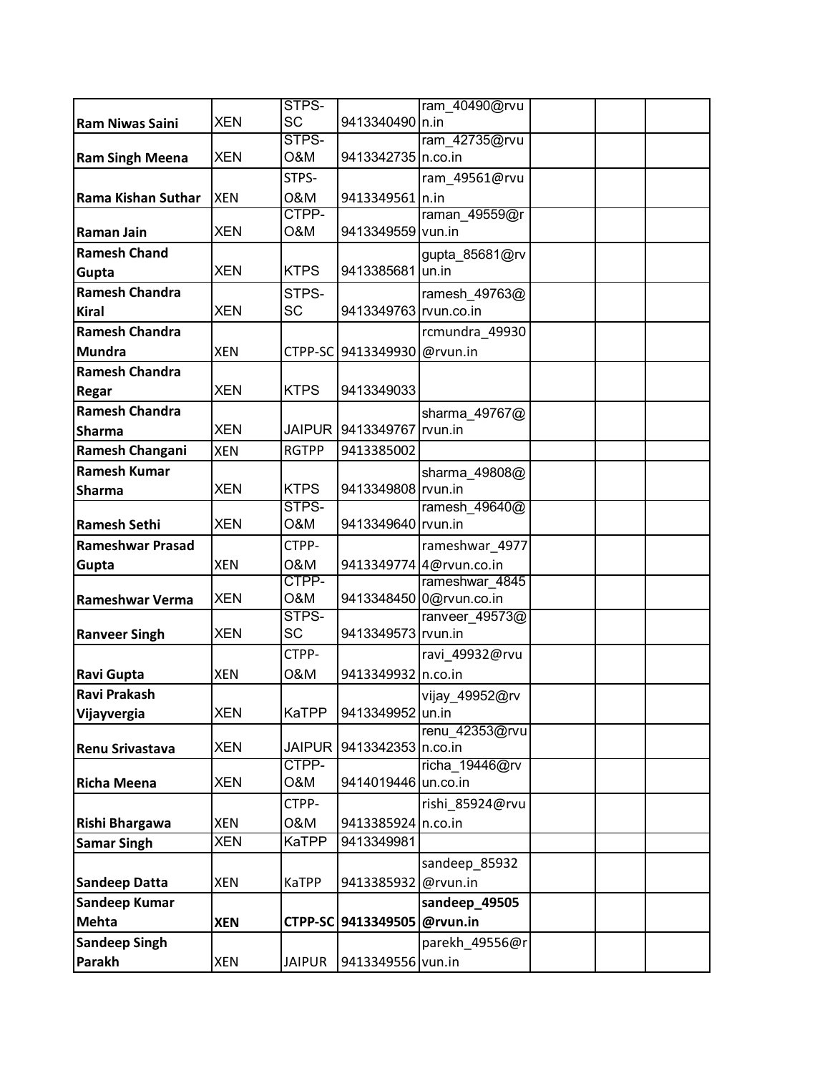|                         |            | STPS-         |                             | ram_40490@rvu           |  |  |
|-------------------------|------------|---------------|-----------------------------|-------------------------|--|--|
| <b>Ram Niwas Saini</b>  | <b>XEN</b> | <b>SC</b>     | 9413340490 n.in             |                         |  |  |
|                         |            | STPS-         |                             | ram 42735@rvu           |  |  |
| <b>Ram Singh Meena</b>  | <b>XEN</b> | O&M           | 9413342735 n.co.in          |                         |  |  |
|                         |            | STPS-         |                             | ram_49561@rvu           |  |  |
| Rama Kishan Suthar      | <b>XEN</b> | 0&M           | 9413349561 n.in             |                         |  |  |
|                         |            | CTPP-         |                             | raman_49559@r           |  |  |
| <b>Raman Jain</b>       | <b>XEN</b> | O&M           | 9413349559                  | vun.in                  |  |  |
| <b>Ramesh Chand</b>     |            |               |                             | gupta_85681@rv          |  |  |
| Gupta                   | <b>XEN</b> | <b>KTPS</b>   | 9413385681 un.in            |                         |  |  |
| <b>Ramesh Chandra</b>   |            | STPS-         |                             | ramesh_49763@           |  |  |
| <b>Kiral</b>            | <b>XEN</b> | <b>SC</b>     | 9413349763 rvun.co.in       |                         |  |  |
| <b>Ramesh Chandra</b>   |            |               |                             | rcmundra_49930          |  |  |
| <b>Mundra</b>           | <b>XEN</b> |               | CTPP-SC 9413349930 @rvun.in |                         |  |  |
| <b>Ramesh Chandra</b>   |            |               |                             |                         |  |  |
| Regar                   | <b>XEN</b> | <b>KTPS</b>   | 9413349033                  |                         |  |  |
| <b>Ramesh Chandra</b>   |            |               |                             | sharma_49767@           |  |  |
| <b>Sharma</b>           | <b>XEN</b> | <b>JAIPUR</b> | 9413349767 rvun.in          |                         |  |  |
| Ramesh Changani         | <b>XEN</b> | <b>RGTPP</b>  | 9413385002                  |                         |  |  |
| <b>Ramesh Kumar</b>     |            |               |                             |                         |  |  |
|                         | <b>XEN</b> | <b>KTPS</b>   | 9413349808 rvun.in          | sharma_49808@           |  |  |
| <b>Sharma</b>           |            | STPS-         |                             | ramesh 49640@           |  |  |
| <b>Ramesh Sethi</b>     | <b>XEN</b> | O&M           | 9413349640 rvun.in          |                         |  |  |
| <b>Rameshwar Prasad</b> |            | CTPP-         |                             | rameshwar_4977          |  |  |
| Gupta                   | <b>XEN</b> | 0&M           |                             | 9413349774 4@rvun.co.in |  |  |
|                         |            | CTPP-         |                             | rameshwar 4845          |  |  |
| Rameshwar Verma         | <b>XEN</b> | O&M           |                             | 9413348450 0@rvun.co.in |  |  |
|                         |            | STPS-         |                             | ranveer_49573@          |  |  |
| <b>Ranveer Singh</b>    | <b>XEN</b> | <b>SC</b>     | 9413349573 rvun.in          |                         |  |  |
|                         |            | CTPP-         |                             | ravi_49932@rvu          |  |  |
| Ravi Gupta              | <b>XEN</b> | 0&M           | 9413349932 n.co.in          |                         |  |  |
| <b>Ravi Prakash</b>     |            |               |                             | vijay_49952@rv          |  |  |
| Vijayvergia             | <b>XEN</b> | <b>KaTPP</b>  | 9413349952 un.in            |                         |  |  |
|                         |            |               |                             | renu_42353@rvu          |  |  |
| Renu Srivastava         | <b>XEN</b> | <b>JAIPUR</b> | 9413342353 n.co.in          |                         |  |  |
|                         |            | CTPP-         |                             | richa 19446@rv          |  |  |
| <b>Richa Meena</b>      | <b>XEN</b> | O&M           | 9414019446 un.co.in         |                         |  |  |
|                         |            | CTPP-         |                             | rishi 85924@rvu         |  |  |
| Rishi Bhargawa          | <b>XEN</b> | 0&M           | 9413385924 n.co.in          |                         |  |  |
| <b>Samar Singh</b>      | <b>XEN</b> | KaTPP         | 9413349981                  |                         |  |  |
|                         |            |               |                             | sandeep_85932           |  |  |
| <b>Sandeep Datta</b>    | <b>XEN</b> | <b>KaTPP</b>  | 9413385932                  | @rvun.in                |  |  |
| <b>Sandeep Kumar</b>    |            |               |                             | sandeep_49505           |  |  |
| <b>Mehta</b>            | <b>XEN</b> |               | CTPP-SC 9413349505          | @rvun.in                |  |  |
| <b>Sandeep Singh</b>    |            |               |                             | parekh_49556@r          |  |  |
|                         |            |               |                             |                         |  |  |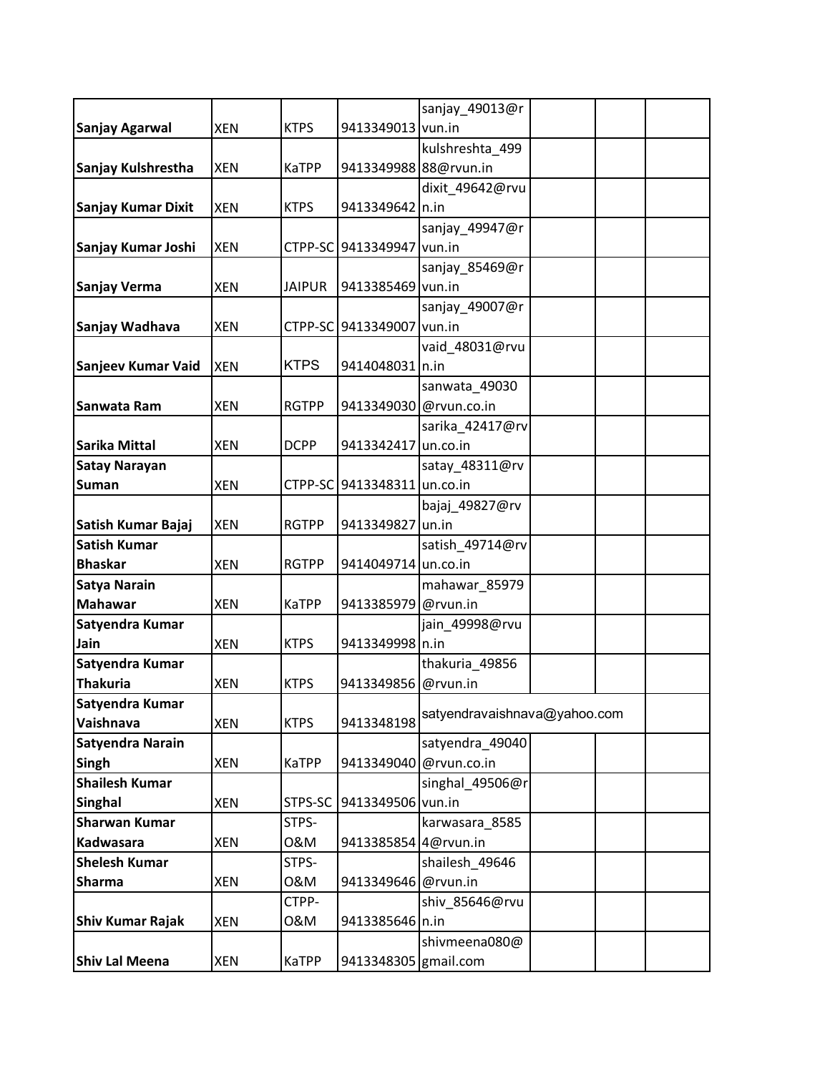|                         |            |               |                             | sanjay 49013@r               |  |
|-------------------------|------------|---------------|-----------------------------|------------------------------|--|
| <b>Sanjay Agarwal</b>   | <b>XEN</b> | <b>KTPS</b>   | 9413349013 vun.in           |                              |  |
|                         |            |               |                             | kulshreshta_499              |  |
| Sanjay Kulshrestha      | <b>XEN</b> | <b>KaTPP</b>  | 9413349988 88@rvun.in       |                              |  |
|                         |            |               |                             | dixit 49642@rvu              |  |
| Sanjay Kumar Dixit      | <b>XEN</b> | <b>KTPS</b>   | 9413349642 n.in             |                              |  |
|                         |            |               |                             | sanjay_49947@r               |  |
| Sanjay Kumar Joshi      | <b>XEN</b> |               | CTPP-SC 9413349947 vun.in   |                              |  |
|                         |            |               |                             | sanjay_85469@r               |  |
| Sanjay Verma            | <b>XEN</b> | <b>JAIPUR</b> | 9413385469 vun.in           |                              |  |
|                         |            |               |                             | sanjay_49007@r               |  |
| Sanjay Wadhava          | <b>XEN</b> |               | CTPP-SC 9413349007 vun.in   |                              |  |
|                         |            |               |                             | vaid_48031@rvu               |  |
| Sanjeev Kumar Vaid      | <b>XEN</b> | <b>KTPS</b>   | 9414048031 n.in             |                              |  |
|                         |            |               |                             | sanwata_49030                |  |
| Sanwata Ram             | <b>XEN</b> | <b>RGTPP</b>  | 9413349030 @rvun.co.in      |                              |  |
|                         |            |               |                             | sarika_42417@rv              |  |
| <b>Sarika Mittal</b>    | <b>XEN</b> | <b>DCPP</b>   | 9413342417 un.co.in         |                              |  |
| <b>Satay Narayan</b>    |            |               |                             | satay_48311@rv               |  |
| <b>Suman</b>            | <b>XEN</b> |               | CTPP-SC 9413348311 un.co.in |                              |  |
|                         |            |               |                             | bajaj_49827@rv               |  |
| Satish Kumar Bajaj      | <b>XEN</b> | <b>RGTPP</b>  | 9413349827                  | un.in                        |  |
| <b>Satish Kumar</b>     |            |               |                             | satish_49714@rv              |  |
| <b>Bhaskar</b>          | <b>XEN</b> | <b>RGTPP</b>  | 9414049714 un.co.in         |                              |  |
| <b>Satya Narain</b>     |            |               |                             | mahawar_85979                |  |
| <b>Mahawar</b>          | <b>XEN</b> | <b>KaTPP</b>  | 9413385979 @rvun.in         |                              |  |
| Satyendra Kumar         |            |               |                             | jain_49998@rvu               |  |
| Jain                    | <b>XEN</b> | <b>KTPS</b>   | 9413349998 n.in             |                              |  |
| Satyendra Kumar         |            |               |                             | thakuria 49856               |  |
| <b>Thakuria</b>         | <b>XEN</b> | <b>KTPS</b>   | 9413349856                  | @rvun.in                     |  |
| Satyendra Kumar         |            |               |                             | satyendravaishnava@yahoo.com |  |
| Vaishnava               | <b>XEN</b> | <b>KTPS</b>   | 9413348198                  |                              |  |
| Satyendra Narain        |            |               |                             | satyendra 49040              |  |
| Singh                   | <b>XEN</b> | <b>KaTPP</b>  | 9413349040 @rvun.co.in      |                              |  |
| <b>Shailesh Kumar</b>   |            |               |                             | singhal 49506@r              |  |
| <b>Singhal</b>          | <b>XEN</b> | STPS-SC       | 9413349506 vun.in           |                              |  |
| <b>Sharwan Kumar</b>    |            | STPS-         |                             | karwasara_8585               |  |
| Kadwasara               | <b>XEN</b> | 0&M           | 9413385854 4@rvun.in        |                              |  |
| <b>Shelesh Kumar</b>    |            | STPS-         |                             | shailesh_49646               |  |
| <b>Sharma</b>           | <b>XEN</b> | 0&M           | 9413349646 @rvun.in         |                              |  |
|                         |            | CTPP-         |                             | shiv 85646@rvu               |  |
| <b>Shiv Kumar Rajak</b> | <b>XEN</b> | 0&M           | 9413385646 n.in             |                              |  |
|                         |            |               |                             | shivmeena080@                |  |
| <b>Shiv Lal Meena</b>   | <b>XEN</b> | KaTPP         | 9413348305 gmail.com        |                              |  |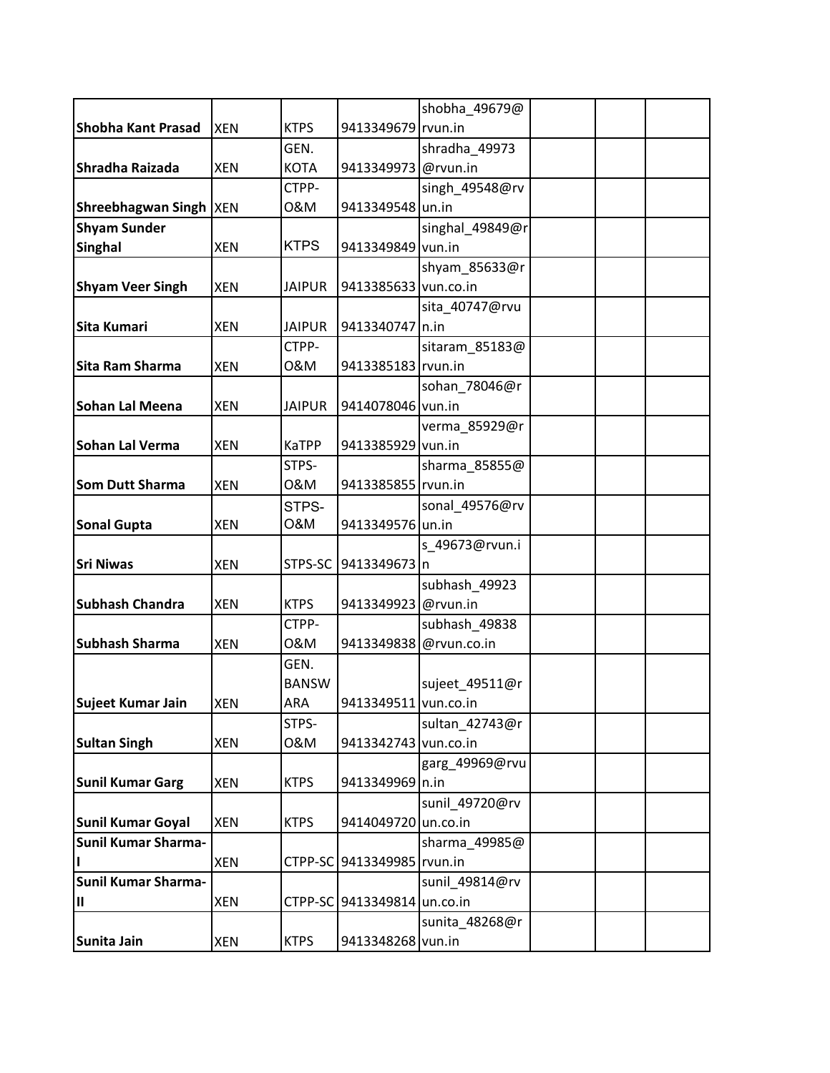|                            |            |               |                              | shobha_49679@          |  |  |
|----------------------------|------------|---------------|------------------------------|------------------------|--|--|
| <b>Shobha Kant Prasad</b>  | <b>XEN</b> | <b>KTPS</b>   | 9413349679 rvun.in           |                        |  |  |
|                            |            | GEN.          |                              | shradha_49973          |  |  |
| Shradha Raizada            | <b>XEN</b> | <b>KOTA</b>   | 9413349973 @rvun.in          |                        |  |  |
|                            |            | CTPP-         |                              | singh_49548@rv         |  |  |
| Shreebhagwan Singh  XEN    |            | 0&M           | 9413349548 un.in             |                        |  |  |
| <b>Shyam Sunder</b>        |            |               |                              | singhal_49849@r        |  |  |
| <b>Singhal</b>             | <b>XEN</b> | <b>KTPS</b>   | 9413349849 vun.in            |                        |  |  |
|                            |            |               |                              | shyam_85633@r          |  |  |
| <b>Shyam Veer Singh</b>    | <b>XEN</b> | <b>JAIPUR</b> | 9413385633 vun.co.in         |                        |  |  |
|                            |            |               |                              | sita_40747@rvu         |  |  |
| Sita Kumari                | <b>XEN</b> | <b>JAIPUR</b> | 9413340747 n.in              |                        |  |  |
|                            |            | CTPP-         |                              | sitaram_85183@         |  |  |
| Sita Ram Sharma            | <b>XEN</b> | 0&M           | 9413385183 rvun.in           |                        |  |  |
|                            |            |               |                              | sohan_78046@r          |  |  |
| <b>Sohan Lal Meena</b>     | <b>XEN</b> | <b>JAIPUR</b> | 9414078046 vun.in            |                        |  |  |
|                            |            |               |                              | verma_85929@r          |  |  |
| Sohan Lal Verma            | <b>XEN</b> | <b>KaTPP</b>  | 9413385929 vun.in            |                        |  |  |
|                            |            | STPS-         |                              | sharma_85855@          |  |  |
| <b>Som Dutt Sharma</b>     | <b>XEN</b> | 0&M           | 9413385855 rvun.in           |                        |  |  |
|                            |            | STPS-         |                              | sonal_49576@rv         |  |  |
| <b>Sonal Gupta</b>         | <b>XEN</b> | O&M           | 9413349576 un.in             |                        |  |  |
|                            |            |               |                              | s_49673@rvun.i         |  |  |
| <b>Sri Niwas</b>           | <b>XEN</b> | STPS-SC       | 9413349673 n                 |                        |  |  |
|                            |            |               |                              | subhash_49923          |  |  |
| <b>Subhash Chandra</b>     | <b>XEN</b> | <b>KTPS</b>   | 9413349923 @rvun.in          |                        |  |  |
|                            |            | CTPP-         |                              | subhash_49838          |  |  |
| <b>Subhash Sharma</b>      | <b>XEN</b> | 0&M           |                              | 9413349838 @rvun.co.in |  |  |
|                            |            | GEN.          |                              |                        |  |  |
|                            |            | <b>BANSW</b>  |                              | sujeet_49511@r         |  |  |
| Sujeet Kumar Jain          | <b>XEN</b> | ARA           | 9413349511 vun.co.in         |                        |  |  |
|                            |            | STPS-         |                              | sultan 42743@r         |  |  |
| <b>Sultan Singh</b>        | <b>XEN</b> | 0&M           | 9413342743 vun.co.in         |                        |  |  |
|                            |            |               |                              | garg_49969@rvu         |  |  |
| <b>Sunil Kumar Garg</b>    | XEN        | <b>KTPS</b>   | 9413349969 n.in              |                        |  |  |
|                            |            |               |                              | sunil_49720@rv         |  |  |
| Sunil Kumar Goyal          | <b>XEN</b> | <b>KTPS</b>   | 9414049720 un.co.in          |                        |  |  |
| <b>Sunil Kumar Sharma-</b> |            |               |                              | sharma_49985@          |  |  |
|                            | <b>XEN</b> |               | CTPP-SC 9413349985   rvun.in |                        |  |  |
| <b>Sunil Kumar Sharma-</b> |            |               |                              | sunil_49814@rv         |  |  |
| $\sf II$                   | XEN        |               | CTPP-SC 9413349814 un.co.in  |                        |  |  |
|                            |            |               |                              | sunita_48268@r         |  |  |
| Sunita Jain                | XEN        | <b>KTPS</b>   | 9413348268 vun.in            |                        |  |  |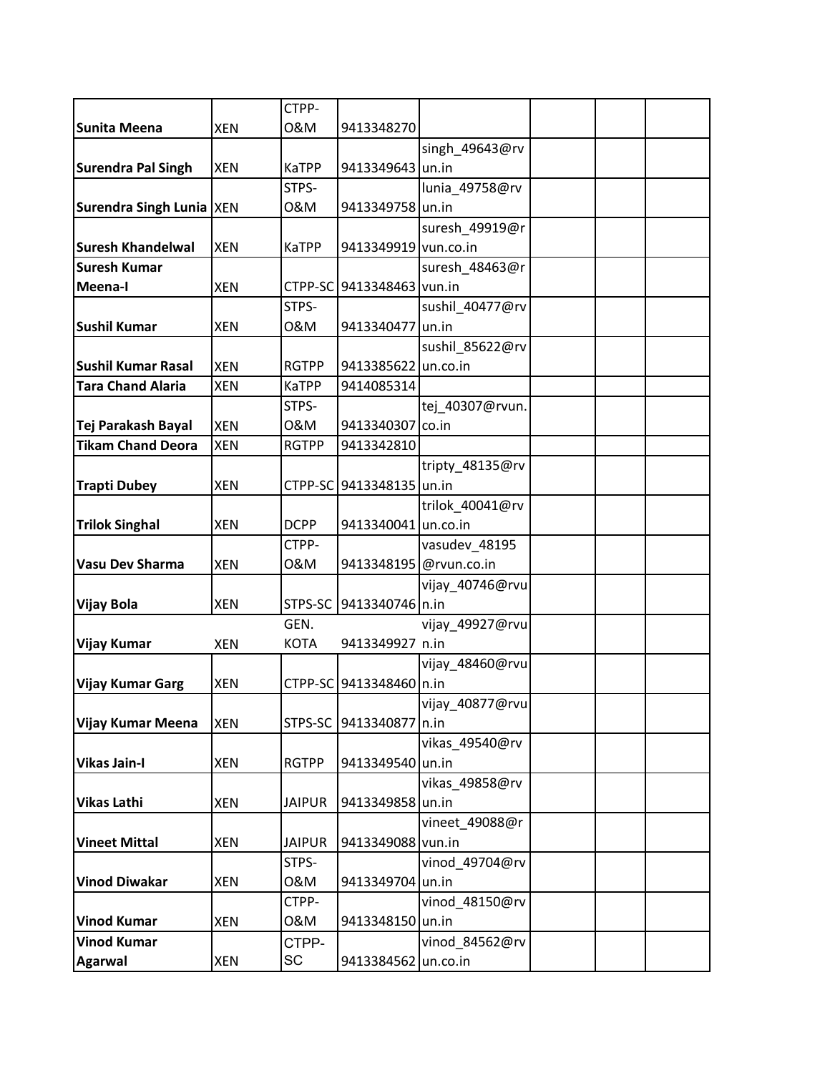|                            |            | CTPP-         |                           |                        |  |  |
|----------------------------|------------|---------------|---------------------------|------------------------|--|--|
| <b>Sunita Meena</b>        | <b>XEN</b> | 0&M           | 9413348270                |                        |  |  |
|                            |            |               |                           | singh_49643@rv         |  |  |
| <b>Surendra Pal Singh</b>  | <b>XEN</b> | <b>KaTPP</b>  | 9413349643 un.in          |                        |  |  |
|                            |            | STPS-         |                           | lunia_49758@rv         |  |  |
| Surendra Singh Lunia   XEN |            | 0&M           | 9413349758 un.in          |                        |  |  |
|                            |            |               |                           | suresh_49919@r         |  |  |
| <b>Suresh Khandelwal</b>   | <b>XEN</b> | <b>KaTPP</b>  | 9413349919 vun.co.in      |                        |  |  |
| <b>Suresh Kumar</b>        |            |               |                           | suresh 48463@r         |  |  |
| Meena-I                    | <b>XEN</b> |               | CTPP-SC 9413348463 vun.in |                        |  |  |
|                            |            | STPS-         |                           | sushil_40477@rv        |  |  |
| <b>Sushil Kumar</b>        | <b>XEN</b> | 0&M           | 9413340477 un.in          |                        |  |  |
|                            |            |               |                           | sushil_85622@rv        |  |  |
| <b>Sushil Kumar Rasal</b>  | <b>XEN</b> | <b>RGTPP</b>  | 9413385622 un.co.in       |                        |  |  |
| <b>Tara Chand Alaria</b>   | <b>XEN</b> | <b>KaTPP</b>  | 9414085314                |                        |  |  |
|                            |            | STPS-         |                           | tej_40307@rvun.        |  |  |
| Tej Parakash Bayal         | <b>XEN</b> | 0&M           | 9413340307                | co.in                  |  |  |
| <b>Tikam Chand Deora</b>   | <b>XEN</b> | <b>RGTPP</b>  | 9413342810                |                        |  |  |
|                            |            |               |                           | tripty 48135@rv        |  |  |
| <b>Trapti Dubey</b>        | <b>XEN</b> |               | CTPP-SC 9413348135 un.in  |                        |  |  |
|                            |            |               |                           | trilok 40041@rv        |  |  |
| <b>Trilok Singhal</b>      | <b>XEN</b> | <b>DCPP</b>   | 9413340041 un.co.in       |                        |  |  |
|                            |            | CTPP-         |                           | vasudev_48195          |  |  |
| <b>Vasu Dev Sharma</b>     | <b>XEN</b> | 0&M           |                           | 9413348195 @rvun.co.in |  |  |
|                            |            |               |                           | vijay_40746@rvu        |  |  |
| <b>Vijay Bola</b>          | <b>XEN</b> |               | STPS-SC 9413340746 n.in   |                        |  |  |
|                            |            | GEN.          |                           | vijay_49927@rvu        |  |  |
| <b>Vijay Kumar</b>         | <b>XEN</b> | KOTA          | 9413349927 n.in           |                        |  |  |
|                            |            |               |                           | vijay_48460@rvu        |  |  |
| <b>Vijay Kumar Garg</b>    | <b>XEN</b> |               | CTPP-SC 9413348460 n.in   |                        |  |  |
|                            |            |               |                           | vijay_40877@rvu        |  |  |
| <b>Vijay Kumar Meena</b>   | <b>XEN</b> | STPS-SC       | 9413340877 n.in           |                        |  |  |
|                            |            |               |                           | vikas_49540@rv         |  |  |
| <b>Vikas Jain-I</b>        | <b>XEN</b> | <b>RGTPP</b>  | 9413349540 un.in          |                        |  |  |
|                            |            |               |                           | vikas_49858@rv         |  |  |
| <b>Vikas Lathi</b>         | <b>XEN</b> | <b>JAIPUR</b> | 9413349858 un.in          |                        |  |  |
|                            |            |               |                           | vineet_49088@r         |  |  |
| <b>Vineet Mittal</b>       | <b>XEN</b> | <b>JAIPUR</b> | 9413349088 vun.in         |                        |  |  |
|                            |            | STPS-         |                           | vinod 49704@rv         |  |  |
| <b>Vinod Diwakar</b>       | <b>XEN</b> | 0&M           | 9413349704 un.in          |                        |  |  |
|                            |            | CTPP-         |                           | vinod 48150@rv         |  |  |
| <b>Vinod Kumar</b>         | <b>XEN</b> | 0&M           | 9413348150 un.in          |                        |  |  |
| <b>Vinod Kumar</b>         |            | CTPP-         |                           | vinod 84562@rv         |  |  |
| <b>Agarwal</b>             | XEN        | SC            | 9413384562 un.co.in       |                        |  |  |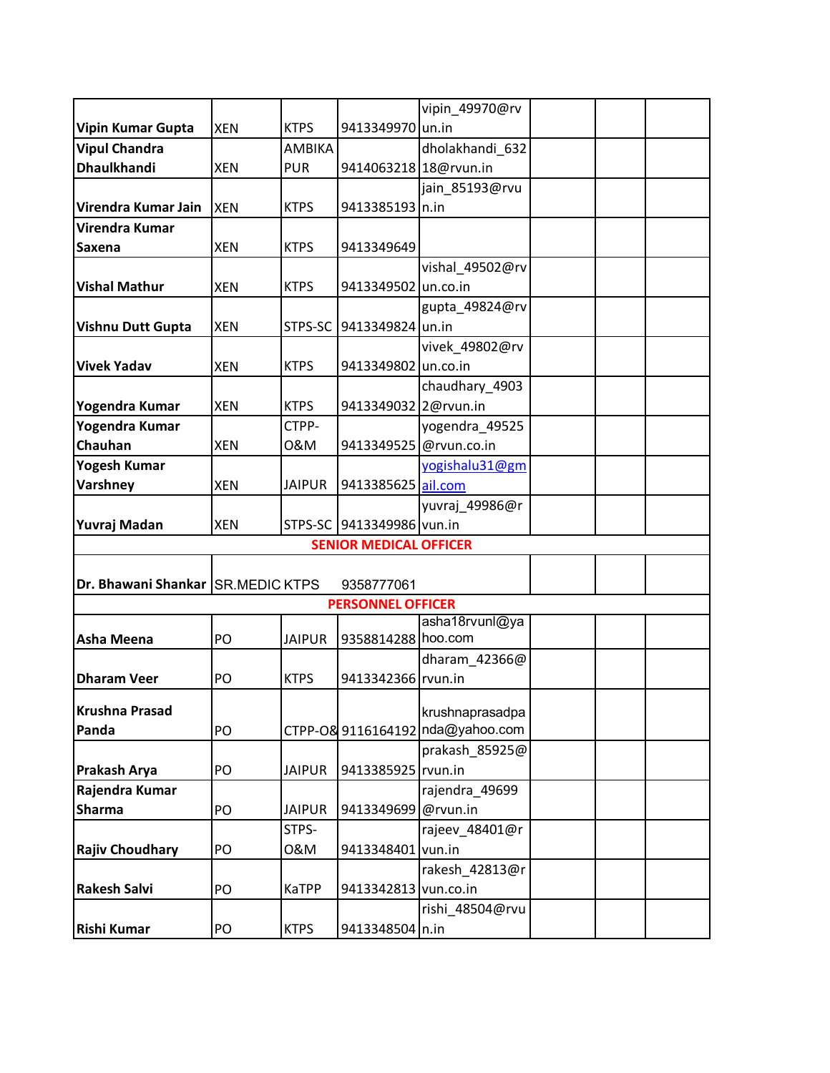|                                   |            |               |                           | vipin 49970@rv                   |  |  |  |  |
|-----------------------------------|------------|---------------|---------------------------|----------------------------------|--|--|--|--|
| <b>Vipin Kumar Gupta</b>          | <b>XEN</b> | <b>KTPS</b>   | 9413349970 un.in          |                                  |  |  |  |  |
| <b>Vipul Chandra</b>              |            | AMBIKA        |                           | dholakhandi_632                  |  |  |  |  |
| <b>Dhaulkhandi</b>                | <b>XEN</b> | <b>PUR</b>    | 9414063218 18@rvun.in     |                                  |  |  |  |  |
|                                   |            |               |                           | jain_85193@rvu                   |  |  |  |  |
| Virendra Kumar Jain               | <b>XEN</b> | <b>KTPS</b>   | 9413385193 n.in           |                                  |  |  |  |  |
| Virendra Kumar                    |            |               |                           |                                  |  |  |  |  |
| <b>Saxena</b>                     | <b>XEN</b> | <b>KTPS</b>   | 9413349649                |                                  |  |  |  |  |
|                                   |            |               |                           | vishal 49502@rv                  |  |  |  |  |
| <b>Vishal Mathur</b>              | <b>XEN</b> | <b>KTPS</b>   | 9413349502 un.co.in       |                                  |  |  |  |  |
|                                   |            |               |                           | gupta_49824@rv                   |  |  |  |  |
| <b>Vishnu Dutt Gupta</b>          | <b>XEN</b> | STPS-SC       | 9413349824 un.in          |                                  |  |  |  |  |
|                                   |            |               |                           | vivek_49802@rv                   |  |  |  |  |
| <b>Vivek Yadav</b>                | <b>XEN</b> | <b>KTPS</b>   | 9413349802 un.co.in       |                                  |  |  |  |  |
|                                   |            |               |                           | chaudhary_4903                   |  |  |  |  |
| Yogendra Kumar                    | <b>XEN</b> | <b>KTPS</b>   | 9413349032 2@rvun.in      |                                  |  |  |  |  |
| Yogendra Kumar                    |            | CTPP-         |                           | yogendra_49525                   |  |  |  |  |
| Chauhan                           | <b>XEN</b> | 0&M           | 9413349525 @rvun.co.in    |                                  |  |  |  |  |
| <b>Yogesh Kumar</b>               |            |               |                           | yogishalu31@gm                   |  |  |  |  |
| Varshney                          | <b>XEN</b> | <b>JAIPUR</b> | 9413385625 ail.com        |                                  |  |  |  |  |
|                                   |            |               |                           | yuvraj_49986@r                   |  |  |  |  |
| Yuvraj Madan                      | <b>XEN</b> |               | STPS-SC 9413349986 vun.in |                                  |  |  |  |  |
| <b>SENIOR MEDICAL OFFICER</b>     |            |               |                           |                                  |  |  |  |  |
|                                   |            |               |                           |                                  |  |  |  |  |
| Dr. Bhawani Shankar SR.MEDIC KTPS |            |               | 9358777061                |                                  |  |  |  |  |
|                                   |            |               | <b>PERSONNEL OFFICER</b>  |                                  |  |  |  |  |
| <b>Asha Meena</b>                 | PO         | <b>JAIPUR</b> | 9358814288 hoo.com        | asha18rvunl@ya                   |  |  |  |  |
|                                   |            |               |                           | dharam_42366@                    |  |  |  |  |
| <b>Dharam Veer</b>                | PO         | <b>KTPS</b>   | 9413342366 rvun.in        |                                  |  |  |  |  |
|                                   |            |               |                           |                                  |  |  |  |  |
| <b>Krushna Prasad</b>             |            |               |                           | krushnaprasadpa                  |  |  |  |  |
| Panda                             | PO         |               |                           | CTPP-O& 9116164192 nda@yahoo.com |  |  |  |  |
|                                   |            |               |                           | prakash_85925@                   |  |  |  |  |
| Prakash Arya                      | PO         | <b>JAIPUR</b> | 9413385925 rvun.in        |                                  |  |  |  |  |
| Rajendra Kumar                    |            |               |                           | rajendra_49699                   |  |  |  |  |
| <b>Sharma</b>                     | PO         | <b>JAIPUR</b> | 9413349699 @rvun.in       |                                  |  |  |  |  |
|                                   |            | STPS-         |                           | rajeev_48401@r                   |  |  |  |  |
| <b>Rajiv Choudhary</b>            | PO         | 0&M           | 9413348401                | vun.in                           |  |  |  |  |
|                                   |            |               |                           | rakesh 42813@r                   |  |  |  |  |
| <b>Rakesh Salvi</b>               | PO         | <b>KaTPP</b>  | 9413342813 vun.co.in      |                                  |  |  |  |  |
|                                   |            |               |                           | rishi 48504@rvu                  |  |  |  |  |
| <b>Rishi Kumar</b>                | PO         | <b>KTPS</b>   | 9413348504 n.in           |                                  |  |  |  |  |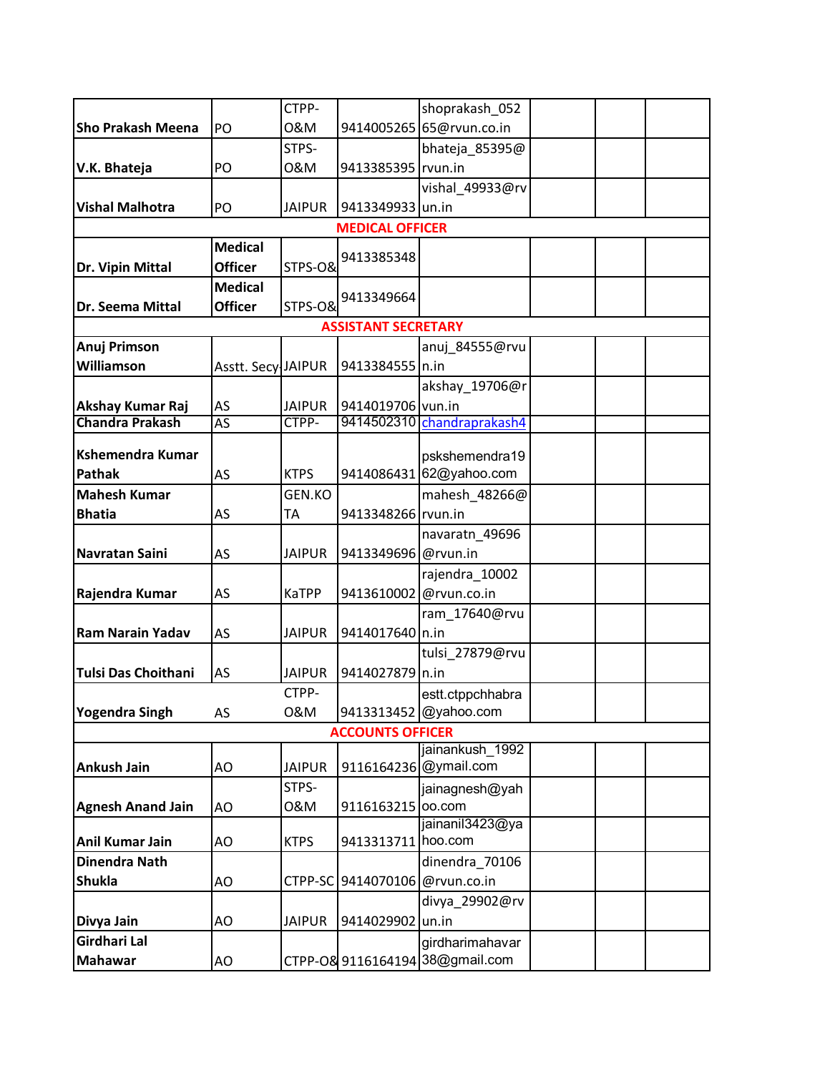|                                      |                    | CTPP-         |                            | shoprakash 052                            |  |  |
|--------------------------------------|--------------------|---------------|----------------------------|-------------------------------------------|--|--|
| <b>Sho Prakash Meena</b>             | PO                 | 0&M           |                            | 9414005265 65@rvun.co.in                  |  |  |
|                                      |                    | STPS-         |                            | bhateja_85395@                            |  |  |
| V.K. Bhateja                         | PO                 | 0&M           | 9413385395 rvun.in         |                                           |  |  |
|                                      |                    |               |                            | vishal_49933@rv                           |  |  |
| <b>Vishal Malhotra</b>               | PO                 | <b>JAIPUR</b> | 9413349933 un.in           |                                           |  |  |
|                                      |                    |               | <b>MEDICAL OFFICER</b>     |                                           |  |  |
|                                      | <b>Medical</b>     |               |                            |                                           |  |  |
| Dr. Vipin Mittal                     | <b>Officer</b>     | STPS-O&       | 9413385348                 |                                           |  |  |
|                                      | <b>Medical</b>     |               |                            |                                           |  |  |
| Dr. Seema Mittal                     | <b>Officer</b>     | STPS-O&       | 9413349664                 |                                           |  |  |
|                                      |                    |               | <b>ASSISTANT SECRETARY</b> |                                           |  |  |
| Anuj Primson                         |                    |               |                            | anuj 84555@rvu                            |  |  |
| Williamson                           | Asstt. Secy JAIPUR |               | 9413384555 n.in            |                                           |  |  |
|                                      |                    |               |                            | akshay_19706@r                            |  |  |
| Akshay Kumar Raj                     | AS                 | <b>JAIPUR</b> | 9414019706 vun.in          |                                           |  |  |
| <b>Chandra Prakash</b>               | AS                 | CTPP-         |                            | 9414502310 chandraprakash4                |  |  |
| <b>Kshemendra Kumar</b>              |                    |               |                            |                                           |  |  |
| <b>Pathak</b>                        |                    | <b>KTPS</b>   |                            | pskshemendra19<br>9414086431 62@yahoo.com |  |  |
|                                      | AS                 | GEN.KO        |                            |                                           |  |  |
| <b>Mahesh Kumar</b><br><b>Bhatia</b> |                    |               |                            | mahesh 48266@                             |  |  |
|                                      | AS                 | TA            | 9413348266 rvun.in         |                                           |  |  |
| <b>Navratan Saini</b>                |                    |               |                            | navaratn_49696                            |  |  |
|                                      | AS                 | <b>JAIPUR</b> | 9413349696 @rvun.in        |                                           |  |  |
|                                      |                    |               |                            | rajendra 10002                            |  |  |
| Rajendra Kumar                       | AS                 | KaTPP         | 9413610002                 | @rvun.co.in                               |  |  |
|                                      |                    |               |                            | ram_17640@rvu                             |  |  |
| <b>Ram Narain Yadav</b>              | AS                 | <b>JAIPUR</b> | 9414017640 n.in            |                                           |  |  |
|                                      |                    |               |                            | tulsi 27879@rvu                           |  |  |
| <b>Tulsi Das Choithani</b>           | AS                 | <b>JAIPUR</b> | 9414027879 n.in            |                                           |  |  |
| Yogendra Singh                       |                    | CTPP-<br>0&M  |                            | estt.ctppchhabra                          |  |  |
|                                      | AS                 |               |                            | 9413313452 @yahoo.com                     |  |  |
|                                      |                    |               | <b>ACCOUNTS OFFICER</b>    | jainankush 1992                           |  |  |
| <b>Ankush Jain</b>                   | AO                 | <b>JAIPUR</b> |                            | 9116164236 @ymail.com                     |  |  |
|                                      |                    | STPS-         |                            | jainagnesh@yah                            |  |  |
| <b>Agnesh Anand Jain</b>             | AO                 | 0&M           | 9116163215                 | oo.com                                    |  |  |
|                                      |                    |               |                            | jainanil3423@ya                           |  |  |
| <b>Anil Kumar Jain</b>               | AO                 | <b>KTPS</b>   | 9413313711 hoo.com         |                                           |  |  |
| <b>Dinendra Nath</b>                 |                    |               |                            | dinendra_70106                            |  |  |
| <b>Shukla</b>                        | AO                 |               | CTPP-SC 9414070106         | @rvun.co.in                               |  |  |
|                                      |                    |               |                            | divya_29902@rv                            |  |  |
| Divya Jain                           | AO                 | <b>JAIPUR</b> | 9414029902                 | un.in                                     |  |  |
| Girdhari Lal                         |                    |               |                            | girdharimahavar                           |  |  |
| <b>Mahawar</b>                       | AO                 |               |                            | CTPP-O& 9116164194 38@gmail.com           |  |  |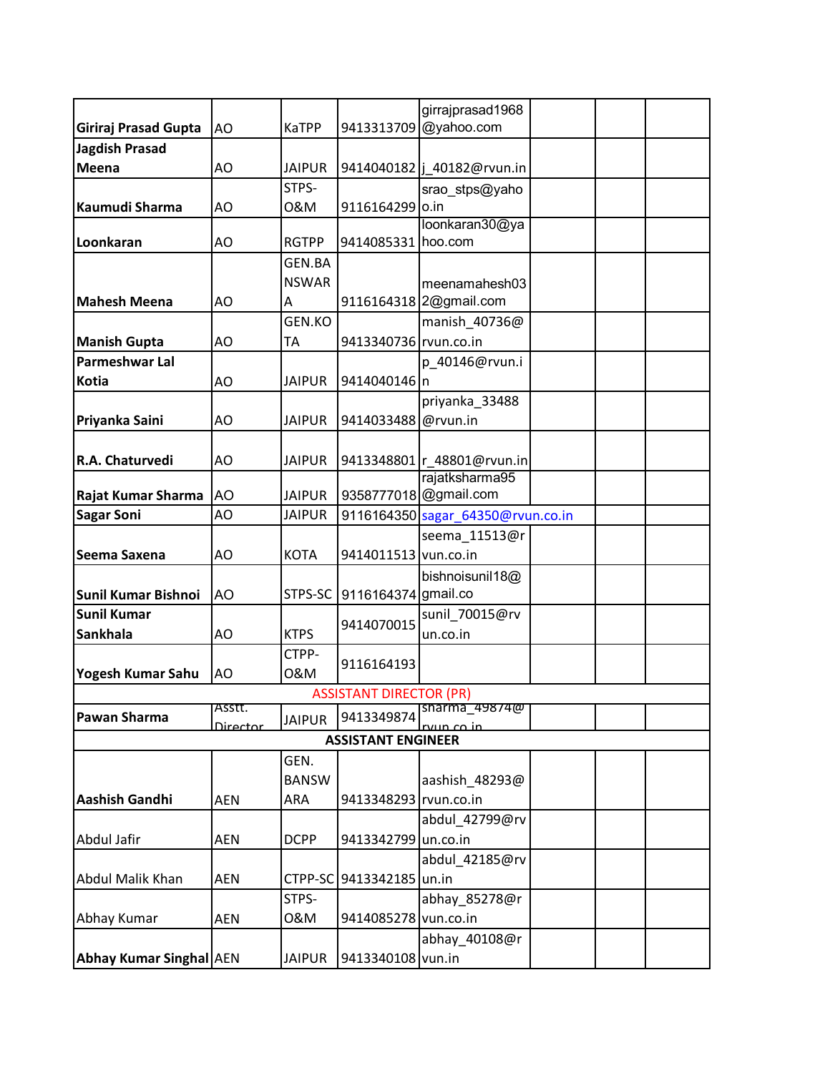|                                |            |               |                                | girrajprasad1968                  |  |  |
|--------------------------------|------------|---------------|--------------------------------|-----------------------------------|--|--|
| Giriraj Prasad Gupta           | AO         | <b>KaTPP</b>  |                                | 9413313709 @yahoo.com             |  |  |
| <b>Jagdish Prasad</b>          |            |               |                                |                                   |  |  |
| Meena                          | AO         | <b>JAIPUR</b> |                                | 9414040182  j_40182@rvun.in       |  |  |
|                                |            | STPS-         |                                | srao_stps@yaho                    |  |  |
| Kaumudi Sharma                 | AO         | 0&M           | 9116164299 0.in                |                                   |  |  |
|                                |            |               |                                | loonkaran30@ya                    |  |  |
| Loonkaran                      | AO         | <b>RGTPP</b>  | 9414085331 hoo.com             |                                   |  |  |
|                                |            | <b>GEN.BA</b> |                                |                                   |  |  |
|                                |            | <b>NSWAR</b>  |                                | meenamahesh03                     |  |  |
| <b>Mahesh Meena</b>            | AO         | А             |                                | 9116164318 2@gmail.com            |  |  |
|                                |            | GEN.KO        |                                | manish_40736@                     |  |  |
| <b>Manish Gupta</b>            | AO         | ТA            | 9413340736 rvun.co.in          |                                   |  |  |
| Parmeshwar Lal                 |            |               |                                | p 40146@rvun.i                    |  |  |
| <b>Kotia</b>                   | AO         | <b>JAIPUR</b> | 9414040146 n                   |                                   |  |  |
|                                |            |               |                                | priyanka_33488                    |  |  |
| Priyanka Saini                 | AO         | <b>JAIPUR</b> | 9414033488                     | @rvun.in                          |  |  |
|                                |            |               |                                |                                   |  |  |
| R.A. Chaturvedi                | AO         | <b>JAIPUR</b> |                                | 9413348801 r_48801@rvun.in        |  |  |
|                                |            |               |                                | rajatksharma95                    |  |  |
| Rajat Kumar Sharma             | AO         | <b>JAIPUR</b> |                                | 9358777018 @gmail.com             |  |  |
| <b>Sagar Soni</b>              | AO         | <b>JAIPUR</b> |                                | 9116164350 sagar_64350@rvun.co.in |  |  |
|                                |            |               |                                | seema 11513@r                     |  |  |
| Seema Saxena                   | AO         | <b>KOTA</b>   | 9414011513 vun.co.in           |                                   |  |  |
|                                |            |               |                                | bishnoisunil18@                   |  |  |
| <b>Sunil Kumar Bishnoi</b>     | AO         | STPS-SC       | 9116164374 gmail.co            |                                   |  |  |
| <b>Sunil Kumar</b>             |            |               |                                | sunil_70015@rv                    |  |  |
| <b>Sankhala</b>                | AO         | <b>KTPS</b>   | 9414070015                     | un.co.in                          |  |  |
|                                |            | CTPP-         |                                |                                   |  |  |
| Yogesh Kumar Sahu              | AO         | 0&M           | 9116164193                     |                                   |  |  |
|                                |            |               | <b>ASSISTANT DIRECTOR (PR)</b> |                                   |  |  |
| <b>Pawan Sharma</b>            | Asstt.     | <b>JAIPUR</b> | 9413349874                     | sharma_49874@                     |  |  |
|                                | Director   |               |                                | $\overline{m}$ co in              |  |  |
|                                |            |               | <b>ASSISTANT ENGINEER</b>      |                                   |  |  |
|                                |            | GEN.          |                                |                                   |  |  |
|                                |            | <b>BANSW</b>  |                                | aashish_48293@                    |  |  |
| <b>Aashish Gandhi</b>          | <b>AEN</b> | ARA           | 9413348293 rvun.co.in          |                                   |  |  |
|                                |            |               |                                | abdul_42799@rv                    |  |  |
| Abdul Jafir                    | <b>AEN</b> | <b>DCPP</b>   | 9413342799 un.co.in            |                                   |  |  |
|                                |            |               |                                | abdul_42185@rv                    |  |  |
| <b>Abdul Malik Khan</b>        | AEN        |               | CTPP-SC 9413342185 un.in       |                                   |  |  |
|                                |            | STPS-         |                                | abhay_85278@r                     |  |  |
| Abhay Kumar                    | <b>AEN</b> | 0&M           | 9414085278                     | vun.co.in                         |  |  |
|                                |            |               |                                | abhay_40108@r                     |  |  |
| <b>Abhay Kumar Singhal AEN</b> |            | <b>JAIPUR</b> | 9413340108 vun.in              |                                   |  |  |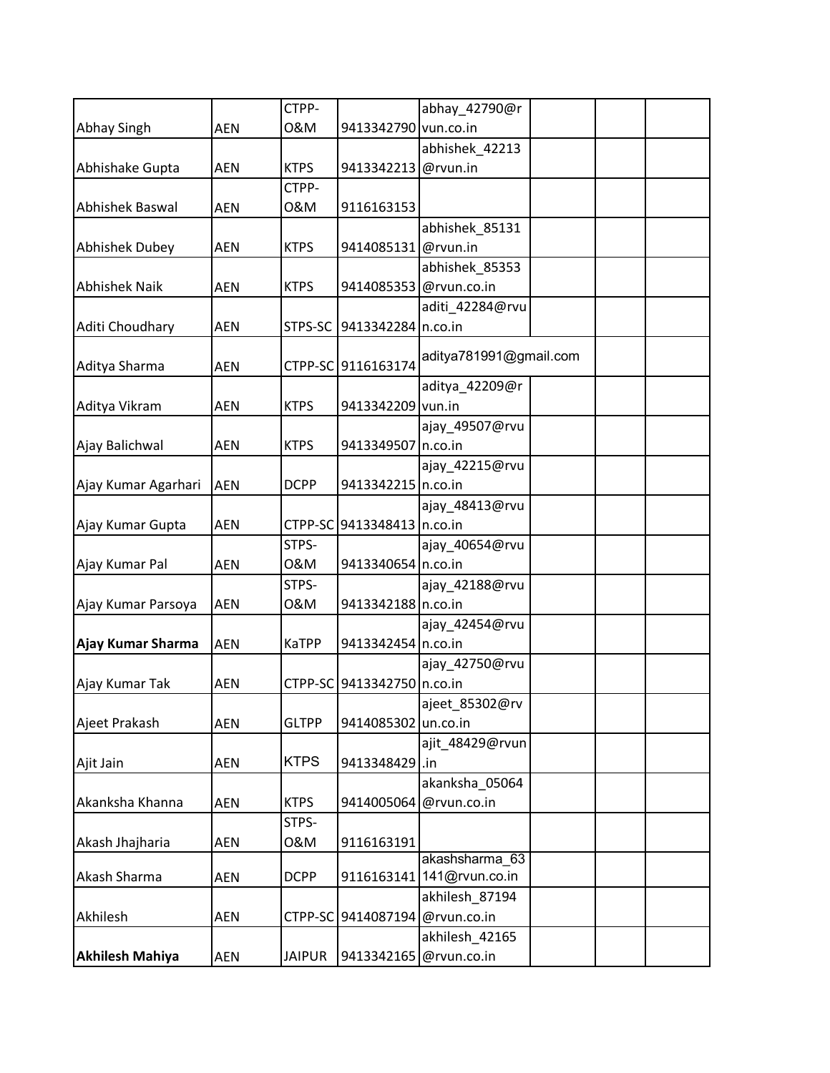|                        |            | CTPP-         |                              | abhay_42790@r             |  |
|------------------------|------------|---------------|------------------------------|---------------------------|--|
| Abhay Singh            | <b>AEN</b> | 0&M           | 9413342790 vun.co.in         |                           |  |
|                        |            |               |                              | abhishek_42213            |  |
| Abhishake Gupta        | <b>AEN</b> | <b>KTPS</b>   | 9413342213                   | @rvun.in                  |  |
|                        |            | CTPP-         |                              |                           |  |
| Abhishek Baswal        | <b>AEN</b> | 0&M           | 9116163153                   |                           |  |
|                        |            |               |                              | abhishek_85131            |  |
| Abhishek Dubey         | <b>AEN</b> | <b>KTPS</b>   | 9414085131 @rvun.in          |                           |  |
|                        |            |               |                              | abhishek_85353            |  |
| <b>Abhishek Naik</b>   | <b>AEN</b> | <b>KTPS</b>   |                              | 9414085353 @rvun.co.in    |  |
|                        |            |               |                              | aditi_42284@rvu           |  |
| Aditi Choudhary        | <b>AEN</b> | STPS-SC       | 9413342284 n.co.in           |                           |  |
|                        |            |               |                              | aditya781991@gmail.com    |  |
| Aditya Sharma          | <b>AEN</b> |               | CTPP-SC 9116163174           |                           |  |
| Aditya Vikram          |            | <b>KTPS</b>   |                              | aditya_42209@r            |  |
|                        | <b>AEN</b> |               | 9413342209 vun.in            |                           |  |
| Ajay Balichwal         | <b>AEN</b> | <b>KTPS</b>   | 9413349507 n.co.in           | ajay_49507@rvu            |  |
|                        |            |               |                              |                           |  |
|                        |            | <b>DCPP</b>   |                              | ajay_42215@rvu            |  |
| Ajay Kumar Agarhari    | <b>AEN</b> |               | 9413342215 n.co.in           |                           |  |
|                        |            |               |                              | ajay_48413@rvu            |  |
| Ajay Kumar Gupta       | <b>AEN</b> |               | CTPP-SC 9413348413   n.co.in |                           |  |
|                        |            | STPS-         |                              | ajay_40654@rvu            |  |
| Ajay Kumar Pal         | AEN        | 0&M           | 9413340654 n.co.in           |                           |  |
|                        |            | STPS-         |                              | ajay_42188@rvu            |  |
| Ajay Kumar Parsoya     | <b>AEN</b> | 0&M           | 9413342188 n.co.in           |                           |  |
|                        |            |               |                              | ajay_42454@rvu            |  |
| Ajay Kumar Sharma      | <b>AEN</b> | <b>KaTPP</b>  | 9413342454 n.co.in           |                           |  |
|                        |            |               |                              | ajay_42750@rvu            |  |
| Ajay Kumar Tak         | <b>AEN</b> |               | CTPP-SC 9413342750 n.co.in   |                           |  |
|                        |            |               |                              | ajeet_85302@rv            |  |
| Ajeet Prakash          | <b>AEN</b> | <b>GLTPP</b>  | 9414085302                   | un.co.in                  |  |
|                        |            | <b>KTPS</b>   |                              | ajit_48429@rvun           |  |
| Ajit Jain              | <b>AEN</b> |               | 9413348429 .in               |                           |  |
|                        |            |               |                              | akanksha 05064            |  |
| Akanksha Khanna        | AEN        | <b>KTPS</b>   | 9414005064                   | @rvun.co.in               |  |
|                        |            | STPS-         |                              |                           |  |
| Akash Jhajharia        | <b>AEN</b> | 0&M           | 9116163191                   | akashsharma 63            |  |
| Akash Sharma           | AEN        | <b>DCPP</b>   |                              | 9116163141 141@rvun.co.in |  |
|                        |            |               |                              | akhilesh_87194            |  |
| Akhilesh               | AEN        | CTPP-SC       | 9414087194                   | @rvun.co.in               |  |
|                        |            |               |                              | akhilesh_42165            |  |
| <b>Akhilesh Mahiya</b> | AEN        | <b>JAIPUR</b> | 9413342165                   | @rvun.co.in               |  |
|                        |            |               |                              |                           |  |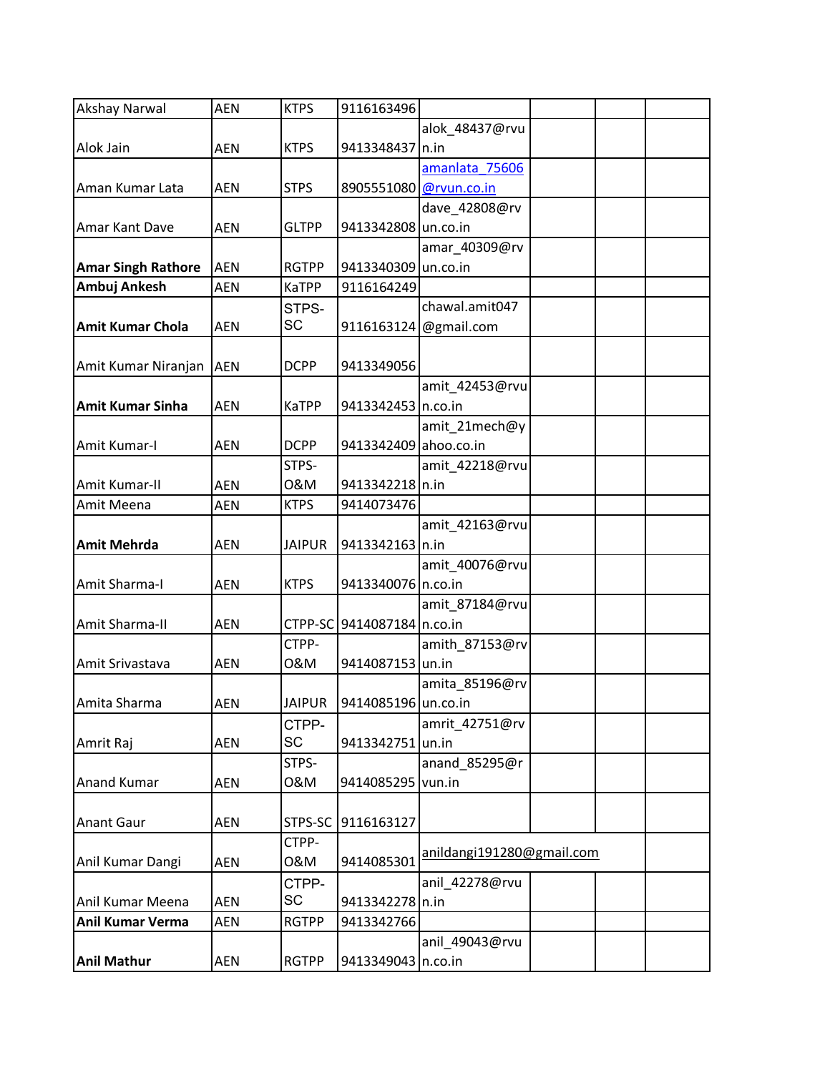| <b>Akshay Narwal</b>      | <b>AEN</b> | <b>KTPS</b>   | 9116163496             |                           |  |
|---------------------------|------------|---------------|------------------------|---------------------------|--|
|                           |            |               |                        | alok_48437@rvu            |  |
| Alok Jain                 | <b>AEN</b> | <b>KTPS</b>   | 9413348437 n.in        |                           |  |
|                           |            |               |                        | amanlata 75606            |  |
| Aman Kumar Lata           | <b>AEN</b> | <b>STPS</b>   | 8905551080 @rvun.co.in |                           |  |
|                           |            |               |                        | dave_42808@rv             |  |
| Amar Kant Dave            | <b>AEN</b> | <b>GLTPP</b>  | 9413342808 un.co.in    |                           |  |
|                           |            |               |                        | amar_40309@rv             |  |
| <b>Amar Singh Rathore</b> | <b>AEN</b> | <b>RGTPP</b>  | 9413340309 un.co.in    |                           |  |
| Ambuj Ankesh              | <b>AEN</b> | <b>KaTPP</b>  | 9116164249             |                           |  |
|                           |            | STPS-         |                        | chawal.amit047            |  |
| <b>Amit Kumar Chola</b>   | <b>AEN</b> | SC            | 9116163124             | @gmail.com                |  |
|                           |            |               |                        |                           |  |
| Amit Kumar Niranjan AEN   |            | <b>DCPP</b>   | 9413349056             |                           |  |
|                           |            |               |                        | amit_42453@rvu            |  |
| <b>Amit Kumar Sinha</b>   | <b>AEN</b> | <b>KaTPP</b>  | 9413342453 n.co.in     |                           |  |
|                           |            |               |                        | amit_21mech@y             |  |
| Amit Kumar-I              | <b>AEN</b> | <b>DCPP</b>   | 9413342409 ahoo.co.in  |                           |  |
|                           |            | STPS-         |                        | amit 42218@rvu            |  |
| Amit Kumar-II             | <b>AEN</b> | 0&M           | 9413342218 n.in        |                           |  |
|                           |            |               |                        |                           |  |
| Amit Meena                | <b>AEN</b> | <b>KTPS</b>   | 9414073476             |                           |  |
|                           |            |               |                        | amit_42163@rvu            |  |
| <b>Amit Mehrda</b>        | <b>AEN</b> | <b>JAIPUR</b> | 9413342163 n.in        |                           |  |
|                           |            |               |                        | amit_40076@rvu            |  |
| Amit Sharma-I             | <b>AEN</b> | <b>KTPS</b>   | 9413340076 n.co.in     |                           |  |
|                           |            |               |                        | amit_87184@rvu            |  |
| Amit Sharma-II            | <b>AEN</b> | CTPP-SC       | 9414087184 n.co.in     |                           |  |
|                           |            | CTPP-         |                        | amith 87153@rv            |  |
| Amit Srivastava           | <b>AEN</b> | 0&M           | 9414087153 un.in       |                           |  |
|                           |            |               |                        | amita_85196@rv            |  |
| Amita Sharma              | AEN        | <b>JAIPUR</b> | 9414085196 un.co.in    |                           |  |
|                           |            | CTPP-         |                        | amrit 42751@rv            |  |
| Amrit Raj                 | <b>AEN</b> | <b>SC</b>     | 9413342751             | un.in                     |  |
|                           |            | STPS-         |                        | anand_85295@r             |  |
| <b>Anand Kumar</b>        | AEN        | 0&M           | 9414085295 vun.in      |                           |  |
|                           |            |               |                        |                           |  |
| <b>Anant Gaur</b>         | <b>AEN</b> | STPS-SC       | 9116163127             |                           |  |
|                           |            | CTPP-         |                        |                           |  |
| Anil Kumar Dangi          | AEN        | 0&M           | 9414085301             | anildangi191280@gmail.com |  |
|                           |            | CTPP-         |                        | anil_42278@rvu            |  |
| Anil Kumar Meena          | AEN        | SC            | 9413342278 n.in        |                           |  |
| <b>Anil Kumar Verma</b>   | AEN        | <b>RGTPP</b>  | 9413342766             |                           |  |
|                           |            |               |                        | anil_49043@rvu            |  |
| <b>Anil Mathur</b>        | AEN        | <b>RGTPP</b>  | 9413349043 n.co.in     |                           |  |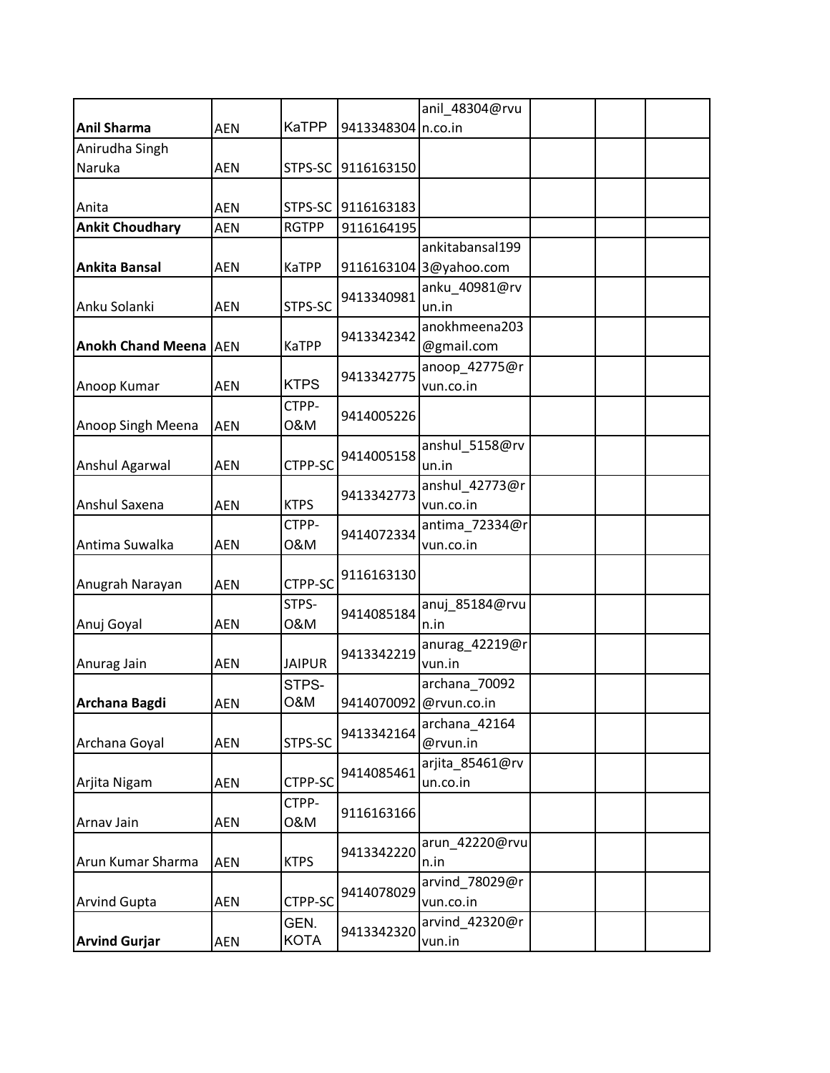|                              |            |                     |                    | anil_48304@rvu              |  |  |
|------------------------------|------------|---------------------|--------------------|-----------------------------|--|--|
| <b>Anil Sharma</b>           | <b>AEN</b> | <b>KaTPP</b>        | 9413348304 n.co.in |                             |  |  |
| Anirudha Singh               |            |                     |                    |                             |  |  |
| Naruka                       | <b>AEN</b> | STPS-SC             | 9116163150         |                             |  |  |
|                              |            |                     |                    |                             |  |  |
| Anita                        | <b>AEN</b> | STPS-SC             | 9116163183         |                             |  |  |
| <b>Ankit Choudhary</b>       | <b>AEN</b> | <b>RGTPP</b>        | 9116164195         |                             |  |  |
|                              |            |                     |                    | ankitabansal199             |  |  |
| <b>Ankita Bansal</b>         | <b>AEN</b> | KaTPP               |                    | 9116163104 3@yahoo.com      |  |  |
| Anku Solanki                 | <b>AEN</b> | STPS-SC             | 9413340981         | anku 40981@rv<br>un.in      |  |  |
|                              |            |                     | 9413342342         | anokhmeena203               |  |  |
| <b>Anokh Chand Meena AEN</b> |            | <b>KaTPP</b>        |                    | @gmail.com                  |  |  |
| Anoop Kumar                  | <b>AEN</b> | <b>KTPS</b>         | 9413342775         | anoop_42775@r<br>vun.co.in  |  |  |
| Anoop Singh Meena            | <b>AEN</b> | CTPP-<br>0&M        | 9414005226         |                             |  |  |
| Anshul Agarwal               | <b>AEN</b> | CTPP-SC             | 9414005158         | anshul_5158@rv<br>un.in     |  |  |
|                              |            |                     |                    | anshul_42773@r              |  |  |
| Anshul Saxena                | <b>AEN</b> | <b>KTPS</b>         | 9413342773         | vun.co.in                   |  |  |
|                              |            | CTPP-               |                    | antima_72334@r              |  |  |
| Antima Suwalka               | <b>AEN</b> | 0&M                 | 9414072334         | vun.co.in                   |  |  |
|                              |            |                     | 9116163130         |                             |  |  |
| Anugrah Narayan              | <b>AEN</b> | CTPP-SC             |                    |                             |  |  |
| Anuj Goyal                   | <b>AEN</b> | STPS-<br>0&M        | 9414085184         | anuj 85184@rvu<br>n.in      |  |  |
| Anurag Jain                  | <b>AEN</b> | <b>JAIPUR</b>       | 9413342219         | anurag_42219@r<br>vun.in    |  |  |
|                              |            | STPS-               |                    | archana_70092               |  |  |
| Archana Bagdi                | AEN        | O&M                 |                    | 9414070092 @rvun.co.in      |  |  |
| Archana Goyal                | <b>AEN</b> | STPS-SC             | 9413342164         | archana_42164<br>@rvun.in   |  |  |
| Arjita Nigam                 | <b>AEN</b> | CTPP-SC             | 9414085461         | arjita_85461@rv<br>un.co.in |  |  |
| Arnav Jain                   | <b>AEN</b> | CTPP-<br>0&M        | 9116163166         |                             |  |  |
| Arun Kumar Sharma            | <b>AEN</b> | <b>KTPS</b>         | 9413342220         | arun_42220@rvu<br>n.in      |  |  |
| <b>Arvind Gupta</b>          | AEN        | CTPP-SC             | 9414078029         | arvind 78029@r<br>vun.co.in |  |  |
| <b>Arvind Gurjar</b>         | <b>AEN</b> | GEN.<br><b>KOTA</b> | 9413342320         | arvind_42320@r<br>vun.in    |  |  |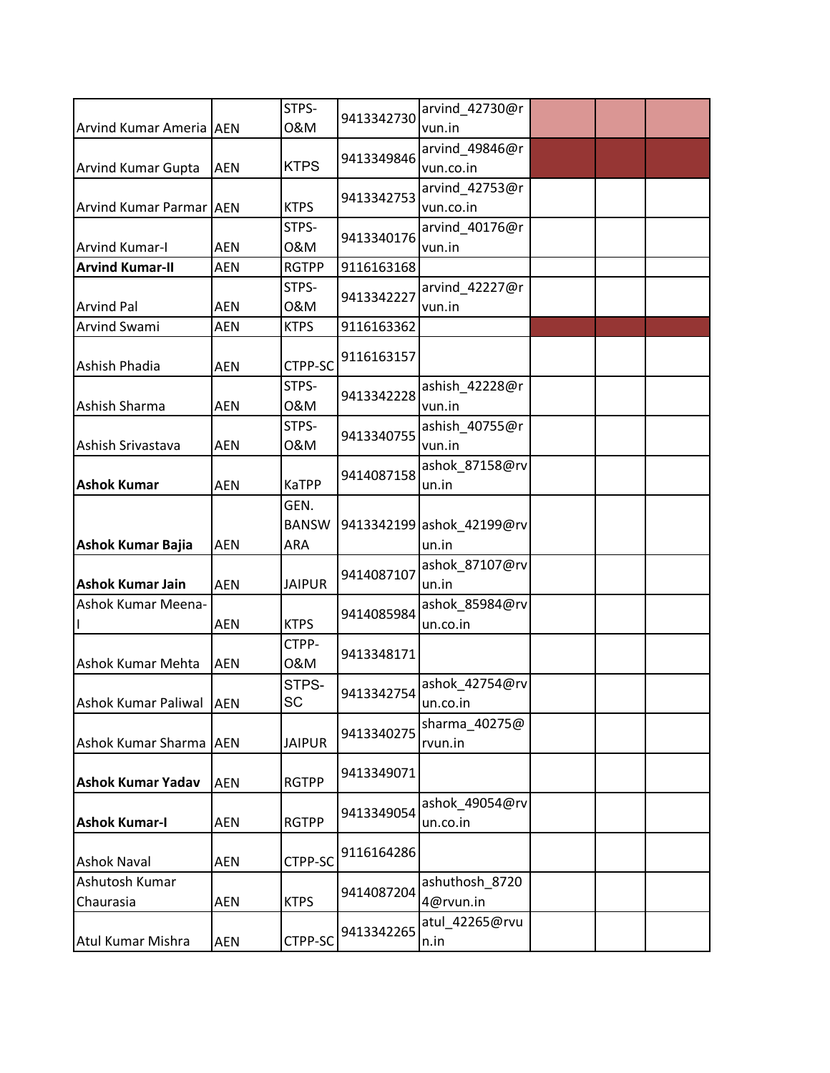|                           |            | STPS-         | 9413342730 | arvind_42730@r            |  |  |
|---------------------------|------------|---------------|------------|---------------------------|--|--|
| Arvind Kumar Ameria   AEN |            | 0&M           |            | vun.in                    |  |  |
|                           |            |               | 9413349846 | arvind_49846@r            |  |  |
| <b>Arvind Kumar Gupta</b> | <b>AEN</b> | <b>KTPS</b>   |            | vun.co.in                 |  |  |
|                           |            |               | 9413342753 | arvind_42753@r            |  |  |
| Arvind Kumar Parmar AEN   |            | <b>KTPS</b>   |            | vun.co.in                 |  |  |
|                           |            | STPS-         | 9413340176 | arvind_40176@r            |  |  |
| <b>Arvind Kumar-I</b>     | <b>AEN</b> | 0&M           |            | vun.in                    |  |  |
| <b>Arvind Kumar-II</b>    | <b>AEN</b> | <b>RGTPP</b>  | 9116163168 |                           |  |  |
|                           |            | STPS-         |            | arvind_42227@r            |  |  |
| <b>Arvind Pal</b>         | <b>AEN</b> | 0&M           | 9413342227 | vun.in                    |  |  |
| Arvind Swami              | <b>AEN</b> | <b>KTPS</b>   | 9116163362 |                           |  |  |
|                           |            |               |            |                           |  |  |
| Ashish Phadia             | <b>AEN</b> | CTPP-SC       | 9116163157 |                           |  |  |
|                           |            | STPS-         |            | ashish_42228@r            |  |  |
| Ashish Sharma             | AEN        | 0&M           | 9413342228 | vun.in                    |  |  |
|                           |            | STPS-         |            | ashish 40755@r            |  |  |
| Ashish Srivastava         | <b>AEN</b> | 0&M           | 9413340755 | vun.in                    |  |  |
|                           |            |               |            | ashok_87158@rv            |  |  |
| <b>Ashok Kumar</b>        | <b>AEN</b> | <b>KaTPP</b>  | 9414087158 | un.in                     |  |  |
|                           |            | GEN.          |            |                           |  |  |
|                           |            | <b>BANSW</b>  |            | 9413342199 ashok_42199@rv |  |  |
| <b>Ashok Kumar Bajia</b>  | <b>AEN</b> | ARA           |            | un.in                     |  |  |
|                           |            |               |            |                           |  |  |
|                           |            |               | 9414087107 | ashok_87107@rv            |  |  |
| <b>Ashok Kumar Jain</b>   | <b>AEN</b> | <b>JAIPUR</b> |            | un.in                     |  |  |
| <b>Ashok Kumar Meena-</b> |            |               | 9414085984 | ashok_85984@rv            |  |  |
|                           | <b>AEN</b> | <b>KTPS</b>   |            | un.co.in                  |  |  |
|                           |            | CTPP-         | 9413348171 |                           |  |  |
| Ashok Kumar Mehta         | <b>AEN</b> | 0&M           |            |                           |  |  |
|                           |            | STPS-         | 9413342754 | ashok_42754@rv            |  |  |
| Ashok Kumar Paliwal AEN   |            | SC            |            | un.co.in                  |  |  |
|                           |            |               | 9413340275 | sharma_40275@             |  |  |
| Ashok Kumar Sharma AEN    |            | <b>JAIPUR</b> |            | rvun.in                   |  |  |
|                           |            |               | 9413349071 |                           |  |  |
| <b>Ashok Kumar Yadav</b>  | <b>AEN</b> | <b>RGTPP</b>  |            |                           |  |  |
|                           |            |               | 9413349054 | ashok_49054@rv            |  |  |
| <b>Ashok Kumar-I</b>      | <b>AEN</b> | <b>RGTPP</b>  |            | un.co.in                  |  |  |
|                           |            |               | 9116164286 |                           |  |  |
| <b>Ashok Naval</b>        | <b>AEN</b> | CTPP-SC       |            |                           |  |  |
| Ashutosh Kumar            |            |               |            | ashuthosh_8720            |  |  |
| Chaurasia                 | <b>AEN</b> | <b>KTPS</b>   | 9414087204 | 4@rvun.in                 |  |  |
|                           |            |               |            | atul_42265@rvu            |  |  |
| Atul Kumar Mishra         | AEN        | CTPP-SC       | 9413342265 | n.in                      |  |  |
|                           |            |               |            |                           |  |  |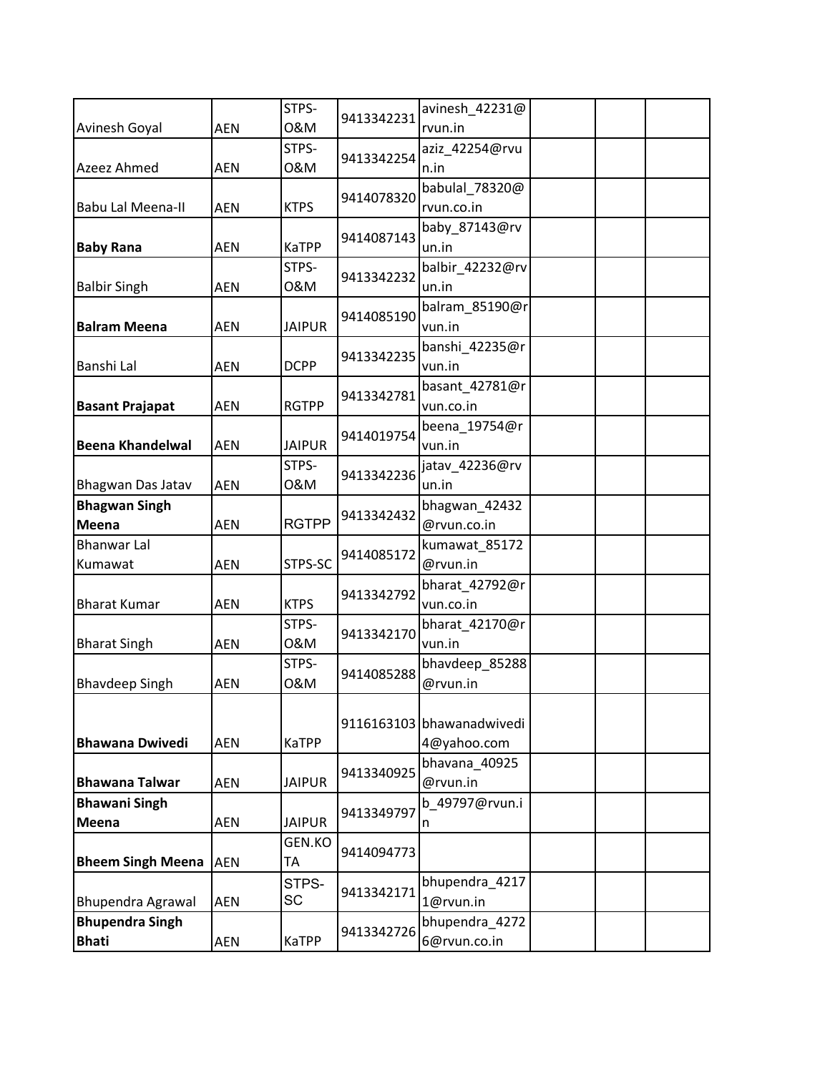|                          |            | STPS-         | 9413342231 | avinesh_42231@            |  |  |
|--------------------------|------------|---------------|------------|---------------------------|--|--|
| Avinesh Goyal            | <b>AEN</b> | 0&M           |            | rvun.in                   |  |  |
|                          |            | STPS-         | 9413342254 | aziz_42254@rvu            |  |  |
| Azeez Ahmed              | <b>AEN</b> | 0&M           |            | n.in                      |  |  |
|                          |            |               | 9414078320 | babulal 78320@            |  |  |
| <b>Babu Lal Meena-II</b> | <b>AEN</b> | <b>KTPS</b>   |            | rvun.co.in                |  |  |
|                          |            |               | 9414087143 | baby_87143@rv             |  |  |
| <b>Baby Rana</b>         | <b>AEN</b> | KaTPP         |            | un.in                     |  |  |
|                          |            | STPS-         | 9413342232 | balbir_42232@rv           |  |  |
| <b>Balbir Singh</b>      | <b>AEN</b> | 0&M           |            | un.in                     |  |  |
|                          |            |               | 9414085190 | balram_85190@r            |  |  |
| <b>Balram Meena</b>      | <b>AEN</b> | <b>JAIPUR</b> |            | vun.in                    |  |  |
|                          |            |               | 9413342235 | banshi_42235@r            |  |  |
| <b>Banshi Lal</b>        | AEN        | <b>DCPP</b>   |            | vun.in                    |  |  |
|                          |            |               | 9413342781 | basant_42781@r            |  |  |
| <b>Basant Prajapat</b>   | <b>AEN</b> | <b>RGTPP</b>  |            | vun.co.in                 |  |  |
|                          |            |               | 9414019754 | beena 19754@r             |  |  |
| <b>Beena Khandelwal</b>  | <b>AEN</b> | <b>JAIPUR</b> |            | vun.in                    |  |  |
|                          |            | STPS-         | 9413342236 | jatav_42236@rv            |  |  |
| Bhagwan Das Jatav        | <b>AEN</b> | 0&M           |            | un.in                     |  |  |
| <b>Bhagwan Singh</b>     |            |               | 9413342432 | bhagwan_42432             |  |  |
| Meena                    | <b>AEN</b> | <b>RGTPP</b>  |            | @rvun.co.in               |  |  |
| <b>Bhanwar Lal</b>       |            |               | 9414085172 | kumawat 85172             |  |  |
| Kumawat                  | <b>AEN</b> | STPS-SC       |            | @rvun.in                  |  |  |
|                          |            |               | 9413342792 | bharat_42792@r            |  |  |
| <b>Bharat Kumar</b>      | <b>AEN</b> | <b>KTPS</b>   |            | vun.co.in                 |  |  |
|                          |            | STPS-         | 9413342170 | bharat_42170@r            |  |  |
| <b>Bharat Singh</b>      | <b>AEN</b> | 0&M           |            | vun.in                    |  |  |
|                          |            | STPS-         | 9414085288 | bhavdeep_85288            |  |  |
| <b>Bhavdeep Singh</b>    | <b>AEN</b> | 0&M           |            | @rvun.in                  |  |  |
|                          |            |               |            |                           |  |  |
|                          |            |               |            | 9116163103 bhawanadwivedi |  |  |
| <b>Bhawana Dwivedi</b>   | <b>AEN</b> | <b>KaTPP</b>  |            | 4@yahoo.com               |  |  |
|                          |            |               | 9413340925 | bhavana 40925             |  |  |
| <b>Bhawana Talwar</b>    | <b>AEN</b> | <b>JAIPUR</b> |            | @rvun.in                  |  |  |
| <b>Bhawani Singh</b>     |            |               | 9413349797 | b 49797@rvun.i            |  |  |
| Meena                    | <b>AEN</b> | <b>JAIPUR</b> |            | n                         |  |  |
|                          |            | GEN.KO        | 9414094773 |                           |  |  |
| <b>Bheem Singh Meena</b> | <b>AEN</b> | ТA            |            |                           |  |  |
|                          |            | STPS-         | 9413342171 | bhupendra_4217            |  |  |
| <b>Bhupendra Agrawal</b> | <b>AEN</b> | SC            |            | 1@rvun.in                 |  |  |
| <b>Bhupendra Singh</b>   |            |               | 9413342726 | bhupendra_4272            |  |  |
| <b>Bhati</b>             | AEN        | KaTPP         |            | 6@rvun.co.in              |  |  |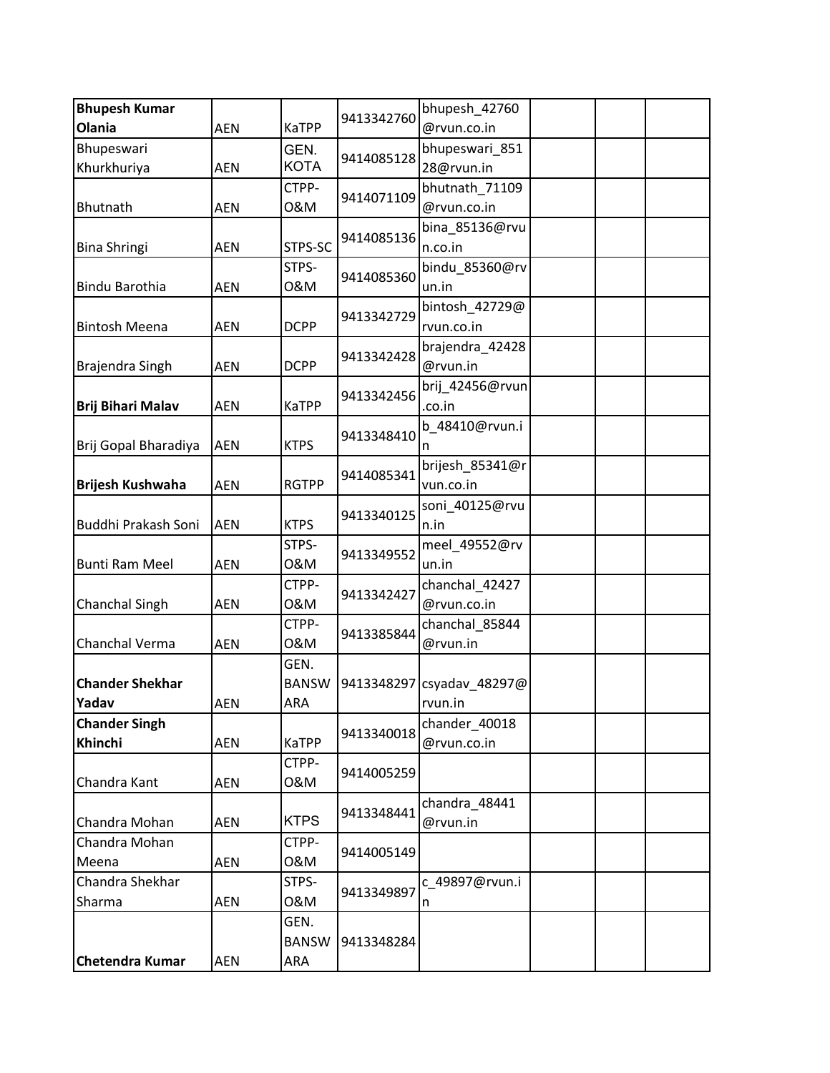| <b>Bhupesh Kumar</b>     |            |              |            | bhupesh 42760             |  |  |
|--------------------------|------------|--------------|------------|---------------------------|--|--|
| Olania                   | <b>AEN</b> | KaTPP        | 9413342760 | @rvun.co.in               |  |  |
| Bhupeswari               |            | GEN.         |            | bhupeswari 851            |  |  |
| Khurkhuriya              | <b>AEN</b> | <b>KOTA</b>  | 9414085128 | 28@rvun.in                |  |  |
|                          |            | CTPP-        | 9414071109 | bhutnath_71109            |  |  |
| Bhutnath                 | <b>AEN</b> | 0&M          |            | @rvun.co.in               |  |  |
|                          |            |              | 9414085136 | bina_85136@rvu            |  |  |
| <b>Bina Shringi</b>      | <b>AEN</b> | STPS-SC      |            | n.co.in                   |  |  |
|                          |            | STPS-        |            | bindu_85360@rv            |  |  |
| Bindu Barothia           | <b>AEN</b> | 0&M          | 9414085360 | un.in                     |  |  |
|                          |            |              |            | bintosh_42729@            |  |  |
| <b>Bintosh Meena</b>     | <b>AEN</b> | <b>DCPP</b>  | 9413342729 | rvun.co.in                |  |  |
|                          |            |              |            | brajendra_42428           |  |  |
| Brajendra Singh          | <b>AEN</b> | <b>DCPP</b>  | 9413342428 | @rvun.in                  |  |  |
|                          |            |              |            | brij_42456@rvun           |  |  |
| <b>Brij Bihari Malav</b> | <b>AEN</b> | <b>KaTPP</b> | 9413342456 | .co.in                    |  |  |
|                          |            |              | 9413348410 | b 48410@rvun.i            |  |  |
| Brij Gopal Bharadiya     | <b>AEN</b> | <b>KTPS</b>  |            | n                         |  |  |
|                          |            |              | 9414085341 | brijesh 85341@r           |  |  |
| <b>Brijesh Kushwaha</b>  | <b>AEN</b> | <b>RGTPP</b> |            | vun.co.in                 |  |  |
|                          |            |              | 9413340125 | soni_40125@rvu            |  |  |
| Buddhi Prakash Soni      | <b>AEN</b> | <b>KTPS</b>  |            | n.in                      |  |  |
|                          |            | STPS-        | 9413349552 | meel_49552@rv             |  |  |
| <b>Bunti Ram Meel</b>    | <b>AEN</b> | 0&M          |            | un.in                     |  |  |
|                          |            | CTPP-        | 9413342427 | chanchal_42427            |  |  |
| Chanchal Singh           | <b>AEN</b> | 0&M          |            | @rvun.co.in               |  |  |
|                          |            | CTPP-        | 9413385844 | chanchal_85844            |  |  |
| Chanchal Verma           | <b>AEN</b> | 0&M          |            | @rvun.in                  |  |  |
|                          |            | GEN.         |            |                           |  |  |
| <b>Chander Shekhar</b>   |            | <b>BANSW</b> |            | 9413348297 csyadav_48297@ |  |  |
| Yadav                    | AEN        | ARA          |            | rvun.in                   |  |  |
| <b>Chander Singh</b>     |            |              | 9413340018 | chander_40018             |  |  |
| Khinchi                  | AEN        | <b>KaTPP</b> |            | @rvun.co.in               |  |  |
|                          |            | CTPP-        | 9414005259 |                           |  |  |
| Chandra Kant             | AEN        | 0&M          |            |                           |  |  |
|                          |            |              | 9413348441 | chandra_48441             |  |  |
| Chandra Mohan            | <b>AEN</b> | <b>KTPS</b>  |            | @rvun.in                  |  |  |
| Chandra Mohan            |            | CTPP-        |            |                           |  |  |
| Meena                    | <b>AEN</b> | 0&M          | 9414005149 |                           |  |  |
| Chandra Shekhar          |            | STPS-        |            | c 49897@rvun.i            |  |  |
| Sharma                   | AEN        | 0&M          | 9413349897 | n                         |  |  |
|                          |            | GEN.         |            |                           |  |  |
|                          |            | <b>BANSW</b> | 9413348284 |                           |  |  |
| <b>Chetendra Kumar</b>   | AEN        | ARA          |            |                           |  |  |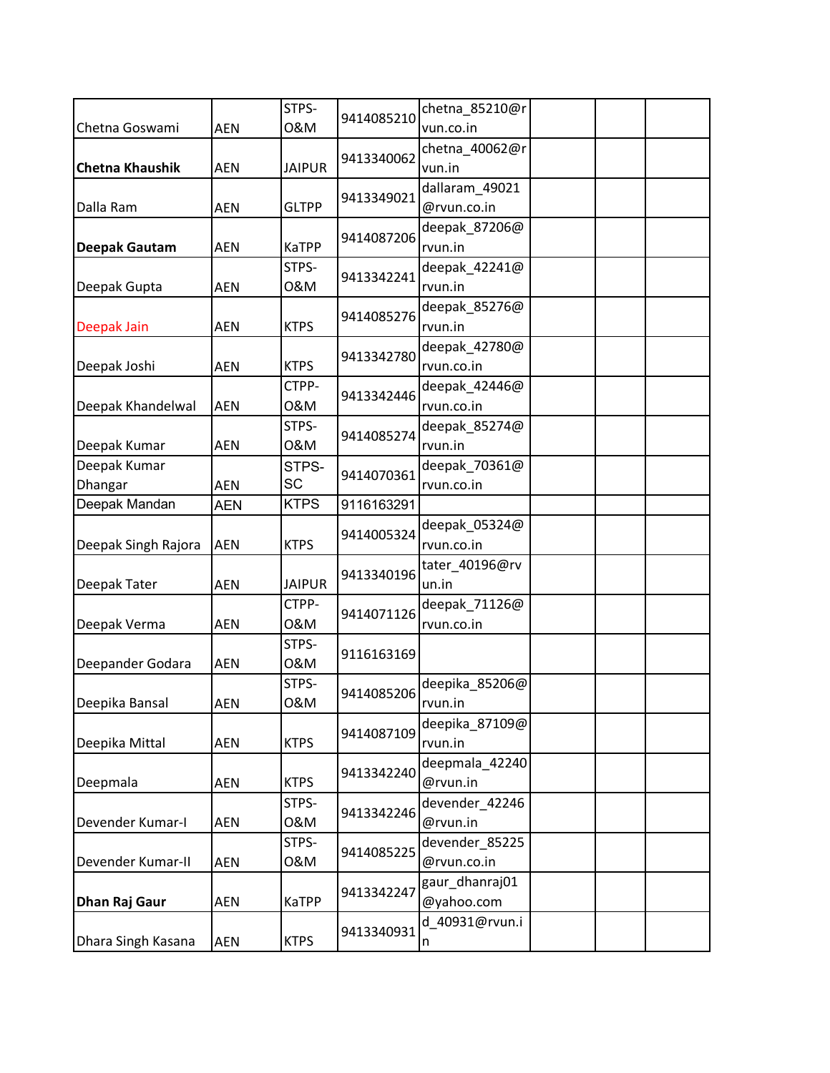| Chetna Goswami          | <b>AEN</b> | STPS-<br>0&M       | 9414085210 | chetna 85210@r<br>vun.co.in   |  |  |
|-------------------------|------------|--------------------|------------|-------------------------------|--|--|
| <b>Chetna Khaushik</b>  | <b>AEN</b> | <b>JAIPUR</b>      | 9413340062 | chetna_40062@r<br>vun.in      |  |  |
| Dalla Ram               | <b>AEN</b> | <b>GLTPP</b>       | 9413349021 | dallaram_49021<br>@rvun.co.in |  |  |
| <b>Deepak Gautam</b>    | <b>AEN</b> | KaTPP              | 9414087206 | deepak_87206@<br>rvun.in      |  |  |
| Deepak Gupta            | <b>AEN</b> | STPS-<br>0&M       | 9413342241 | deepak 42241@<br>rvun.in      |  |  |
| Deepak Jain             | <b>AEN</b> | <b>KTPS</b>        | 9414085276 | deepak_85276@<br>rvun.in      |  |  |
| Deepak Joshi            | <b>AEN</b> | <b>KTPS</b>        | 9413342780 | deepak_42780@<br>rvun.co.in   |  |  |
| Deepak Khandelwal       | AEN        | CTPP-<br>0&M       | 9413342446 | deepak_42446@<br>rvun.co.in   |  |  |
| Deepak Kumar            | <b>AEN</b> | STPS-<br>0&M       | 9414085274 | deepak_85274@<br>rvun.in      |  |  |
| Deepak Kumar<br>Dhangar | <b>AEN</b> | STPS-<br><b>SC</b> | 9414070361 | deepak_70361@<br>rvun.co.in   |  |  |
| Deepak Mandan           | <b>AEN</b> | <b>KTPS</b>        | 9116163291 |                               |  |  |
| Deepak Singh Rajora     | <b>AEN</b> | <b>KTPS</b>        | 9414005324 | deepak_05324@<br>rvun.co.in   |  |  |
| Deepak Tater            | <b>AEN</b> | <b>JAIPUR</b>      | 9413340196 | tater_40196@rv<br>un.in       |  |  |
| Deepak Verma            | <b>AEN</b> | CTPP-<br>0&M       | 9414071126 | deepak_71126@<br>rvun.co.in   |  |  |
| Deepander Godara        | <b>AEN</b> | STPS-<br>0&M       | 9116163169 |                               |  |  |
| Deepika Bansal          | AEN        | STPS-<br>0&M       | 9414085206 | deepika_85206@<br>rvun.in     |  |  |
| Deepika Mittal          | <b>AEN</b> | <b>KTPS</b>        | 9414087109 | deepika 87109@<br>rvun.in     |  |  |
| Deepmala                | <b>AEN</b> | <b>KTPS</b>        | 9413342240 | deepmala_42240<br>@rvun.in    |  |  |
| Devender Kumar-I        | <b>AEN</b> | STPS-<br>0&M       | 9413342246 | devender_42246<br>@rvun.in    |  |  |
| Devender Kumar-II       | <b>AEN</b> | STPS-<br>0&M       | 9414085225 | devender_85225<br>@rvun.co.in |  |  |
| <b>Dhan Raj Gaur</b>    | AEN        | KaTPP              | 9413342247 | gaur_dhanraj01<br>@yahoo.com  |  |  |
| Dhara Singh Kasana      | <b>AEN</b> | <b>KTPS</b>        | 9413340931 | d 40931@rvun.i<br>n           |  |  |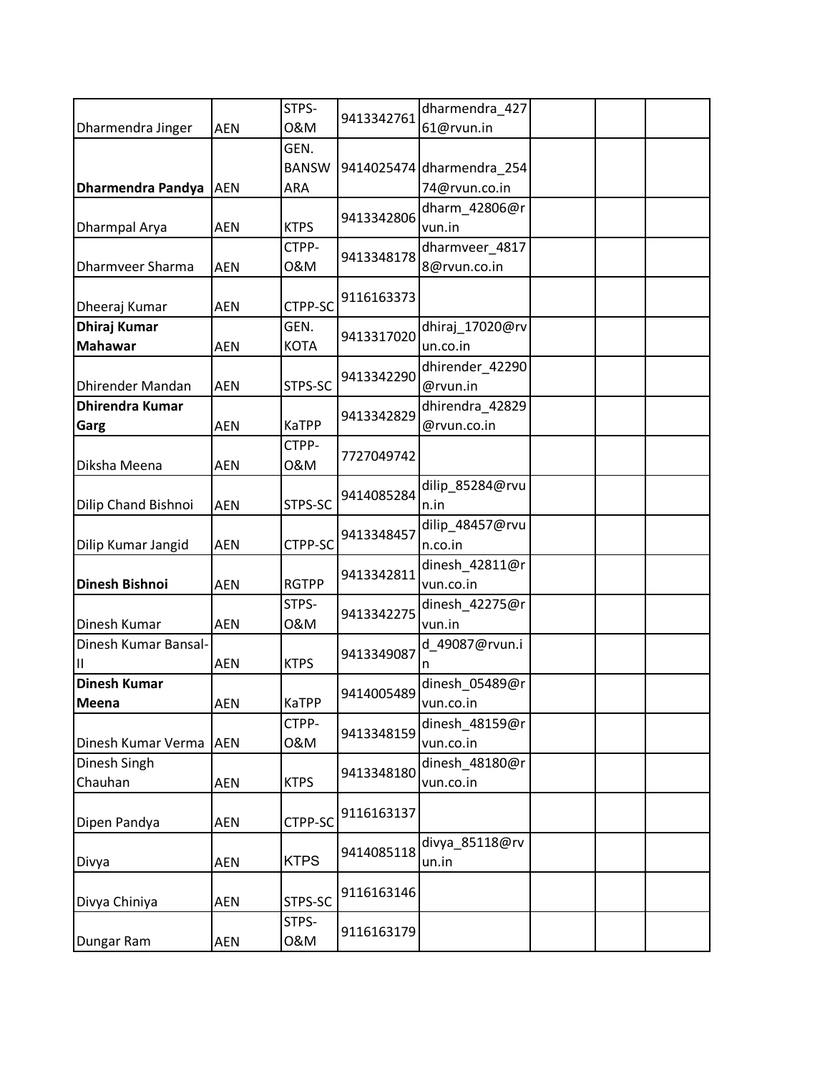|                          |            | STPS-        |            | dharmendra_427            |  |  |
|--------------------------|------------|--------------|------------|---------------------------|--|--|
| Dharmendra Jinger        | <b>AEN</b> | 0&M          | 9413342761 | 61@rvun.in                |  |  |
|                          |            | GEN.         |            |                           |  |  |
|                          |            | <b>BANSW</b> |            | 9414025474 dharmendra_254 |  |  |
| <b>Dharmendra Pandya</b> | <b>AEN</b> | ARA          |            | 74@rvun.co.in             |  |  |
|                          |            |              |            | dharm_42806@r             |  |  |
| Dharmpal Arya            | <b>AEN</b> | <b>KTPS</b>  | 9413342806 | vun.in                    |  |  |
|                          |            | CTPP-        |            | dharmveer_4817            |  |  |
| Dharmveer Sharma         | <b>AEN</b> | 0&M          | 9413348178 | 8@rvun.co.in              |  |  |
| Dheeraj Kumar            | <b>AEN</b> | CTPP-SC      | 9116163373 |                           |  |  |
| <b>Dhiraj Kumar</b>      |            | GEN.         | 9413317020 | dhiraj_17020@rv           |  |  |
| <b>Mahawar</b>           | <b>AEN</b> | <b>KOTA</b>  |            | un.co.in                  |  |  |
|                          |            |              | 9413342290 | dhirender_42290           |  |  |
| <b>Dhirender Mandan</b>  | <b>AEN</b> | STPS-SC      |            | @rvun.in                  |  |  |
| <b>Dhirendra Kumar</b>   |            |              | 9413342829 | dhirendra_42829           |  |  |
| Garg                     | <b>AEN</b> | <b>KaTPP</b> |            | @rvun.co.in               |  |  |
|                          |            | CTPP-        | 7727049742 |                           |  |  |
| Diksha Meena             | <b>AEN</b> | 0&M          |            |                           |  |  |
|                          |            |              | 9414085284 | dilip 85284@rvu           |  |  |
| Dilip Chand Bishnoi      | <b>AEN</b> | STPS-SC      |            | n.in                      |  |  |
|                          |            |              | 9413348457 | dilip_48457@rvu           |  |  |
| Dilip Kumar Jangid       | <b>AEN</b> | CTPP-SC      |            | n.co.in                   |  |  |
|                          |            |              | 9413342811 | dinesh_42811@r            |  |  |
| <b>Dinesh Bishnoi</b>    | <b>AEN</b> | <b>RGTPP</b> |            | vun.co.in                 |  |  |
|                          |            | STPS-        | 9413342275 | dinesh_42275@r            |  |  |
| Dinesh Kumar             | <b>AEN</b> | 0&M          |            | vun.in                    |  |  |
| Dinesh Kumar Bansal-     |            |              | 9413349087 | d 49087@rvun.i            |  |  |
| Ш                        | <b>AEN</b> | <b>KTPS</b>  |            | n                         |  |  |
| <b>Dinesh Kumar</b>      |            |              | 9414005489 | dinesh_05489@r            |  |  |
| Meena                    | AEN        | KaTPP        |            | vun.co.in                 |  |  |
|                          |            | CTPP-        | 9413348159 | dinesh_48159@r            |  |  |
| Dinesh Kumar Verma       | <b>AEN</b> | 0&M          |            | vun.co.in                 |  |  |
| Dinesh Singh             |            |              | 9413348180 | dinesh 48180@r            |  |  |
| Chauhan                  | AEN        | <b>KTPS</b>  |            | vun.co.in                 |  |  |
|                          |            |              |            |                           |  |  |
| Dipen Pandya             | <b>AEN</b> | CTPP-SC      | 9116163137 |                           |  |  |
|                          |            |              | 9414085118 | divya_85118@rv            |  |  |
| Divya                    | <b>AEN</b> | <b>KTPS</b>  |            | un.in                     |  |  |
|                          |            |              | 9116163146 |                           |  |  |
| Divya Chiniya            | AEN        | STPS-SC      |            |                           |  |  |
|                          |            | STPS-        | 9116163179 |                           |  |  |
| Dungar Ram               | AEN        | 0&M          |            |                           |  |  |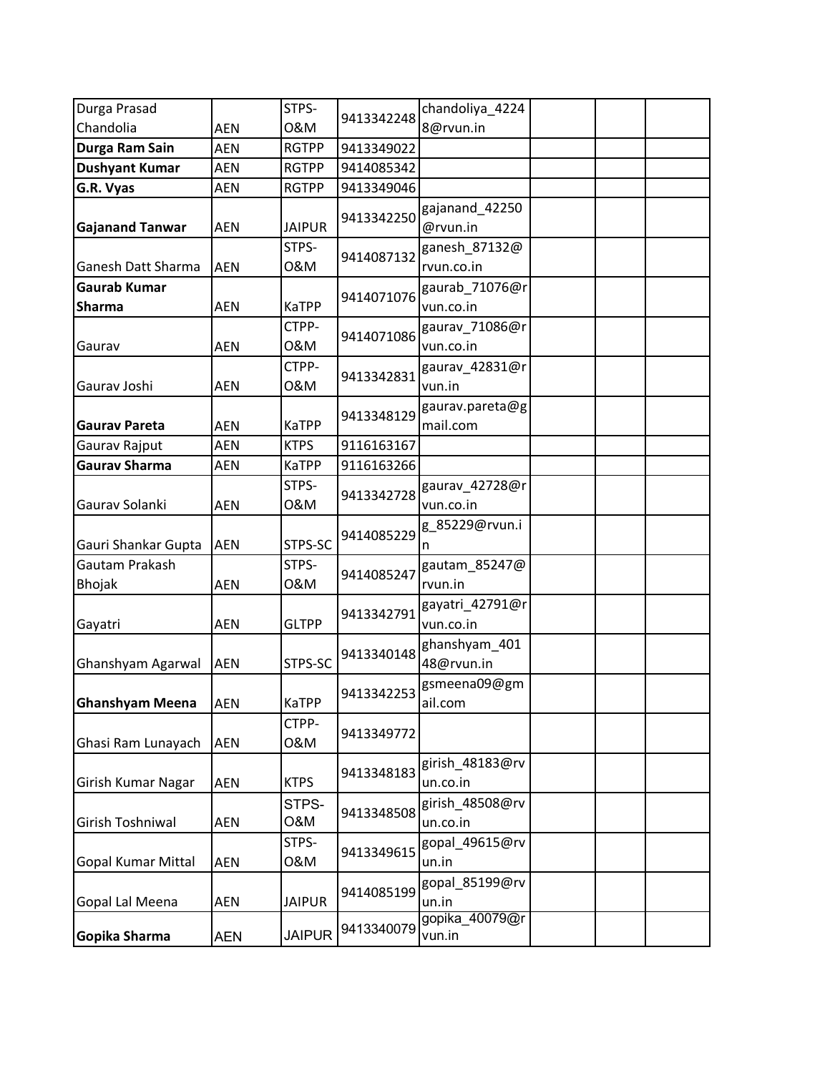| Durga Prasad                         |            | STPS-         |            | chandoliya_4224              |  |  |
|--------------------------------------|------------|---------------|------------|------------------------------|--|--|
| Chandolia                            | <b>AEN</b> | 0&M           | 9413342248 | 8@rvun.in                    |  |  |
| Durga Ram Sain                       | <b>AEN</b> | <b>RGTPP</b>  | 9413349022 |                              |  |  |
| <b>Dushyant Kumar</b>                | <b>AEN</b> | <b>RGTPP</b>  | 9414085342 |                              |  |  |
| G.R. Vyas                            | <b>AEN</b> | <b>RGTPP</b>  | 9413349046 |                              |  |  |
| <b>Gajanand Tanwar</b>               | <b>AEN</b> | <b>JAIPUR</b> | 9413342250 | gajanand_42250<br>@rvun.in   |  |  |
| <b>Ganesh Datt Sharma</b>            | <b>AEN</b> | STPS-<br>0&M  | 9414087132 | ganesh_87132@<br>rvun.co.in  |  |  |
| <b>Gaurab Kumar</b><br><b>Sharma</b> | <b>AEN</b> | <b>KaTPP</b>  | 9414071076 | gaurab_71076@r<br>vun.co.in  |  |  |
| Gaurav                               | <b>AEN</b> | CTPP-<br>0&M  | 9414071086 | gaurav_71086@r<br>vun.co.in  |  |  |
| Gaurav Joshi                         | <b>AEN</b> | CTPP-<br>0&M  | 9413342831 | gaurav_42831@r<br>vun.in     |  |  |
| <b>Gaurav Pareta</b>                 | <b>AEN</b> | KaTPP         | 9413348129 | gaurav.pareta@g<br>mail.com  |  |  |
| Gaurav Rajput                        | <b>AEN</b> | <b>KTPS</b>   | 9116163167 |                              |  |  |
| <b>Gaurav Sharma</b>                 | <b>AEN</b> | <b>KaTPP</b>  | 9116163266 |                              |  |  |
| Gaurav Solanki                       | <b>AEN</b> | STPS-<br>0&M  | 9413342728 | gaurav_42728@r<br>vun.co.in  |  |  |
| Gauri Shankar Gupta                  | <b>AEN</b> | STPS-SC       | 9414085229 | g_85229@rvun.i               |  |  |
| Gautam Prakash<br><b>Bhojak</b>      | <b>AEN</b> | STPS-<br>0&M  | 9414085247 | gautam_85247@<br>rvun.in     |  |  |
| Gayatri                              | <b>AEN</b> | <b>GLTPP</b>  | 9413342791 | gayatri_42791@r<br>vun.co.in |  |  |
| Ghanshyam Agarwal                    | <b>AEN</b> | STPS-SC       | 9413340148 | ghanshyam_401<br>48@rvun.in  |  |  |
| <b>Ghanshyam Meena</b>               | <b>AEN</b> | KaTPP         | 9413342253 | gsmeena09@gm<br>ail.com      |  |  |
| Ghasi Ram Lunayach                   | <b>AEN</b> | CTPP-<br>0&M  | 9413349772 |                              |  |  |
| Girish Kumar Nagar                   | <b>AEN</b> | <b>KTPS</b>   | 9413348183 | girish_48183@rv<br>un.co.in  |  |  |
| Girish Toshniwal                     | AEN        | STPS-<br>O&M  | 9413348508 | girish_48508@rv<br>un.co.in  |  |  |
| <b>Gopal Kumar Mittal</b>            | <b>AEN</b> | STPS-<br>0&M  | 9413349615 | gopal_49615@rv<br>un.in      |  |  |
| Gopal Lal Meena                      | AEN        | <b>JAIPUR</b> | 9414085199 | gopal_85199@rv<br>un.in      |  |  |
| Gopika Sharma                        | <b>AEN</b> | <b>JAIPUR</b> | 9413340079 | gopika_40079@r<br>vun.in     |  |  |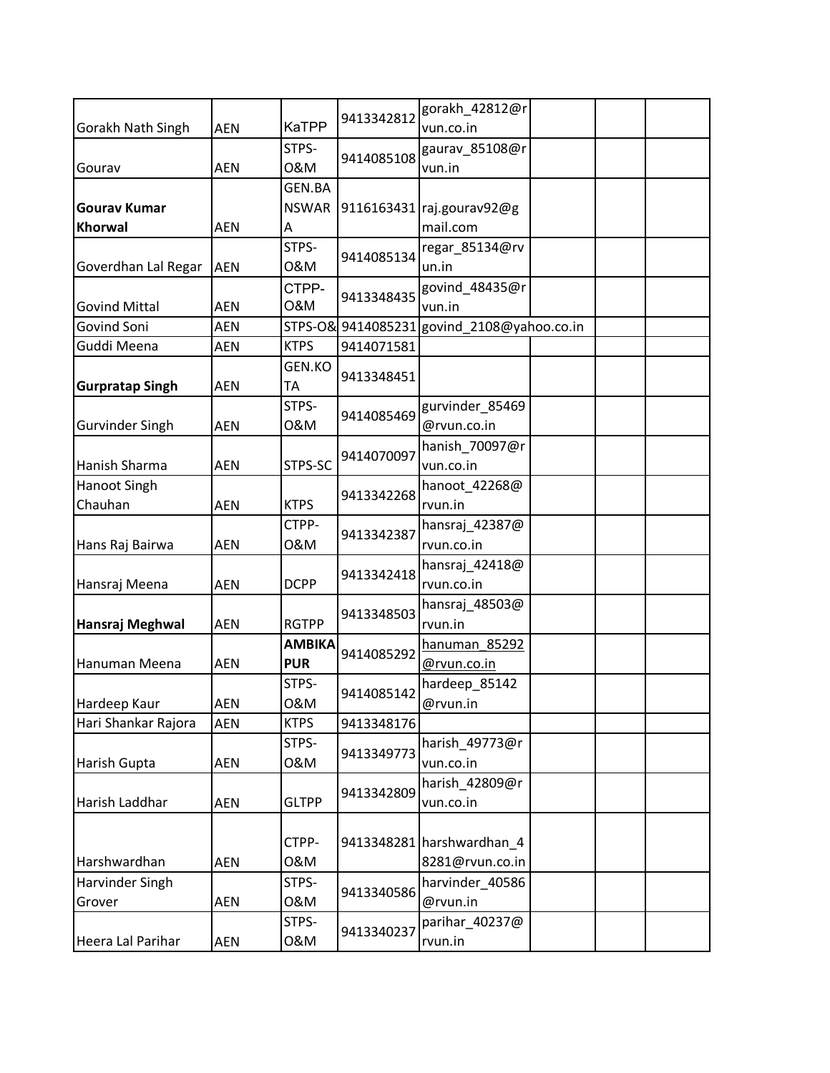|                                     |            |                         | 9413342812         | gorakh_42812@r            |  |  |
|-------------------------------------|------------|-------------------------|--------------------|---------------------------|--|--|
| Gorakh Nath Singh                   | <b>AEN</b> | <b>KaTPP</b>            |                    | vun.co.in                 |  |  |
|                                     |            | STPS-                   | 9414085108         | gaurav_85108@r            |  |  |
| Gourav                              | <b>AEN</b> | 0&M                     |                    | vun.in                    |  |  |
|                                     |            | GEN.BA                  |                    |                           |  |  |
| <b>Gourav Kumar</b>                 |            | <b>NSWAR</b>            |                    | 9116163431 raj.gourav92@g |  |  |
| Khorwal                             | <b>AEN</b> | А                       |                    | mail.com                  |  |  |
|                                     |            | STPS-                   | 9414085134         | regar_85134@rv            |  |  |
| Goverdhan Lal Regar                 | <b>AEN</b> | 0&M                     |                    | un.in                     |  |  |
| <b>Govind Mittal</b>                | <b>AEN</b> | CTPP-<br><b>O&amp;M</b> | 9413348435         | govind_48435@r<br>vun.in  |  |  |
| Govind Soni                         | <b>AEN</b> |                         | STPS-O& 9414085231 | govind_2108@yahoo.co.in   |  |  |
| Guddi Meena                         | <b>AEN</b> | <b>KTPS</b>             | 9414071581         |                           |  |  |
| <b>Gurpratap Singh</b>              | <b>AEN</b> | GEN.KO<br>TA            | 9413348451         |                           |  |  |
|                                     |            | STPS-                   | 9414085469         | gurvinder_85469           |  |  |
| <b>Gurvinder Singh</b>              | <b>AEN</b> | 0&M                     |                    | @rvun.co.in               |  |  |
|                                     |            |                         | 9414070097         | hanish 70097@r            |  |  |
| Hanish Sharma                       | <b>AEN</b> | STPS-SC                 |                    | vun.co.in                 |  |  |
| Hanoot Singh                        |            |                         | 9413342268         | hanoot_42268@             |  |  |
| Chauhan                             | <b>AEN</b> | <b>KTPS</b>             |                    | rvun.in                   |  |  |
|                                     |            | CTPP-                   | 9413342387         | hansraj_42387@            |  |  |
| Hans Raj Bairwa                     | <b>AEN</b> | 0&M                     |                    | rvun.co.in                |  |  |
|                                     |            |                         | 9413342418         | hansraj_42418@            |  |  |
| Hansraj Meena                       | <b>AEN</b> | <b>DCPP</b>             |                    | rvun.co.in                |  |  |
|                                     |            |                         | 9413348503         | hansraj_48503@            |  |  |
| Hansraj Meghwal                     | <b>AEN</b> | <b>RGTPP</b>            |                    | rvun.in                   |  |  |
|                                     |            | <b>AMBIKA</b>           | 9414085292         | hanuman 85292             |  |  |
| Hanuman Meena                       | <b>AEN</b> | <b>PUR</b>              |                    | @rvun.co.in               |  |  |
|                                     |            | STPS-                   | 9414085142         | hardeep_85142             |  |  |
| Hardeep Kaur<br>Hari Shankar Rajora | AEN        | 0&M<br><b>KTPS</b>      | 9413348176         | @rvun.in                  |  |  |
|                                     | AEN        | STPS-                   |                    | harish_49773@r            |  |  |
| <b>Harish Gupta</b>                 | <b>AEN</b> | 0&M                     | 9413349773         | vun.co.in                 |  |  |
|                                     |            |                         |                    | harish 42809@r            |  |  |
| Harish Laddhar                      | <b>AEN</b> | <b>GLTPP</b>            | 9413342809         | vun.co.in                 |  |  |
|                                     |            |                         |                    |                           |  |  |
|                                     |            | CTPP-                   |                    | 9413348281 harshwardhan_4 |  |  |
| Harshwardhan                        | <b>AEN</b> | 0&M                     |                    | 8281@rvun.co.in           |  |  |
| Harvinder Singh                     |            | STPS-                   |                    | harvinder_40586           |  |  |
| Grover                              | AEN        | 0&M                     | 9413340586         | @rvun.in                  |  |  |
|                                     |            | STPS-                   |                    | parihar_40237@            |  |  |
| Heera Lal Parihar                   | <b>AEN</b> | 0&M                     | 9413340237         | rvun.in                   |  |  |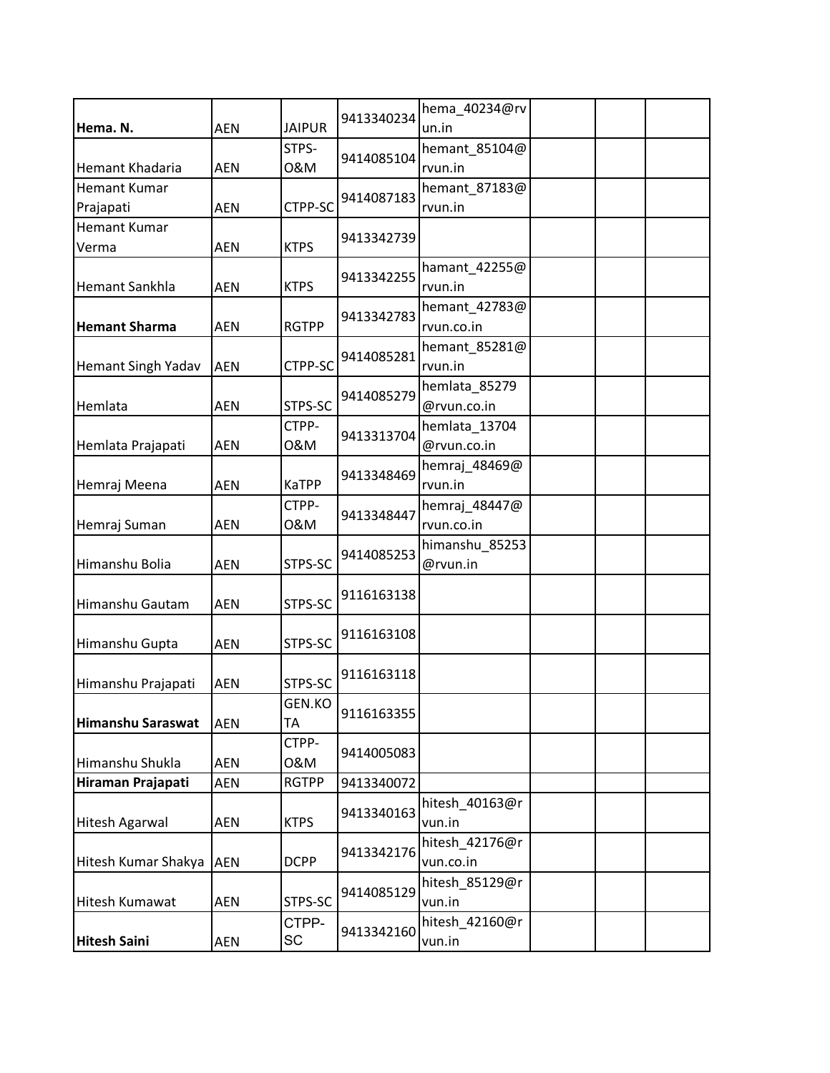| Hema. N.                         | <b>AEN</b> | <b>JAIPUR</b> | 9413340234 | hema_40234@rv<br>un.in       |  |  |
|----------------------------------|------------|---------------|------------|------------------------------|--|--|
| Hemant Khadaria                  | <b>AEN</b> | STPS-<br>0&M  | 9414085104 | hemant 85104@<br>rvun.in     |  |  |
| <b>Hemant Kumar</b><br>Prajapati | <b>AEN</b> | CTPP-SC       | 9414087183 | hemant_87183@<br>rvun.in     |  |  |
| <b>Hemant Kumar</b><br>Verma     | <b>AEN</b> | <b>KTPS</b>   | 9413342739 |                              |  |  |
| Hemant Sankhla                   | <b>AEN</b> | <b>KTPS</b>   | 9413342255 | hamant_42255@<br>rvun.in     |  |  |
| <b>Hemant Sharma</b>             | <b>AEN</b> | <b>RGTPP</b>  | 9413342783 | hemant_42783@<br>rvun.co.in  |  |  |
| Hemant Singh Yadav               | <b>AEN</b> | CTPP-SC       | 9414085281 | hemant_85281@<br>rvun.in     |  |  |
| Hemlata                          | <b>AEN</b> | STPS-SC       | 9414085279 | hemlata_85279<br>@rvun.co.in |  |  |
| Hemlata Prajapati                | <b>AEN</b> | CTPP-<br>0&M  | 9413313704 | hemlata 13704<br>@rvun.co.in |  |  |
| Hemraj Meena                     | <b>AEN</b> | <b>KaTPP</b>  | 9413348469 | hemraj_48469@<br>rvun.in     |  |  |
| Hemraj Suman                     | <b>AEN</b> | CTPP-<br>0&M  | 9413348447 | hemraj_48447@<br>rvun.co.in  |  |  |
| Himanshu Bolia                   | <b>AEN</b> | STPS-SC       | 9414085253 | himanshu_85253<br>@rvun.in   |  |  |
| Himanshu Gautam                  | <b>AEN</b> | STPS-SC       | 9116163138 |                              |  |  |
| Himanshu Gupta                   | <b>AEN</b> | STPS-SC       | 9116163108 |                              |  |  |
| Himanshu Prajapati               | <b>AEN</b> | STPS-SC       | 9116163118 |                              |  |  |
| Himanshu Saraswat                | <b>AEN</b> | GEN.KO<br>TA  | 9116163355 |                              |  |  |
| Himanshu Shukla                  | AEN        | CTPP-<br>0&M  | 9414005083 |                              |  |  |
| Hiraman Prajapati                | AEN        | <b>RGTPP</b>  | 9413340072 |                              |  |  |
| <b>Hitesh Agarwal</b>            | <b>AEN</b> | <b>KTPS</b>   | 9413340163 | hitesh_40163@r<br>vun.in     |  |  |
| Hitesh Kumar Shakya              | <b>AEN</b> | <b>DCPP</b>   | 9413342176 | hitesh_42176@r<br>vun.co.in  |  |  |
| Hitesh Kumawat                   | <b>AEN</b> | STPS-SC       | 9414085129 | hitesh_85129@r<br>vun.in     |  |  |
| <b>Hitesh Saini</b>              | AEN        | CTPP-<br>SC   | 9413342160 | hitesh_42160@r<br>vun.in     |  |  |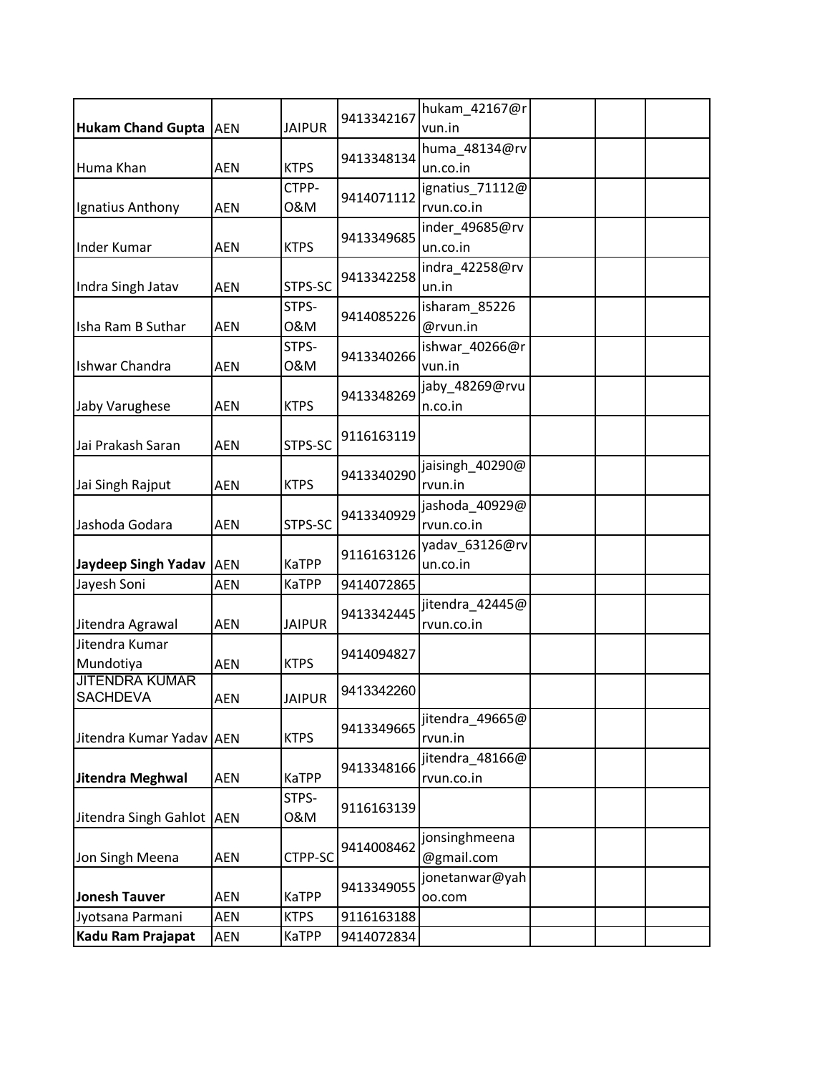| <b>Hukam Chand Gupta</b>                 | <b>AEN</b> | <b>JAIPUR</b> | 9413342167 | hukam_42167@r<br>vun.in       |  |
|------------------------------------------|------------|---------------|------------|-------------------------------|--|
|                                          |            |               |            | huma_48134@rv                 |  |
| Huma Khan                                | <b>AEN</b> | <b>KTPS</b>   | 9413348134 | un.co.in                      |  |
|                                          |            | CTPP-         | 9414071112 | ignatius 71112@               |  |
| Ignatius Anthony                         | <b>AEN</b> | 0&M           |            | rvun.co.in                    |  |
|                                          |            |               | 9413349685 | inder_49685@rv                |  |
| <b>Inder Kumar</b>                       | <b>AEN</b> | <b>KTPS</b>   |            | un.co.in                      |  |
| Indra Singh Jatav                        | <b>AEN</b> | STPS-SC       | 9413342258 | indra_42258@rv<br>un.in       |  |
|                                          |            | STPS-         | 9414085226 | isharam_85226                 |  |
| Isha Ram B Suthar                        | <b>AEN</b> | 0&M           |            | @rvun.in                      |  |
| Ishwar Chandra                           | <b>AEN</b> | STPS-<br>0&M  | 9413340266 | ishwar_40266@r<br>vun.in      |  |
| Jaby Varughese                           | <b>AEN</b> | <b>KTPS</b>   | 9413348269 | jaby_48269@rvu<br>n.co.in     |  |
| Jai Prakash Saran                        | <b>AEN</b> | STPS-SC       | 9116163119 |                               |  |
| Jai Singh Rajput                         | <b>AEN</b> | <b>KTPS</b>   | 9413340290 | jaisingh_40290@<br>rvun.in    |  |
| Jashoda Godara                           | <b>AEN</b> | STPS-SC       | 9413340929 | jashoda_40929@<br>rvun.co.in  |  |
| <b>Jaydeep Singh Yadav</b>               | <b>AEN</b> | <b>KaTPP</b>  | 9116163126 | yadav_63126@rv<br>un.co.in    |  |
| Jayesh Soni                              | <b>AEN</b> | <b>KaTPP</b>  | 9414072865 |                               |  |
| Jitendra Agrawal                         | <b>AEN</b> | <b>JAIPUR</b> | 9413342445 | jitendra_42445@<br>rvun.co.in |  |
| Jitendra Kumar                           |            |               | 9414094827 |                               |  |
| Mundotiya                                | <b>AEN</b> | <b>KTPS</b>   |            |                               |  |
| <b>JITENDRA KUMAR</b><br><b>SACHDEVA</b> | AEN        | <b>JAIPUR</b> | 9413342260 |                               |  |
| Jitendra Kumar Yadav AEN                 |            | <b>KTPS</b>   | 9413349665 | jitendra_49665@<br>rvun.in    |  |
| Jitendra Meghwal                         | <b>AEN</b> | <b>KaTPP</b>  | 9413348166 | jitendra 48166@<br>rvun.co.in |  |
| Jitendra Singh Gahlot AEN                |            | STPS-<br>0&M  | 9116163139 |                               |  |
| Jon Singh Meena                          | <b>AEN</b> | CTPP-SC       | 9414008462 | jonsinghmeena<br>@gmail.com   |  |
| <b>Jonesh Tauver</b>                     | AEN        | <b>KaTPP</b>  | 9413349055 | jonetanwar@yah<br>00.com      |  |
| Jyotsana Parmani                         | <b>AEN</b> | <b>KTPS</b>   | 9116163188 |                               |  |
| Kadu Ram Prajapat                        | AEN        | <b>KaTPP</b>  | 9414072834 |                               |  |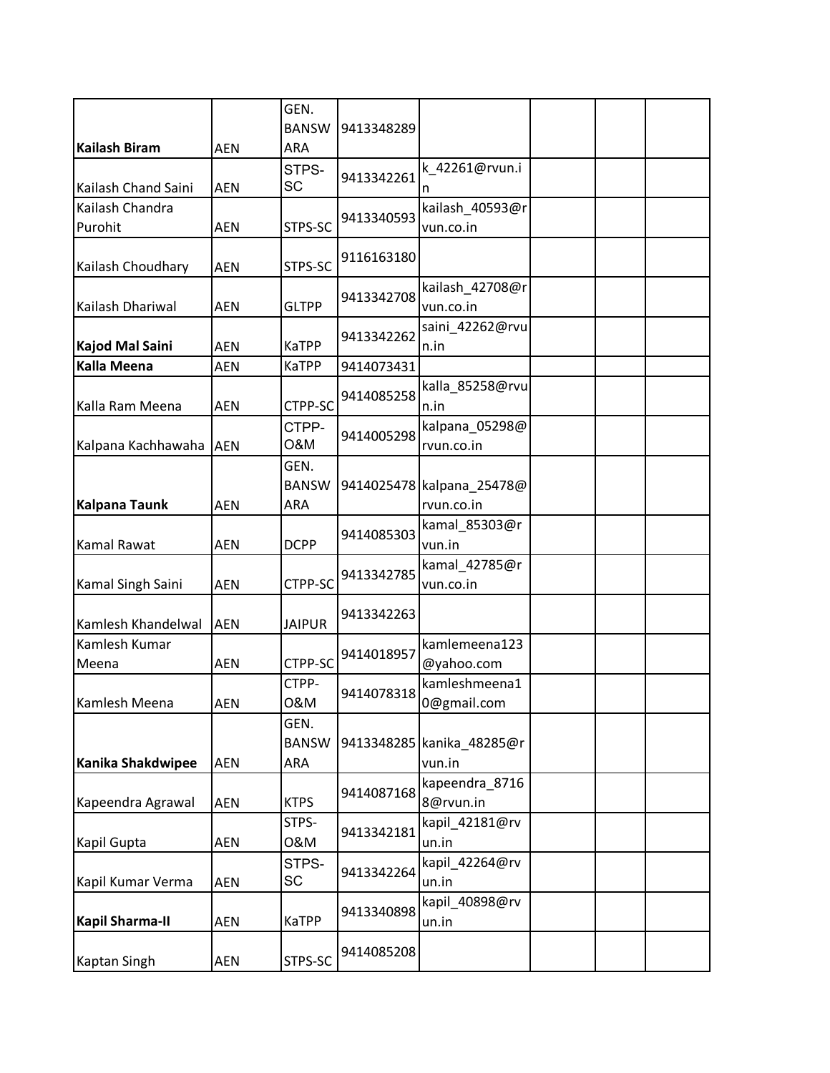|                            |            | GEN.<br><b>BANSW</b>        | 9413348289 |                                     |  |  |
|----------------------------|------------|-----------------------------|------------|-------------------------------------|--|--|
| <b>Kailash Biram</b>       | AEN        | ARA                         |            |                                     |  |  |
| Kailash Chand Saini        | <b>AEN</b> | STPS-<br>SC                 | 9413342261 | k_42261@rvun.i<br>n                 |  |  |
| Kailash Chandra<br>Purohit | <b>AEN</b> | STPS-SC                     | 9413340593 | kailash_40593@r<br>vun.co.in        |  |  |
| Kailash Choudhary          | <b>AEN</b> | STPS-SC                     | 9116163180 |                                     |  |  |
| Kailash Dhariwal           | <b>AEN</b> | <b>GLTPP</b>                | 9413342708 | kailash_42708@r<br>vun.co.in        |  |  |
| Kajod Mal Saini            | <b>AEN</b> | KaTPP                       | 9413342262 | saini_42262@rvu<br>n.in             |  |  |
| <b>Kalla Meena</b>         | <b>AEN</b> | KaTPP                       | 9414073431 |                                     |  |  |
| Kalla Ram Meena            | <b>AEN</b> | CTPP-SC                     | 9414085258 | kalla_85258@rvu<br>n.in             |  |  |
| Kalpana Kachhawaha         | <b>AEN</b> | CTPP-<br>0&M                | 9414005298 | kalpana_05298@<br>rvun.co.in        |  |  |
|                            |            | GEN.<br><b>BANSW</b>        |            | 9414025478 kalpana 25478@           |  |  |
| <b>Kalpana Taunk</b>       | <b>AEN</b> | ARA                         |            | rvun.co.in                          |  |  |
| <b>Kamal Rawat</b>         | <b>AEN</b> | <b>DCPP</b>                 | 9414085303 | kamal_85303@r<br>vun.in             |  |  |
| Kamal Singh Saini          | <b>AEN</b> | CTPP-SC                     | 9413342785 | kamal_42785@r<br>vun.co.in          |  |  |
| Kamlesh Khandelwal         | <b>AEN</b> | <b>JAIPUR</b>               | 9413342263 |                                     |  |  |
| Kamlesh Kumar<br>Meena     | <b>AEN</b> | CTPP-SC                     | 9414018957 | kamlemeena123<br>@yahoo.com         |  |  |
| Kamlesh Meena              | AEN        | CTPP-<br>0&M                | 9414078318 | kamleshmeena1<br>0@gmail.com        |  |  |
| Kanika Shakdwipee          | AEN        | GEN.<br><b>BANSW</b><br>ARA |            | 9413348285 kanika 48285@r<br>vun.in |  |  |
| Kapeendra Agrawal          | <b>AEN</b> | <b>KTPS</b>                 | 9414087168 | kapeendra 8716<br>8@rvun.in         |  |  |
| Kapil Gupta                | <b>AEN</b> | STPS-<br>0&M                | 9413342181 | kapil_42181@rv<br>un.in             |  |  |
| Kapil Kumar Verma          | <b>AEN</b> | STPS-<br><b>SC</b>          | 9413342264 | kapil_42264@rv<br>un.in             |  |  |
| <b>Kapil Sharma-II</b>     | <b>AEN</b> | <b>KaTPP</b>                | 9413340898 | kapil_40898@rv<br>un.in             |  |  |
| <b>Kaptan Singh</b>        | AEN        | STPS-SC                     | 9414085208 |                                     |  |  |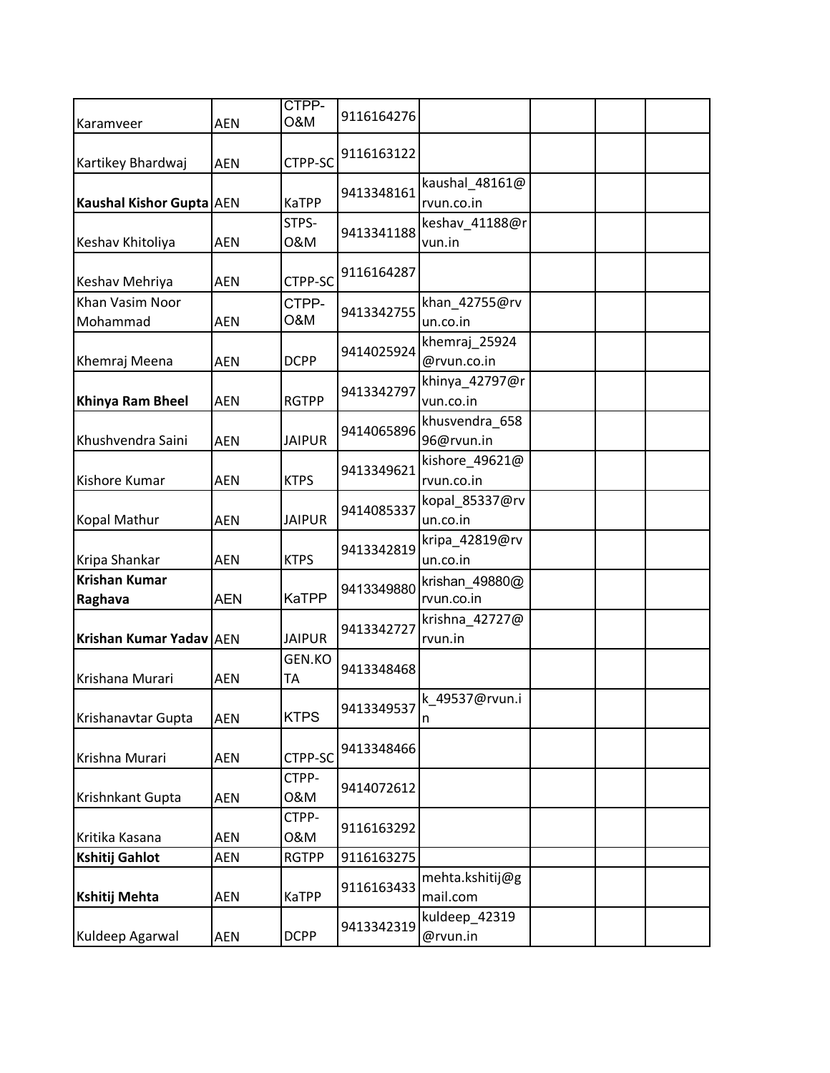| Karamveer                   | <b>AEN</b> | CTPP-<br><b>O&amp;M</b> | 9116164276 |                              |  |  |
|-----------------------------|------------|-------------------------|------------|------------------------------|--|--|
| Kartikey Bhardwaj           | <b>AEN</b> | CTPP-SC                 | 9116163122 |                              |  |  |
| Kaushal Kishor Gupta AEN    |            | KaTPP                   | 9413348161 | kaushal_48161@<br>rvun.co.in |  |  |
| Keshav Khitoliya            | <b>AEN</b> | STPS-<br>0&M            | 9413341188 | keshav_41188@r<br>vun.in     |  |  |
| Keshav Mehriya              | <b>AEN</b> | CTPP-SC                 | 9116164287 |                              |  |  |
| Khan Vasim Noor<br>Mohammad | <b>AEN</b> | CTPP-<br>O&M            | 9413342755 | khan_42755@rv<br>un.co.in    |  |  |
| Khemraj Meena               | <b>AEN</b> | <b>DCPP</b>             | 9414025924 | khemraj 25924<br>@rvun.co.in |  |  |
| Khinya Ram Bheel            | <b>AEN</b> | <b>RGTPP</b>            | 9413342797 | khinya_42797@r<br>vun.co.in  |  |  |
| Khushvendra Saini           | <b>AEN</b> | <b>JAIPUR</b>           | 9414065896 | khusvendra_658<br>96@rvun.in |  |  |
| Kishore Kumar               | <b>AEN</b> | <b>KTPS</b>             | 9413349621 | kishore 49621@<br>rvun.co.in |  |  |
| Kopal Mathur                | <b>AEN</b> | <b>JAIPUR</b>           | 9414085337 | kopal_85337@rv<br>un.co.in   |  |  |
| Kripa Shankar               | <b>AEN</b> | <b>KTPS</b>             | 9413342819 | kripa_42819@rv<br>un.co.in   |  |  |
| Krishan Kumar<br>Raghava    | <b>AEN</b> | <b>KaTPP</b>            | 9413349880 | krishan_49880@<br>rvun.co.in |  |  |
| Krishan Kumar Yadav AEN     |            | <b>JAIPUR</b>           | 9413342727 | krishna_42727@<br>rvun.in    |  |  |
| Krishana Murari             | <b>AEN</b> | GEN.KO<br>ТA            | 9413348468 |                              |  |  |
| Krishanavtar Gupta          | <b>AEN</b> | <b>KTPS</b>             | 9413349537 | k 49537@rvun.i<br>n          |  |  |
| Krishna Murari              | AEN        | CTPP-SC                 | 9413348466 |                              |  |  |
| Krishnkant Gupta            | <b>AEN</b> | CTPP-<br>0&M            | 9414072612 |                              |  |  |
| Kritika Kasana              | <b>AEN</b> | CTPP-<br>0&M            | 9116163292 |                              |  |  |
| Kshitij Gahlot              | <b>AEN</b> | <b>RGTPP</b>            | 9116163275 |                              |  |  |
| Kshitij Mehta               | AEN        | KaTPP                   | 9116163433 | mehta.kshitij@g<br>mail.com  |  |  |
| Kuldeep Agarwal             | <b>AEN</b> | <b>DCPP</b>             | 9413342319 | kuldeep_42319<br>@rvun.in    |  |  |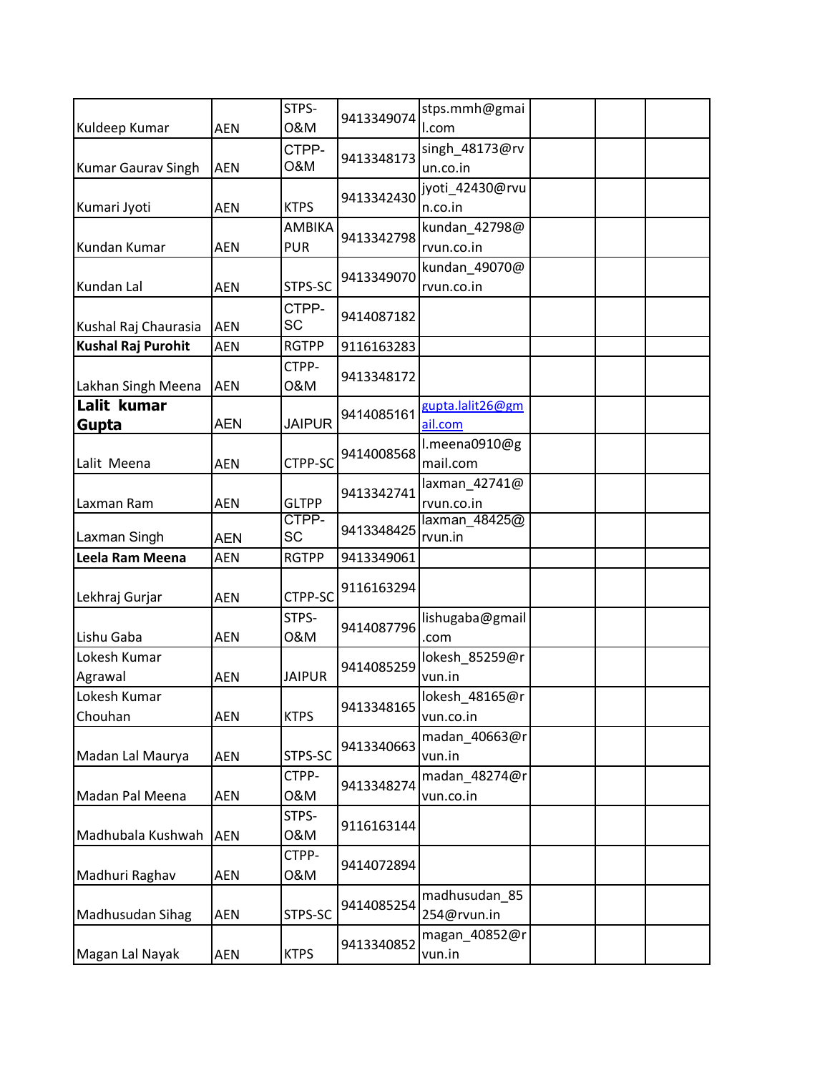| Kuldeep Kumar             | <b>AEN</b> | STPS-<br>0&M                | 9413349074 | stps.mmh@gmai<br>I.com       |  |  |
|---------------------------|------------|-----------------------------|------------|------------------------------|--|--|
| <b>Kumar Gaurav Singh</b> | <b>AEN</b> | CTPP-<br>O&M                | 9413348173 | singh 48173@rv<br>un.co.in   |  |  |
| Kumari Jyoti              | <b>AEN</b> | <b>KTPS</b>                 | 9413342430 | jyoti_42430@rvu<br>n.co.in   |  |  |
| Kundan Kumar              | <b>AEN</b> | <b>AMBIKA</b><br><b>PUR</b> | 9413342798 | kundan_42798@<br>rvun.co.in  |  |  |
| Kundan Lal                | <b>AEN</b> | STPS-SC                     | 9413349070 | kundan_49070@<br>rvun.co.in  |  |  |
| Kushal Raj Chaurasia      | <b>AEN</b> | CTPP-<br><b>SC</b>          | 9414087182 |                              |  |  |
| <b>Kushal Raj Purohit</b> | <b>AEN</b> | <b>RGTPP</b>                | 9116163283 |                              |  |  |
| Lakhan Singh Meena        | <b>AEN</b> | CTPP-<br>0&M                | 9413348172 |                              |  |  |
| Lalit kumar<br>Gupta      | <b>AEN</b> | <b>JAIPUR</b>               | 9414085161 | gupta.lalit26@gm<br>ail.com  |  |  |
| Lalit Meena               | <b>AEN</b> | CTPP-SC                     | 9414008568 | l.meena0910@g<br>mail.com    |  |  |
| Laxman Ram                | <b>AEN</b> | <b>GLTPP</b>                | 9413342741 | laxman_42741@<br>rvun.co.in  |  |  |
| Laxman Singh              | <b>AEN</b> | CTPP-<br><b>SC</b>          | 9413348425 | laxman_48425@<br>rvun.in     |  |  |
| Leela Ram Meena           | <b>AEN</b> | <b>RGTPP</b>                | 9413349061 |                              |  |  |
| Lekhraj Gurjar            | <b>AEN</b> | CTPP-SC                     | 9116163294 |                              |  |  |
| Lishu Gaba                | <b>AEN</b> | STPS-<br>0&M                | 9414087796 | lishugaba@gmail<br>.com      |  |  |
| Lokesh Kumar<br>Agrawal   | <b>AEN</b> | <b>JAIPUR</b>               | 9414085259 | lokesh_85259@r<br>vun.in     |  |  |
| Lokesh Kumar<br>Chouhan   | <b>AEN</b> | <b>KTPS</b>                 | 9413348165 | lokesh 48165@r<br>vun.co.in  |  |  |
| Madan Lal Maurya          | <b>AEN</b> | STPS-SC                     | 9413340663 | madan_40663@r<br>vun.in      |  |  |
| Madan Pal Meena           | <b>AEN</b> | CTPP-<br>0&M                | 9413348274 | madan 48274@r<br>vun.co.in   |  |  |
| Madhubala Kushwah         | <b>AEN</b> | STPS-<br>0&M                | 9116163144 |                              |  |  |
| Madhuri Raghav            | <b>AEN</b> | CTPP-<br>0&M                | 9414072894 |                              |  |  |
| Madhusudan Sihag          | AEN        | STPS-SC                     | 9414085254 | madhusudan_85<br>254@rvun.in |  |  |
| Magan Lal Nayak           | AEN        | <b>KTPS</b>                 | 9413340852 | magan_40852@r<br>vun.in      |  |  |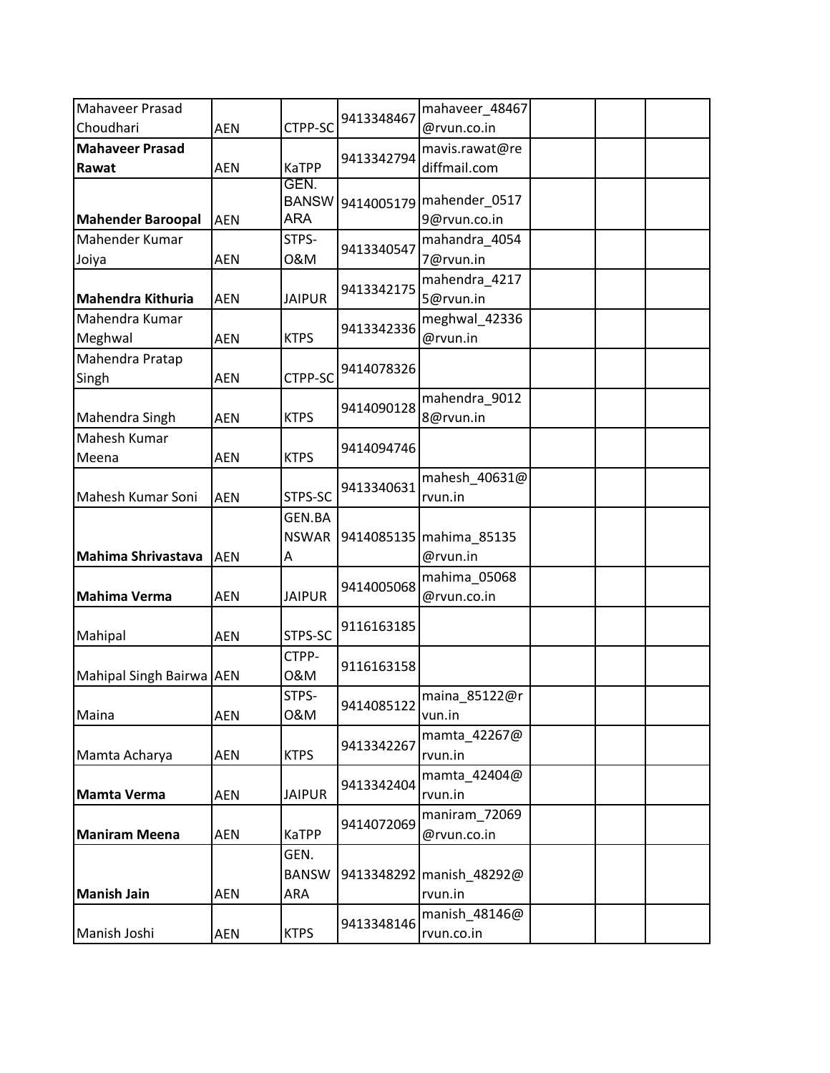| Mahaveer Prasad                            |            |                            |            | mahaveer_48467                |  |
|--------------------------------------------|------------|----------------------------|------------|-------------------------------|--|
| Choudhari                                  | <b>AEN</b> | CTPP-SC                    | 9413348467 | @rvun.co.in                   |  |
| <b>Mahaveer Prasad</b>                     |            |                            | 9413342794 | mavis.rawat@re                |  |
| Rawat                                      | <b>AEN</b> | <b>KaTPP</b>               |            | diffmail.com                  |  |
|                                            |            | GEN.                       |            |                               |  |
|                                            | <b>AEN</b> | <b>BANSW</b><br><b>ARA</b> | 9414005179 | mahender_0517                 |  |
| <b>Mahender Baroopal</b><br>Mahender Kumar |            | STPS-                      |            | 9@rvun.co.in<br>mahandra_4054 |  |
|                                            | <b>AEN</b> | 0&M                        | 9413340547 | 7@rvun.in                     |  |
| Joiya                                      |            |                            |            | mahendra_4217                 |  |
| <b>Mahendra Kithuria</b>                   | <b>AEN</b> | <b>JAIPUR</b>              | 9413342175 | 5@rvun.in                     |  |
| Mahendra Kumar                             |            |                            |            | meghwal_42336                 |  |
| Meghwal                                    | <b>AEN</b> | <b>KTPS</b>                | 9413342336 | @rvun.in                      |  |
| Mahendra Pratap                            |            |                            |            |                               |  |
| Singh                                      | <b>AEN</b> | CTPP-SC                    | 9414078326 |                               |  |
|                                            |            |                            |            | mahendra_9012                 |  |
| Mahendra Singh                             | <b>AEN</b> | <b>KTPS</b>                | 9414090128 | 8@rvun.in                     |  |
| Mahesh Kumar                               |            |                            |            |                               |  |
| Meena                                      | <b>AEN</b> | <b>KTPS</b>                | 9414094746 |                               |  |
|                                            |            |                            |            | mahesh_40631@                 |  |
| Mahesh Kumar Soni                          | <b>AEN</b> | STPS-SC                    | 9413340631 | rvun.in                       |  |
|                                            |            | GEN.BA                     |            |                               |  |
|                                            |            | <b>NSWAR</b>               |            | 9414085135 mahima 85135       |  |
| Mahima Shrivastava                         | <b>AEN</b> | Α                          |            | @rvun.in                      |  |
|                                            |            |                            |            | mahima_05068                  |  |
| <b>Mahima Verma</b>                        | <b>AEN</b> | <b>JAIPUR</b>              | 9414005068 | @rvun.co.in                   |  |
|                                            |            |                            |            |                               |  |
| Mahipal                                    | <b>AEN</b> | STPS-SC                    | 9116163185 |                               |  |
|                                            |            | CTPP-                      |            |                               |  |
| Mahipal Singh Bairwa AEN                   |            | 0&M                        | 9116163158 |                               |  |
|                                            |            | STPS-                      |            | 9414085122 maina_85122@r      |  |
| Maina                                      | <b>AEN</b> | 0&M                        |            | vun.in                        |  |
|                                            |            |                            |            | mamta_42267@                  |  |
| Mamta Acharya                              | AEN        | <b>KTPS</b>                | 9413342267 | rvun.in                       |  |
|                                            |            |                            |            | mamta_42404@                  |  |
| <b>Mamta Verma</b>                         | <b>AEN</b> | <b>JAIPUR</b>              | 9413342404 | rvun.in                       |  |
|                                            |            |                            |            | maniram_72069                 |  |
| <b>Maniram Meena</b>                       | AEN        | KaTPP                      | 9414072069 | @rvun.co.in                   |  |
|                                            |            | GEN.                       |            |                               |  |
|                                            |            | <b>BANSW</b>               |            | 9413348292 manish_48292@      |  |
| <b>Manish Jain</b>                         | <b>AEN</b> | ARA                        |            | rvun.in                       |  |
|                                            |            |                            | 9413348146 | manish_48146@                 |  |
| Manish Joshi                               | AEN        | <b>KTPS</b>                |            | rvun.co.in                    |  |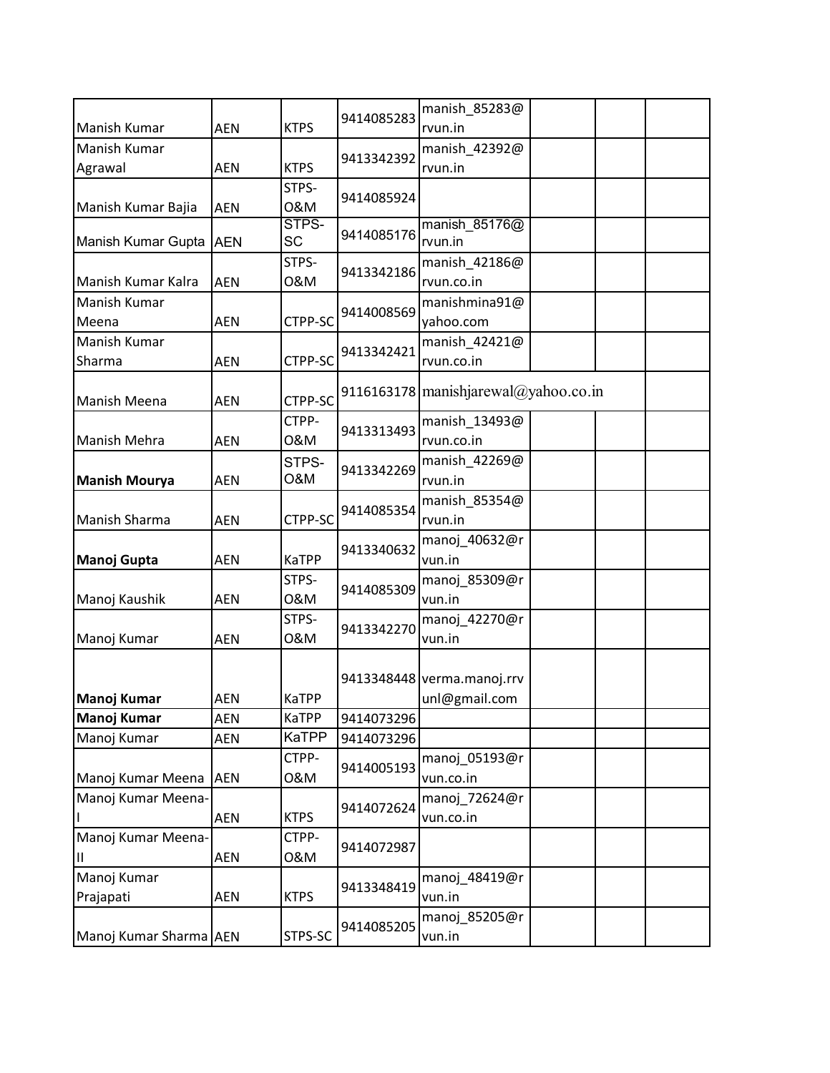|                        |            |                      |            | manish 85283@                        |
|------------------------|------------|----------------------|------------|--------------------------------------|
| Manish Kumar           | <b>AEN</b> | <b>KTPS</b>          | 9414085283 | rvun.in                              |
| Manish Kumar           |            |                      |            | manish 42392@                        |
| Agrawal                | <b>AEN</b> | <b>KTPS</b>          | 9413342392 | rvun.in                              |
|                        |            | STPS-                | 9414085924 |                                      |
| Manish Kumar Bajia     | <b>AEN</b> | 0&M                  |            |                                      |
| Manish Kumar Gupta AEN |            | STPS-<br>SC          | 9414085176 | manish 85176@<br>rvun.in             |
|                        |            | STPS-                | 9413342186 | manish_42186@                        |
| Manish Kumar Kalra     | <b>AEN</b> | 0&M                  |            | rvun.co.in                           |
| Manish Kumar           |            |                      | 9414008569 | manishmina91@                        |
| Meena                  | <b>AEN</b> | CTPP-SC              |            | yahoo.com                            |
| Manish Kumar           |            |                      | 9413342421 | manish_42421@                        |
| Sharma                 | <b>AEN</b> | CTPP-SC              |            | rvun.co.in                           |
| Manish Meena           | <b>AEN</b> | CTPP-SC              |            | 9116163178 manishjarewal@yahoo.co.in |
|                        |            | CTPP-                | 9413313493 | manish_13493@                        |
| Manish Mehra           | <b>AEN</b> | 0&M                  |            | rvun.co.in                           |
|                        |            | STPS-                | 9413342269 | manish_42269@                        |
| <b>Manish Mourya</b>   | <b>AEN</b> | <b>O&amp;M</b>       |            | rvun.in                              |
|                        |            |                      | 9414085354 | manish_85354@                        |
| Manish Sharma          | <b>AEN</b> | CTPP-SC              |            | rvun.in                              |
| Manoj Gupta            | <b>AEN</b> | <b>KaTPP</b>         | 9413340632 | manoj_40632@r<br>vun.in              |
|                        |            | STPS-                |            | manoj_85309@r                        |
| Manoj Kaushik          | <b>AEN</b> | 0&M                  | 9414085309 | vun.in                               |
|                        |            | STPS-                | 9413342270 | manoj_42270@r                        |
| Manoj Kumar            | <b>AEN</b> | 0&M                  |            | vun.in                               |
|                        |            |                      |            |                                      |
|                        |            |                      |            | 9413348448 verma.manoj.rrv           |
| Manoj Kumar            | <b>AEN</b> | <b>KaTPP</b>         |            | unl@gmail.com                        |
| Manoj Kumar            | <b>AEN</b> | <b>KaTPP</b>         | 9414073296 |                                      |
| Manoj Kumar            | <b>AEN</b> | KaTPP                | 9414073296 |                                      |
|                        |            | CTPP-                | 9414005193 | manoj 05193@r                        |
| Manoj Kumar Meena      | <b>AEN</b> | 0&M                  |            | vun.co.in                            |
| Manoj Kumar Meena-     |            |                      | 9414072624 | manoj_72624@r                        |
| Manoj Kumar Meena-     | <b>AEN</b> | <b>KTPS</b><br>CTPP- |            | vun.co.in                            |
|                        |            | 0&M                  | 9414072987 |                                      |
| Ш<br>Manoj Kumar       | AEN        |                      |            | manoj_48419@r                        |
| Prajapati              | AEN        | <b>KTPS</b>          | 9413348419 | vun.in                               |
|                        |            |                      |            | manoj 85205@r                        |
| Manoj Kumar Sharma AEN |            | STPS-SC              | 9414085205 | vun.in                               |
|                        |            |                      |            |                                      |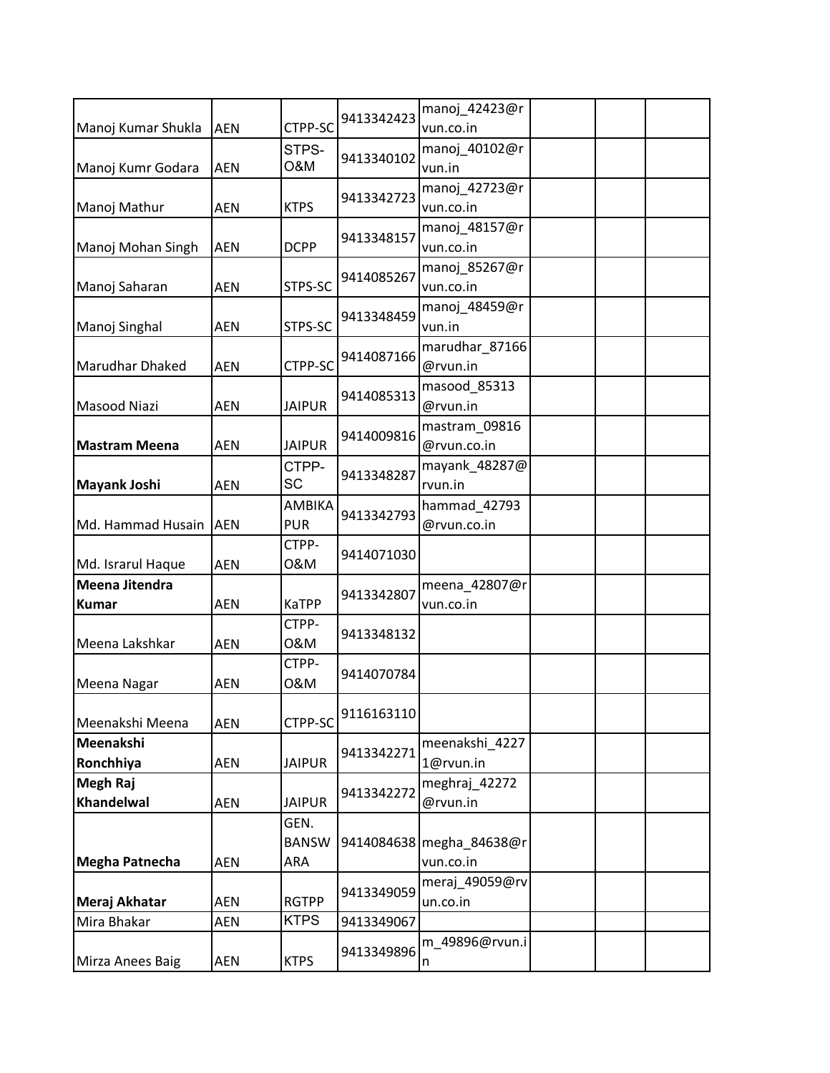|                      |            |               | 9413342423 | manoj 42423@r            |  |
|----------------------|------------|---------------|------------|--------------------------|--|
| Manoj Kumar Shukla   | <b>AEN</b> | CTPP-SC       |            | vun.co.in                |  |
|                      |            | STPS-         | 9413340102 | manoj_40102@r            |  |
| Manoj Kumr Godara    | <b>AEN</b> | O&M           |            | vun.in                   |  |
|                      |            |               | 9413342723 | manoj_42723@r            |  |
| Manoj Mathur         | <b>AEN</b> | <b>KTPS</b>   |            | vun.co.in                |  |
|                      |            |               | 9413348157 | manoj_48157@r            |  |
| Manoj Mohan Singh    | <b>AEN</b> | <b>DCPP</b>   |            | vun.co.in                |  |
|                      |            |               | 9414085267 | manoj_85267@r            |  |
| Manoj Saharan        | <b>AEN</b> | STPS-SC       |            | vun.co.in                |  |
|                      |            |               | 9413348459 | manoj_48459@r            |  |
| Manoj Singhal        | AEN        | STPS-SC       |            | vun.in                   |  |
|                      |            |               | 9414087166 | marudhar_87166           |  |
| Marudhar Dhaked      | <b>AEN</b> | CTPP-SC       |            | @rvun.in                 |  |
|                      |            |               | 9414085313 | masood_85313             |  |
| Masood Niazi         | <b>AEN</b> | <b>JAIPUR</b> |            | @rvun.in                 |  |
|                      |            |               | 9414009816 | mastram 09816            |  |
| <b>Mastram Meena</b> | <b>AEN</b> | <b>JAIPUR</b> |            | @rvun.co.in              |  |
|                      |            | CTPP-         | 9413348287 | mayank_48287@            |  |
| <b>Mayank Joshi</b>  | <b>AEN</b> | <b>SC</b>     |            | rvun.in                  |  |
|                      |            | AMBIKA        | 9413342793 | hammad_42793             |  |
| Md. Hammad Husain    | <b>AEN</b> | <b>PUR</b>    |            | @rvun.co.in              |  |
|                      |            | CTPP-         | 9414071030 |                          |  |
| Md. Israrul Haque    | <b>AEN</b> | 0&M           |            |                          |  |
| Meena Jitendra       |            |               | 9413342807 | meena_42807@r            |  |
| <b>Kumar</b>         | <b>AEN</b> | <b>KaTPP</b>  |            | vun.co.in                |  |
|                      |            | CTPP-         | 9413348132 |                          |  |
| Meena Lakshkar       | <b>AEN</b> | 0&M           |            |                          |  |
|                      |            | CTPP-         | 9414070784 |                          |  |
| Meena Nagar          | AEN        | 0&M           |            |                          |  |
|                      |            |               | 9116163110 |                          |  |
| Meenakshi Meena      | <b>AEN</b> | CTPP-SC       |            |                          |  |
| Meenakshi            |            |               | 9413342271 | meenakshi_4227           |  |
| Ronchhiya            | AEN        | <b>JAIPUR</b> |            | 1@rvun.in                |  |
| <b>Megh Raj</b>      |            |               | 9413342272 | meghraj 42272            |  |
| <b>Khandelwal</b>    | AEN        | <b>JAIPUR</b> |            | @rvun.in                 |  |
|                      |            | GEN.          |            |                          |  |
|                      |            | <b>BANSW</b>  |            | 9414084638 megha 84638@r |  |
| Megha Patnecha       | <b>AEN</b> | ARA           |            | vun.co.in                |  |
|                      |            |               | 9413349059 | meraj_49059@rv           |  |
| Meraj Akhatar        | AEN        | <b>RGTPP</b>  |            | un.co.in                 |  |
| Mira Bhakar          | AEN        | <b>KTPS</b>   | 9413349067 |                          |  |
|                      |            |               | 9413349896 | m_49896@rvun.i           |  |
| Mirza Anees Baig     | AEN        | <b>KTPS</b>   |            | n                        |  |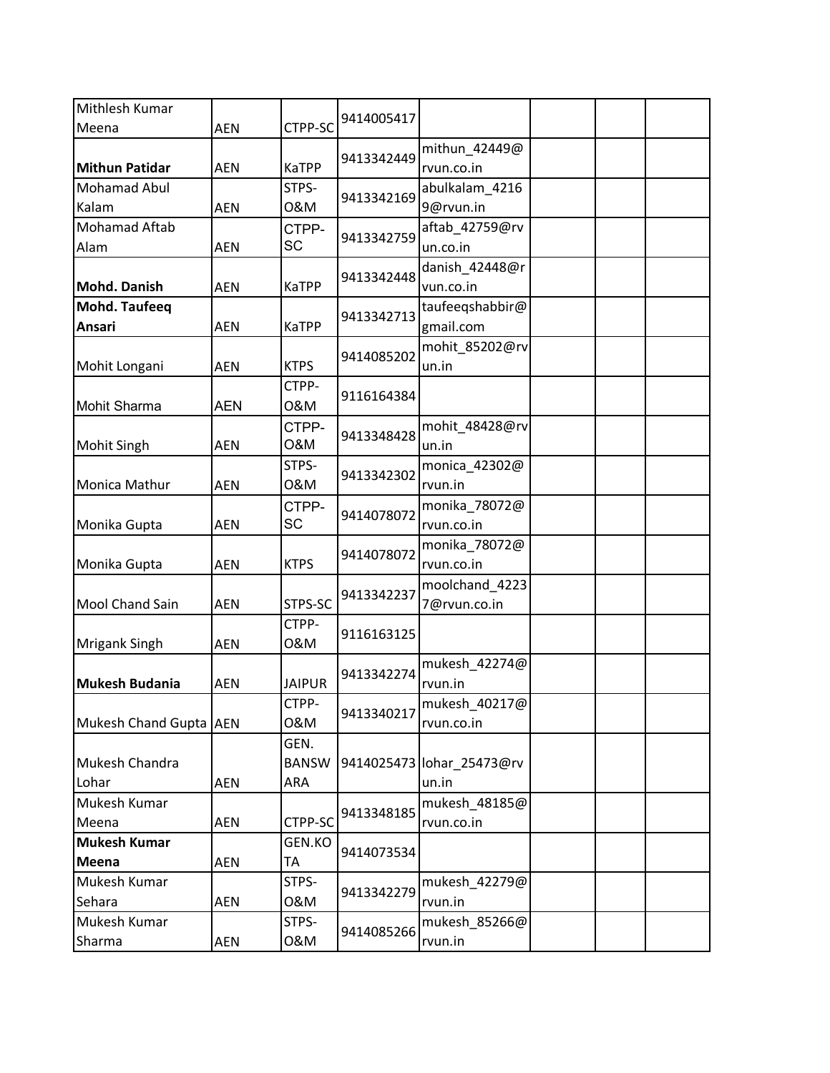| Mithlesh Kumar         |            |               |            |                           |  |  |
|------------------------|------------|---------------|------------|---------------------------|--|--|
| Meena                  | <b>AEN</b> | CTPP-SC       | 9414005417 |                           |  |  |
|                        |            |               | 9413342449 | mithun_42449@             |  |  |
| <b>Mithun Patidar</b>  | <b>AEN</b> | KaTPP         |            | rvun.co.in                |  |  |
| Mohamad Abul           |            | STPS-         | 9413342169 | abulkalam_4216            |  |  |
| Kalam                  | <b>AEN</b> | 0&M           |            | 9@rvun.in                 |  |  |
| Mohamad Aftab          |            | CTPP-         | 9413342759 | aftab_42759@rv            |  |  |
| Alam                   | <b>AEN</b> | SC            |            | un.co.in                  |  |  |
|                        |            |               | 9413342448 | danish_42448@r            |  |  |
| <b>Mohd. Danish</b>    | <b>AEN</b> | <b>KaTPP</b>  |            | vun.co.in                 |  |  |
| <b>Mohd. Taufeeq</b>   |            |               | 9413342713 | taufeeqshabbir@           |  |  |
| Ansari                 | <b>AEN</b> | KaTPP         |            | gmail.com                 |  |  |
|                        |            | <b>KTPS</b>   | 9414085202 | mohit_85202@rv            |  |  |
| Mohit Longani          | <b>AEN</b> | CTPP-         |            | un.in                     |  |  |
| Mohit Sharma           | <b>AEN</b> | 0&M           | 9116164384 |                           |  |  |
|                        |            | CTPP-         |            | mohit_48428@rv            |  |  |
| <b>Mohit Singh</b>     | <b>AEN</b> | 0&M           | 9413348428 | un.in                     |  |  |
|                        |            | STPS-         |            | monica_42302@             |  |  |
| Monica Mathur          | <b>AEN</b> | 0&M           | 9413342302 | rvun.in                   |  |  |
|                        |            | CTPP-         |            | monika_78072@             |  |  |
| Monika Gupta           | <b>AEN</b> | SC            | 9414078072 | rvun.co.in                |  |  |
|                        |            |               |            | monika_78072@             |  |  |
| Monika Gupta           | <b>AEN</b> | <b>KTPS</b>   | 9414078072 | rvun.co.in                |  |  |
|                        |            |               | 9413342237 | moolchand_4223            |  |  |
| Mool Chand Sain        | <b>AEN</b> | STPS-SC       |            | 7@rvun.co.in              |  |  |
|                        |            | CTPP-         | 9116163125 |                           |  |  |
| <b>Mrigank Singh</b>   | <b>AEN</b> | 0&M           |            |                           |  |  |
|                        |            |               | 9413342274 | mukesh 42274@             |  |  |
| <b>Mukesh Budania</b>  | AEN        | <b>JAIPUR</b> |            | rvun.in                   |  |  |
|                        |            | CTPP-         | 9413340217 | mukesh_40217@             |  |  |
| Mukesh Chand Gupta AEN |            | 0&M           |            | rvun.co.in                |  |  |
|                        |            | GEN.          |            |                           |  |  |
| Mukesh Chandra         |            | <b>BANSW</b>  |            | 9414025473 lohar_25473@rv |  |  |
| Lohar<br>Mukesh Kumar  | AEN        | ARA           |            | un.in<br>mukesh_48185@    |  |  |
| Meena                  | AEN        | CTPP-SC       | 9413348185 | rvun.co.in                |  |  |
| <b>Mukesh Kumar</b>    |            | GEN.KO        |            |                           |  |  |
| Meena                  | AEN        | TA            | 9414073534 |                           |  |  |
| Mukesh Kumar           |            | STPS-         |            | mukesh_42279@             |  |  |
| Sehara                 | AEN        | 0&M           | 9413342279 | rvun.in                   |  |  |
| Mukesh Kumar           |            | STPS-         |            | mukesh_85266@             |  |  |
| Sharma                 | AEN        | 0&M           | 9414085266 | rvun.in                   |  |  |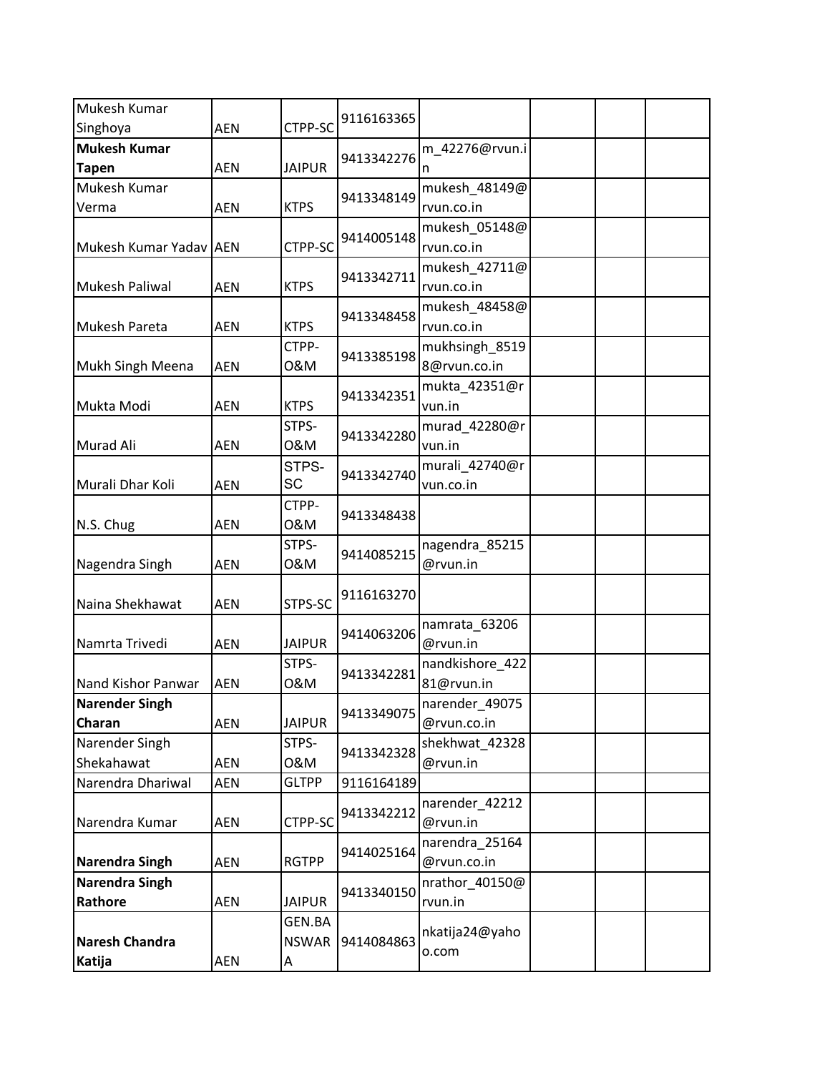| Mukesh Kumar           |            |               |            |                 |  |  |
|------------------------|------------|---------------|------------|-----------------|--|--|
| Singhoya               | <b>AEN</b> | CTPP-SC       | 9116163365 |                 |  |  |
| <b>Mukesh Kumar</b>    |            |               | 9413342276 | m_42276@rvun.i  |  |  |
| <b>Tapen</b>           | <b>AEN</b> | <b>JAIPUR</b> |            | n               |  |  |
| Mukesh Kumar           |            |               | 9413348149 | mukesh_48149@   |  |  |
| Verma                  | <b>AEN</b> | <b>KTPS</b>   |            | rvun.co.in      |  |  |
|                        |            |               | 9414005148 | mukesh_05148@   |  |  |
| Mukesh Kumar Yadav AEN |            | CTPP-SC       |            | rvun.co.in      |  |  |
|                        |            |               | 9413342711 | mukesh_42711@   |  |  |
| Mukesh Paliwal         | <b>AEN</b> | <b>KTPS</b>   |            | rvun.co.in      |  |  |
|                        |            |               | 9413348458 | mukesh_48458@   |  |  |
| <b>Mukesh Pareta</b>   | <b>AEN</b> | <b>KTPS</b>   |            | rvun.co.in      |  |  |
|                        |            | CTPP-         | 9413385198 | mukhsingh_8519  |  |  |
| Mukh Singh Meena       | <b>AEN</b> | 0&M           |            | 8@rvun.co.in    |  |  |
|                        |            |               | 9413342351 | mukta_42351@r   |  |  |
| Mukta Modi             | <b>AEN</b> | <b>KTPS</b>   |            | vun.in          |  |  |
|                        |            | STPS-         | 9413342280 | murad_42280@r   |  |  |
| Murad Ali              | <b>AEN</b> | 0&M           |            | vun.in          |  |  |
|                        |            | STPS-         | 9413342740 | murali_42740@r  |  |  |
| Murali Dhar Koli       | <b>AEN</b> | <b>SC</b>     |            | vun.co.in       |  |  |
|                        |            | CTPP-         | 9413348438 |                 |  |  |
| N.S. Chug              | <b>AEN</b> | 0&M           |            |                 |  |  |
|                        |            | STPS-         | 9414085215 | nagendra_85215  |  |  |
| Nagendra Singh         | <b>AEN</b> | 0&M           |            | @rvun.in        |  |  |
| Naina Shekhawat        | <b>AEN</b> | STPS-SC       | 9116163270 |                 |  |  |
|                        |            |               |            | namrata_63206   |  |  |
| Namrta Trivedi         | <b>AEN</b> | <b>JAIPUR</b> | 9414063206 | @rvun.in        |  |  |
|                        |            | STPS-         |            | nandkishore_422 |  |  |
| Nand Kishor Panwar     | <b>AEN</b> | 0&M           | 9413342281 | 81@rvun.in      |  |  |
| <b>Narender Singh</b>  |            |               | 9413349075 | narender_49075  |  |  |
| Charan                 | <b>AEN</b> | <b>JAIPUR</b> |            | @rvun.co.in     |  |  |
| Narender Singh         |            | STPS-         | 9413342328 | shekhwat 42328  |  |  |
| Shekahawat             | AEN        | 0&M           |            | @rvun.in        |  |  |
| Narendra Dhariwal      | AEN        | <b>GLTPP</b>  | 9116164189 |                 |  |  |
|                        |            |               | 9413342212 | narender_42212  |  |  |
| Narendra Kumar         | <b>AEN</b> | CTPP-SC       |            | @rvun.in        |  |  |
|                        |            |               | 9414025164 | narendra_25164  |  |  |
| <b>Narendra Singh</b>  | <b>AEN</b> | <b>RGTPP</b>  |            | @rvun.co.in     |  |  |
| Narendra Singh         |            |               | 9413340150 | nrathor_40150@  |  |  |
| Rathore                | AEN        | <b>JAIPUR</b> |            | rvun.in         |  |  |
|                        |            | GEN.BA        |            | nkatija24@yaho  |  |  |
| <b>Naresh Chandra</b>  |            | <b>NSWAR</b>  | 9414084863 | o.com           |  |  |
| Katija                 | AEN        | A             |            |                 |  |  |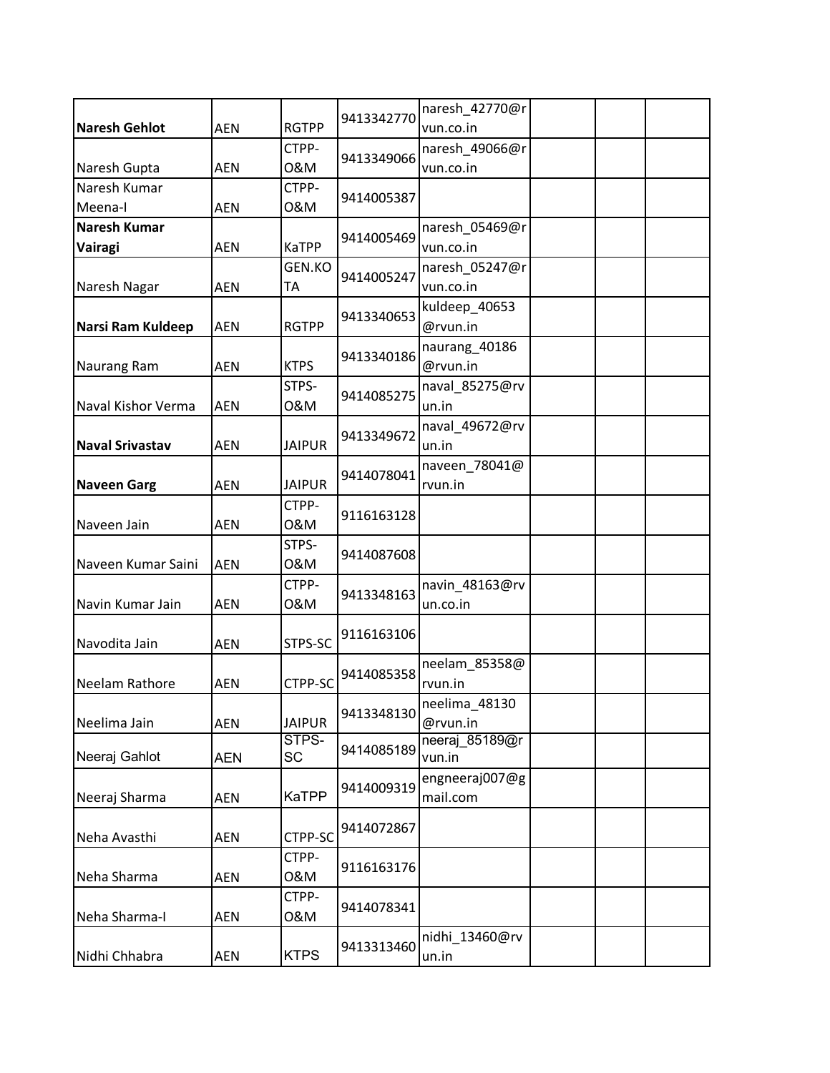| 9413342770<br><b>Naresh Gehlot</b><br><b>AEN</b><br><b>RGTPP</b><br>vun.co.in<br>CTPP-<br>naresh_49066@r<br>9413349066<br>0&M<br><b>AEN</b><br>Naresh Gupta<br>vun.co.in<br>Naresh Kumar<br>CTPP-<br>9414005387<br>0&M<br>Meena-I<br><b>AEN</b><br><b>Naresh Kumar</b><br>naresh_05469@r<br>9414005469<br><b>KaTPP</b><br>Vairagi<br>vun.co.in<br><b>AEN</b><br>GEN.KO<br>naresh_05247@r<br>9414005247<br>ТA<br>Naresh Nagar<br>vun.co.in<br><b>AEN</b><br>kuldeep_40653<br>9413340653<br>Narsi Ram Kuldeep<br><b>RGTPP</b><br>@rvun.in<br><b>AEN</b><br>naurang_40186<br>9413340186<br><b>KTPS</b><br>@rvun.in<br><b>Naurang Ram</b><br><b>AEN</b><br>STPS-<br>naval_85275@rv<br>9414085275<br>Naval Kishor Verma<br>0&M<br><b>AEN</b><br>un.in<br>naval_49672@rv<br>9413349672<br><b>Naval Srivastav</b><br><b>AEN</b><br><b>JAIPUR</b><br>un.in<br>naveen_78041@<br>9414078041<br><b>JAIPUR</b><br><b>Naveen Garg</b><br><b>AEN</b><br>rvun.in<br>CTPP-<br>9116163128<br>0&M<br>Naveen Jain<br><b>AEN</b><br>STPS-<br>9414087608<br>0&M<br>Naveen Kumar Saini<br><b>AEN</b><br>CTPP-<br>navin_48163@rv |
|-----------------------------------------------------------------------------------------------------------------------------------------------------------------------------------------------------------------------------------------------------------------------------------------------------------------------------------------------------------------------------------------------------------------------------------------------------------------------------------------------------------------------------------------------------------------------------------------------------------------------------------------------------------------------------------------------------------------------------------------------------------------------------------------------------------------------------------------------------------------------------------------------------------------------------------------------------------------------------------------------------------------------------------------------------------------------------------------------------------|
|                                                                                                                                                                                                                                                                                                                                                                                                                                                                                                                                                                                                                                                                                                                                                                                                                                                                                                                                                                                                                                                                                                           |
|                                                                                                                                                                                                                                                                                                                                                                                                                                                                                                                                                                                                                                                                                                                                                                                                                                                                                                                                                                                                                                                                                                           |
|                                                                                                                                                                                                                                                                                                                                                                                                                                                                                                                                                                                                                                                                                                                                                                                                                                                                                                                                                                                                                                                                                                           |
|                                                                                                                                                                                                                                                                                                                                                                                                                                                                                                                                                                                                                                                                                                                                                                                                                                                                                                                                                                                                                                                                                                           |
|                                                                                                                                                                                                                                                                                                                                                                                                                                                                                                                                                                                                                                                                                                                                                                                                                                                                                                                                                                                                                                                                                                           |
|                                                                                                                                                                                                                                                                                                                                                                                                                                                                                                                                                                                                                                                                                                                                                                                                                                                                                                                                                                                                                                                                                                           |
|                                                                                                                                                                                                                                                                                                                                                                                                                                                                                                                                                                                                                                                                                                                                                                                                                                                                                                                                                                                                                                                                                                           |
|                                                                                                                                                                                                                                                                                                                                                                                                                                                                                                                                                                                                                                                                                                                                                                                                                                                                                                                                                                                                                                                                                                           |
|                                                                                                                                                                                                                                                                                                                                                                                                                                                                                                                                                                                                                                                                                                                                                                                                                                                                                                                                                                                                                                                                                                           |
|                                                                                                                                                                                                                                                                                                                                                                                                                                                                                                                                                                                                                                                                                                                                                                                                                                                                                                                                                                                                                                                                                                           |
|                                                                                                                                                                                                                                                                                                                                                                                                                                                                                                                                                                                                                                                                                                                                                                                                                                                                                                                                                                                                                                                                                                           |
|                                                                                                                                                                                                                                                                                                                                                                                                                                                                                                                                                                                                                                                                                                                                                                                                                                                                                                                                                                                                                                                                                                           |
|                                                                                                                                                                                                                                                                                                                                                                                                                                                                                                                                                                                                                                                                                                                                                                                                                                                                                                                                                                                                                                                                                                           |
|                                                                                                                                                                                                                                                                                                                                                                                                                                                                                                                                                                                                                                                                                                                                                                                                                                                                                                                                                                                                                                                                                                           |
|                                                                                                                                                                                                                                                                                                                                                                                                                                                                                                                                                                                                                                                                                                                                                                                                                                                                                                                                                                                                                                                                                                           |
|                                                                                                                                                                                                                                                                                                                                                                                                                                                                                                                                                                                                                                                                                                                                                                                                                                                                                                                                                                                                                                                                                                           |
|                                                                                                                                                                                                                                                                                                                                                                                                                                                                                                                                                                                                                                                                                                                                                                                                                                                                                                                                                                                                                                                                                                           |
|                                                                                                                                                                                                                                                                                                                                                                                                                                                                                                                                                                                                                                                                                                                                                                                                                                                                                                                                                                                                                                                                                                           |
|                                                                                                                                                                                                                                                                                                                                                                                                                                                                                                                                                                                                                                                                                                                                                                                                                                                                                                                                                                                                                                                                                                           |
|                                                                                                                                                                                                                                                                                                                                                                                                                                                                                                                                                                                                                                                                                                                                                                                                                                                                                                                                                                                                                                                                                                           |
|                                                                                                                                                                                                                                                                                                                                                                                                                                                                                                                                                                                                                                                                                                                                                                                                                                                                                                                                                                                                                                                                                                           |
|                                                                                                                                                                                                                                                                                                                                                                                                                                                                                                                                                                                                                                                                                                                                                                                                                                                                                                                                                                                                                                                                                                           |
|                                                                                                                                                                                                                                                                                                                                                                                                                                                                                                                                                                                                                                                                                                                                                                                                                                                                                                                                                                                                                                                                                                           |
|                                                                                                                                                                                                                                                                                                                                                                                                                                                                                                                                                                                                                                                                                                                                                                                                                                                                                                                                                                                                                                                                                                           |
| 9413348163                                                                                                                                                                                                                                                                                                                                                                                                                                                                                                                                                                                                                                                                                                                                                                                                                                                                                                                                                                                                                                                                                                |
| Navin Kumar Jain<br>0&M<br><b>AEN</b><br>un.co.in                                                                                                                                                                                                                                                                                                                                                                                                                                                                                                                                                                                                                                                                                                                                                                                                                                                                                                                                                                                                                                                         |
| 9116163106                                                                                                                                                                                                                                                                                                                                                                                                                                                                                                                                                                                                                                                                                                                                                                                                                                                                                                                                                                                                                                                                                                |
| Navodita Jain<br>STPS-SC<br><b>AEN</b>                                                                                                                                                                                                                                                                                                                                                                                                                                                                                                                                                                                                                                                                                                                                                                                                                                                                                                                                                                                                                                                                    |
| neelam 85358@<br>9414085358                                                                                                                                                                                                                                                                                                                                                                                                                                                                                                                                                                                                                                                                                                                                                                                                                                                                                                                                                                                                                                                                               |
| CTPP-SC<br>Neelam Rathore<br><b>AEN</b><br>rvun.in                                                                                                                                                                                                                                                                                                                                                                                                                                                                                                                                                                                                                                                                                                                                                                                                                                                                                                                                                                                                                                                        |
| neelima_48130<br>9413348130                                                                                                                                                                                                                                                                                                                                                                                                                                                                                                                                                                                                                                                                                                                                                                                                                                                                                                                                                                                                                                                                               |
| Neelima Jain<br><b>JAIPUR</b><br><b>AEN</b><br>@rvun.in                                                                                                                                                                                                                                                                                                                                                                                                                                                                                                                                                                                                                                                                                                                                                                                                                                                                                                                                                                                                                                                   |
| STPS-<br>neeraj 85189@r<br>9414085189                                                                                                                                                                                                                                                                                                                                                                                                                                                                                                                                                                                                                                                                                                                                                                                                                                                                                                                                                                                                                                                                     |
| SC<br>Neeraj Gahlot<br>vun.in<br><b>AEN</b>                                                                                                                                                                                                                                                                                                                                                                                                                                                                                                                                                                                                                                                                                                                                                                                                                                                                                                                                                                                                                                                               |
| engneeraj007@g<br>9414009319                                                                                                                                                                                                                                                                                                                                                                                                                                                                                                                                                                                                                                                                                                                                                                                                                                                                                                                                                                                                                                                                              |
| <b>KaTPP</b><br>Neeraj Sharma<br><b>AEN</b><br>mail.com                                                                                                                                                                                                                                                                                                                                                                                                                                                                                                                                                                                                                                                                                                                                                                                                                                                                                                                                                                                                                                                   |
| 9414072867                                                                                                                                                                                                                                                                                                                                                                                                                                                                                                                                                                                                                                                                                                                                                                                                                                                                                                                                                                                                                                                                                                |
| Neha Avasthi<br>CTPP-SC<br>AEN                                                                                                                                                                                                                                                                                                                                                                                                                                                                                                                                                                                                                                                                                                                                                                                                                                                                                                                                                                                                                                                                            |
| CTPP-                                                                                                                                                                                                                                                                                                                                                                                                                                                                                                                                                                                                                                                                                                                                                                                                                                                                                                                                                                                                                                                                                                     |
| 9116163176<br>Neha Sharma<br><b>AEN</b><br>0&M                                                                                                                                                                                                                                                                                                                                                                                                                                                                                                                                                                                                                                                                                                                                                                                                                                                                                                                                                                                                                                                            |
| CTPP-                                                                                                                                                                                                                                                                                                                                                                                                                                                                                                                                                                                                                                                                                                                                                                                                                                                                                                                                                                                                                                                                                                     |
| 9414078341<br>Neha Sharma-I<br>0&M<br>AEN                                                                                                                                                                                                                                                                                                                                                                                                                                                                                                                                                                                                                                                                                                                                                                                                                                                                                                                                                                                                                                                                 |
| nidhi 13460@rv                                                                                                                                                                                                                                                                                                                                                                                                                                                                                                                                                                                                                                                                                                                                                                                                                                                                                                                                                                                                                                                                                            |
| 9413313460<br><b>KTPS</b><br>Nidhi Chhabra<br><b>AEN</b><br>un.in                                                                                                                                                                                                                                                                                                                                                                                                                                                                                                                                                                                                                                                                                                                                                                                                                                                                                                                                                                                                                                         |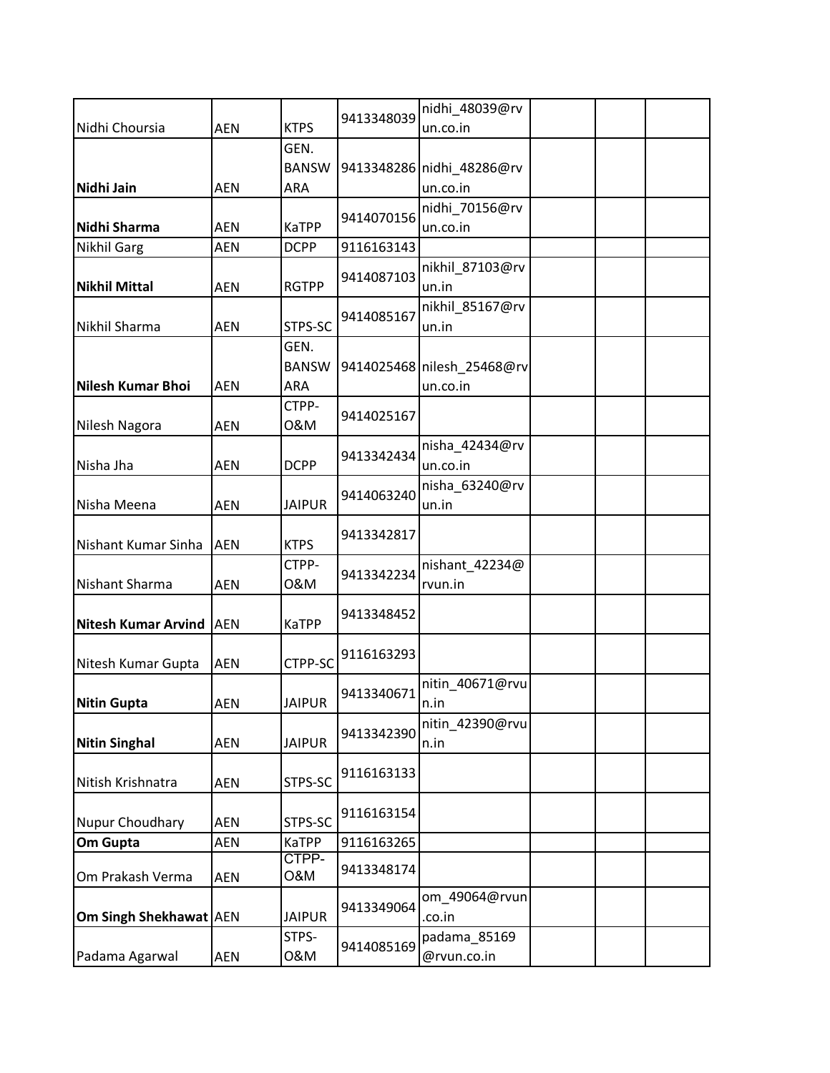|                        |            |                       |            | nidhi_48039@rv             |  |  |
|------------------------|------------|-----------------------|------------|----------------------------|--|--|
| Nidhi Choursia         | <b>AEN</b> | <b>KTPS</b>           | 9413348039 | un.co.in                   |  |  |
|                        |            | GEN.                  |            |                            |  |  |
|                        |            | <b>BANSW</b>          |            | 9413348286 nidhi 48286@rv  |  |  |
| Nidhi Jain             | <b>AEN</b> | <b>ARA</b>            |            | un.co.in                   |  |  |
|                        |            |                       | 9414070156 | nidhi_70156@rv             |  |  |
| Nidhi Sharma           | <b>AEN</b> | <b>KaTPP</b>          |            | un.co.in                   |  |  |
| <b>Nikhil Garg</b>     | <b>AEN</b> | <b>DCPP</b>           | 9116163143 |                            |  |  |
|                        |            |                       | 9414087103 | nikhil_87103@rv            |  |  |
| <b>Nikhil Mittal</b>   | <b>AEN</b> | <b>RGTPP</b>          |            | un.in                      |  |  |
|                        |            |                       | 9414085167 | nikhil_85167@rv            |  |  |
| Nikhil Sharma          | <b>AEN</b> | STPS-SC               |            | un.in                      |  |  |
|                        |            | GEN.                  |            |                            |  |  |
|                        |            | <b>BANSW</b>          |            | 9414025468 nilesh_25468@rv |  |  |
| Nilesh Kumar Bhoi      | <b>AEN</b> | <b>ARA</b>            |            | un.co.in                   |  |  |
|                        |            | CTPP-                 | 9414025167 |                            |  |  |
| Nilesh Nagora          | <b>AEN</b> | 0&M                   |            |                            |  |  |
|                        |            |                       | 9413342434 | nisha_42434@rv             |  |  |
| Nisha Jha              | <b>AEN</b> | <b>DCPP</b>           |            | un.co.in                   |  |  |
|                        |            |                       | 9414063240 | nisha_63240@rv             |  |  |
| Nisha Meena            | <b>AEN</b> | <b>JAIPUR</b>         |            | un.in                      |  |  |
|                        |            |                       | 9413342817 |                            |  |  |
| Nishant Kumar Sinha    | <b>AEN</b> | <b>KTPS</b>           |            |                            |  |  |
|                        |            | CTPP-                 | 9413342234 | nishant_42234@             |  |  |
| Nishant Sharma         | <b>AEN</b> | 0&M                   |            | rvun.in                    |  |  |
|                        |            |                       | 9413348452 |                            |  |  |
| Nitesh Kumar Arvind    | <b>AEN</b> | <b>KaTPP</b>          |            |                            |  |  |
|                        |            |                       | 9116163293 |                            |  |  |
| Nitesh Kumar Gupta     | <b>AEN</b> | CTPP-SC               |            |                            |  |  |
|                        |            |                       | 9413340671 | nitin_40671@rvu            |  |  |
| <b>Nitin Gupta</b>     | AEN        | <b>JAIPUR</b>         |            | n.in                       |  |  |
|                        |            |                       | 9413342390 | nitin 42390@rvu            |  |  |
| <b>Nitin Singhal</b>   | <b>AEN</b> | <b>JAIPUR</b>         |            | n.in                       |  |  |
|                        |            |                       | 9116163133 |                            |  |  |
| Nitish Krishnatra      | AEN        | STPS-SC               |            |                            |  |  |
|                        |            |                       | 9116163154 |                            |  |  |
| Nupur Choudhary        | <b>AEN</b> | STPS-SC               |            |                            |  |  |
| Om Gupta               | <b>AEN</b> | <b>KaTPP</b><br>CTPP- | 9116163265 |                            |  |  |
| Om Prakash Verma       | <b>AEN</b> | O&M                   | 9413348174 |                            |  |  |
|                        |            |                       |            | om_49064@rvun              |  |  |
| Om Singh Shekhawat AEN |            | <b>JAIPUR</b>         | 9413349064 | .co.in                     |  |  |
|                        |            | STPS-                 |            | padama_85169               |  |  |
| Padama Agarwal         | <b>AEN</b> | 0&M                   | 9414085169 | @rvun.co.in                |  |  |
|                        |            |                       |            |                            |  |  |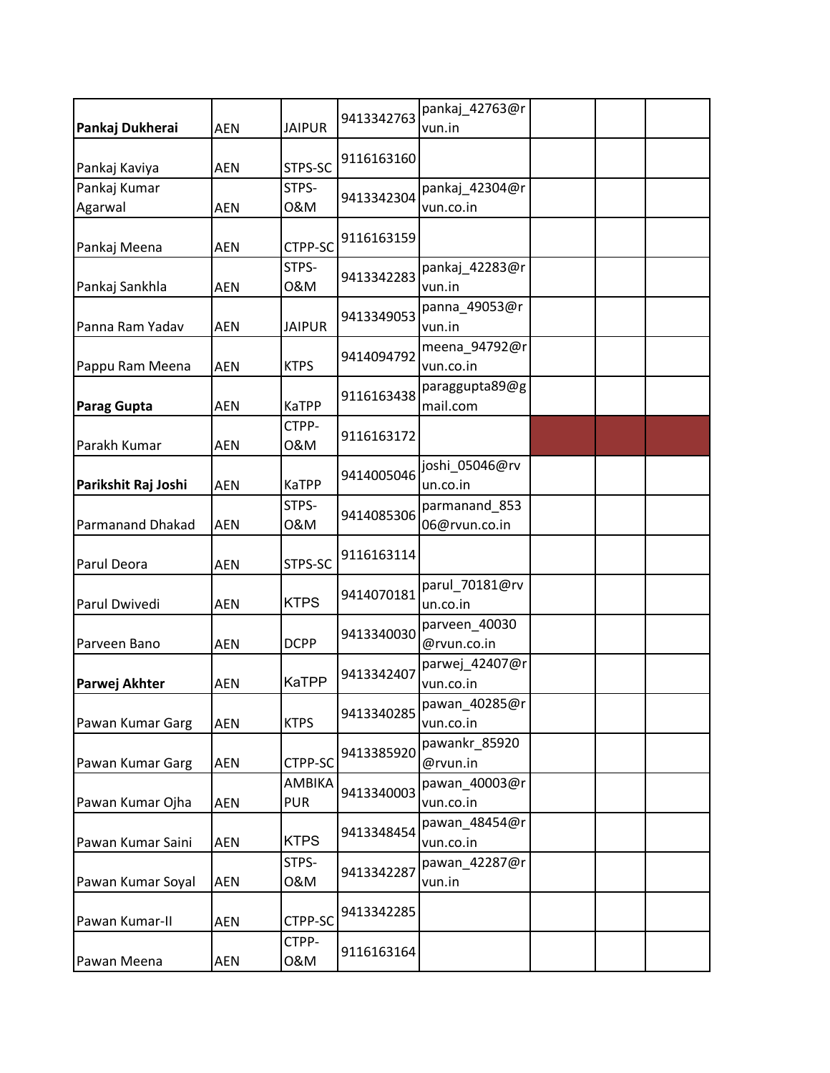| Pankaj Dukherai         | <b>AEN</b> | <b>JAIPUR</b>        | 9413342763 | pankaj_42763@r<br>vun.in       |  |  |
|-------------------------|------------|----------------------|------------|--------------------------------|--|--|
| Pankaj Kaviya           | <b>AEN</b> | STPS-SC              | 9116163160 |                                |  |  |
| Pankaj Kumar<br>Agarwal | <b>AEN</b> | STPS-<br>0&M         | 9413342304 | pankaj 42304@r<br>vun.co.in    |  |  |
| Pankaj Meena            | <b>AEN</b> | CTPP-SC              | 9116163159 |                                |  |  |
| Pankaj Sankhla          | <b>AEN</b> | STPS-<br>0&M         | 9413342283 | pankaj_42283@r<br>vun.in       |  |  |
| Panna Ram Yadav         | <b>AEN</b> | <b>JAIPUR</b>        | 9413349053 | panna_49053@r<br>vun.in        |  |  |
| Pappu Ram Meena         | <b>AEN</b> | <b>KTPS</b>          | 9414094792 | meena_94792@r<br>vun.co.in     |  |  |
| <b>Parag Gupta</b>      | <b>AEN</b> | <b>KaTPP</b>         | 9116163438 | paraggupta89@g<br>mail.com     |  |  |
| Parakh Kumar            | <b>AEN</b> | CTPP-<br>0&M         | 9116163172 |                                |  |  |
| Parikshit Raj Joshi     | <b>AEN</b> | <b>KaTPP</b>         | 9414005046 | joshi_05046@rv<br>un.co.in     |  |  |
| <b>Parmanand Dhakad</b> | <b>AEN</b> | STPS-<br>0&M         | 9414085306 | parmanand 853<br>06@rvun.co.in |  |  |
| Parul Deora             | <b>AEN</b> | STPS-SC              | 9116163114 |                                |  |  |
| Parul Dwivedi           | <b>AEN</b> | <b>KTPS</b>          | 9414070181 | parul_70181@rv<br>un.co.in     |  |  |
| Parveen Bano            | <b>AEN</b> | <b>DCPP</b>          | 9413340030 | parveen_40030<br>@rvun.co.in   |  |  |
| Parwej Akhter           | <b>AEN</b> | KaTPP                | 9413342407 | parwej_42407@r<br>vun.co.in    |  |  |
| Pawan Kumar Garg        | <b>AEN</b> | <b>KTPS</b>          | 9413340285 | pawan_40285@r<br>vun.co.in     |  |  |
| Pawan Kumar Garg        | <b>AEN</b> | CTPP-SC              | 9413385920 | pawankr_85920<br>@rvun.in      |  |  |
| Pawan Kumar Ojha        | <b>AEN</b> | AMBIKA<br><b>PUR</b> | 9413340003 | pawan 40003@r<br>vun.co.in     |  |  |
| Pawan Kumar Saini       | <b>AEN</b> | <b>KTPS</b>          | 9413348454 | pawan_48454@r<br>vun.co.in     |  |  |
| Pawan Kumar Soyal       | AEN        | STPS-<br>0&M         | 9413342287 | pawan 42287@r<br>vun.in        |  |  |
| Pawan Kumar-II          | AEN        | CTPP-SC              | 9413342285 |                                |  |  |
| Pawan Meena             | AEN        | CTPP-<br>0&M         | 9116163164 |                                |  |  |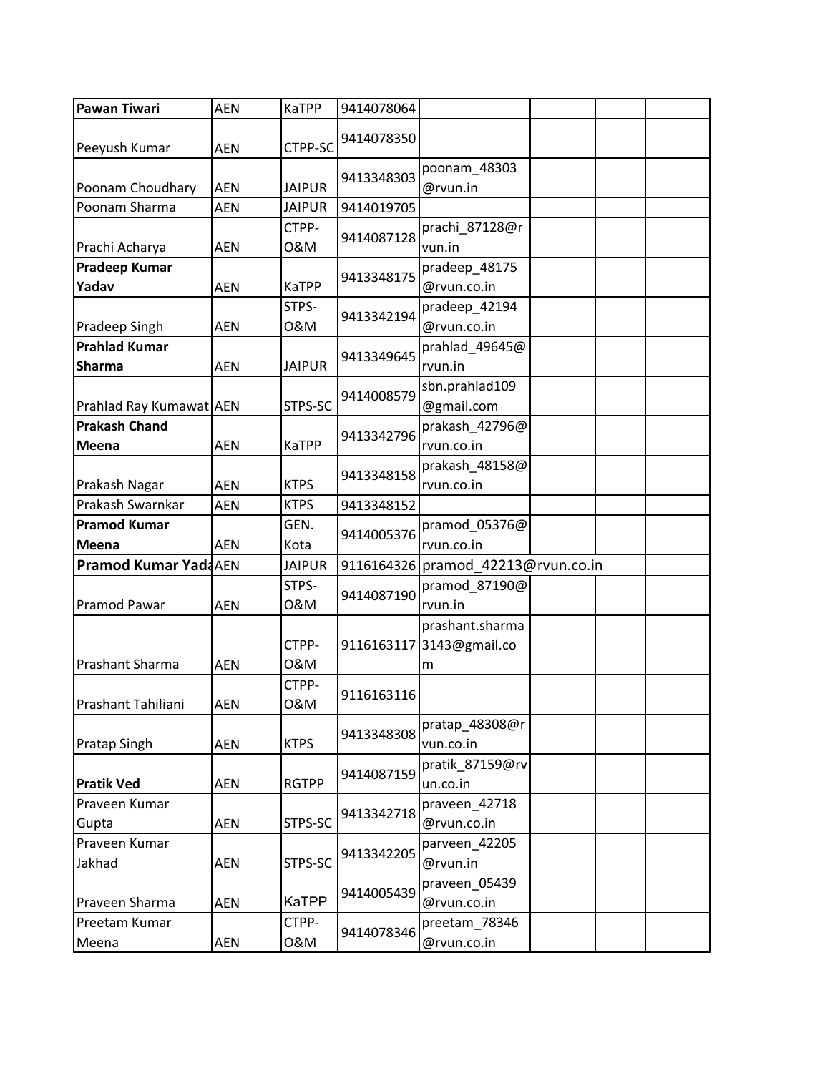| Pawan Tiwari                          | <b>AEN</b> | <b>KaTPP</b>  | 9414078064 |                                                  |
|---------------------------------------|------------|---------------|------------|--------------------------------------------------|
| Peeyush Kumar                         | <b>AEN</b> | CTPP-SC       | 9414078350 |                                                  |
| Poonam Choudhary                      | <b>AEN</b> | <b>JAIPUR</b> | 9413348303 | poonam_48303<br>@rvun.in                         |
| Poonam Sharma                         | <b>AEN</b> | <b>JAIPUR</b> | 9414019705 |                                                  |
| Prachi Acharya                        | <b>AEN</b> | CTPP-<br>0&M  | 9414087128 | prachi_87128@r<br>vun.in                         |
| <b>Pradeep Kumar</b><br>Yadav         | <b>AEN</b> | <b>KaTPP</b>  | 9413348175 | pradeep_48175<br>@rvun.co.in                     |
| <b>Pradeep Singh</b>                  | <b>AEN</b> | STPS-<br>0&M  | 9413342194 | pradeep_42194<br>@rvun.co.in                     |
| <b>Prahlad Kumar</b><br><b>Sharma</b> | <b>AEN</b> | <b>JAIPUR</b> | 9413349645 | prahlad_49645@<br>rvun.in                        |
| Prahlad Ray Kumawat AEN               |            | STPS-SC       | 9414008579 | sbn.prahlad109<br>@gmail.com                     |
| <b>Prakash Chand</b><br>Meena         | <b>AEN</b> | <b>KaTPP</b>  | 9413342796 | prakash_42796@<br>rvun.co.in                     |
| Prakash Nagar                         | <b>AEN</b> | <b>KTPS</b>   | 9413348158 | prakash_48158@<br>rvun.co.in                     |
| Prakash Swarnkar                      | <b>AEN</b> | <b>KTPS</b>   | 9413348152 |                                                  |
| <b>Pramod Kumar</b><br>Meena          | <b>AEN</b> | GEN.<br>Kota  | 9414005376 | pramod_05376@<br>rvun.co.in                      |
| <b>Pramod Kumar YadaAEN</b>           |            | <b>JAIPUR</b> | 9116164326 | pramod 42213@rvun.co.in                          |
| Pramod Pawar                          | <b>AEN</b> | STPS-<br>0&M  | 9414087190 | pramod_87190@<br>rvun.in                         |
| Prashant Sharma                       | <b>AEN</b> | CTPP-<br>0&M  |            | prashant.sharma<br>9116163117 3143@gmail.co<br>m |
| Prashant Tahiliani                    | AEN        | CTPP-<br>0&M  | 9116163116 |                                                  |
| <b>Pratap Singh</b>                   | <b>AEN</b> | <b>KTPS</b>   | 9413348308 | pratap_48308@r<br>vun.co.in                      |
| <b>Pratik Ved</b>                     | AEN        | <b>RGTPP</b>  | 9414087159 | pratik 87159@rv<br>un.co.in                      |
| Praveen Kumar<br>Gupta                | <b>AEN</b> | STPS-SC       | 9413342718 | praveen 42718<br>@rvun.co.in                     |
| Praveen Kumar<br>Jakhad               | AEN        | STPS-SC       | 9413342205 | parveen_42205<br>@rvun.in                        |
| Praveen Sharma                        | <b>AEN</b> | <b>KaTPP</b>  | 9414005439 | praveen_05439<br>@rvun.co.in                     |
| Preetam Kumar<br>Meena                | AEN        | CTPP-<br>0&M  | 9414078346 | preetam_78346<br>@rvun.co.in                     |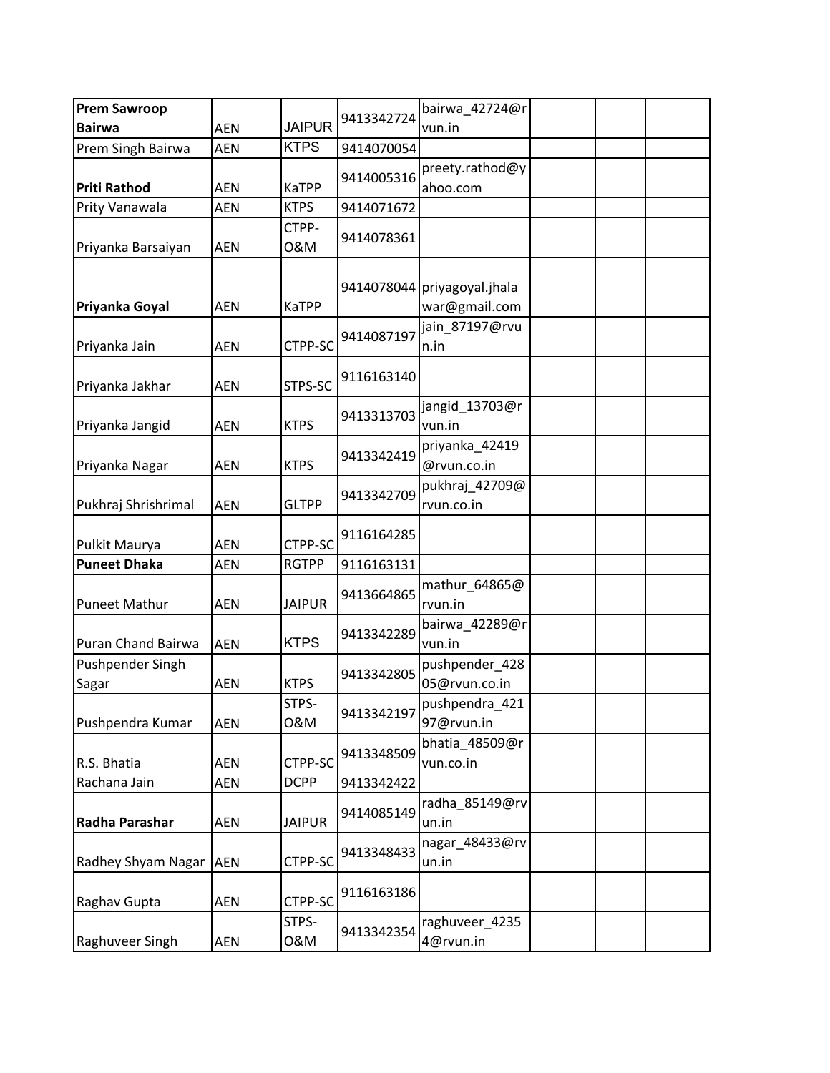| <b>Prem Sawroop</b>              |            |               |            | bairwa 42724@r                               |  |  |
|----------------------------------|------------|---------------|------------|----------------------------------------------|--|--|
| <b>Bairwa</b>                    | <b>AEN</b> | <b>JAIPUR</b> | 9413342724 | vun.in                                       |  |  |
| Prem Singh Bairwa                | <b>AEN</b> | <b>KTPS</b>   | 9414070054 |                                              |  |  |
| <b>Priti Rathod</b>              | AEN        | <b>KaTPP</b>  | 9414005316 | preety.rathod@y<br>ahoo.com                  |  |  |
| Prity Vanawala                   | <b>AEN</b> | <b>KTPS</b>   | 9414071672 |                                              |  |  |
| Priyanka Barsaiyan               | <b>AEN</b> | CTPP-<br>0&M  | 9414078361 |                                              |  |  |
| Priyanka Goyal                   | <b>AEN</b> | <b>KaTPP</b>  |            | 9414078044 priyagoyal.jhala<br>war@gmail.com |  |  |
| Priyanka Jain                    | <b>AEN</b> | CTPP-SC       | 9414087197 | jain_87197@rvu<br>n.in                       |  |  |
| Priyanka Jakhar                  | <b>AEN</b> | STPS-SC       | 9116163140 |                                              |  |  |
| Priyanka Jangid                  | <b>AEN</b> | <b>KTPS</b>   | 9413313703 | jangid_13703@r<br>vun.in                     |  |  |
| Priyanka Nagar                   | <b>AEN</b> | <b>KTPS</b>   | 9413342419 | priyanka_42419<br>@rvun.co.in                |  |  |
| Pukhraj Shrishrimal              | <b>AEN</b> | <b>GLTPP</b>  | 9413342709 | pukhraj_42709@<br>rvun.co.in                 |  |  |
| Pulkit Maurya                    | <b>AEN</b> | CTPP-SC       | 9116164285 |                                              |  |  |
| <b>Puneet Dhaka</b>              | <b>AEN</b> | <b>RGTPP</b>  | 9116163131 |                                              |  |  |
| <b>Puneet Mathur</b>             | <b>AEN</b> | <b>JAIPUR</b> | 9413664865 | mathur_64865@<br>rvun.in                     |  |  |
| <b>Puran Chand Bairwa</b>        | <b>AEN</b> | <b>KTPS</b>   | 9413342289 | bairwa_42289@r<br>vun.in                     |  |  |
| <b>Pushpender Singh</b><br>Sagar | <b>AEN</b> | <b>KTPS</b>   | 9413342805 | pushpender_428<br>05@rvun.co.in              |  |  |
| Pushpendra Kumar                 | <b>AEN</b> | STPS-<br>0&M  | 9413342197 | pushpendra_421<br>97@rvun.in                 |  |  |
| R.S. Bhatia                      | AEN        | CTPP-SC       | 9413348509 | bhatia_48509@r<br>vun.co.in                  |  |  |
| Rachana Jain                     | AEN        | <b>DCPP</b>   | 9413342422 |                                              |  |  |
| Radha Parashar                   | AEN        | <b>JAIPUR</b> | 9414085149 | radha 85149@rv<br>un.in                      |  |  |
| Radhey Shyam Nagar AEN           |            | CTPP-SC       | 9413348433 | nagar_48433@rv<br>un.in                      |  |  |
| Raghav Gupta                     | AEN        | CTPP-SC       | 9116163186 |                                              |  |  |
| Raghuveer Singh                  | <b>AEN</b> | STPS-<br>0&M  | 9413342354 | raghuveer_4235<br>4@rvun.in                  |  |  |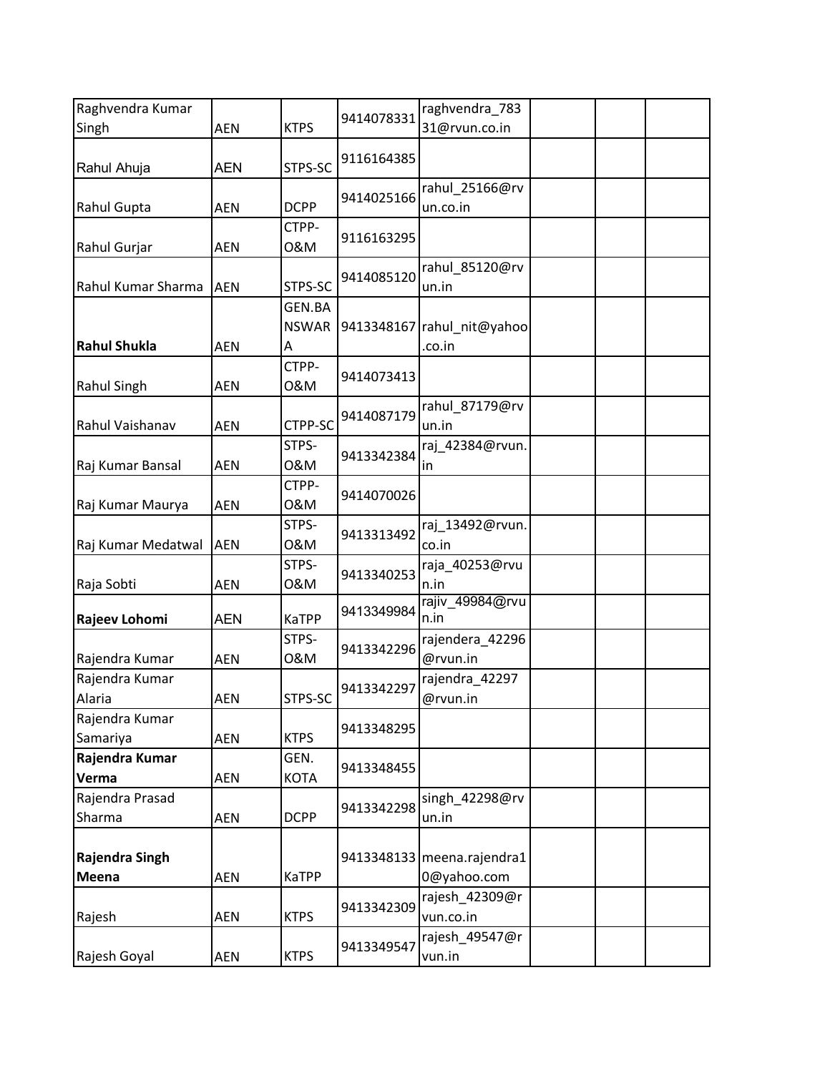| Raghvendra Kumar           |            |                             |            | raghvendra_783                            |  |  |
|----------------------------|------------|-----------------------------|------------|-------------------------------------------|--|--|
| Singh                      | <b>AEN</b> | <b>KTPS</b>                 | 9414078331 | 31@rvun.co.in                             |  |  |
| Rahul Ahuja                | <b>AEN</b> | STPS-SC                     | 9116164385 |                                           |  |  |
| Rahul Gupta                | <b>AEN</b> | <b>DCPP</b>                 | 9414025166 | rahul_25166@rv<br>un.co.in                |  |  |
| Rahul Gurjar               | <b>AEN</b> | CTPP-<br>0&M                | 9116163295 |                                           |  |  |
| Rahul Kumar Sharma         | <b>AEN</b> | STPS-SC                     | 9414085120 | rahul 85120@rv<br>un.in                   |  |  |
| <b>Rahul Shukla</b>        | <b>AEN</b> | GEN.BA<br><b>NSWAR</b><br>Α |            | 9413348167 rahul_nit@yahoo<br>.co.in      |  |  |
| Rahul Singh                | <b>AEN</b> | CTPP-<br>0&M                | 9414073413 |                                           |  |  |
| Rahul Vaishanav            | <b>AEN</b> | CTPP-SC                     | 9414087179 | rahul_87179@rv<br>un.in                   |  |  |
| Raj Kumar Bansal           | <b>AEN</b> | STPS-<br>0&M                | 9413342384 | raj_42384@rvun.<br>in                     |  |  |
| Raj Kumar Maurya           | AEN        | CTPP-<br>0&M                | 9414070026 |                                           |  |  |
| Raj Kumar Medatwal         | <b>AEN</b> | STPS-<br>0&M                | 9413313492 | raj_13492@rvun.<br>co.in                  |  |  |
| Raja Sobti                 | AEN        | STPS-<br>0&M                | 9413340253 | raja_40253@rvu<br>n.in                    |  |  |
| Rajeev Lohomi              | <b>AEN</b> | <b>KaTPP</b>                | 9413349984 | rajiv_49984@rvu<br>n.in                   |  |  |
| Rajendra Kumar             | <b>AEN</b> | STPS-<br>0&M                | 9413342296 | rajendera 42296<br>@rvun.in               |  |  |
| Rajendra Kumar<br>Alaria   | AEN        | STPS-SC                     | 9413342297 | rajendra_42297<br>@rvun.in                |  |  |
| Rajendra Kumar<br>Samariya | <b>AEN</b> | <b>KTPS</b>                 | 9413348295 |                                           |  |  |
| Rajendra Kumar<br>Verma    | <b>AEN</b> | GEN.<br><b>KOTA</b>         | 9413348455 |                                           |  |  |
| Rajendra Prasad<br>Sharma  | <b>AEN</b> | <b>DCPP</b>                 | 9413342298 | singh_42298@rv<br>un.in                   |  |  |
| Rajendra Singh<br>Meena    | AEN        | <b>KaTPP</b>                |            | 9413348133 meena.rajendra1<br>0@yahoo.com |  |  |
| Rajesh                     | <b>AEN</b> | <b>KTPS</b>                 | 9413342309 | rajesh_42309@r<br>vun.co.in               |  |  |
| Rajesh Goyal               | AEN        | <b>KTPS</b>                 | 9413349547 | rajesh_49547@r<br>vun.in                  |  |  |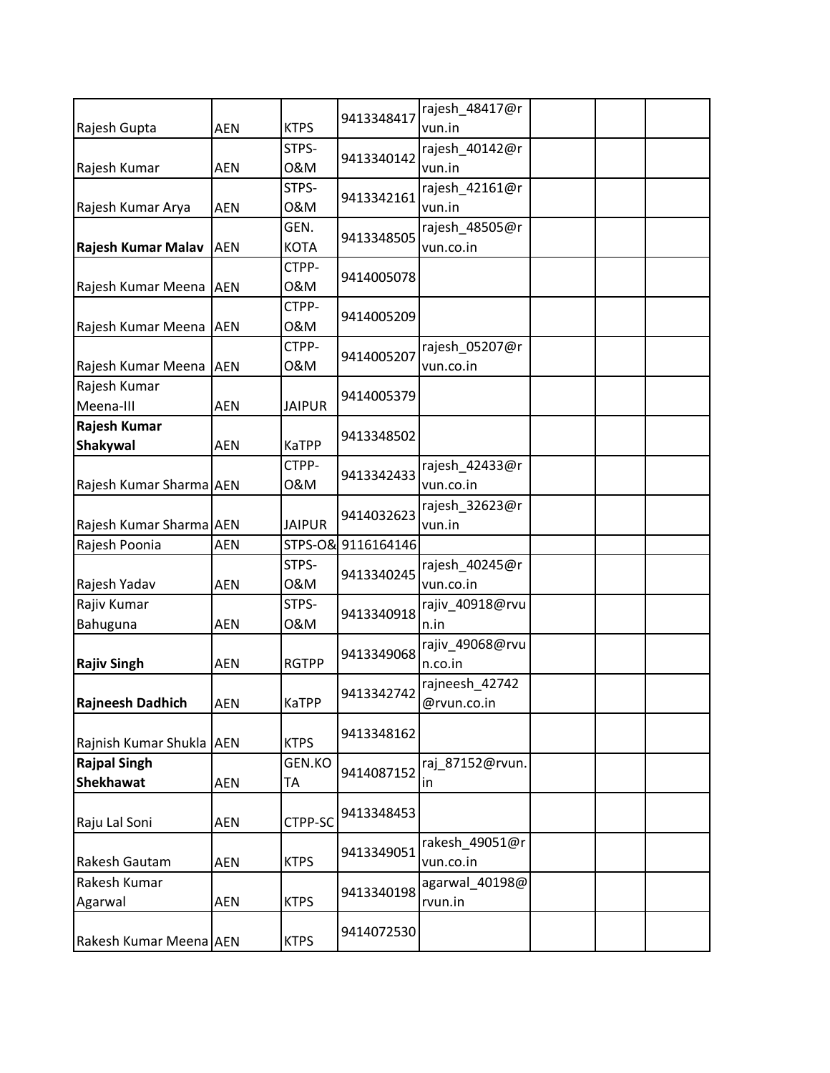| Rajesh Gupta                            | <b>AEN</b> | <b>KTPS</b>   | 9413348417         | rajesh_48417@r<br>vun.in      |  |  |
|-----------------------------------------|------------|---------------|--------------------|-------------------------------|--|--|
|                                         |            | STPS-         |                    | rajesh 40142@r                |  |  |
| Rajesh Kumar                            | <b>AEN</b> | 0&M           | 9413340142         | vun.in                        |  |  |
| Rajesh Kumar Arya                       | <b>AEN</b> | STPS-<br>0&M  | 9413342161         | rajesh_42161@r<br>vun.in      |  |  |
|                                         |            | GEN.          |                    | rajesh_48505@r                |  |  |
| Rajesh Kumar Malav                      | <b>AEN</b> | <b>KOTA</b>   | 9413348505         | vun.co.in                     |  |  |
| Rajesh Kumar Meena AEN                  |            | CTPP-<br>0&M  | 9414005078         |                               |  |  |
| Rajesh Kumar Meena AEN                  |            | CTPP-<br>0&M  | 9414005209         |                               |  |  |
| Rajesh Kumar Meena AEN                  |            | CTPP-<br>0&M  | 9414005207         | rajesh_05207@r<br>vun.co.in   |  |  |
| Rajesh Kumar                            |            |               | 9414005379         |                               |  |  |
| Meena-III                               | <b>AEN</b> | <b>JAIPUR</b> |                    |                               |  |  |
| Rajesh Kumar                            |            |               |                    |                               |  |  |
| Shakywal                                | <b>AEN</b> | KaTPP         | 9413348502         |                               |  |  |
| Rajesh Kumar Sharma AEN                 |            | CTPP-<br>0&M  | 9413342433         | rajesh_42433@r<br>vun.co.in   |  |  |
| Rajesh Kumar Sharma AEN                 |            | <b>JAIPUR</b> | 9414032623         | rajesh_32623@r<br>vun.in      |  |  |
| Rajesh Poonia                           | <b>AEN</b> |               | STPS-O& 9116164146 |                               |  |  |
| Rajesh Yadav                            | <b>AEN</b> | STPS-<br>0&M  | 9413340245         | rajesh_40245@r<br>vun.co.in   |  |  |
| Rajiv Kumar                             |            | STPS-         |                    | rajiv_40918@rvu               |  |  |
| Bahuguna                                | <b>AEN</b> | 0&M           | 9413340918         | n.in                          |  |  |
| <b>Rajiv Singh</b>                      | <b>AEN</b> | <b>RGTPP</b>  | 9413349068         | rajiv_49068@rvu<br>n.co.in    |  |  |
| <b>Rajneesh Dadhich</b>                 | AEN        | <b>KaTPP</b>  | 9413342742         | rajneesh_42742<br>@rvun.co.in |  |  |
| Rajnish Kumar Shukla AEN                |            | <b>KTPS</b>   | 9413348162         |                               |  |  |
| <b>Rajpal Singh</b><br><b>Shekhawat</b> | AEN        | GEN.KO<br>TA  | 9414087152         | raj 87152@rvun.<br>in         |  |  |
| Raju Lal Soni                           | <b>AEN</b> | CTPP-SC       | 9413348453         |                               |  |  |
| Rakesh Gautam                           | <b>AEN</b> | <b>KTPS</b>   | 9413349051         | rakesh_49051@r<br>vun.co.in   |  |  |
| Rakesh Kumar<br>Agarwal                 | AEN        | <b>KTPS</b>   | 9413340198         | agarwal_40198@<br>rvun.in     |  |  |
| Rakesh Kumar Meena AEN                  |            | <b>KTPS</b>   | 9414072530         |                               |  |  |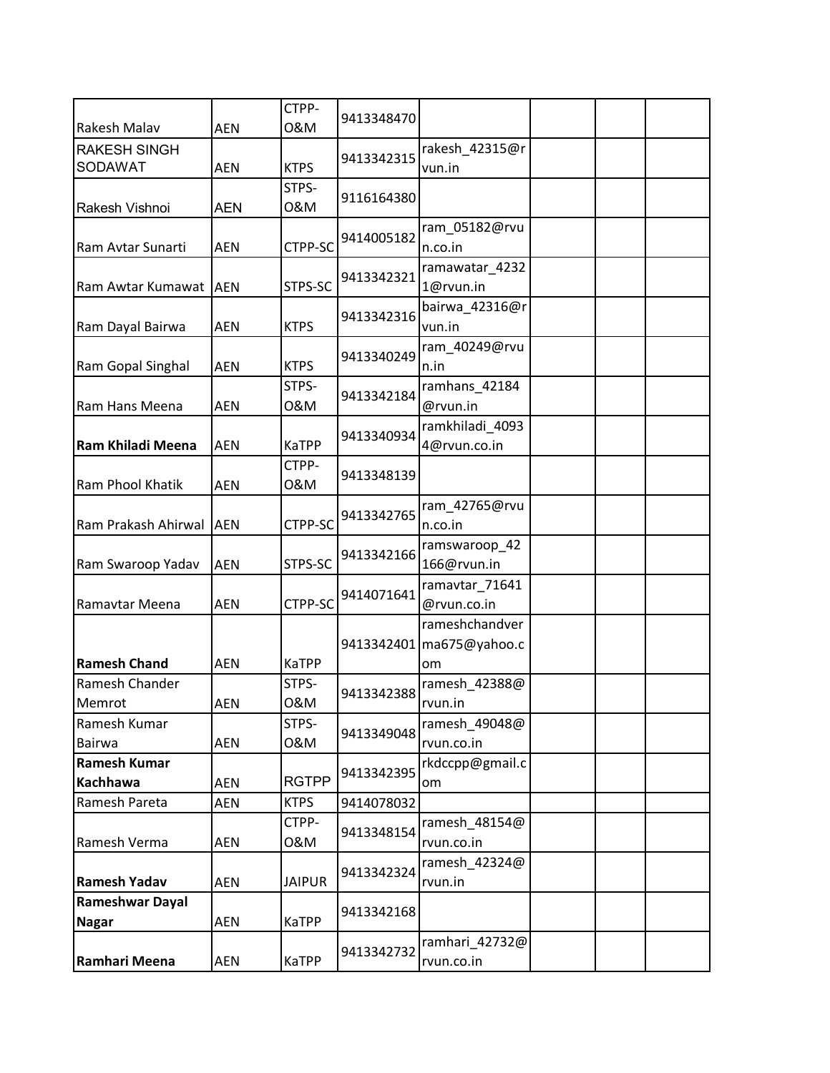|                                        |            | CTPP-         | 9413348470 |                                       |  |  |
|----------------------------------------|------------|---------------|------------|---------------------------------------|--|--|
| Rakesh Malav                           | <b>AEN</b> | 0&M           |            |                                       |  |  |
| <b>RAKESH SINGH</b><br><b>SODAWAT</b>  | <b>AEN</b> | <b>KTPS</b>   | 9413342315 | rakesh_42315@r<br>vun.in              |  |  |
| Rakesh Vishnoi                         | <b>AEN</b> | STPS-<br>0&M  | 9116164380 |                                       |  |  |
| Ram Avtar Sunarti                      | <b>AEN</b> | CTPP-SC       | 9414005182 | ram_05182@rvu<br>n.co.in              |  |  |
| Ram Awtar Kumawat AEN                  |            | STPS-SC       | 9413342321 | ramawatar_4232<br>1@rvun.in           |  |  |
| Ram Dayal Bairwa                       | <b>AEN</b> | <b>KTPS</b>   | 9413342316 | bairwa_42316@r<br>vun.in              |  |  |
| Ram Gopal Singhal                      | <b>AEN</b> | <b>KTPS</b>   | 9413340249 | ram_40249@rvu<br>n.in                 |  |  |
| Ram Hans Meena                         | <b>AEN</b> | STPS-<br>0&M  | 9413342184 | ramhans_42184<br>@rvun.in             |  |  |
| Ram Khiladi Meena                      | <b>AEN</b> | KaTPP         | 9413340934 | ramkhiladi_4093<br>4@rvun.co.in       |  |  |
| Ram Phool Khatik                       | <b>AEN</b> | CTPP-<br>0&M  | 9413348139 |                                       |  |  |
| Ram Prakash Ahirwal                    | <b>AEN</b> | CTPP-SC       | 9413342765 | ram_42765@rvu<br>n.co.in              |  |  |
| Ram Swaroop Yadav                      | <b>AEN</b> | STPS-SC       | 9413342166 | ramswaroop_42<br>166@rvun.in          |  |  |
| Ramavtar Meena                         | <b>AEN</b> | CTPP-SC       | 9414071641 | ramavtar_71641<br>@rvun.co.in         |  |  |
| <b>Ramesh Chand</b>                    | <b>AEN</b> | <b>KaTPP</b>  | 9413342401 | rameshchandver<br>ma675@yahoo.c<br>om |  |  |
| Ramesh Chander<br>Memrot               | AEN        | STPS-<br>0&M  | 9413342388 | ramesh_42388@<br>rvun.in              |  |  |
| Ramesh Kumar<br>Bairwa                 | <b>AEN</b> | STPS-<br>0&M  | 9413349048 | ramesh 49048@<br>rvun.co.in           |  |  |
| <b>Ramesh Kumar</b><br>Kachhawa        | <b>AEN</b> | <b>RGTPP</b>  | 9413342395 | rkdccpp@gmail.c<br>om                 |  |  |
| Ramesh Pareta                          | <b>AEN</b> | <b>KTPS</b>   | 9414078032 |                                       |  |  |
| Ramesh Verma                           | <b>AEN</b> | CTPP-<br>0&M  | 9413348154 | ramesh_48154@<br>rvun.co.in           |  |  |
| <b>Ramesh Yadav</b>                    | AEN        | <b>JAIPUR</b> | 9413342324 | ramesh_42324@<br>rvun.in              |  |  |
| <b>Rameshwar Dayal</b><br><b>Nagar</b> | AEN        | <b>KaTPP</b>  | 9413342168 |                                       |  |  |
| Ramhari Meena                          | AEN        | <b>KaTPP</b>  | 9413342732 | ramhari_42732@<br>rvun.co.in          |  |  |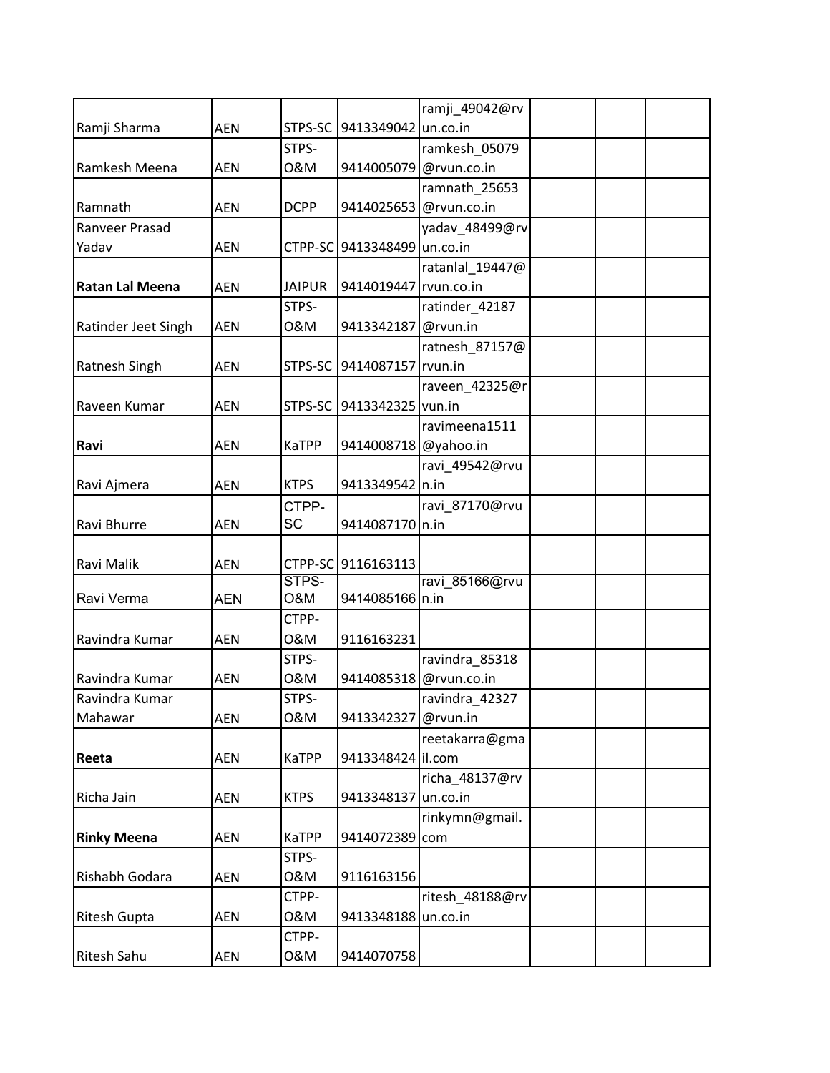|                        |            |               |                             | ramji_49042@rv         |  |  |
|------------------------|------------|---------------|-----------------------------|------------------------|--|--|
| Ramji Sharma           | <b>AEN</b> | STPS-SC       | 9413349042 un.co.in         |                        |  |  |
|                        |            | STPS-         |                             | ramkesh_05079          |  |  |
| Ramkesh Meena          | <b>AEN</b> | 0&M           | 9414005079                  | @rvun.co.in            |  |  |
|                        |            |               |                             | ramnath 25653          |  |  |
| Ramnath                | <b>AEN</b> | <b>DCPP</b>   |                             | 9414025653 @rvun.co.in |  |  |
| Ranveer Prasad         |            |               |                             | yadav_48499@rv         |  |  |
| Yadav                  | <b>AEN</b> |               | CTPP-SC 9413348499 un.co.in |                        |  |  |
|                        |            |               |                             | ratanlal 19447@        |  |  |
| <b>Ratan Lal Meena</b> | <b>AEN</b> | <b>JAIPUR</b> | 9414019447 rvun.co.in       |                        |  |  |
|                        |            | STPS-         |                             | ratinder_42187         |  |  |
| Ratinder Jeet Singh    | <b>AEN</b> | 0&M           | 9413342187                  | @rvun.in               |  |  |
|                        |            |               |                             | ratnesh_87157@         |  |  |
| Ratnesh Singh          | <b>AEN</b> | STPS-SC       | 9414087157 rvun.in          |                        |  |  |
|                        |            |               |                             | raveen_42325@r         |  |  |
| Raveen Kumar           | <b>AEN</b> | STPS-SC       | 9413342325 vun.in           |                        |  |  |
|                        |            |               |                             | ravimeena1511          |  |  |
| Ravi                   | <b>AEN</b> | KaTPP         | 9414008718 @yahoo.in        |                        |  |  |
|                        |            |               |                             | ravi_49542@rvu         |  |  |
| Ravi Ajmera            | <b>AEN</b> | <b>KTPS</b>   | 9413349542 n.in             |                        |  |  |
|                        |            | CTPP-         |                             | ravi_87170@rvu         |  |  |
| Ravi Bhurre            | <b>AEN</b> | SC            | 9414087170 n.in             |                        |  |  |
|                        |            |               |                             |                        |  |  |
| Ravi Malik             | <b>AEN</b> |               | CTPP-SC 9116163113          |                        |  |  |
|                        |            | STPS-         |                             | ravi 85166@rvu         |  |  |
| Ravi Verma             | <b>AEN</b> | O&M           | 9414085166 n.in             |                        |  |  |
|                        |            | CTPP-         |                             |                        |  |  |
| Ravindra Kumar         | <b>AEN</b> | 0&M           | 9116163231                  |                        |  |  |
|                        |            | STPS-         |                             | ravindra_85318         |  |  |
| Ravindra Kumar         | <b>AEN</b> | 0&M           | 9414085318                  | @rvun.co.in            |  |  |
| Ravindra Kumar         |            | STPS-         |                             | ravindra_42327         |  |  |
| Mahawar                | <b>AEN</b> | 0&M           | 9413342327 @rvun.in         |                        |  |  |
|                        |            |               |                             | reetakarra@gma         |  |  |
| Reeta                  | <b>AEN</b> | <b>KaTPP</b>  | 9413348424 il.com           |                        |  |  |
|                        |            |               |                             | richa_48137@rv         |  |  |
| Richa Jain             | AEN        | <b>KTPS</b>   | 9413348137                  | un.co.in               |  |  |
|                        |            |               |                             | rinkymn@gmail.         |  |  |
| <b>Rinky Meena</b>     | AEN        | <b>KaTPP</b>  | 9414072389                  | com                    |  |  |
|                        |            | STPS-         |                             |                        |  |  |
| Rishabh Godara         | <b>AEN</b> | 0&M           | 9116163156                  |                        |  |  |
|                        |            | CTPP-         |                             | ritesh_48188@rv        |  |  |
| <b>Ritesh Gupta</b>    | AEN        | 0&M           | 9413348188 un.co.in         |                        |  |  |
|                        |            | CTPP-         |                             |                        |  |  |
| Ritesh Sahu            | AEN        | 0&M           | 9414070758                  |                        |  |  |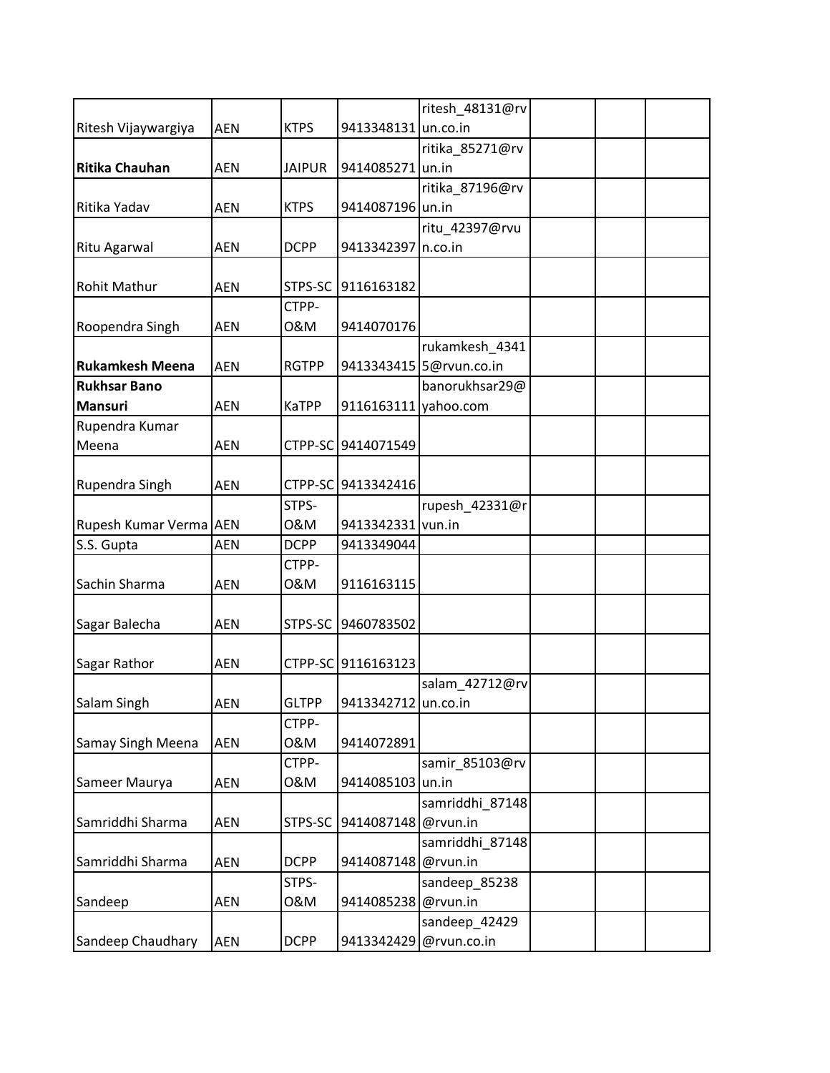|                          |            |               |                      | ritesh 48131@rv         |  |  |
|--------------------------|------------|---------------|----------------------|-------------------------|--|--|
| Ritesh Vijaywargiya      | <b>AEN</b> | <b>KTPS</b>   | 9413348131 un.co.in  |                         |  |  |
|                          |            |               |                      | ritika_85271@rv         |  |  |
| <b>Ritika Chauhan</b>    | <b>AEN</b> | <b>JAIPUR</b> | 9414085271 un.in     |                         |  |  |
|                          |            |               |                      | ritika_87196@rv         |  |  |
| Ritika Yadav             | <b>AEN</b> | <b>KTPS</b>   | 9414087196 un.in     |                         |  |  |
|                          |            |               |                      | ritu_42397@rvu          |  |  |
| Ritu Agarwal             | <b>AEN</b> | <b>DCPP</b>   | 9413342397 n.co.in   |                         |  |  |
|                          |            |               |                      |                         |  |  |
| <b>Rohit Mathur</b>      | <b>AEN</b> |               | STPS-SC 9116163182   |                         |  |  |
|                          |            | CTPP-         |                      |                         |  |  |
| Roopendra Singh          | <b>AEN</b> | 0&M           | 9414070176           |                         |  |  |
|                          |            |               |                      | rukamkesh_4341          |  |  |
| <b>Rukamkesh Meena</b>   | <b>AEN</b> | <b>RGTPP</b>  |                      | 9413343415 5@rvun.co.in |  |  |
| <b>Rukhsar Bano</b>      |            |               |                      | banorukhsar29@          |  |  |
| <b>Mansuri</b>           | <b>AEN</b> | <b>KaTPP</b>  | 9116163111 yahoo.com |                         |  |  |
| Rupendra Kumar           |            |               |                      |                         |  |  |
| Meena                    | <b>AEN</b> |               | CTPP-SC 9414071549   |                         |  |  |
|                          |            |               |                      |                         |  |  |
| Rupendra Singh           | <b>AEN</b> |               | CTPP-SC 9413342416   |                         |  |  |
|                          |            | STPS-         |                      | rupesh_42331@r          |  |  |
| Rupesh Kumar Verma AEN   |            | 0&M           | 9413342331 vun.in    |                         |  |  |
| S.S. Gupta               | <b>AEN</b> | <b>DCPP</b>   | 9413349044           |                         |  |  |
|                          |            | CTPP-         |                      |                         |  |  |
| Sachin Sharma            | <b>AEN</b> | 0&M           | 9116163115           |                         |  |  |
|                          |            |               |                      |                         |  |  |
|                          |            |               | 9460783502           |                         |  |  |
| Sagar Balecha            | <b>AEN</b> | STPS-SC       |                      |                         |  |  |
|                          |            |               |                      |                         |  |  |
| Sagar Rathor             | <b>AEN</b> |               | CTPP-SC 9116163123   |                         |  |  |
|                          |            |               |                      | salam_42712@rv          |  |  |
| Salam Singh              | AEN        | <b>GLTPP</b>  | 9413342712 un.co.in  |                         |  |  |
|                          |            | CTPP-         |                      |                         |  |  |
| <b>Samay Singh Meena</b> | <b>AEN</b> | 0&M           | 9414072891           |                         |  |  |
|                          |            | CTPP-         |                      | samir 85103@rv          |  |  |
| Sameer Maurya            | AEN        | 0&M           | 9414085103 un.in     |                         |  |  |
|                          |            |               |                      | samriddhi 87148         |  |  |
| Samriddhi Sharma         | <b>AEN</b> | STPS-SC       | 9414087148 @rvun.in  |                         |  |  |
|                          |            |               |                      | samriddhi_87148         |  |  |
| Samriddhi Sharma         | <b>AEN</b> | <b>DCPP</b>   | 9414087148 @rvun.in  |                         |  |  |
|                          |            | STPS-         |                      | sandeep_85238           |  |  |
| Sandeep                  | <b>AEN</b> | 0&M           | 9414085238 @rvun.in  |                         |  |  |
|                          |            |               |                      | sandeep_42429           |  |  |
| Sandeep Chaudhary        | <b>AEN</b> | <b>DCPP</b>   |                      | 9413342429 @rvun.co.in  |  |  |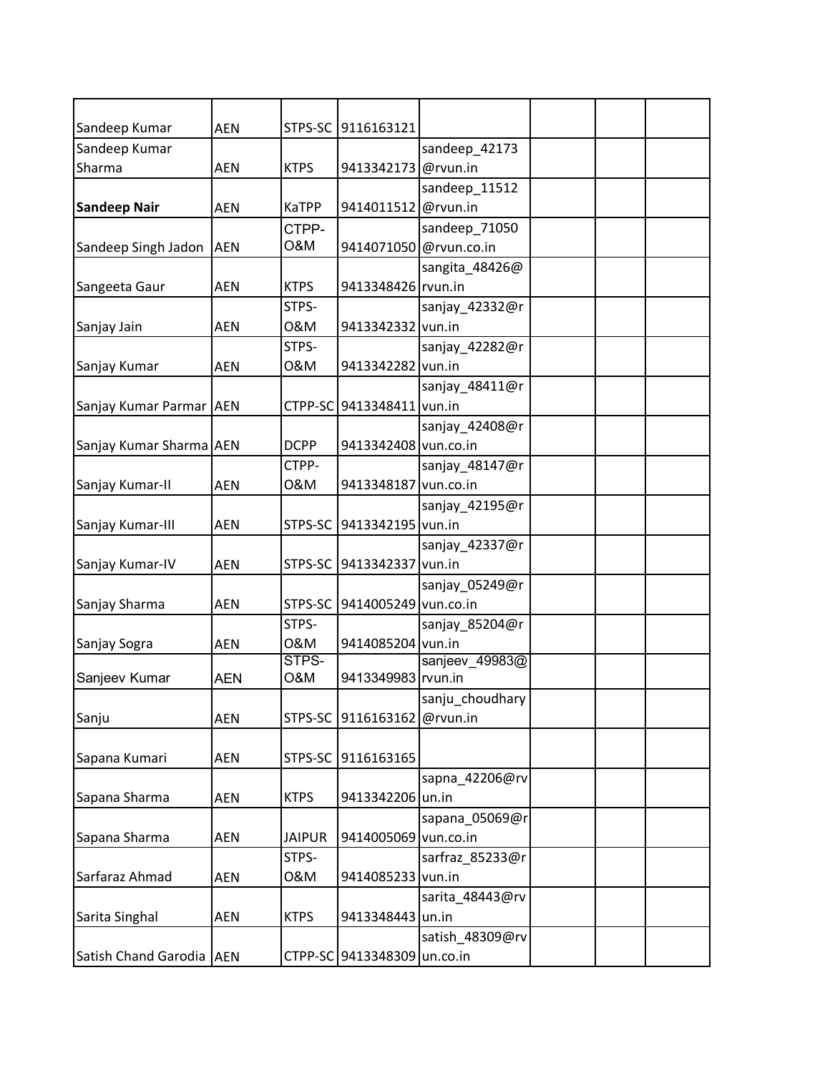| Sandeep Kumar              | <b>AEN</b> | STPS-SC        | 9116163121                  |                        |  |  |
|----------------------------|------------|----------------|-----------------------------|------------------------|--|--|
| Sandeep Kumar              |            |                |                             | sandeep_42173          |  |  |
| Sharma                     | <b>AEN</b> | <b>KTPS</b>    | 9413342173 @rvun.in         |                        |  |  |
|                            |            |                |                             | sandeep 11512          |  |  |
| <b>Sandeep Nair</b>        | <b>AEN</b> | <b>KaTPP</b>   | 9414011512 @rvun.in         |                        |  |  |
|                            |            | CTPP-          |                             | sandeep_71050          |  |  |
| Sandeep Singh Jadon        | <b>AEN</b> | <b>O&amp;M</b> |                             | 9414071050 @rvun.co.in |  |  |
|                            |            |                |                             | sangita_48426@         |  |  |
| Sangeeta Gaur              | <b>AEN</b> | <b>KTPS</b>    | 9413348426 rvun.in          |                        |  |  |
|                            |            | STPS-          |                             | sanjay_42332@r         |  |  |
| Sanjay Jain                | <b>AEN</b> | 0&M            | 9413342332 vun.in           |                        |  |  |
|                            |            | STPS-          |                             | sanjay_42282@r         |  |  |
| Sanjay Kumar               | <b>AEN</b> | 0&M            | 9413342282 vun.in           |                        |  |  |
|                            |            |                |                             | sanjay_48411@r         |  |  |
| Sanjay Kumar Parmar AEN    |            | CTPP-SC        | 9413348411 vun.in           |                        |  |  |
|                            |            |                |                             | sanjay_42408@r         |  |  |
| Sanjay Kumar Sharma AEN    |            | <b>DCPP</b>    | 9413342408 vun.co.in        |                        |  |  |
|                            |            | CTPP-          |                             | sanjay_48147@r         |  |  |
| Sanjay Kumar-II            | <b>AEN</b> | 0&M            | 9413348187 vun.co.in        |                        |  |  |
|                            |            |                |                             | sanjay_42195@r         |  |  |
| Sanjay Kumar-III           | <b>AEN</b> | STPS-SC        | 9413342195 vun.in           |                        |  |  |
|                            |            |                |                             | sanjay_42337@r         |  |  |
| Sanjay Kumar-IV            | <b>AEN</b> | STPS-SC        | 9413342337 vun.in           |                        |  |  |
|                            |            |                |                             | sanjay_05249@r         |  |  |
| Sanjay Sharma              | AEN        | STPS-SC        | 9414005249 vun.co.in        |                        |  |  |
|                            |            | STPS-          |                             | sanjay_85204@r         |  |  |
| Sanjay Sogra               | <b>AEN</b> | 0&M            | 9414085204 vun.in           |                        |  |  |
|                            |            | STPS-          |                             | sanjeev_49983@         |  |  |
| Sanjeev Kumar              | <b>AEN</b> | <b>O&amp;M</b> | 9413349983 rvun.in          |                        |  |  |
|                            |            |                |                             | sanju choudhary        |  |  |
| Sanju                      | <b>AEN</b> | STPS-SC        | 9116163162 @rvun.in         |                        |  |  |
|                            |            |                |                             |                        |  |  |
| Sapana Kumari              | AEN        | STPS-SC        | 9116163165                  |                        |  |  |
|                            |            |                |                             | sapna_42206@rv         |  |  |
| Sapana Sharma              | AEN        | <b>KTPS</b>    | 9413342206 un.in            |                        |  |  |
|                            |            |                |                             | sapana_05069@r         |  |  |
| Sapana Sharma              | AEN        | <b>JAIPUR</b>  | 9414005069 vun.co.in        |                        |  |  |
|                            |            | STPS-          |                             | sarfraz_85233@r        |  |  |
| Sarfaraz Ahmad             | AEN        | 0&M            | 9414085233 vun.in           |                        |  |  |
|                            |            |                |                             | sarita_48443@rv        |  |  |
| Sarita Singhal             | AEN        | <b>KTPS</b>    | 9413348443 un.in            |                        |  |  |
|                            |            |                |                             | satish_48309@rv        |  |  |
| Satish Chand Garodia   AEN |            |                | CTPP-SC 9413348309 un.co.in |                        |  |  |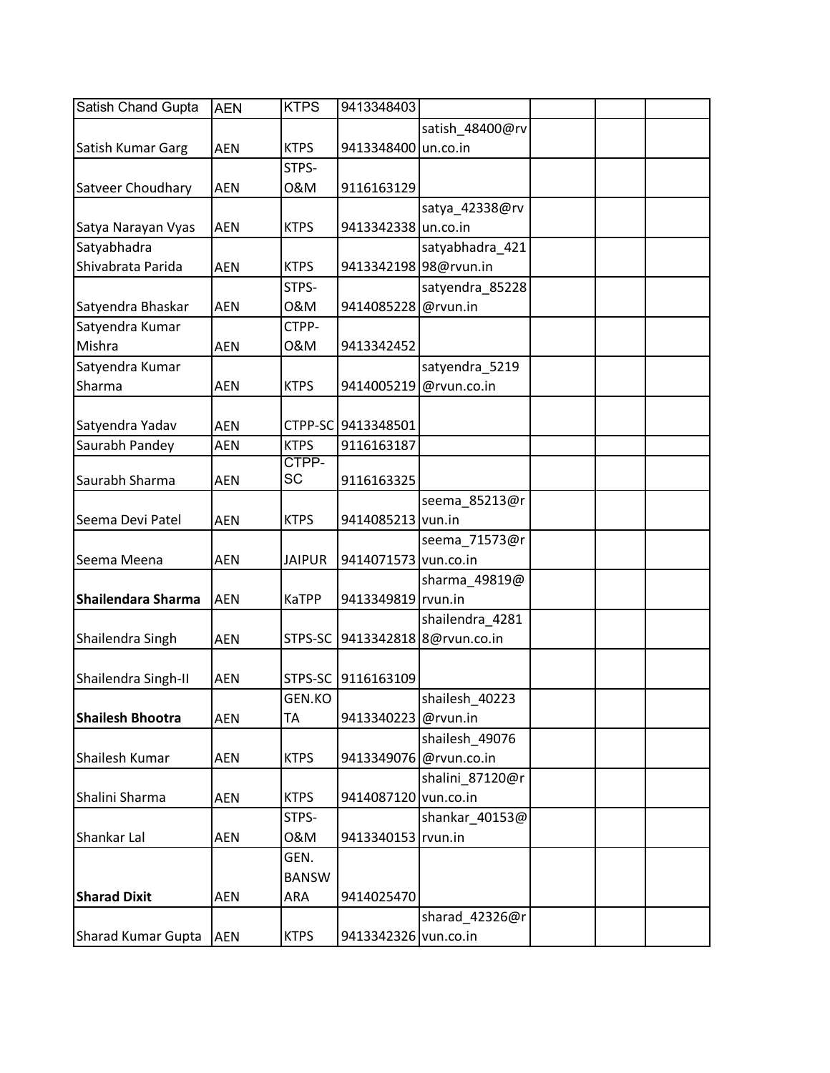| Satish Chand Gupta      | <b>AEN</b> | <b>KTPS</b>   | 9413348403            |                         |  |  |
|-------------------------|------------|---------------|-----------------------|-------------------------|--|--|
|                         |            |               |                       | satish_48400@rv         |  |  |
| Satish Kumar Garg       | <b>AEN</b> | <b>KTPS</b>   | 9413348400 un.co.in   |                         |  |  |
|                         |            | STPS-         |                       |                         |  |  |
| Satveer Choudhary       | <b>AEN</b> | 0&M           | 9116163129            |                         |  |  |
|                         |            |               |                       | satya_42338@rv          |  |  |
| Satya Narayan Vyas      | <b>AEN</b> | <b>KTPS</b>   | 9413342338 un.co.in   |                         |  |  |
| Satyabhadra             |            |               |                       | satyabhadra 421         |  |  |
| Shivabrata Parida       | <b>AEN</b> | <b>KTPS</b>   | 9413342198 98@rvun.in |                         |  |  |
|                         |            | STPS-         |                       | satyendra_85228         |  |  |
| Satyendra Bhaskar       | <b>AEN</b> | 0&M           | 9414085228 @rvun.in   |                         |  |  |
| Satyendra Kumar         |            | CTPP-         |                       |                         |  |  |
| Mishra                  | <b>AEN</b> | 0&M           | 9413342452            |                         |  |  |
| Satyendra Kumar         |            |               |                       | satyendra 5219          |  |  |
| Sharma                  | <b>AEN</b> | <b>KTPS</b>   |                       | 9414005219 @rvun.co.in  |  |  |
|                         |            |               |                       |                         |  |  |
| Satyendra Yadav         | <b>AEN</b> |               | CTPP-SC 9413348501    |                         |  |  |
| Saurabh Pandey          | <b>AEN</b> | <b>KTPS</b>   | 9116163187            |                         |  |  |
|                         |            | CTPP-         |                       |                         |  |  |
| Saurabh Sharma          | <b>AEN</b> | SC            | 9116163325            |                         |  |  |
|                         |            |               |                       | seema_85213@r           |  |  |
| Seema Devi Patel        | <b>AEN</b> | <b>KTPS</b>   | 9414085213 vun.in     |                         |  |  |
|                         |            |               |                       | seema_71573@r           |  |  |
| Seema Meena             | <b>AEN</b> | <b>JAIPUR</b> | 9414071573 vun.co.in  |                         |  |  |
|                         |            |               |                       | sharma_49819@           |  |  |
| Shailendara Sharma      | <b>AEN</b> | KaTPP         | 9413349819 rvun.in    |                         |  |  |
|                         |            |               |                       | shailendra_4281         |  |  |
| Shailendra Singh        | <b>AEN</b> | STPS-SC       |                       | 9413342818 8@rvun.co.in |  |  |
|                         |            |               |                       |                         |  |  |
| Shailendra Singh-II     | <b>AEN</b> |               | STPS-SC 9116163109    |                         |  |  |
|                         |            | GEN.KO        |                       | shailesh 40223          |  |  |
| <b>Shailesh Bhootra</b> | <b>AEN</b> | TA            | 9413340223 @rvun.in   |                         |  |  |
|                         |            |               |                       | shailesh_49076          |  |  |
| Shailesh Kumar          | AEN        | <b>KTPS</b>   |                       | 9413349076 @rvun.co.in  |  |  |
|                         |            |               |                       | shalini_87120@r         |  |  |
| Shalini Sharma          | AEN        | <b>KTPS</b>   | 9414087120 vun.co.in  |                         |  |  |
|                         |            | STPS-         |                       | shankar_40153@          |  |  |
| Shankar Lal             | <b>AEN</b> | 0&M           | 9413340153 rvun.in    |                         |  |  |
|                         |            | GEN.          |                       |                         |  |  |
|                         |            | <b>BANSW</b>  |                       |                         |  |  |
| <b>Sharad Dixit</b>     | AEN        | ARA           | 9414025470            |                         |  |  |
|                         |            |               |                       | sharad_42326@r          |  |  |
| Sharad Kumar Gupta      | <b>AEN</b> | <b>KTPS</b>   | 9413342326 vun.co.in  |                         |  |  |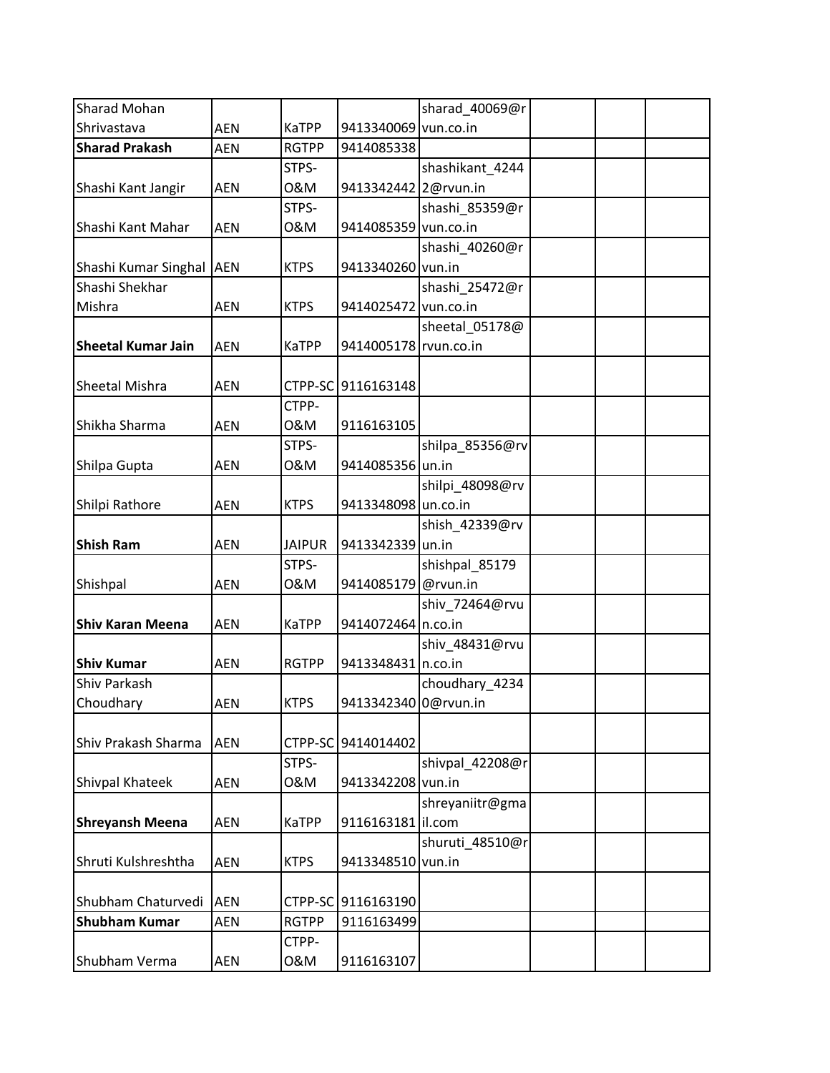| Sharad Mohan              |            |               |                       | sharad_40069@r  |  |
|---------------------------|------------|---------------|-----------------------|-----------------|--|
| Shrivastava               | <b>AEN</b> | <b>KaTPP</b>  | 9413340069 vun.co.in  |                 |  |
| <b>Sharad Prakash</b>     | <b>AEN</b> | <b>RGTPP</b>  | 9414085338            |                 |  |
|                           |            | STPS-         |                       | shashikant_4244 |  |
| Shashi Kant Jangir        | <b>AEN</b> | 0&M           | 9413342442 2@rvun.in  |                 |  |
|                           |            | STPS-         |                       | shashi_85359@r  |  |
| Shashi Kant Mahar         | <b>AEN</b> | 0&M           | 9414085359 vun.co.in  |                 |  |
|                           |            |               |                       | shashi_40260@r  |  |
| Shashi Kumar Singhal AEN  |            | <b>KTPS</b>   | 9413340260 vun.in     |                 |  |
| Shashi Shekhar            |            |               |                       | shashi_25472@r  |  |
| Mishra                    | <b>AEN</b> | <b>KTPS</b>   | 9414025472 vun.co.in  |                 |  |
|                           |            |               |                       | sheetal_05178@  |  |
| <b>Sheetal Kumar Jain</b> | <b>AEN</b> | <b>KaTPP</b>  | 9414005178 rvun.co.in |                 |  |
|                           |            |               |                       |                 |  |
| Sheetal Mishra            | <b>AEN</b> |               | CTPP-SC 9116163148    |                 |  |
|                           |            | CTPP-         |                       |                 |  |
| Shikha Sharma             | <b>AEN</b> | 0&M           | 9116163105            |                 |  |
|                           |            | STPS-         |                       | shilpa_85356@rv |  |
| Shilpa Gupta              | <b>AEN</b> | 0&M           | 9414085356 un.in      |                 |  |
|                           |            |               |                       | shilpi_48098@rv |  |
| Shilpi Rathore            | <b>AEN</b> | <b>KTPS</b>   | 9413348098 un.co.in   |                 |  |
|                           |            |               |                       | shish_42339@rv  |  |
| <b>Shish Ram</b>          | <b>AEN</b> | <b>JAIPUR</b> | 9413342339 un.in      |                 |  |
|                           |            | STPS-         |                       | shishpal_85179  |  |
| Shishpal                  | <b>AEN</b> | 0&M           | 9414085179 @rvun.in   |                 |  |
|                           |            |               |                       | shiv 72464@rvu  |  |
| <b>Shiv Karan Meena</b>   | <b>AEN</b> | <b>KaTPP</b>  | 9414072464 n.co.in    |                 |  |
|                           |            |               |                       | shiv_48431@rvu  |  |
| <b>Shiv Kumar</b>         | <b>AEN</b> | <b>RGTPP</b>  | 9413348431 n.co.in    |                 |  |
| Shiv Parkash              |            |               |                       | choudhary 4234  |  |
| Choudhary                 | AEN        | <b>KTPS</b>   | 9413342340 0@rvun.in  |                 |  |
|                           |            |               |                       |                 |  |
| Shiv Prakash Sharma       | <b>AEN</b> | CTPP-SC       | 9414014402            |                 |  |
|                           |            | STPS-         |                       | shivpal 42208@r |  |
| Shivpal Khateek           | AEN        | 0&M           | 9413342208 vun.in     |                 |  |
|                           |            |               |                       | shreyaniitr@gma |  |
| <b>Shreyansh Meena</b>    | <b>AEN</b> | <b>KaTPP</b>  | 9116163181   il.com   |                 |  |
|                           |            |               |                       | shuruti_48510@r |  |
| Shruti Kulshreshtha       | AEN        | <b>KTPS</b>   | 9413348510 vun.in     |                 |  |
|                           |            |               |                       |                 |  |
| Shubham Chaturvedi        | <b>AEN</b> | CTPP-SC       | 9116163190            |                 |  |
| <b>Shubham Kumar</b>      | AEN        | <b>RGTPP</b>  | 9116163499            |                 |  |
|                           |            | CTPP-         |                       |                 |  |
| Shubham Verma             | AEN        | 0&M           | 9116163107            |                 |  |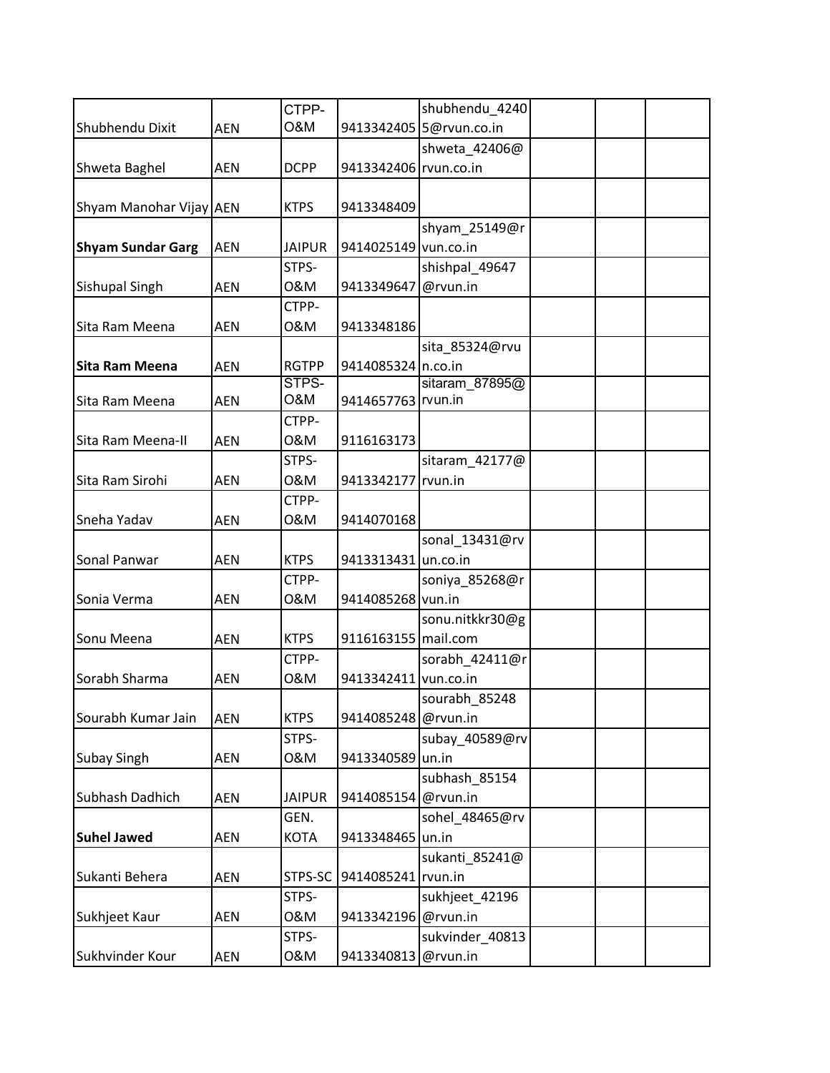|                          |            | CTPP-         |                       | shubhendu_4240          |  |  |
|--------------------------|------------|---------------|-----------------------|-------------------------|--|--|
| Shubhendu Dixit          | <b>AEN</b> | O&M           |                       | 9413342405 5@rvun.co.in |  |  |
|                          |            |               |                       | shweta_42406@           |  |  |
| Shweta Baghel            | <b>AEN</b> | <b>DCPP</b>   | 9413342406 rvun.co.in |                         |  |  |
|                          |            |               |                       |                         |  |  |
| Shyam Manohar Vijay AEN  |            | <b>KTPS</b>   | 9413348409            |                         |  |  |
|                          |            |               |                       | shyam_25149@r           |  |  |
| <b>Shyam Sundar Garg</b> | <b>AEN</b> | <b>JAIPUR</b> | 9414025149 vun.co.in  |                         |  |  |
|                          |            | STPS-         |                       | shishpal 49647          |  |  |
| <b>Sishupal Singh</b>    | <b>AEN</b> | 0&M           | 9413349647            | @rvun.in                |  |  |
|                          |            | CTPP-         |                       |                         |  |  |
| Sita Ram Meena           | <b>AEN</b> | 0&M           | 9413348186            |                         |  |  |
|                          |            |               |                       | sita_85324@rvu          |  |  |
| <b>Sita Ram Meena</b>    | <b>AEN</b> | <b>RGTPP</b>  | 9414085324 n.co.in    |                         |  |  |
|                          |            | STPS-         |                       | sitaram 87895@          |  |  |
| Sita Ram Meena           | <b>AEN</b> | O&M           | 9414657763 rvun.in    |                         |  |  |
|                          |            | CTPP-         |                       |                         |  |  |
| Sita Ram Meena-II        | <b>AEN</b> | 0&M           | 9116163173            |                         |  |  |
|                          |            | STPS-         |                       | sitaram_42177@          |  |  |
| Sita Ram Sirohi          | <b>AEN</b> | 0&M           | 9413342177 rvun.in    |                         |  |  |
|                          |            | CTPP-         |                       |                         |  |  |
| Sneha Yadav              | <b>AEN</b> | 0&M           | 9414070168            |                         |  |  |
|                          |            |               |                       | sonal 13431@rv          |  |  |
| Sonal Panwar             | <b>AEN</b> | <b>KTPS</b>   | 9413313431 un.co.in   |                         |  |  |
|                          |            | CTPP-         |                       | soniya_85268@r          |  |  |
| Sonia Verma              | <b>AEN</b> | 0&M           | 9414085268 vun.in     |                         |  |  |
|                          |            |               |                       | sonu.nitkkr30@g         |  |  |
| Sonu Meena               | <b>AEN</b> | <b>KTPS</b>   | 9116163155 mail.com   |                         |  |  |
|                          |            | CTPP-         |                       | sorabh 42411@r          |  |  |
| Sorabh Sharma            | <b>AEN</b> | 0&M           | 9413342411 vun.co.in  |                         |  |  |
|                          |            |               |                       | sourabh 85248           |  |  |
| Sourabh Kumar Jain       | <b>AEN</b> | <b>KTPS</b>   | 9414085248 @rvun.in   |                         |  |  |
|                          |            | STPS-         |                       | subay_40589@rv          |  |  |
| <b>Subay Singh</b>       | <b>AEN</b> | 0&M           | 9413340589 un.in      |                         |  |  |
|                          |            |               |                       | subhash 85154           |  |  |
| Subhash Dadhich          | <b>AEN</b> | <b>JAIPUR</b> | 9414085154 @rvun.in   |                         |  |  |
|                          |            | GEN.          |                       | sohel 48465@rv          |  |  |
| <b>Suhel Jawed</b>       | AEN        | <b>KOTA</b>   | 9413348465 un.in      |                         |  |  |
|                          |            |               |                       | sukanti 85241@          |  |  |
| Sukanti Behera           | <b>AEN</b> | STPS-SC       | 9414085241 rvun.in    |                         |  |  |
|                          |            | STPS-         |                       | sukhjeet_42196          |  |  |
| Sukhjeet Kaur            | AEN        | 0&M           | 9413342196 @rvun.in   |                         |  |  |
|                          |            | STPS-         |                       | sukvinder_40813         |  |  |
| Sukhvinder Kour          | AEN        | 0&M           | 9413340813            | @rvun.in                |  |  |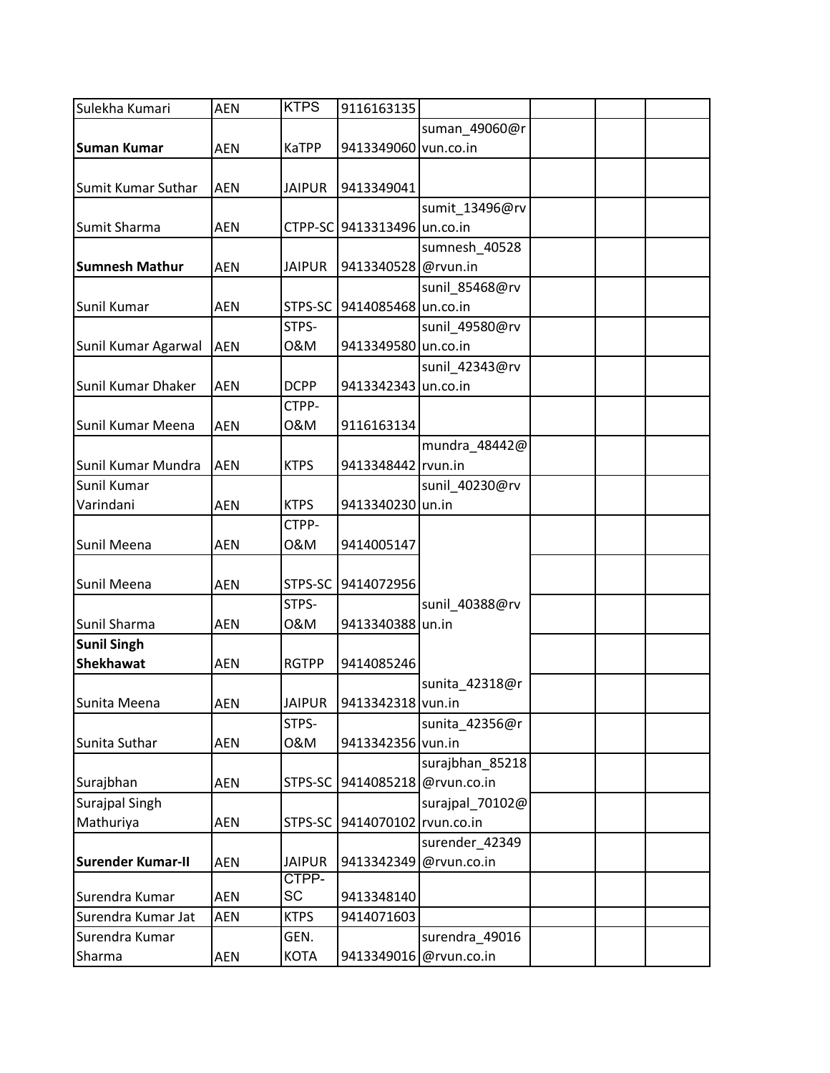| Sulekha Kumari           | <b>AEN</b> | <b>KTPS</b>   | 9116163135                  |                        |  |  |
|--------------------------|------------|---------------|-----------------------------|------------------------|--|--|
|                          |            |               |                             | suman_49060@r          |  |  |
| <b>Suman Kumar</b>       | <b>AEN</b> | <b>KaTPP</b>  | 9413349060 vun.co.in        |                        |  |  |
|                          |            |               |                             |                        |  |  |
| Sumit Kumar Suthar       | <b>AEN</b> | <b>JAIPUR</b> | 9413349041                  |                        |  |  |
|                          |            |               |                             | sumit_13496@rv         |  |  |
| Sumit Sharma             | <b>AEN</b> |               | CTPP-SC 9413313496 un.co.in |                        |  |  |
|                          |            |               |                             | sumnesh_40528          |  |  |
| <b>Sumnesh Mathur</b>    | <b>AEN</b> | <b>JAIPUR</b> | 9413340528 @rvun.in         |                        |  |  |
|                          |            |               |                             | sunil_85468@rv         |  |  |
| Sunil Kumar              | <b>AEN</b> | STPS-SC       | 9414085468 un.co.in         |                        |  |  |
|                          |            | STPS-         |                             |                        |  |  |
|                          |            | 0&M           | 9413349580 un.co.in         | sunil_49580@rv         |  |  |
| Sunil Kumar Agarwal      | <b>AEN</b> |               |                             |                        |  |  |
|                          |            |               |                             | sunil_42343@rv         |  |  |
| Sunil Kumar Dhaker       | <b>AEN</b> | <b>DCPP</b>   | 9413342343 un.co.in         |                        |  |  |
|                          |            | CTPP-         |                             |                        |  |  |
| Sunil Kumar Meena        | <b>AEN</b> | 0&M           | 9116163134                  |                        |  |  |
|                          |            |               |                             | mundra_48442@          |  |  |
| Sunil Kumar Mundra       | <b>AEN</b> | <b>KTPS</b>   | 9413348442 rvun.in          |                        |  |  |
| Sunil Kumar              |            |               |                             | sunil 40230@rv         |  |  |
| Varindani                | <b>AEN</b> | <b>KTPS</b>   | 9413340230 un.in            |                        |  |  |
|                          |            | CTPP-         |                             |                        |  |  |
| Sunil Meena              | <b>AEN</b> | 0&M           | 9414005147                  |                        |  |  |
|                          |            |               |                             |                        |  |  |
| Sunil Meena              | <b>AEN</b> | STPS-SC       | 9414072956                  |                        |  |  |
|                          |            | STPS-         |                             | sunil_40388@rv         |  |  |
| Sunil Sharma             | <b>AEN</b> | 0&M           | 9413340388 un.in            |                        |  |  |
| <b>Sunil Singh</b>       |            |               |                             |                        |  |  |
| <b>Shekhawat</b>         | <b>AEN</b> | <b>RGTPP</b>  | 9414085246                  |                        |  |  |
|                          |            |               |                             | sunita_42318@r         |  |  |
| Sunita Meena             | AEN        | <b>JAIPUR</b> | 9413342318 vun.in           |                        |  |  |
|                          |            | STPS-         |                             | sunita_42356@r         |  |  |
| Sunita Suthar            | <b>AEN</b> | 0&M           | 9413342356 vun.in           |                        |  |  |
|                          |            |               |                             | surajbhan_85218        |  |  |
| Surajbhan                | <b>AEN</b> | STPS-SC       |                             | 9414085218 @rvun.co.in |  |  |
| Surajpal Singh           |            |               |                             | surajpal_70102@        |  |  |
| Mathuriya                | AEN        | STPS-SC       | 9414070102 rvun.co.in       |                        |  |  |
|                          |            |               |                             | surender_42349         |  |  |
| <b>Surender Kumar-II</b> | AEN        | <b>JAIPUR</b> | 9413342349                  | @rvun.co.in            |  |  |
|                          |            | CTPP-         |                             |                        |  |  |
| Surendra Kumar           | <b>AEN</b> | SC            | 9413348140                  |                        |  |  |
| Surendra Kumar Jat       | <b>AEN</b> | <b>KTPS</b>   | 9414071603                  |                        |  |  |
| Surendra Kumar           |            | GEN.          |                             | surendra_49016         |  |  |
| Sharma                   | <b>AEN</b> | <b>KOTA</b>   | 9413349016                  | @rvun.co.in            |  |  |
|                          |            |               |                             |                        |  |  |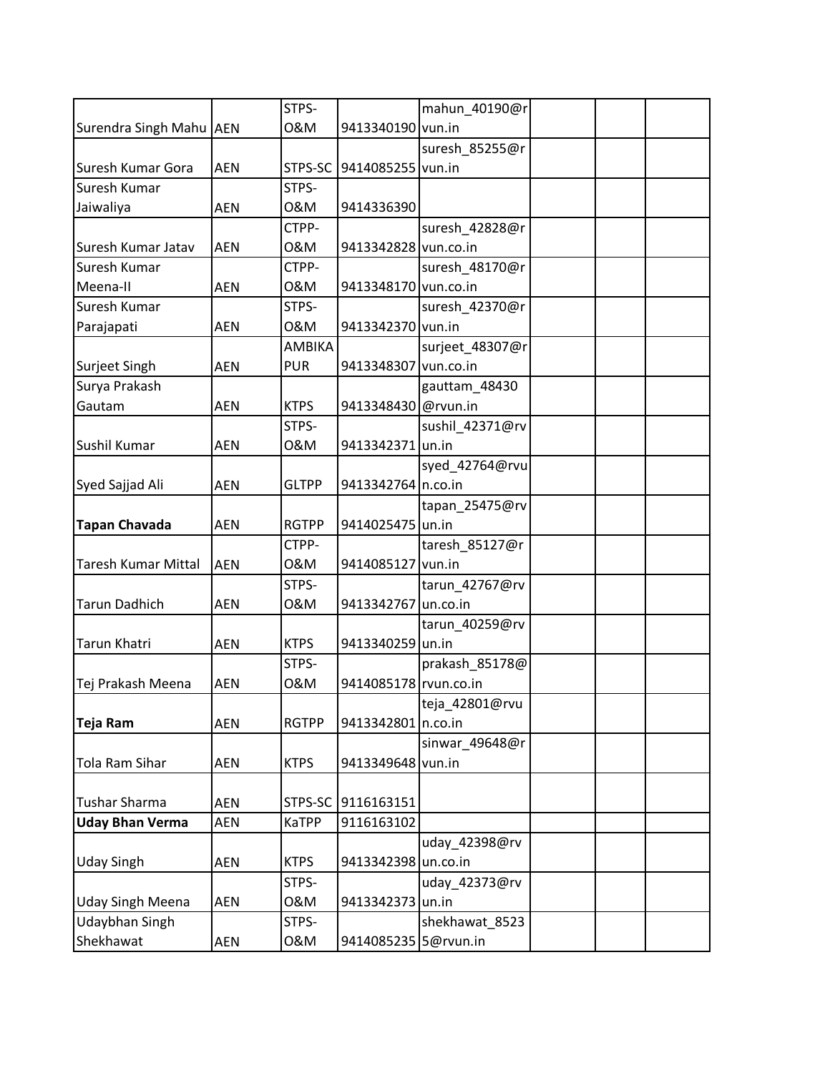|                            |            | STPS-         |                       | mahun_40190@r   |  |  |
|----------------------------|------------|---------------|-----------------------|-----------------|--|--|
| Surendra Singh Mahu AEN    |            | 0&M           | 9413340190 vun.in     |                 |  |  |
|                            |            |               |                       | suresh_85255@r  |  |  |
| Suresh Kumar Gora          | <b>AEN</b> | STPS-SC       | 9414085255 vun.in     |                 |  |  |
| Suresh Kumar               |            | STPS-         |                       |                 |  |  |
| Jaiwaliya                  | <b>AEN</b> | 0&M           | 9414336390            |                 |  |  |
|                            |            | CTPP-         |                       | suresh_42828@r  |  |  |
| Suresh Kumar Jatav         | <b>AEN</b> | 0&M           | 9413342828 vun.co.in  |                 |  |  |
| Suresh Kumar               |            | CTPP-         |                       | suresh_48170@r  |  |  |
| Meena-II                   | <b>AEN</b> | 0&M           | 9413348170 vun.co.in  |                 |  |  |
| Suresh Kumar               |            | STPS-         |                       | suresh_42370@r  |  |  |
| Parajapati                 | <b>AEN</b> | 0&M           | 9413342370 vun.in     |                 |  |  |
|                            |            | <b>AMBIKA</b> |                       | surjeet_48307@r |  |  |
| Surjeet Singh              | <b>AEN</b> | <b>PUR</b>    | 9413348307 vun.co.in  |                 |  |  |
| Surya Prakash              |            |               |                       | gauttam_48430   |  |  |
| Gautam                     | <b>AEN</b> | <b>KTPS</b>   | 9413348430 @rvun.in   |                 |  |  |
|                            |            | STPS-         |                       | sushil_42371@rv |  |  |
| Sushil Kumar               | <b>AEN</b> | 0&M           | 9413342371 un.in      |                 |  |  |
|                            |            |               |                       | syed_42764@rvu  |  |  |
| Syed Sajjad Ali            | <b>AEN</b> | <b>GLTPP</b>  | 9413342764 n.co.in    |                 |  |  |
|                            |            |               |                       | tapan_25475@rv  |  |  |
| <b>Tapan Chavada</b>       | <b>AEN</b> | <b>RGTPP</b>  | 9414025475 un.in      |                 |  |  |
|                            |            | CTPP-         |                       | taresh_85127@r  |  |  |
| <b>Taresh Kumar Mittal</b> | <b>AEN</b> | 0&M           | 9414085127 vun.in     |                 |  |  |
|                            |            | STPS-         |                       | tarun_42767@rv  |  |  |
| <b>Tarun Dadhich</b>       | <b>AEN</b> | 0&M           | 9413342767            | un.co.in        |  |  |
|                            |            |               |                       | tarun_40259@rv  |  |  |
| Tarun Khatri               | <b>AEN</b> | <b>KTPS</b>   | 9413340259 un.in      |                 |  |  |
|                            |            | STPS-         |                       | prakash 85178@  |  |  |
| Tej Prakash Meena          | <b>AEN</b> | 0&M           | 9414085178 rvun.co.in |                 |  |  |
|                            |            |               |                       | teja_42801@rvu  |  |  |
| Teja Ram                   | <b>AEN</b> | <b>RGTPP</b>  | 9413342801 n.co.in    |                 |  |  |
|                            |            |               |                       | sinwar_49648@r  |  |  |
| Tola Ram Sihar             | <b>AEN</b> | <b>KTPS</b>   | 9413349648 vun.in     |                 |  |  |
|                            |            |               |                       |                 |  |  |
| Tushar Sharma              | <b>AEN</b> | STPS-SC       | 9116163151            |                 |  |  |
| <b>Uday Bhan Verma</b>     | AEN        | <b>KaTPP</b>  | 9116163102            |                 |  |  |
|                            |            |               |                       | uday_42398@rv   |  |  |
| <b>Uday Singh</b>          | <b>AEN</b> | <b>KTPS</b>   | 9413342398 un.co.in   |                 |  |  |
|                            |            | STPS-         |                       | uday_42373@rv   |  |  |
| <b>Uday Singh Meena</b>    | AEN        | 0&M           | 9413342373 un.in      |                 |  |  |
| Udaybhan Singh             |            | STPS-         |                       | shekhawat_8523  |  |  |
| Shekhawat                  | <b>AEN</b> | 0&M           | 9414085235 5@rvun.in  |                 |  |  |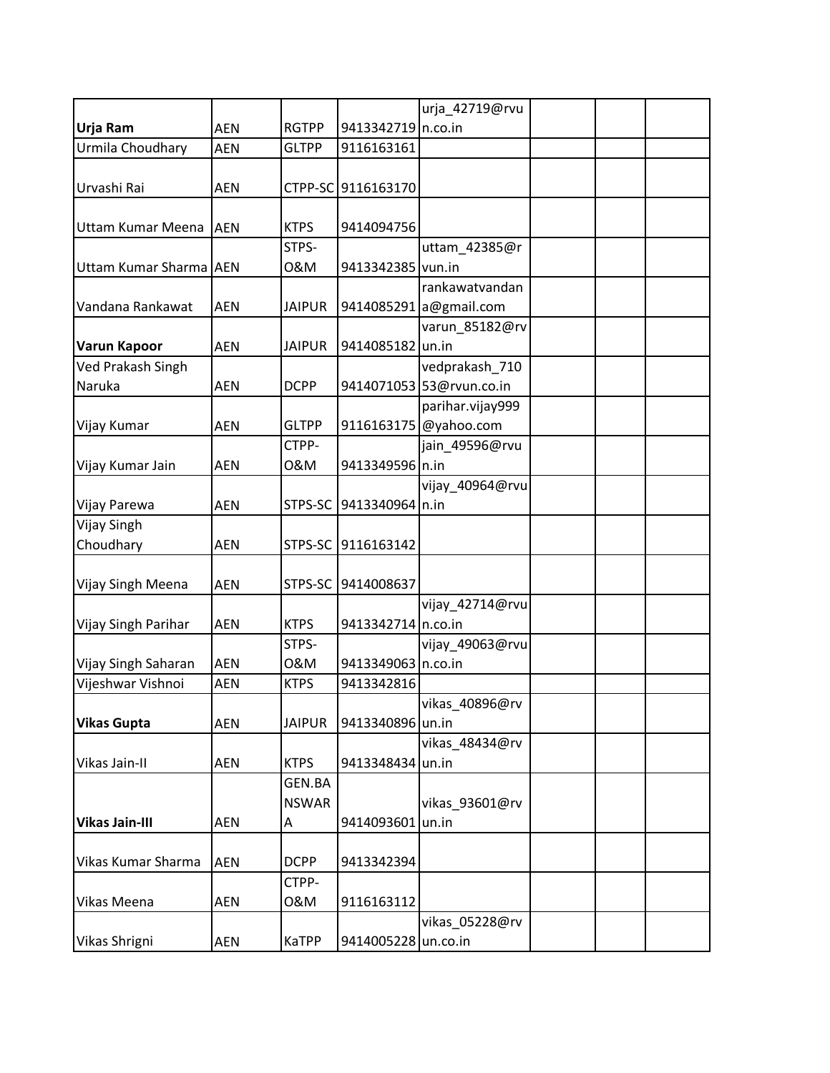|                        |            |               |                     | urja_42719@rvu           |  |  |
|------------------------|------------|---------------|---------------------|--------------------------|--|--|
| Urja Ram               | <b>AEN</b> | <b>RGTPP</b>  | 9413342719 n.co.in  |                          |  |  |
| Urmila Choudhary       | <b>AEN</b> | <b>GLTPP</b>  | 9116163161          |                          |  |  |
|                        |            |               |                     |                          |  |  |
| Urvashi Rai            | <b>AEN</b> |               | CTPP-SC 9116163170  |                          |  |  |
|                        |            |               |                     |                          |  |  |
| Uttam Kumar Meena      | <b>AEN</b> | <b>KTPS</b>   | 9414094756          |                          |  |  |
|                        |            | STPS-         |                     | uttam_42385@r            |  |  |
| Uttam Kumar Sharma AEN |            | 0&M           | 9413342385 vun.in   |                          |  |  |
|                        |            |               |                     | rankawatvandan           |  |  |
| Vandana Rankawat       | <b>AEN</b> | <b>JAIPUR</b> |                     | 9414085291 a@gmail.com   |  |  |
|                        |            |               |                     | varun_85182@rv           |  |  |
| <b>Varun Kapoor</b>    | <b>AEN</b> | <b>JAIPUR</b> | 9414085182 un.in    |                          |  |  |
| Ved Prakash Singh      |            |               |                     | vedprakash_710           |  |  |
| Naruka                 | <b>AEN</b> | <b>DCPP</b>   |                     | 9414071053 53@rvun.co.in |  |  |
|                        |            |               |                     | parihar.vijay999         |  |  |
| Vijay Kumar            | <b>AEN</b> | <b>GLTPP</b>  |                     | 9116163175 @yahoo.com    |  |  |
|                        |            | CTPP-         |                     | jain_49596@rvu           |  |  |
| Vijay Kumar Jain       | <b>AEN</b> | 0&M           | 9413349596 n.in     |                          |  |  |
|                        |            |               |                     | vijay_40964@rvu          |  |  |
| Vijay Parewa           | <b>AEN</b> | STPS-SC       | 9413340964 n.in     |                          |  |  |
| Vijay Singh            |            |               |                     |                          |  |  |
| Choudhary              | <b>AEN</b> | STPS-SC       | 9116163142          |                          |  |  |
|                        |            |               |                     |                          |  |  |
| Vijay Singh Meena      | <b>AEN</b> | STPS-SC       | 9414008637          |                          |  |  |
|                        |            |               |                     | vijay_42714@rvu          |  |  |
| Vijay Singh Parihar    | <b>AEN</b> | <b>KTPS</b>   | 9413342714 n.co.in  |                          |  |  |
|                        |            | STPS-         |                     | vijay_49063@rvu          |  |  |
| Vijay Singh Saharan    | <b>AEN</b> | 0&M           | 9413349063 n.co.in  |                          |  |  |
| Vijeshwar Vishnoi      | <b>AEN</b> | <b>KTPS</b>   | 9413342816          |                          |  |  |
|                        |            |               |                     | vikas_40896@rv           |  |  |
| <b>Vikas Gupta</b>     | <b>AEN</b> | <b>JAIPUR</b> | 9413340896 un.in    |                          |  |  |
|                        |            |               |                     | vikas_48434@rv           |  |  |
| Vikas Jain-II          | <b>AEN</b> | <b>KTPS</b>   | 9413348434 un.in    |                          |  |  |
|                        |            | GEN.BA        |                     |                          |  |  |
|                        |            | <b>NSWAR</b>  |                     | vikas_93601@rv           |  |  |
| <b>Vikas Jain-III</b>  | <b>AEN</b> | Α             | 9414093601          | un.in                    |  |  |
|                        |            |               |                     |                          |  |  |
| Vikas Kumar Sharma     | <b>AEN</b> | <b>DCPP</b>   | 9413342394          |                          |  |  |
|                        |            | CTPP-         |                     |                          |  |  |
| Vikas Meena            | AEN        | 0&M           | 9116163112          |                          |  |  |
|                        |            |               |                     | vikas_05228@rv           |  |  |
| Vikas Shrigni          | <b>AEN</b> | <b>KaTPP</b>  | 9414005228 un.co.in |                          |  |  |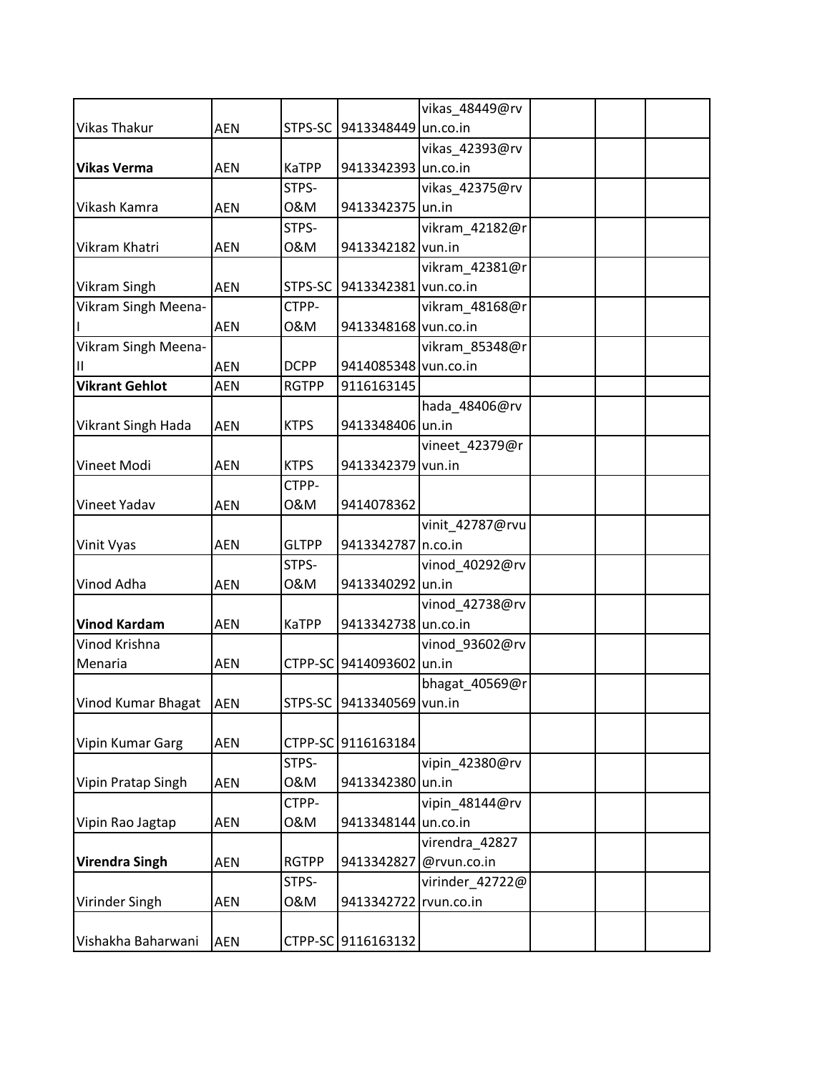|                           |            |              |                              | vikas_48449@rv  |  |
|---------------------------|------------|--------------|------------------------------|-----------------|--|
| <b>Vikas Thakur</b>       | AEN        | STPS-SC      | 9413348449 un.co.in          |                 |  |
|                           |            |              |                              | vikas_42393@rv  |  |
| <b>Vikas Verma</b>        | <b>AEN</b> | <b>KaTPP</b> | 9413342393 un.co.in          |                 |  |
|                           |            | STPS-        |                              | vikas_42375@rv  |  |
| Vikash Kamra              | <b>AEN</b> | 0&M          | 9413342375 un.in             |                 |  |
|                           |            | STPS-        |                              | vikram_42182@r  |  |
| Vikram Khatri             | <b>AEN</b> | 0&M          | 9413342182                   | vun.in          |  |
|                           |            |              |                              | vikram_42381@r  |  |
| <b>Vikram Singh</b>       | <b>AEN</b> |              | STPS-SC 9413342381 vun.co.in |                 |  |
| Vikram Singh Meena-       |            | CTPP-        |                              | vikram_48168@r  |  |
|                           | <b>AEN</b> | 0&M          | 9413348168 vun.co.in         |                 |  |
| Vikram Singh Meena-       |            |              |                              | vikram_85348@r  |  |
| Ш                         | <b>AEN</b> | <b>DCPP</b>  | 9414085348 vun.co.in         |                 |  |
| <b>Vikrant Gehlot</b>     | <b>AEN</b> | <b>RGTPP</b> | 9116163145                   |                 |  |
|                           |            |              |                              | hada_48406@rv   |  |
| <b>Vikrant Singh Hada</b> | <b>AEN</b> | <b>KTPS</b>  | 9413348406 un.in             |                 |  |
|                           |            |              |                              | vineet_42379@r  |  |
| Vineet Modi               | <b>AEN</b> | <b>KTPS</b>  | 9413342379 vun.in            |                 |  |
|                           |            | CTPP-        |                              |                 |  |
| Vineet Yadav              | <b>AEN</b> | 0&M          | 9414078362                   |                 |  |
|                           |            |              |                              | vinit_42787@rvu |  |
| Vinit Vyas                | AEN        | <b>GLTPP</b> | 9413342787 n.co.in           |                 |  |
|                           |            | STPS-        |                              | vinod_40292@rv  |  |
| Vinod Adha                | <b>AEN</b> | 0&M          | 9413340292 un.in             |                 |  |
|                           |            |              |                              | vinod_42738@rv  |  |
| <b>Vinod Kardam</b>       | AEN        | <b>KaTPP</b> | 9413342738 un.co.in          |                 |  |
| Vinod Krishna             |            |              |                              | vinod_93602@rv  |  |
| Menaria                   | <b>AEN</b> |              | CTPP-SC 9414093602 un.in     |                 |  |
|                           |            |              |                              | bhagat_40569@r  |  |
| Vinod Kumar Bhagat   AEN  |            |              | STPS-SC 9413340569 vun.in    |                 |  |
|                           |            |              |                              |                 |  |
| Vipin Kumar Garg          | AEN        |              | CTPP-SC 9116163184           |                 |  |
|                           |            | STPS-        |                              | vipin 42380@rv  |  |
| Vipin Pratap Singh        | AEN        | 0&M          | 9413342380 un.in             |                 |  |
|                           |            | CTPP-        |                              | vipin_48144@rv  |  |
| Vipin Rao Jagtap          | <b>AEN</b> | 0&M          | 9413348144 un.co.in          |                 |  |
|                           |            |              |                              | virendra_42827  |  |
| <b>Virendra Singh</b>     | AEN        | <b>RGTPP</b> | 9413342827                   | @rvun.co.in     |  |
|                           |            | STPS-        |                              | virinder_42722@ |  |
| Virinder Singh            | AEN        | 0&M          | 9413342722                   | rvun.co.in      |  |
|                           |            |              |                              |                 |  |
| Vishakha Baharwani        | AEN        |              | CTPP-SC 9116163132           |                 |  |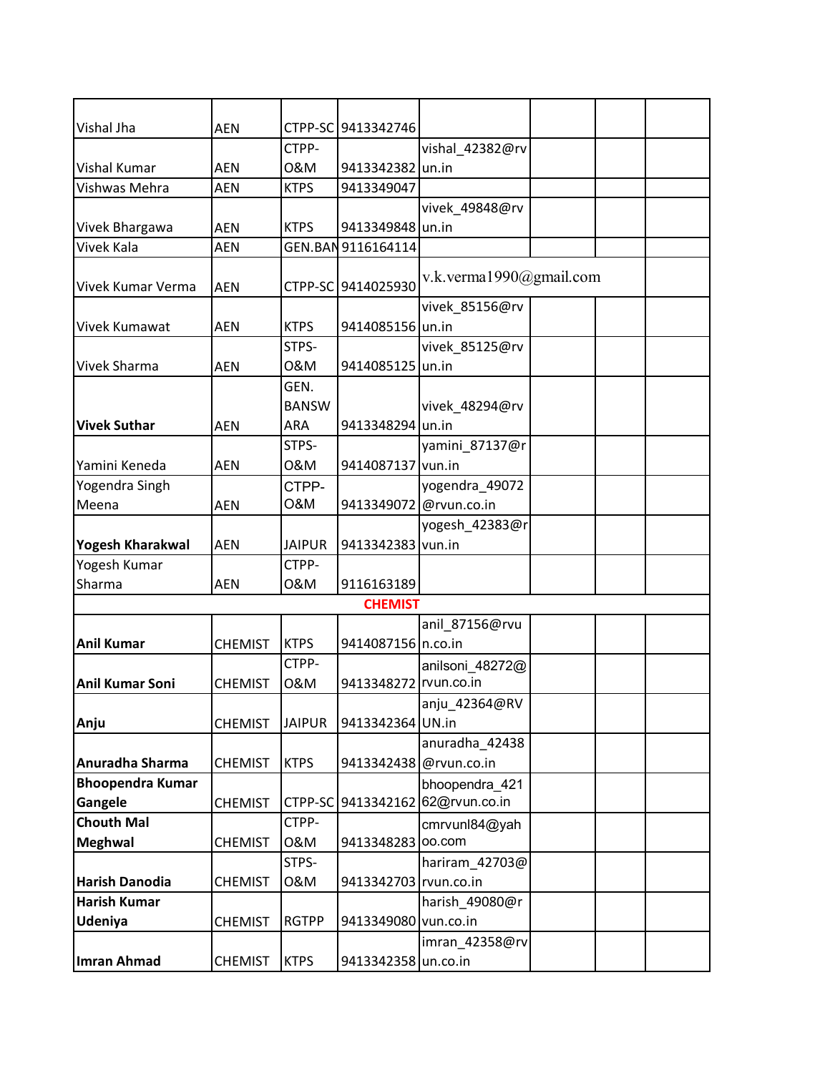| Vishal Jha              | <b>AEN</b>     |                | CTPP-SC 9413342746    |                         |  |  |
|-------------------------|----------------|----------------|-----------------------|-------------------------|--|--|
|                         |                | CTPP-          |                       | vishal_42382@rv         |  |  |
| <b>Vishal Kumar</b>     | <b>AEN</b>     | 0&M            | 9413342382            | un.in                   |  |  |
| Vishwas Mehra           | AEN            | <b>KTPS</b>    | 9413349047            |                         |  |  |
|                         |                |                |                       | vivek_49848@rv          |  |  |
| Vivek Bhargawa          | AEN            | <b>KTPS</b>    | 9413349848 un.in      |                         |  |  |
| Vivek Kala              | <b>AEN</b>     |                | GEN.BAN 9116164114    |                         |  |  |
|                         |                |                |                       | v.k.verma1990@gmail.com |  |  |
| Vivek Kumar Verma       | <b>AEN</b>     |                | CTPP-SC 9414025930    |                         |  |  |
|                         |                |                |                       | vivek_85156@rv          |  |  |
| <b>Vivek Kumawat</b>    | AEN            | <b>KTPS</b>    | 9414085156 un.in      |                         |  |  |
|                         |                | STPS-          |                       | vivek_85125@rv          |  |  |
| <b>Vivek Sharma</b>     | <b>AEN</b>     | 0&M            | 9414085125 un.in      |                         |  |  |
|                         |                | GEN.           |                       |                         |  |  |
|                         |                | <b>BANSW</b>   |                       | vivek_48294@rv          |  |  |
| <b>Vivek Suthar</b>     | AEN            | ARA            | 9413348294 un.in      |                         |  |  |
|                         |                | STPS-          |                       | yamini_87137@r          |  |  |
| Yamini Keneda           | <b>AEN</b>     | 0&M            | 9414087137 vun.in     |                         |  |  |
| Yogendra Singh          |                | CTPP-          |                       | yogendra_49072          |  |  |
| Meena                   | AEN            | <b>O&amp;M</b> | 9413349072            | @rvun.co.in             |  |  |
|                         |                |                |                       | yogesh_42383@r          |  |  |
| <b>Yogesh Kharakwal</b> | <b>AEN</b>     | <b>JAIPUR</b>  | 9413342383 vun.in     |                         |  |  |
| Yogesh Kumar            |                | CTPP-          |                       |                         |  |  |
| Sharma                  | AEN            | 0&M            | 9116163189            |                         |  |  |
|                         |                |                | <b>CHEMIST</b>        |                         |  |  |
|                         |                |                |                       | anil_87156@rvu          |  |  |
| <b>Anil Kumar</b>       | <b>CHEMIST</b> | <b>KTPS</b>    | 9414087156 n.co.in    |                         |  |  |
|                         |                | CTPP-          |                       | anilsoni 48272@         |  |  |
| <b>Anil Kumar Soni</b>  | <b>CHEMIST</b> | 0&M            | 9413348272            | rvun.co.in              |  |  |
|                         |                |                |                       | anju_42364@RV           |  |  |
| Anju                    | <b>CHEMIST</b> | <b>JAIPUR</b>  | 9413342364 UN.in      |                         |  |  |
|                         |                |                |                       | anuradha_42438          |  |  |
| Anuradha Sharma         | <b>CHEMIST</b> | <b>KTPS</b>    | 9413342438            | @rvun.co.in             |  |  |
| <b>Bhoopendra Kumar</b> |                |                |                       | bhoopendra_421          |  |  |
| Gangele                 | <b>CHEMIST</b> |                | CTPP-SC 9413342162    | 62@rvun.co.in           |  |  |
| <b>Chouth Mal</b>       |                | CTPP-          |                       | cmrvunl84@yah           |  |  |
| <b>Meghwal</b>          | <b>CHEMIST</b> | 0&M            | 9413348283            | oo.com                  |  |  |
|                         |                | STPS-          |                       | hariram_42703@          |  |  |
| Harish Danodia          | <b>CHEMIST</b> | 0&M            | 9413342703 rvun.co.in |                         |  |  |
| <b>Harish Kumar</b>     |                |                |                       | harish_49080@r          |  |  |
| <b>Udeniya</b>          | <b>CHEMIST</b> | <b>RGTPP</b>   | 9413349080 vun.co.in  |                         |  |  |
|                         |                |                |                       | imran_42358@rv          |  |  |
| <b>Imran Ahmad</b>      | <b>CHEMIST</b> | <b>KTPS</b>    | 9413342358 un.co.in   |                         |  |  |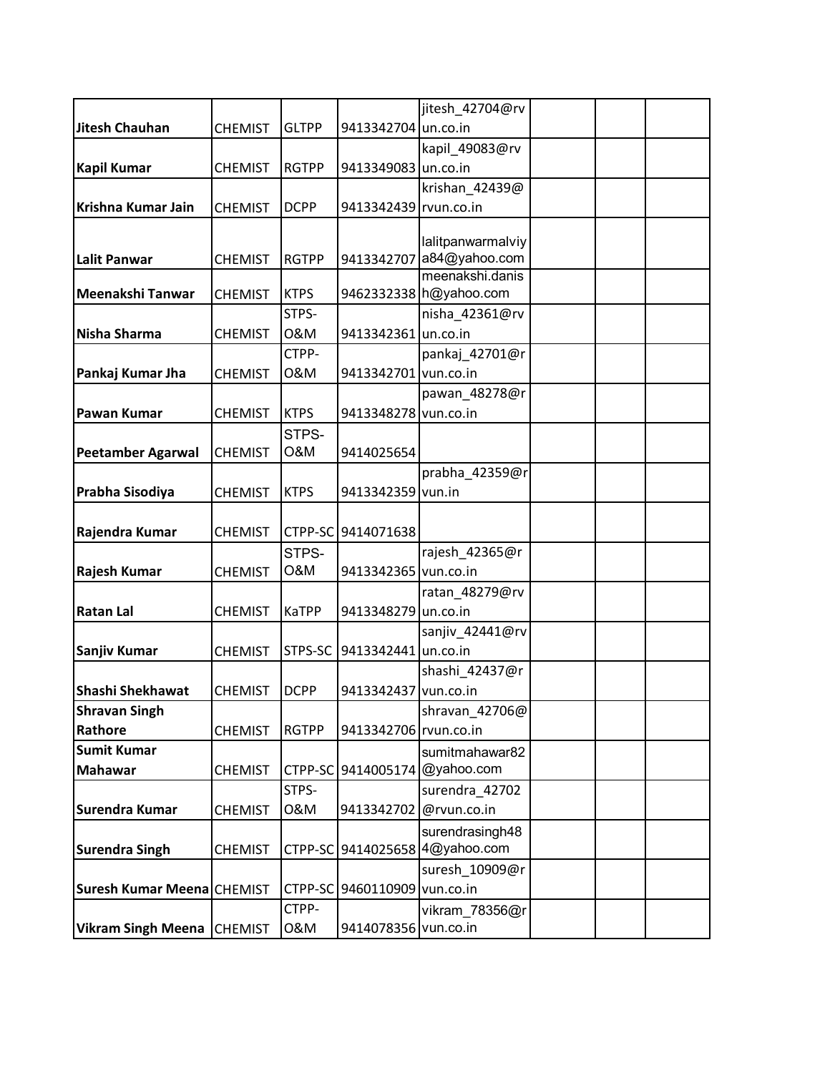|                            |                |              |                       | jitesh_42704@rv                             |  |  |
|----------------------------|----------------|--------------|-----------------------|---------------------------------------------|--|--|
| <b>Jitesh Chauhan</b>      | <b>CHEMIST</b> | <b>GLTPP</b> | 9413342704 un.co.in   |                                             |  |  |
|                            |                |              |                       | kapil_49083@rv                              |  |  |
| <b>Kapil Kumar</b>         | <b>CHEMIST</b> | <b>RGTPP</b> | 9413349083 un.co.in   |                                             |  |  |
|                            |                |              |                       | krishan_42439@                              |  |  |
| Krishna Kumar Jain         | <b>CHEMIST</b> | <b>DCPP</b>  | 9413342439 rvun.co.in |                                             |  |  |
|                            |                |              |                       |                                             |  |  |
|                            |                |              |                       | lalitpanwarmalviy                           |  |  |
| <b>Lalit Panwar</b>        | <b>CHEMIST</b> | <b>RGTPP</b> |                       | 9413342707 a84@yahoo.com<br>meenakshi.danis |  |  |
| Meenakshi Tanwar           | <b>CHEMIST</b> | <b>KTPS</b>  |                       | 9462332338 h@yahoo.com                      |  |  |
|                            |                | STPS-        |                       | nisha_42361@rv                              |  |  |
| Nisha Sharma               | <b>CHEMIST</b> | 0&M          | 9413342361 un.co.in   |                                             |  |  |
|                            |                | CTPP-        |                       | pankaj 42701@r                              |  |  |
| Pankaj Kumar Jha           | <b>CHEMIST</b> | 0&M          | 9413342701 vun.co.in  |                                             |  |  |
|                            |                |              |                       | pawan_48278@r                               |  |  |
| <b>Pawan Kumar</b>         | <b>CHEMIST</b> | <b>KTPS</b>  | 9413348278 vun.co.in  |                                             |  |  |
|                            |                | STPS-        |                       |                                             |  |  |
| <b>Peetamber Agarwal</b>   | <b>CHEMIST</b> | O&M          | 9414025654            |                                             |  |  |
|                            |                |              |                       | prabha_42359@r                              |  |  |
| Prabha Sisodiya            | <b>CHEMIST</b> | <b>KTPS</b>  | 9413342359            | vun.in                                      |  |  |
|                            |                |              |                       |                                             |  |  |
| Rajendra Kumar             | <b>CHEMIST</b> |              | CTPP-SC 9414071638    |                                             |  |  |
|                            |                | STPS-        |                       | rajesh_42365@r                              |  |  |
| Rajesh Kumar               | <b>CHEMIST</b> | O&M          | 9413342365 vun.co.in  |                                             |  |  |
|                            |                |              |                       | ratan_48279@rv                              |  |  |
| <b>Ratan Lal</b>           | <b>CHEMIST</b> | KaTPP        | 9413348279 un.co.in   |                                             |  |  |
|                            |                |              |                       | sanjiv_42441@rv                             |  |  |
| Sanjiv Kumar               | <b>CHEMIST</b> | STPS-SC      | 9413342441 un.co.in   |                                             |  |  |
|                            |                |              |                       | shashi_42437@r                              |  |  |
| Shashi Shekhawat           | <b>CHEMIST</b> | <b>DCPP</b>  | 9413342437 vun.co.in  |                                             |  |  |
| <b>Shravan Singh</b>       |                |              |                       | shravan_42706@                              |  |  |
| Rathore                    | <b>CHEMIST</b> | <b>RGTPP</b> | 9413342706 rvun.co.in |                                             |  |  |
| <b>Sumit Kumar</b>         |                |              |                       | sumitmahawar82                              |  |  |
| <b>Mahawar</b>             | <b>CHEMIST</b> | CTPP-SC      | 9414005174            | @yahoo.com                                  |  |  |
|                            |                | STPS-        |                       | surendra 42702                              |  |  |
| Surendra Kumar             | <b>CHEMIST</b> | 0&M          | 9413342702            | @rvun.co.in                                 |  |  |
|                            |                |              |                       | surendrasingh48                             |  |  |
| <b>Surendra Singh</b>      | <b>CHEMIST</b> | CTPP-SC      | 9414025658            | 4@yahoo.com                                 |  |  |
|                            |                |              |                       | suresh_10909@r                              |  |  |
| Suresh Kumar Meena CHEMIST |                | CTPP-SC      | 9460110909 vun.co.in  |                                             |  |  |
|                            |                | CTPP-        |                       | vikram_78356@r                              |  |  |
| Vikram Singh Meena CHEMIST |                | 0&M          | 9414078356 vun.co.in  |                                             |  |  |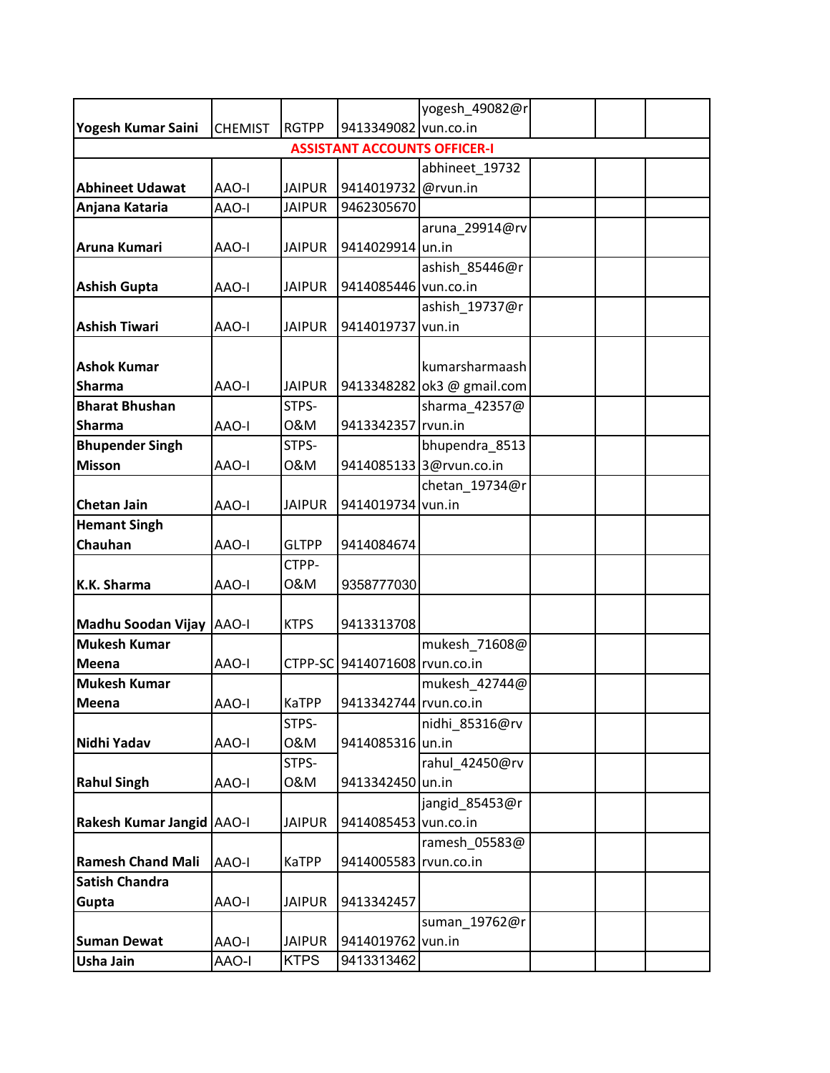|                                  |                |               |                                     | yogesh_49082@r             |  |  |
|----------------------------------|----------------|---------------|-------------------------------------|----------------------------|--|--|
| Yogesh Kumar Saini               | <b>CHEMIST</b> | <b>RGTPP</b>  | 9413349082 vun.co.in                |                            |  |  |
|                                  |                |               | <b>ASSISTANT ACCOUNTS OFFICER-I</b> |                            |  |  |
|                                  |                |               |                                     | abhineet_19732             |  |  |
| <b>Abhineet Udawat</b>           | <b>AAO-I</b>   | <b>JAIPUR</b> | 9414019732 @rvun.in                 |                            |  |  |
| Anjana Kataria                   | <b>AAO-I</b>   | <b>JAIPUR</b> | 9462305670                          |                            |  |  |
|                                  |                |               |                                     | aruna_29914@rv             |  |  |
| Aruna Kumari                     | AAO-I          | <b>JAIPUR</b> | 9414029914 un.in                    |                            |  |  |
|                                  |                |               |                                     | ashish_85446@r             |  |  |
| <b>Ashish Gupta</b>              | <b>AAO-I</b>   | <b>JAIPUR</b> | 9414085446 vun.co.in                |                            |  |  |
|                                  |                |               |                                     | ashish_19737@r             |  |  |
| <b>Ashish Tiwari</b>             | <b>AAO-I</b>   | <b>JAIPUR</b> | 9414019737 vun.in                   |                            |  |  |
|                                  |                |               |                                     |                            |  |  |
| <b>Ashok Kumar</b>               |                |               |                                     | kumarsharmaash             |  |  |
| <b>Sharma</b>                    | AAO-I          | <b>JAIPUR</b> |                                     | 9413348282 ok3 @ gmail.com |  |  |
| <b>Bharat Bhushan</b>            |                | STPS-         |                                     | sharma 42357@              |  |  |
| <b>Sharma</b>                    | AAO-I          | 0&M           | 9413342357 rvun.in                  |                            |  |  |
| <b>Bhupender Singh</b>           |                | STPS-         |                                     | bhupendra_8513             |  |  |
| <b>Misson</b>                    | AAO-I          | 0&M           |                                     | 9414085133 3@rvun.co.in    |  |  |
|                                  |                |               |                                     | chetan_19734@r             |  |  |
| <b>Chetan Jain</b>               | AAO-I          | <b>JAIPUR</b> | 9414019734 vun.in                   |                            |  |  |
| <b>Hemant Singh</b>              |                |               |                                     |                            |  |  |
| <b>Chauhan</b>                   | <b>AAO-I</b>   | <b>GLTPP</b>  | 9414084674                          |                            |  |  |
|                                  |                | CTPP-         |                                     |                            |  |  |
| K.K. Sharma                      | <b>AAO-I</b>   | 0&M           | 9358777030                          |                            |  |  |
|                                  |                |               |                                     |                            |  |  |
| Madhu Soodan Vijay AAO-I         |                | <b>KTPS</b>   | 9413313708                          |                            |  |  |
| <b>Mukesh Kumar</b>              |                |               |                                     | mukesh 71608@              |  |  |
| <b>Meena</b>                     | AAO-I          |               | CTPP-SC 9414071608 rvun.co.in       |                            |  |  |
| <b>Mukesh Kumar</b>              |                |               |                                     | mukesh_42744@              |  |  |
| Meena                            | <b>AAO-I</b>   | <b>KaTPP</b>  | 9413342744 rvun.co.in               |                            |  |  |
|                                  |                | STPS-         |                                     | nidhi 85316@rv             |  |  |
| Nidhi Yadav                      | <b>AAO-I</b>   | 0&M           | 9414085316 un.in                    |                            |  |  |
|                                  |                | STPS-         |                                     | rahul 42450@rv             |  |  |
| <b>Rahul Singh</b>               | AAO-I          | 0&M           | 9413342450 un.in                    |                            |  |  |
|                                  |                |               |                                     | jangid_85453@r             |  |  |
| <b>Rakesh Kumar Jangid AAO-I</b> |                | <b>JAIPUR</b> | 9414085453 vun.co.in                |                            |  |  |
|                                  |                |               |                                     | ramesh_05583@              |  |  |
| <b>Ramesh Chand Mali</b>         | AAO-I          | KaTPP         | 9414005583 rvun.co.in               |                            |  |  |
| <b>Satish Chandra</b>            |                |               |                                     |                            |  |  |
| Gupta                            | <b>AAO-I</b>   | <b>JAIPUR</b> | 9413342457                          |                            |  |  |
|                                  |                |               |                                     | suman_19762@r              |  |  |
| <b>Suman Dewat</b>               | <b>AAO-I</b>   | <b>JAIPUR</b> | 9414019762 vun.in                   |                            |  |  |
| <b>Usha Jain</b>                 | <b>AAO-I</b>   | <b>KTPS</b>   | 9413313462                          |                            |  |  |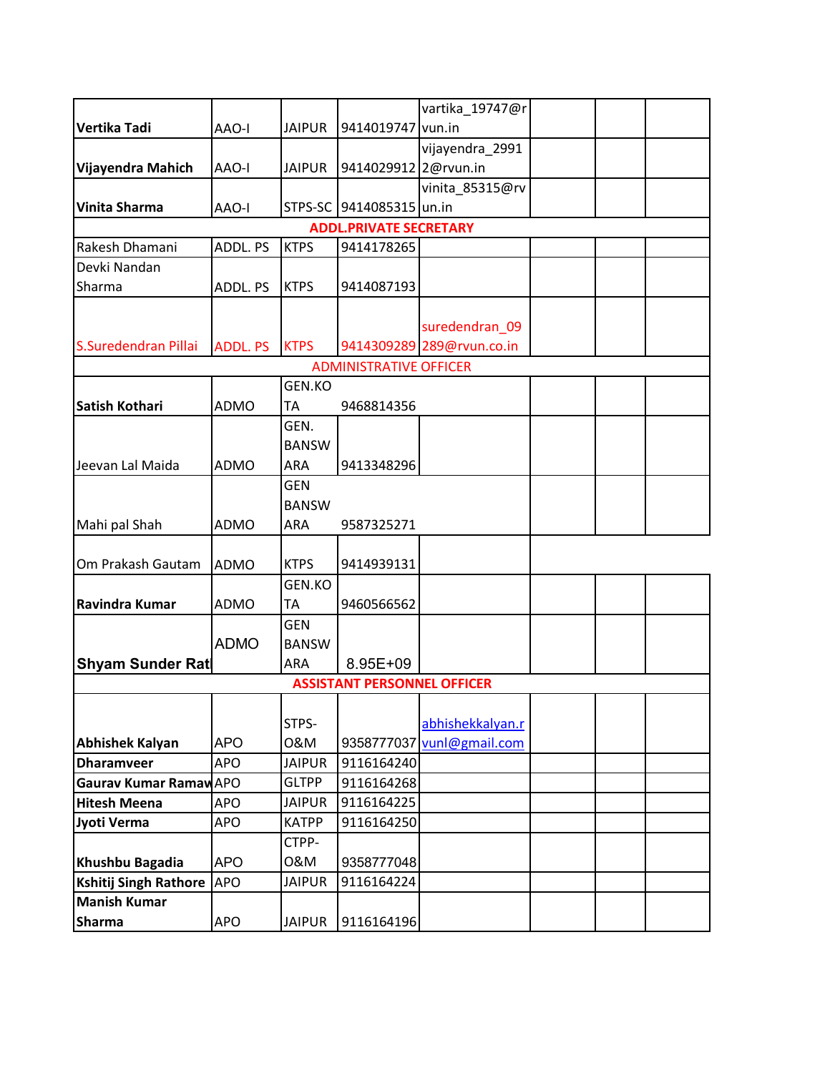|                         |                 |               |                                    | vartika_19747@r           |  |  |
|-------------------------|-----------------|---------------|------------------------------------|---------------------------|--|--|
| Vertika Tadi            | AAO-I           | <b>JAIPUR</b> | 9414019747 vun.in                  |                           |  |  |
|                         |                 |               |                                    | vijayendra_2991           |  |  |
| Vijayendra Mahich       | AAO-I           | <b>JAIPUR</b> | 9414029912 2@rvun.in               |                           |  |  |
|                         |                 |               |                                    | vinita_85315@rv           |  |  |
| <b>Vinita Sharma</b>    | AAO-I           | STPS-SC       | 9414085315 un.in                   |                           |  |  |
|                         |                 |               | <b>ADDL.PRIVATE SECRETARY</b>      |                           |  |  |
| Rakesh Dhamani          | ADDL. PS        | <b>KTPS</b>   | 9414178265                         |                           |  |  |
| Devki Nandan            |                 |               |                                    |                           |  |  |
| Sharma                  | ADDL. PS        | <b>KTPS</b>   | 9414087193                         |                           |  |  |
|                         |                 |               |                                    |                           |  |  |
|                         |                 |               |                                    | suredendran_09            |  |  |
| S.Suredendran Pillai    | <b>ADDL. PS</b> | <b>KTPS</b>   |                                    | 9414309289 289@rvun.co.in |  |  |
|                         |                 |               | <b>ADMINISTRATIVE OFFICER</b>      |                           |  |  |
|                         |                 | GEN.KO        |                                    |                           |  |  |
| <b>Satish Kothari</b>   | <b>ADMO</b>     | TA            | 9468814356                         |                           |  |  |
|                         |                 | GEN.          |                                    |                           |  |  |
|                         |                 | <b>BANSW</b>  |                                    |                           |  |  |
| Jeevan Lal Maida        | <b>ADMO</b>     | ARA           | 9413348296                         |                           |  |  |
|                         |                 | <b>GEN</b>    |                                    |                           |  |  |
|                         |                 | <b>BANSW</b>  |                                    |                           |  |  |
| Mahi pal Shah           | <b>ADMO</b>     | <b>ARA</b>    | 9587325271                         |                           |  |  |
|                         |                 |               |                                    |                           |  |  |
| Om Prakash Gautam       | <b>ADMO</b>     | <b>KTPS</b>   | 9414939131                         |                           |  |  |
|                         |                 | <b>GEN.KO</b> |                                    |                           |  |  |
| Ravindra Kumar          | <b>ADMO</b>     | <b>TA</b>     | 9460566562                         |                           |  |  |
|                         |                 | <b>GEN</b>    |                                    |                           |  |  |
|                         | <b>ADMO</b>     | <b>BANSW</b>  |                                    |                           |  |  |
| <b>Shyam Sunder Rat</b> |                 | ARA           | 8.95E+09                           |                           |  |  |
|                         |                 |               | <b>ASSISTANT PERSONNEL OFFICER</b> |                           |  |  |
|                         |                 |               |                                    |                           |  |  |
|                         |                 | STPS-         |                                    | abhishekkalyan.r          |  |  |
| <b>Abhishek Kalyan</b>  | <b>APO</b>      | 0&M           | 9358777037                         | vunl@gmail.com            |  |  |
| <b>Dharamveer</b>       | APO             | <b>JAIPUR</b> | 9116164240                         |                           |  |  |
| Gaurav Kumar Ramaw APO  |                 | <b>GLTPP</b>  | 9116164268                         |                           |  |  |
| <b>Hitesh Meena</b>     | <b>APO</b>      | <b>JAIPUR</b> | 9116164225                         |                           |  |  |
| Jyoti Verma             | <b>APO</b>      | <b>KATPP</b>  | 9116164250                         |                           |  |  |
|                         |                 | CTPP-         |                                    |                           |  |  |
| Khushbu Bagadia         | <b>APO</b>      | 0&M           | 9358777048                         |                           |  |  |
| Kshitij Singh Rathore   | <b>APO</b>      | <b>JAIPUR</b> | 9116164224                         |                           |  |  |
| <b>Manish Kumar</b>     |                 |               |                                    |                           |  |  |
| <b>Sharma</b>           | <b>APO</b>      | <b>JAIPUR</b> | 9116164196                         |                           |  |  |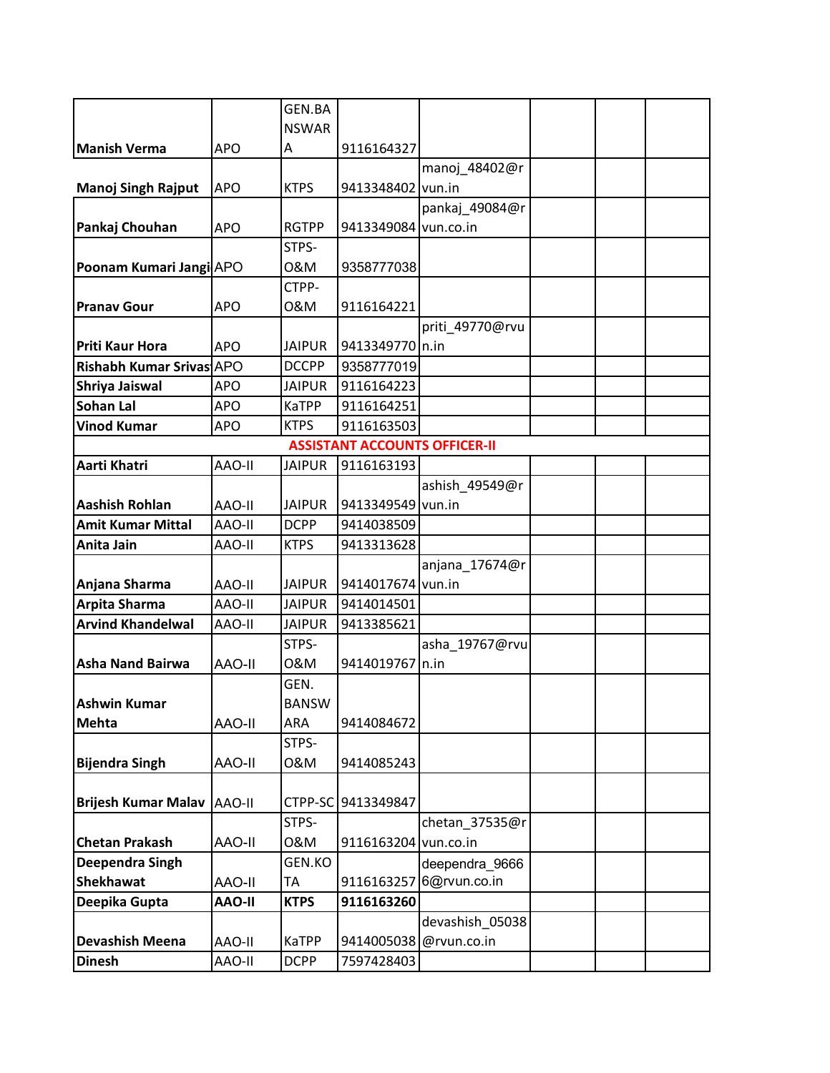|                            |               | GEN.BA        |                                      |                 |  |  |
|----------------------------|---------------|---------------|--------------------------------------|-----------------|--|--|
|                            |               | <b>NSWAR</b>  |                                      |                 |  |  |
| <b>Manish Verma</b>        | <b>APO</b>    | А             | 9116164327                           |                 |  |  |
|                            |               |               |                                      | manoj_48402@r   |  |  |
| <b>Manoj Singh Rajput</b>  | <b>APO</b>    | <b>KTPS</b>   | 9413348402 vun.in                    |                 |  |  |
|                            |               |               |                                      | pankaj_49084@r  |  |  |
| Pankaj Chouhan             | <b>APO</b>    | <b>RGTPP</b>  | 9413349084 vun.co.in                 |                 |  |  |
|                            |               | STPS-         |                                      |                 |  |  |
| Poonam Kumari Jangi APO    |               | 0&M           | 9358777038                           |                 |  |  |
|                            |               | CTPP-         |                                      |                 |  |  |
| <b>Pranav Gour</b>         | <b>APO</b>    | 0&M           | 9116164221                           |                 |  |  |
|                            |               |               |                                      | priti_49770@rvu |  |  |
| <b>Priti Kaur Hora</b>     | <b>APO</b>    | <b>JAIPUR</b> | 9413349770 n.in                      |                 |  |  |
| Rishabh Kumar Srivas APO   |               | <b>DCCPP</b>  | 9358777019                           |                 |  |  |
| Shriya Jaiswal             | <b>APO</b>    | <b>JAIPUR</b> | 9116164223                           |                 |  |  |
| <b>Sohan Lal</b>           | <b>APO</b>    | <b>KaTPP</b>  | 9116164251                           |                 |  |  |
| <b>Vinod Kumar</b>         | <b>APO</b>    | <b>KTPS</b>   | 9116163503                           |                 |  |  |
|                            |               |               | <b>ASSISTANT ACCOUNTS OFFICER-II</b> |                 |  |  |
| Aarti Khatri               | AAO-II        | <b>JAIPUR</b> | 9116163193                           |                 |  |  |
|                            |               |               |                                      | ashish_49549@r  |  |  |
| <b>Aashish Rohlan</b>      | AAO-II        | <b>JAIPUR</b> | 9413349549 vun.in                    |                 |  |  |
| <b>Amit Kumar Mittal</b>   | AAO-II        | <b>DCPP</b>   | 9414038509                           |                 |  |  |
| Anita Jain                 | AAO-II        | <b>KTPS</b>   | 9413313628                           |                 |  |  |
|                            |               |               |                                      | anjana_17674@r  |  |  |
| Anjana Sharma              | AAO-II        | <b>JAIPUR</b> | 9414017674 vun.in                    |                 |  |  |
| <b>Arpita Sharma</b>       | AAO-II        | <b>JAIPUR</b> | 9414014501                           |                 |  |  |
| <b>Arvind Khandelwal</b>   | AAO-II        | <b>JAIPUR</b> | 9413385621                           |                 |  |  |
|                            |               | STPS-         |                                      | asha_19767@rvu  |  |  |
| <b>Asha Nand Bairwa</b>    | AAO-II        | 0&M           | 9414019767                           | n.in            |  |  |
|                            |               | GEN.          |                                      |                 |  |  |
| Ashwin Kumar               |               | <b>BANSW</b>  |                                      |                 |  |  |
| <b>Mehta</b>               | <b>AAO-II</b> | ARA           | 9414084672                           |                 |  |  |
|                            |               | STPS-         |                                      |                 |  |  |
| <b>Bijendra Singh</b>      | <b>AAO-II</b> | 0&M           | 9414085243                           |                 |  |  |
|                            |               |               |                                      |                 |  |  |
| <b>Brijesh Kumar Malav</b> | AAO-II        | CTPP-SC       | 9413349847                           |                 |  |  |
|                            |               | STPS-         |                                      | chetan_37535@r  |  |  |
| <b>Chetan Prakash</b>      | <b>AAO-II</b> | 0&M           | 9116163204                           | vun.co.in       |  |  |
| Deependra Singh            |               | GEN.KO        |                                      | deependra_9666  |  |  |
| <b>Shekhawat</b>           | <b>AAO-II</b> | TA            | 9116163257                           | 6@rvun.co.in    |  |  |
| Deepika Gupta              | <b>AAO-II</b> | <b>KTPS</b>   | 9116163260                           |                 |  |  |
|                            |               |               |                                      | devashish_05038 |  |  |
| <b>Devashish Meena</b>     | AAO-II        | <b>KaTPP</b>  | 9414005038                           | @rvun.co.in     |  |  |
| <b>Dinesh</b>              | AAO-II        | <b>DCPP</b>   | 7597428403                           |                 |  |  |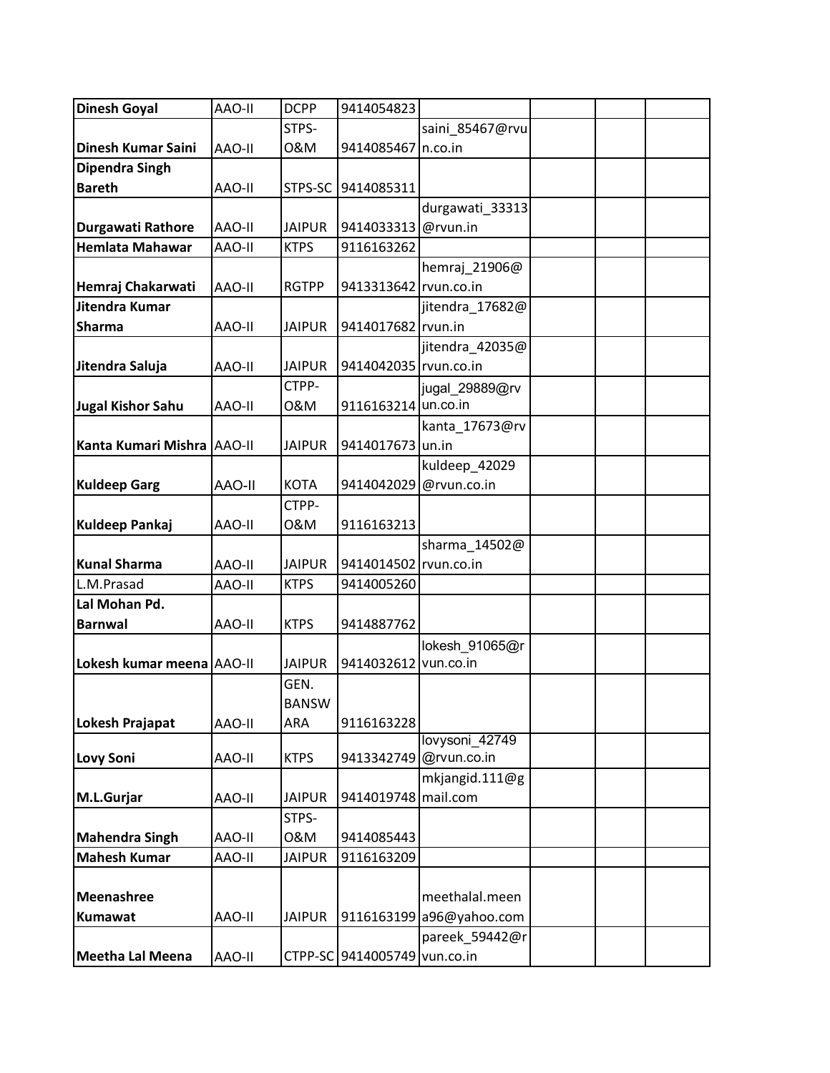| <b>Dinesh Goyal</b>        | AAO-II        | <b>DCPP</b>   | 9414054823                   |                          |  |  |
|----------------------------|---------------|---------------|------------------------------|--------------------------|--|--|
|                            |               | STPS-         |                              | saini 85467@rvu          |  |  |
| Dinesh Kumar Saini         | AAO-II        | 0&M           | 9414085467 n.co.in           |                          |  |  |
| <b>Dipendra Singh</b>      |               |               |                              |                          |  |  |
| <b>Bareth</b>              | AAO-II        | STPS-SC       | 9414085311                   |                          |  |  |
|                            |               |               |                              | durgawati_33313          |  |  |
| Durgawati Rathore          | AAO-II        | <b>JAIPUR</b> | 9414033313                   | @rvun.in                 |  |  |
| <b>Hemlata Mahawar</b>     | AAO-II        | <b>KTPS</b>   | 9116163262                   |                          |  |  |
|                            |               |               |                              | hemraj_21906@            |  |  |
| Hemraj Chakarwati          | AAO-II        | <b>RGTPP</b>  | 9413313642 rvun.co.in        |                          |  |  |
| Jitendra Kumar             |               |               |                              | jitendra_17682@          |  |  |
| <b>Sharma</b>              | AAO-II        | <b>JAIPUR</b> | 9414017682 rvun.in           |                          |  |  |
|                            |               |               |                              | jitendra_42035@          |  |  |
| Jitendra Saluja            | AAO-II        | <b>JAIPUR</b> | 9414042035 rvun.co.in        |                          |  |  |
|                            |               | CTPP-         |                              | jugal_29889@rv           |  |  |
| Jugal Kishor Sahu          | AAO-II        | 0&M           | 9116163214 un.co.in          |                          |  |  |
|                            |               |               |                              | kanta 17673@rv           |  |  |
| Kanta Kumari Mishra AAO-II |               | <b>JAIPUR</b> | 9414017673 un.in             |                          |  |  |
|                            |               |               |                              | kuldeep_42029            |  |  |
| <b>Kuldeep Garg</b>        | <b>AAO-II</b> | <b>KOTA</b>   | 9414042029                   | @rvun.co.in              |  |  |
|                            |               | CTPP-         |                              |                          |  |  |
| <b>Kuldeep Pankaj</b>      | AAO-II        | 0&M           | 9116163213                   |                          |  |  |
|                            |               |               |                              | sharma_14502@            |  |  |
| <b>Kunal Sharma</b>        | AAO-II        | <b>JAIPUR</b> | 9414014502 rvun.co.in        |                          |  |  |
| L.M.Prasad                 | AAO-II        | <b>KTPS</b>   | 9414005260                   |                          |  |  |
| Lal Mohan Pd.              |               |               |                              |                          |  |  |
| <b>Barnwal</b>             | AAO-II        | <b>KTPS</b>   | 9414887762                   |                          |  |  |
|                            |               |               |                              | lokesh_91065@r           |  |  |
| Lokesh kumar meena AAO-II  |               | <b>JAIPUR</b> | 9414032612                   | vun.co.in                |  |  |
|                            |               | GEN.          |                              |                          |  |  |
|                            |               | <b>BANSW</b>  |                              |                          |  |  |
| <b>Lokesh Prajapat</b>     | AAO-II        | ARA           | 9116163228                   |                          |  |  |
|                            |               |               |                              | lovysoni 42749           |  |  |
| <b>Lovy Soni</b>           | AAO-II        | <b>KTPS</b>   | 9413342749                   | @rvun.co.in              |  |  |
|                            |               |               |                              | mkjangid.111@g           |  |  |
| M.L.Gurjar                 | AAO-II        | <b>JAIPUR</b> | 9414019748 mail.com          |                          |  |  |
|                            |               | STPS-         |                              |                          |  |  |
| <b>Mahendra Singh</b>      | AAO-II        | 0&M           | 9414085443                   |                          |  |  |
| <b>Mahesh Kumar</b>        | AAO-II        | <b>JAIPUR</b> | 9116163209                   |                          |  |  |
|                            |               |               |                              |                          |  |  |
| <b>Meenashree</b>          |               |               |                              | meethalal.meen           |  |  |
| Kumawat                    | AAO-II        | <b>JAIPUR</b> |                              | 9116163199 a96@yahoo.com |  |  |
|                            |               |               |                              | pareek_59442@r           |  |  |
| Meetha Lal Meena           | AAO-II        |               | CTPP-SC 9414005749 vun.co.in |                          |  |  |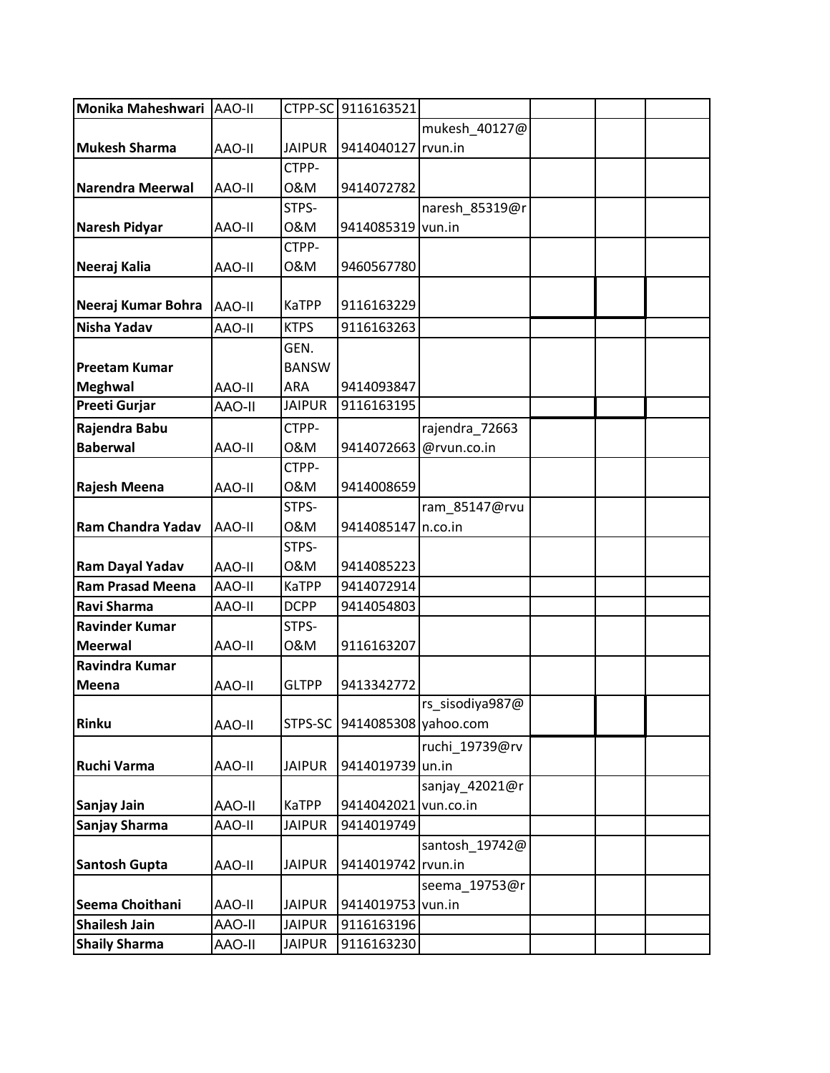| Monika Maheshwari   AAO-II |               |               | CTPP-SC 9116163521 |                 |  |  |
|----------------------------|---------------|---------------|--------------------|-----------------|--|--|
|                            |               |               |                    | mukesh_40127@   |  |  |
| <b>Mukesh Sharma</b>       | AAO-II        | <b>JAIPUR</b> | 9414040127 rvun.in |                 |  |  |
|                            |               | CTPP-         |                    |                 |  |  |
| <b>Narendra Meerwal</b>    | AAO-II        | 0&M           | 9414072782         |                 |  |  |
|                            |               | STPS-         |                    | naresh_85319@r  |  |  |
| Naresh Pidyar              | AAO-II        | 0&M           | 9414085319         | vun.in          |  |  |
|                            |               | CTPP-         |                    |                 |  |  |
| Neeraj Kalia               | AAO-II        | 0&M           | 9460567780         |                 |  |  |
|                            |               |               |                    |                 |  |  |
| Neeraj Kumar Bohra         | AAO-II        | KaTPP         | 9116163229         |                 |  |  |
| <b>Nisha Yadav</b>         | AAO-II        | <b>KTPS</b>   | 9116163263         |                 |  |  |
|                            |               | GEN.          |                    |                 |  |  |
| <b>Preetam Kumar</b>       |               | <b>BANSW</b>  |                    |                 |  |  |
| <b>Meghwal</b>             | AAO-II        | <b>ARA</b>    | 9414093847         |                 |  |  |
| <b>Preeti Gurjar</b>       | <b>AAO-II</b> | <b>JAIPUR</b> | 9116163195         |                 |  |  |
| Rajendra Babu              |               | CTPP-         |                    | rajendra_72663  |  |  |
| <b>Baberwal</b>            | AAO-II        | 0&M           | 9414072663         | @rvun.co.in     |  |  |
|                            |               | CTPP-         |                    |                 |  |  |
| Rajesh Meena               | AAO-II        | 0&M           | 9414008659         |                 |  |  |
|                            |               | STPS-         |                    | ram_85147@rvu   |  |  |
| <b>Ram Chandra Yadav</b>   | AAO-II        | 0&M           | 9414085147 n.co.in |                 |  |  |
|                            |               | STPS-         |                    |                 |  |  |
| Ram Dayal Yadav            | AAO-II        | 0&M           | 9414085223         |                 |  |  |
| <b>Ram Prasad Meena</b>    | AAO-II        | <b>KaTPP</b>  | 9414072914         |                 |  |  |
| Ravi Sharma                | AAO-II        | <b>DCPP</b>   | 9414054803         |                 |  |  |
| <b>Ravinder Kumar</b>      |               | STPS-         |                    |                 |  |  |
| <b>Meerwal</b>             | AAO-II        | 0&M           | 9116163207         |                 |  |  |
| Ravindra Kumar             |               |               |                    |                 |  |  |
| <b>Meena</b>               | AAO-II        | <b>GLTPP</b>  | 9413342772         |                 |  |  |
|                            |               |               |                    | rs_sisodiya987@ |  |  |
| <b>Rinku</b>               | AAO-II        | STPS-SC       | 9414085308         | yahoo.com       |  |  |
|                            |               |               |                    | ruchi 19739@rv  |  |  |
| Ruchi Varma                | AAO-II        | <b>JAIPUR</b> | 9414019739 un.in   |                 |  |  |
|                            |               |               |                    | sanjay 42021@r  |  |  |
| Sanjay Jain                | <b>AAO-II</b> | <b>KaTPP</b>  | 9414042021         | vun.co.in       |  |  |
| Sanjay Sharma              | AAO-II        | <b>JAIPUR</b> | 9414019749         |                 |  |  |
|                            |               |               |                    | santosh_19742@  |  |  |
| <b>Santosh Gupta</b>       | AAO-II        | <b>JAIPUR</b> | 9414019742         | rvun.in         |  |  |
|                            |               |               |                    | seema_19753@r   |  |  |
| Seema Choithani            | AAO-II        | <b>JAIPUR</b> | 9414019753         | vun.in          |  |  |
| <b>Shailesh Jain</b>       | <b>AAO-II</b> | <b>JAIPUR</b> | 9116163196         |                 |  |  |
| <b>Shaily Sharma</b>       | <b>H-OAA</b>  | <b>JAIPUR</b> | 9116163230         |                 |  |  |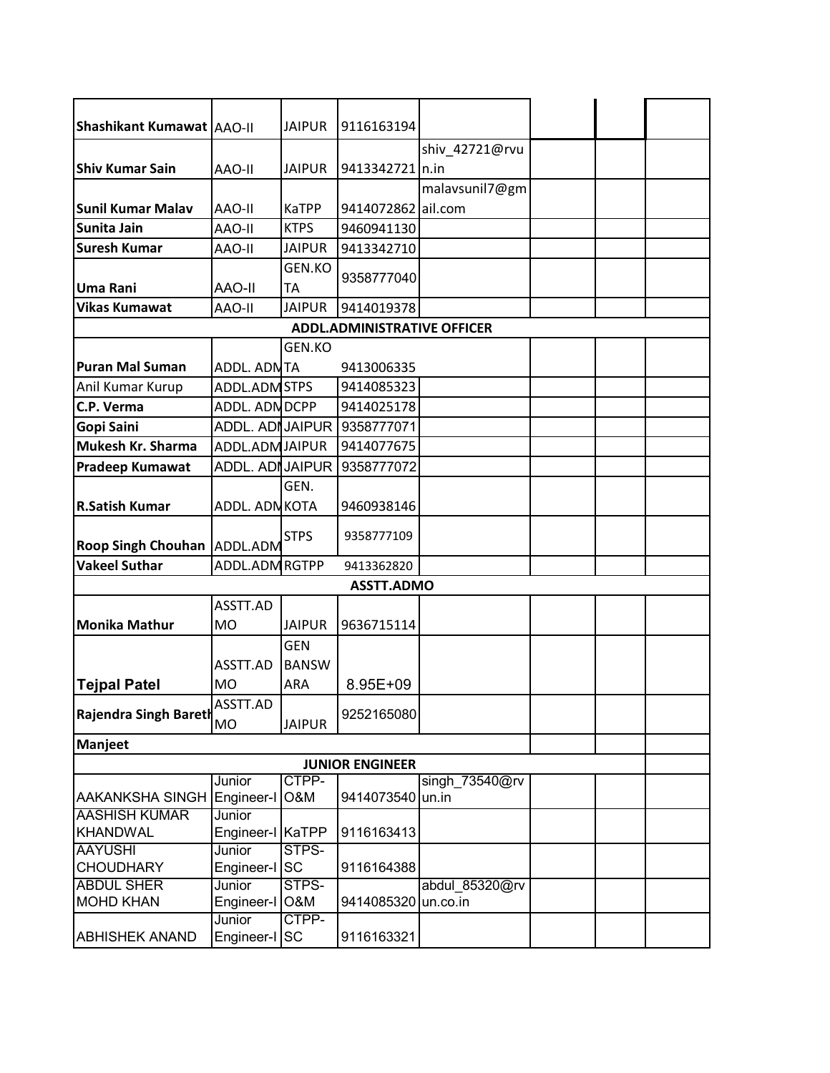| Shashikant Kumawat   AAO-II           |                      | <b>JAIPUR</b> | 9116163194                         |                            |  |  |
|---------------------------------------|----------------------|---------------|------------------------------------|----------------------------|--|--|
|                                       |                      |               |                                    | shiv_42721@rvu             |  |  |
| <b>Shiv Kumar Sain</b>                | AAO-II               | <b>JAIPUR</b> | 9413342721   n.in                  |                            |  |  |
|                                       |                      |               |                                    | malavsunil7@gm             |  |  |
| <b>Sunil Kumar Malav</b>              | AAO-II               | KaTPP         | 9414072862                         | ail.com                    |  |  |
| Sunita Jain                           | AAO-II               | <b>KTPS</b>   | 9460941130                         |                            |  |  |
| <b>Suresh Kumar</b>                   | AAO-II               | <b>JAIPUR</b> | 9413342710                         |                            |  |  |
|                                       |                      | GEN.KO        |                                    |                            |  |  |
| Uma Rani                              |                      | <b>TA</b>     | 9358777040                         |                            |  |  |
|                                       | <b>AAO-II</b>        |               |                                    |                            |  |  |
| <b>Vikas Kumawat</b>                  | AAO-II               | <b>JAIPUR</b> | 9414019378                         |                            |  |  |
|                                       |                      |               | <b>ADDL.ADMINISTRATIVE OFFICER</b> |                            |  |  |
|                                       |                      | GEN.KO        |                                    |                            |  |  |
| <b>Puran Mal Suman</b>                | ADDL. ADNTA          |               | 9413006335                         |                            |  |  |
| Anil Kumar Kurup                      | ADDL.ADM STPS        |               | 9414085323                         |                            |  |  |
| C.P. Verma                            | ADDL. ADN DCPP       |               | 9414025178                         |                            |  |  |
| Gopi Saini                            | ADDL. ADI JAIPUR     |               | 9358777071                         |                            |  |  |
| Mukesh Kr. Sharma                     | ADDL.ADM JAIPUR      |               | 9414077675                         |                            |  |  |
| <b>Pradeep Kumawat</b>                | ADDL. ADI JAIPUR     |               | 9358777072                         |                            |  |  |
|                                       |                      | GEN.          |                                    |                            |  |  |
| <b>R.Satish Kumar</b>                 | ADDL. ADN KOTA       |               | 9460938146                         |                            |  |  |
|                                       |                      |               |                                    |                            |  |  |
| <b>Roop Singh Chouhan ADDL.ADM</b>    |                      | <b>STPS</b>   | 9358777109                         |                            |  |  |
| <b>Vakeel Suthar</b>                  | ADDL.ADM RGTPP       |               | 9413362820                         |                            |  |  |
|                                       |                      |               | <b>ASSTT.ADMO</b>                  |                            |  |  |
|                                       | ASSTT.AD             |               |                                    |                            |  |  |
|                                       |                      |               |                                    |                            |  |  |
| <b>Monika Mathur</b>                  | <b>MO</b>            | <b>JAIPUR</b> | 9636715114                         |                            |  |  |
|                                       |                      | <b>GEN</b>    |                                    |                            |  |  |
|                                       | ASSTT.AD             | <b>BANSW</b>  |                                    |                            |  |  |
| <b>Tejpal Patel</b>                   | <b>MO</b>            | ARA           | 8.95E+09                           |                            |  |  |
| <b>Rajendra Singh Bareth</b>          | ASSTT.AD             |               | 9252165080                         |                            |  |  |
|                                       | <b>MO</b>            | <b>JAIPUR</b> |                                    |                            |  |  |
| Manjeet                               |                      |               |                                    |                            |  |  |
|                                       |                      |               | <b>JUNIOR ENGINEER</b>             |                            |  |  |
|                                       | Junior               | CTPP-         |                                    | singh_73540@rv             |  |  |
| <b>AAKANKSHA SINGH</b>                | Engineer-I           | O&M           | 9414073540                         | un.in                      |  |  |
| <b>AASHISH KUMAR</b>                  | Junior               |               |                                    |                            |  |  |
| KHANDWAL                              | Engineer-I KaTPP     |               | 9116163413                         |                            |  |  |
| <b>AAYUSHI</b>                        | Junior               | STPS-         |                                    |                            |  |  |
| <b>CHOUDHARY</b><br><b>ABDUL SHER</b> | Engineer-I SC        | STPS-         | 9116164388                         |                            |  |  |
| <b>MOHD KHAN</b>                      | Junior<br>Engineer-I | O&M           | 9414085320                         | abdul_85320@rv<br>un.co.in |  |  |
|                                       | Junior               | CTPP-         |                                    |                            |  |  |
| <b>ABHISHEK ANAND</b>                 | Engineer-I SC        |               | 9116163321                         |                            |  |  |
|                                       |                      |               |                                    |                            |  |  |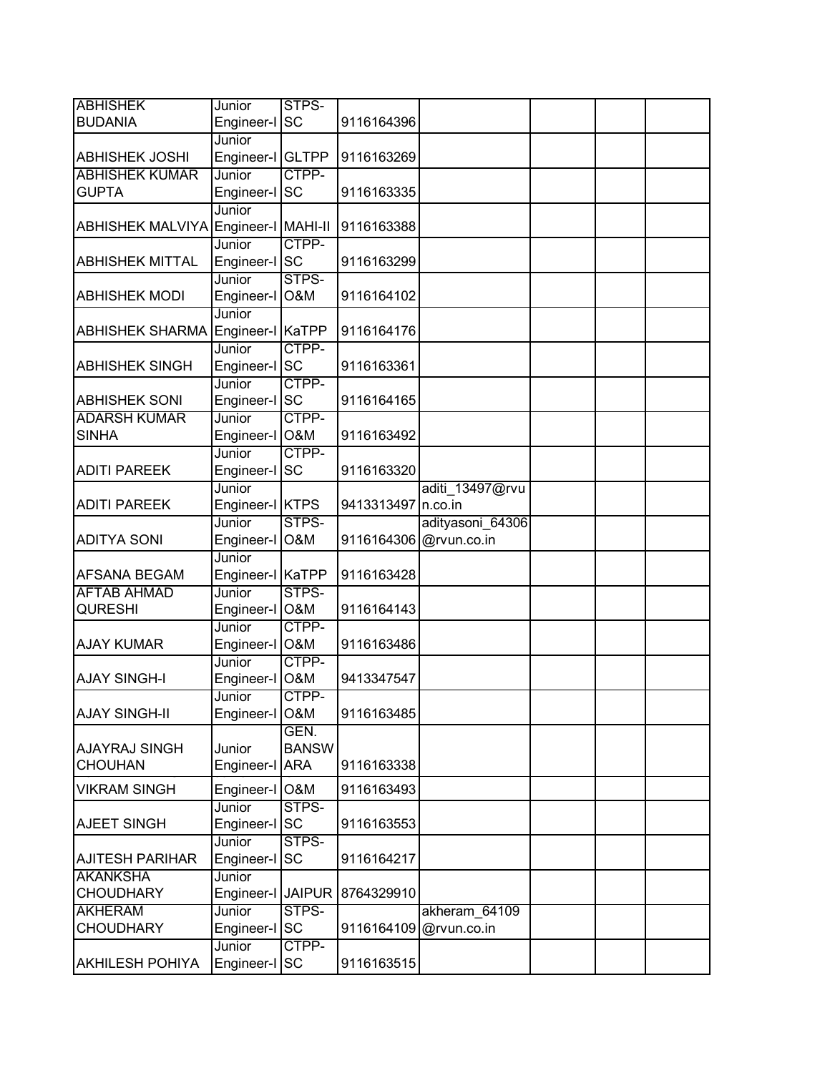| <b>ABHISHEK</b>         | Junior             | STPS-          |                    |                        |  |  |
|-------------------------|--------------------|----------------|--------------------|------------------------|--|--|
| <b>BUDANIA</b>          | Engineer-I SC      |                | 9116164396         |                        |  |  |
|                         | Junior             |                |                    |                        |  |  |
| <b>ABHISHEK JOSHI</b>   | Engineer-I GLTPP   |                | 9116163269         |                        |  |  |
| <b>ABHISHEK KUMAR</b>   | Junior             | CTPP-          |                    |                        |  |  |
| <b>GUPTA</b>            | Engineer-I         | <b>SC</b>      | 9116163335         |                        |  |  |
|                         | Junior             |                |                    |                        |  |  |
| <b>ABHISHEK MALVIYA</b> | Engineer-I MAHI-II |                | 9116163388         |                        |  |  |
|                         | Junior             | CTPP-          |                    |                        |  |  |
| <b>ABHISHEK MITTAL</b>  | Engineer-I SC      |                | 9116163299         |                        |  |  |
|                         | Junior             | STPS-          |                    |                        |  |  |
| <b>ABHISHEK MODI</b>    | Engineer-I O&M     |                | 9116164102         |                        |  |  |
|                         | Junior             |                |                    |                        |  |  |
| <b>ABHISHEK SHARMA</b>  | Engineer-I KaTPP   |                | 9116164176         |                        |  |  |
|                         | Junior             | CTPP-          |                    |                        |  |  |
| <b>ABHISHEK SINGH</b>   | Engineer-I SC      |                | 9116163361         |                        |  |  |
|                         | Junior             | CTPP-          |                    |                        |  |  |
| <b>ABHISHEK SONI</b>    | Engineer-I SC      |                | 9116164165         |                        |  |  |
| <b>ADARSH KUMAR</b>     | Junior             | CTPP-          |                    |                        |  |  |
| <b>SINHA</b>            | Engineer-I         | <b>O&amp;M</b> | 9116163492         |                        |  |  |
|                         | Junior             | CTPP-          |                    |                        |  |  |
| <b>ADITI PAREEK</b>     | Engineer-I SC      |                | 9116163320         |                        |  |  |
|                         | Junior             |                |                    | aditi_13497@rvu        |  |  |
| <b>ADITI PAREEK</b>     | Engineer-I KTPS    |                | 9413313497 n.co.in |                        |  |  |
|                         | Junior             | STPS-          |                    | adityasoni 64306       |  |  |
| <b>ADITYA SONI</b>      | Engineer-I         | <b>O&amp;M</b> |                    | 9116164306 @rvun.co.in |  |  |
|                         | Junior             |                |                    |                        |  |  |
| AFSANA BEGAM            | Engineer-I KaTPP   |                | 9116163428         |                        |  |  |
| <b>AFTAB AHMAD</b>      | Junior             | STPS-          |                    |                        |  |  |
| <b>QURESHI</b>          | Engineer-I O&M     |                | 9116164143         |                        |  |  |
|                         | Junior             | CTPP-          |                    |                        |  |  |
| <b>AJAY KUMAR</b>       | Engineer-I O&M     |                | 9116163486         |                        |  |  |
|                         | Junior             | CTPP-          |                    |                        |  |  |
| <b>AJAY SINGH-I</b>     | Engineer-I O&M     |                | 9413347547         |                        |  |  |
|                         | Junior             | CTPP-          |                    |                        |  |  |
| <b>AJAY SINGH-II</b>    | Engineer-I O&M     |                | 9116163485         |                        |  |  |
|                         |                    | GEN.           |                    |                        |  |  |
| <b>AJAYRAJ SINGH</b>    | Junior             | <b>BANSW</b>   |                    |                        |  |  |
| <b>CHOUHAN</b>          | Engineer-I ARA     |                | 9116163338         |                        |  |  |
| <b>VIKRAM SINGH</b>     | Engineer-I         | <b>O&amp;M</b> | 9116163493         |                        |  |  |
|                         | Junior             | STPS-          |                    |                        |  |  |
| <b>AJEET SINGH</b>      | Engineer-I SC      |                | 9116163553         |                        |  |  |
|                         | Junior             | STPS-          |                    |                        |  |  |
| <b>AJITESH PARIHAR</b>  | Engineer-I         | <b>SC</b>      | 9116164217         |                        |  |  |
| <b>AKANKSHA</b>         | Junior             |                |                    |                        |  |  |
| <b>CHOUDHARY</b>        | Engineer-I JAIPUR  |                | 8764329910         |                        |  |  |
| <b>AKHERAM</b>          | Junior             | STPS-          |                    | akheram_64109          |  |  |
| <b>CHOUDHARY</b>        | Engineer-I         | <b>SC</b>      |                    | 9116164109 @rvun.co.in |  |  |
|                         | Junior             | CTPP-          |                    |                        |  |  |
| <b>AKHILESH POHIYA</b>  | Engineer-I         | SC             | 9116163515         |                        |  |  |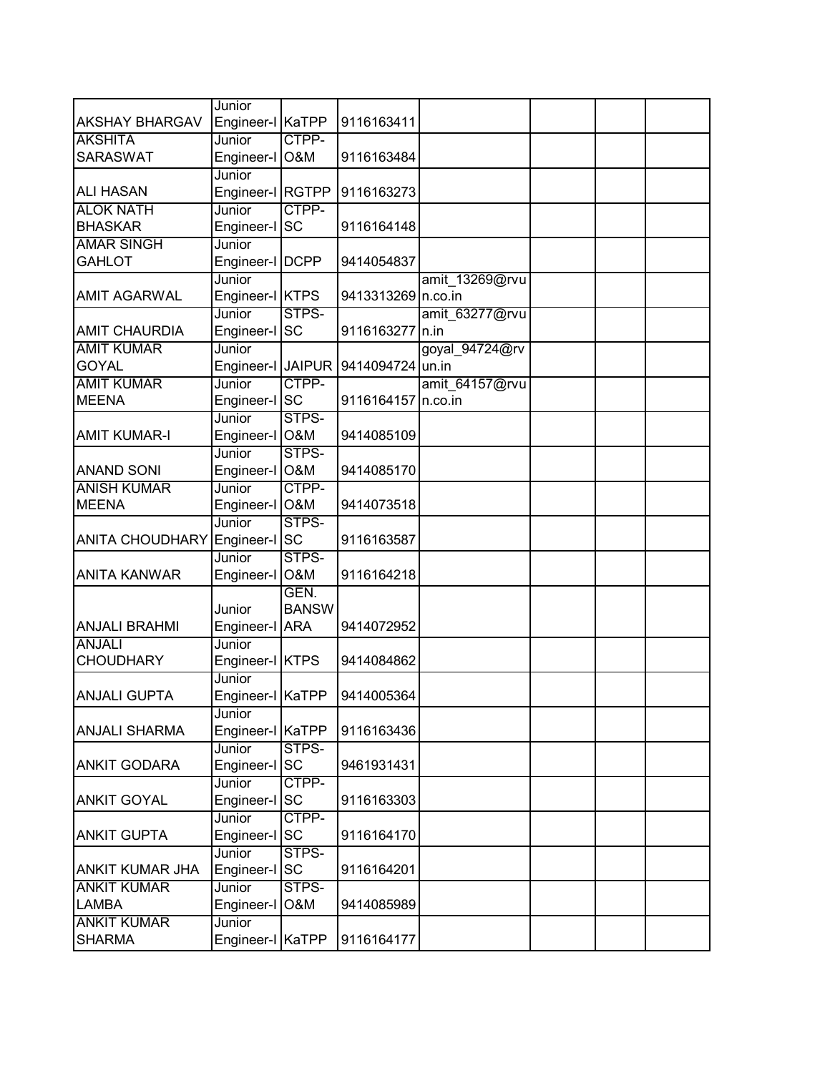|                        | Junior                   |                    |                    |                |  |  |
|------------------------|--------------------------|--------------------|--------------------|----------------|--|--|
| <b>AKSHAY BHARGAV</b>  | Engineer-I KaTPP         |                    | 9116163411         |                |  |  |
| <b>AKSHITA</b>         | Junior                   | CTPP-              |                    |                |  |  |
| <b>SARASWAT</b>        | Engineer-I O&M           |                    | 9116163484         |                |  |  |
|                        | Junior                   |                    |                    |                |  |  |
| <b>ALI HASAN</b>       | Engineer-I RGTPP         |                    | 9116163273         |                |  |  |
| <b>ALOK NATH</b>       | Junior                   | CTPP-              |                    |                |  |  |
| <b>BHASKAR</b>         | Engineer-I SC            |                    | 9116164148         |                |  |  |
| <b>AMAR SINGH</b>      | Junior                   |                    |                    |                |  |  |
| <b>GAHLOT</b>          | Engineer-I DCPP          |                    | 9414054837         |                |  |  |
|                        | Junior                   |                    |                    | amit_13269@rvu |  |  |
| <b>AMIT AGARWAL</b>    | Engineer-I KTPS          |                    | 9413313269 n.co.in |                |  |  |
|                        | Junior                   | STPS-              |                    | amit 63277@rvu |  |  |
| <b>AMIT CHAURDIA</b>   | Engineer-I SC            |                    | 9116163277 n.in    |                |  |  |
| <b>AMIT KUMAR</b>      | Junior                   |                    |                    | goyal_94724@rv |  |  |
| <b>GOYAL</b>           | Engineer-I JAIPUR        |                    | 9414094724 un.in   |                |  |  |
| <b>AMIT KUMAR</b>      | Junior                   | CTPP-              |                    | amit 64157@rvu |  |  |
| <b>MEENA</b>           | Engineer-I SC            |                    | 9116164157 n.co.in |                |  |  |
|                        | Junior                   | STPS-              |                    |                |  |  |
| <b>AMIT KUMAR-I</b>    | Engineer-I O&M           |                    | 9414085109         |                |  |  |
|                        | Junior                   | STPS-              |                    |                |  |  |
| <b>ANAND SONI</b>      | Engineer-I O&M           |                    | 9414085170         |                |  |  |
| <b>ANISH KUMAR</b>     | Junior                   | CTPP-              |                    |                |  |  |
| <b>MEENA</b>           | Engineer-I O&M           |                    | 9414073518         |                |  |  |
|                        | Junior                   | STPS-              |                    |                |  |  |
| <b>ANITA CHOUDHARY</b> | Engineer-I               | <b>SC</b><br>STPS- | 9116163587         |                |  |  |
| <b>ANITA KANWAR</b>    | Junior<br>Engineer-I O&M |                    | 9116164218         |                |  |  |
|                        |                          | GEN.               |                    |                |  |  |
|                        | Junior                   | <b>BANSW</b>       |                    |                |  |  |
| <b>ANJALI BRAHMI</b>   | Engineer-I ARA           |                    | 9414072952         |                |  |  |
| <b>ANJALI</b>          | Junior                   |                    |                    |                |  |  |
| <b>CHOUDHARY</b>       | Engineer-I KTPS          |                    | 9414084862         |                |  |  |
|                        | Junior                   |                    |                    |                |  |  |
| <b>ANJALI GUPTA</b>    | Engineer-I KaTPP         |                    | 9414005364         |                |  |  |
|                        | Junior                   |                    |                    |                |  |  |
| <b>ANJALI SHARMA</b>   | Engineer-I KaTPP         |                    | 9116163436         |                |  |  |
|                        | Junior                   | STPS-              |                    |                |  |  |
| <b>ANKIT GODARA</b>    | Engineer-I SC            |                    | 9461931431         |                |  |  |
|                        | Junior                   | CTPP-              |                    |                |  |  |
| <b>ANKIT GOYAL</b>     | Engineer-I               | <b>SC</b>          | 9116163303         |                |  |  |
|                        | Junior                   | CTPP-              |                    |                |  |  |
| <b>ANKIT GUPTA</b>     | Engineer-I SC            |                    | 9116164170         |                |  |  |
|                        | Junior                   | STPS-              |                    |                |  |  |
| <b>ANKIT KUMAR JHA</b> | Engineer-I SC            |                    | 9116164201         |                |  |  |
| <b>ANKIT KUMAR</b>     | Junior                   | STPS-              |                    |                |  |  |
| <b>LAMBA</b>           | Engineer-I               | O&M                | 9414085989         |                |  |  |
| <b>ANKIT KUMAR</b>     | Junior                   |                    |                    |                |  |  |
| <b>SHARMA</b>          | Engineer-I KaTPP         |                    | 9116164177         |                |  |  |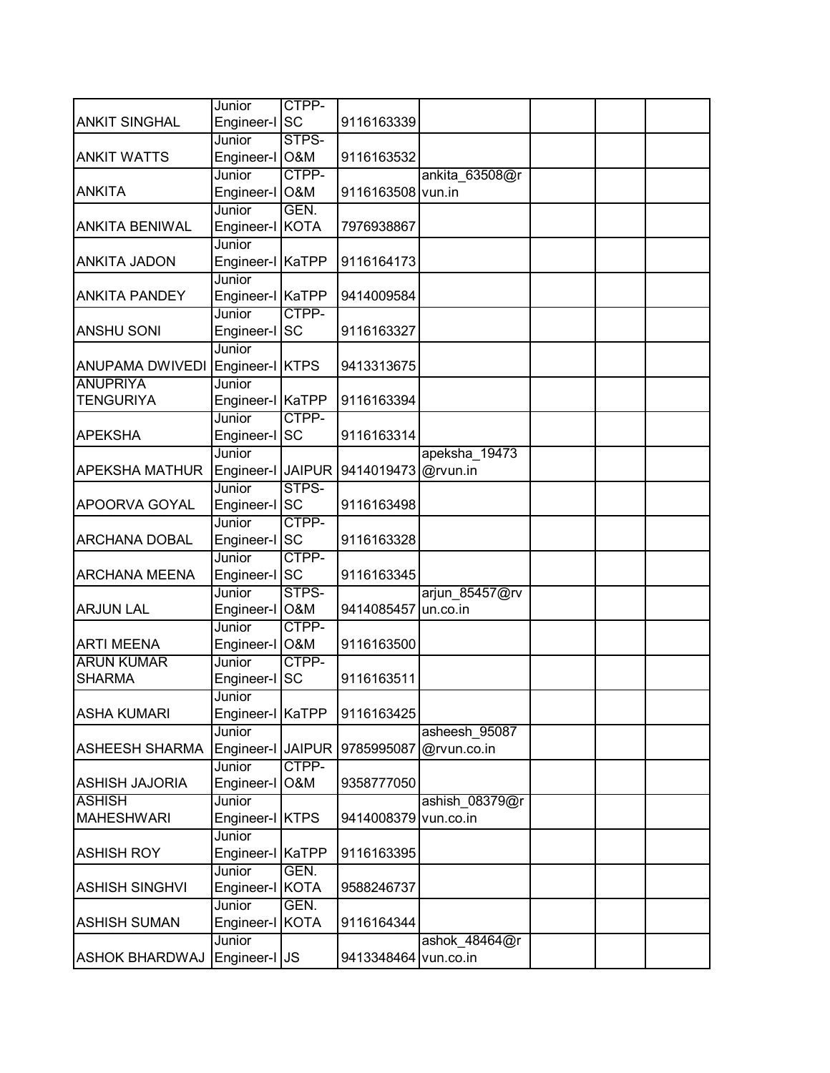|                       | Junior                  | CTPP-          |                      |                            |  |  |
|-----------------------|-------------------------|----------------|----------------------|----------------------------|--|--|
| <b>ANKIT SINGHAL</b>  | Engineer-I SC           |                | 9116163339           |                            |  |  |
|                       | Junior                  | STPS-          |                      |                            |  |  |
| <b>ANKIT WATTS</b>    | Engineer-I O&M          |                | 9116163532           |                            |  |  |
|                       | Junior                  | CTPP-          |                      | ankita_63508@r             |  |  |
| <b>ANKITA</b>         | Engineer-I              | <b>O&amp;M</b> | 9116163508           | vun.in                     |  |  |
|                       | Junior                  | GEN.           |                      |                            |  |  |
| <b>ANKITA BENIWAL</b> | Engineer-I KOTA         |                | 7976938867           |                            |  |  |
|                       | Junior                  |                |                      |                            |  |  |
| <b>ANKITA JADON</b>   | Engineer-I KaTPP        |                | 9116164173           |                            |  |  |
|                       | Junior                  |                |                      |                            |  |  |
| <b>ANKITA PANDEY</b>  | Engineer-I KaTPP        |                | 9414009584           |                            |  |  |
|                       | Junior                  | CTPP-          |                      |                            |  |  |
| <b>ANSHU SONI</b>     | Engineer-I SC           |                | 9116163327           |                            |  |  |
|                       | Junior                  |                |                      |                            |  |  |
| ANUPAMA DWIVEDI       | Engineer-I KTPS         |                | 9413313675           |                            |  |  |
| <b>ANUPRIYA</b>       | Junior                  |                |                      |                            |  |  |
| <b>TENGURIYA</b>      | Engineer-I KaTPP        |                | 9116163394           |                            |  |  |
|                       | Junior                  | CTPP-          |                      |                            |  |  |
| <b>APEKSHA</b>        | Engineer-I              | <b>SC</b>      | 9116163314           |                            |  |  |
|                       | Junior                  |                |                      | apeksha 19473              |  |  |
| <b>APEKSHA MATHUR</b> | Engineer-I JAIPUR       |                | 9414019473           | @rvun.in                   |  |  |
|                       | Junior                  | STPS-          |                      |                            |  |  |
| APOORVA GOYAL         | Engineer-I SC           |                | 9116163498           |                            |  |  |
|                       | Junior                  | CTPP-          |                      |                            |  |  |
| <b>ARCHANA DOBAL</b>  | Engineer-I SC           | CTPP-          | 9116163328           |                            |  |  |
| <b>ARCHANA MEENA</b>  | Junior<br>Engineer-I SC |                | 9116163345           |                            |  |  |
|                       | Junior                  | STPS-          |                      |                            |  |  |
| <b>ARJUN LAL</b>      | Engineer-I O&M          |                | 9414085457           | arjun_85457@rv<br>un.co.in |  |  |
|                       | Junior                  | CTPP-          |                      |                            |  |  |
| <b>ARTI MEENA</b>     | Engineer-I O&M          |                | 9116163500           |                            |  |  |
| <b>ARUN KUMAR</b>     | Junior                  | CTPP-          |                      |                            |  |  |
| <b>SHARMA</b>         | Engineer-l              | <b>SC</b>      | 9116163511           |                            |  |  |
|                       | Junior                  |                |                      |                            |  |  |
| <b>ASHA KUMARI</b>    | Engineer-I KaTPP        |                | 9116163425           |                            |  |  |
|                       | Junior                  |                |                      | asheesh_95087              |  |  |
| <b>ASHEESH SHARMA</b> | Engineer-I JAIPUR       |                | 9785995087           | @rvun.co.in                |  |  |
|                       | Junior                  | CTPP-          |                      |                            |  |  |
| <b>ASHISH JAJORIA</b> | Engineer-I              | O&M            | 9358777050           |                            |  |  |
| <b>ASHISH</b>         | Junior                  |                |                      | ashish 08379@r             |  |  |
| <b>MAHESHWARI</b>     | Engineer-I              | <b>KTPS</b>    | 9414008379           | vun.co.in                  |  |  |
|                       | Junior                  |                |                      |                            |  |  |
| <b>ASHISH ROY</b>     | Engineer-I KaTPP        |                | 9116163395           |                            |  |  |
|                       | Junior                  | GEN.           |                      |                            |  |  |
| <b>ASHISH SINGHVI</b> | Engineer-I              | <b>KOTA</b>    | 9588246737           |                            |  |  |
|                       | Junior                  | GEN.           |                      |                            |  |  |
| <b>ASHISH SUMAN</b>   | Engineer-I              | <b>KOTA</b>    | 9116164344           |                            |  |  |
|                       | Junior                  |                |                      | ashok_48464@r              |  |  |
| <b>ASHOK BHARDWAJ</b> | Engineer-I JS           |                | 9413348464 vun.co.in |                            |  |  |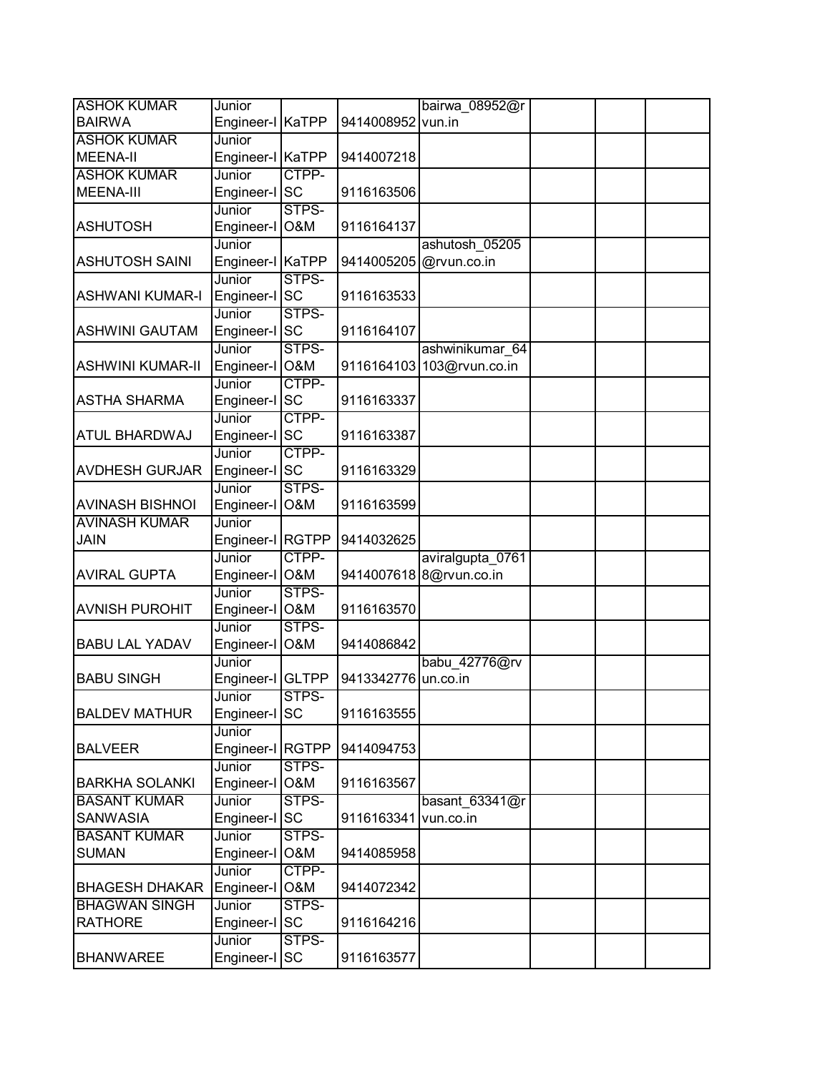| <b>ASHOK KUMAR</b><br>bairwa 08952@r<br>Junior                         |  |
|------------------------------------------------------------------------|--|
| Engineer-I KaTPP<br><b>BAIRWA</b><br>9414008952<br>vun.in              |  |
| <b>ASHOK KUMAR</b><br>Junior                                           |  |
| <b>MEENA-II</b><br>Engineer-I KaTPP<br>9414007218                      |  |
| <b>ASHOK KUMAR</b><br>CTPP-<br>Junior                                  |  |
| Engineer-I SC<br><b>MEENA-III</b><br>9116163506                        |  |
| STPS-<br>Junior                                                        |  |
| Engineer-I O&M<br><b>ASHUTOSH</b><br>9116164137                        |  |
| Junior<br>ashutosh 05205                                               |  |
| <b>ASHUTOSH SAINI</b><br>Engineer-I KaTPP<br>9414005205 @rvun.co.in    |  |
| STPS-<br>Junior                                                        |  |
| Engineer-I SC<br><b>ASHWANI KUMAR-I</b><br>9116163533                  |  |
| STPS-<br>Junior                                                        |  |
| Engineer-I SC<br><b>ASHWINI GAUTAM</b><br>9116164107                   |  |
| STPS-<br>Junior<br>ashwinikumar 64                                     |  |
| Engineer-I O&M<br><b>ASHWINI KUMAR-II</b><br>9116164103 103@rvun.co.in |  |
| CTPP-<br>Junior                                                        |  |
| Engineer-I SC<br><b>ASTHA SHARMA</b><br>9116163337                     |  |
| CTPP-<br>Junior                                                        |  |
| Engineer-I SC<br>ATUL BHARDWAJ<br>9116163387                           |  |
| CTPP-<br>Junior                                                        |  |
| Engineer-I SC<br><b>AVDHESH GURJAR</b><br>9116163329                   |  |
| STPS-<br>Junior                                                        |  |
| Engineer-I O&M<br><b>AVINASH BISHNOI</b><br>9116163599                 |  |
| <b>AVINASH KUMAR</b><br>Junior                                         |  |
| <b>JAIN</b><br>Engineer-I RGTPP<br>9414032625                          |  |
| CTPP-<br>Junior<br>aviralgupta_0761                                    |  |
| Engineer-I O&M<br><b>AVIRAL GUPTA</b><br>9414007618 8@rvun.co.in       |  |
| STPS-<br>Junior                                                        |  |
| Engineer-I O&M<br><b>AVNISH PUROHIT</b><br>9116163570                  |  |
| STPS-<br>Junior                                                        |  |
| <b>BABU LAL YADAV</b><br>Engineer-I O&M<br>9414086842                  |  |
| Junior<br>babu 42776@rv                                                |  |
| Engineer-I GLTPP<br><b>BABU SINGH</b><br>9413342776<br>un.co.in        |  |
| STPS-<br>Junior                                                        |  |
| Engineer-I SC<br><b>BALDEV MATHUR</b><br>9116163555                    |  |
| Junior                                                                 |  |
| Engineer-I RGTPP<br><b>BALVEER</b><br>9414094753                       |  |
| STPS-<br>Junior                                                        |  |
| O&M<br><b>BARKHA SOLANKI</b><br>Engineer-I<br>9116163567               |  |
| STPS-<br><b>BASANT KUMAR</b><br>Junior<br>basant_63341@r               |  |
| <b>SC</b><br><b>SANWASIA</b><br>Engineer-I<br>9116163341<br>vun.co.in  |  |
| STPS-<br><b>BASANT KUMAR</b><br>Junior                                 |  |
| <b>SUMAN</b><br>Engineer-I O&M<br>9414085958                           |  |
| CTPP-<br>Junior                                                        |  |
| <b>BHAGESH DHAKAR</b><br>Engineer-I<br><b>O&amp;M</b><br>9414072342    |  |
| <b>BHAGWAN SINGH</b><br>STPS-<br>Junior                                |  |
| <b>SC</b><br><b>RATHORE</b><br>Engineer-I<br>9116164216                |  |
| STPS-<br>Junior                                                        |  |
| <b>BHANWAREE</b><br>Engineer-I SC<br>9116163577                        |  |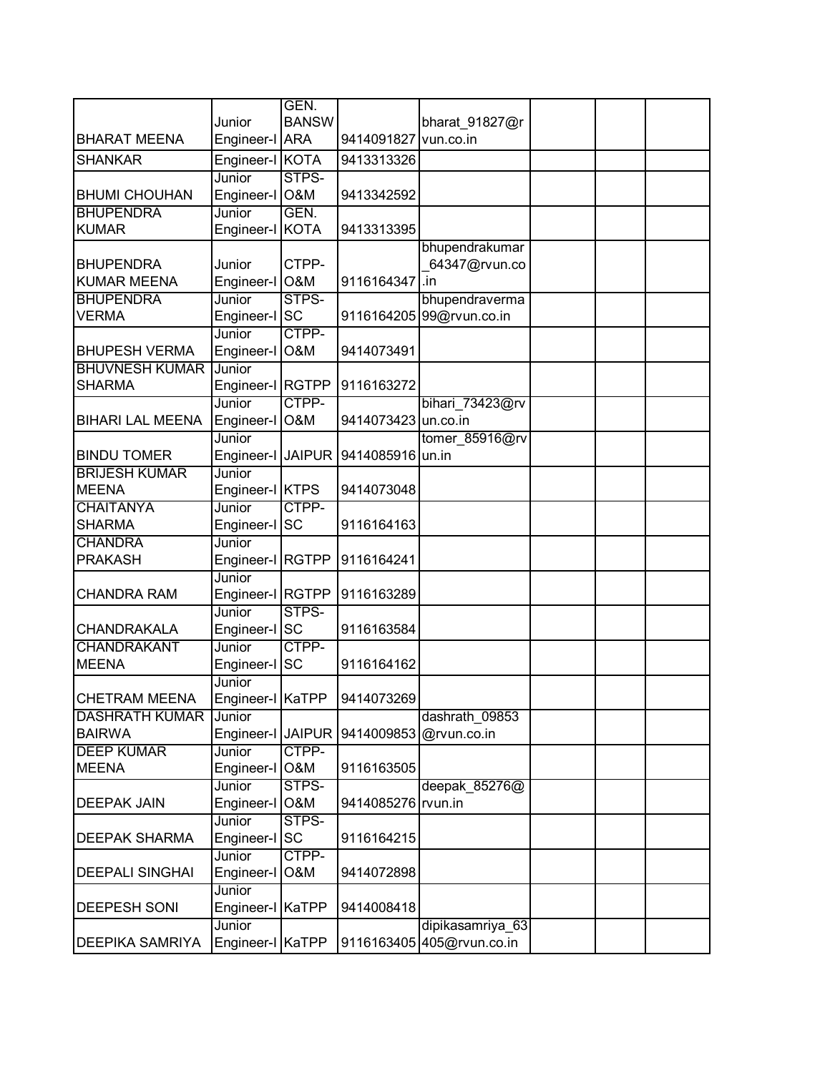|                         |                   | GEN.           |                     |                           |  |  |
|-------------------------|-------------------|----------------|---------------------|---------------------------|--|--|
|                         | Junior            | <b>BANSW</b>   |                     | bharat 91827@r            |  |  |
| <b>BHARAT MEENA</b>     | Engineer-I ARA    |                | 9414091827          | vun.co.in                 |  |  |
| <b>SHANKAR</b>          | Engineer-I KOTA   |                | 9413313326          |                           |  |  |
|                         | Junior            | STPS-          |                     |                           |  |  |
| <b>BHUMI CHOUHAN</b>    | Engineer-I O&M    |                | 9413342592          |                           |  |  |
| <b>BHUPENDRA</b>        | Junior            | GEN.           |                     |                           |  |  |
| <b>KUMAR</b>            | Engineer-I KOTA   |                | 9413313395          |                           |  |  |
|                         |                   |                |                     | bhupendrakumar            |  |  |
| <b>BHUPENDRA</b>        | Junior            | CTPP-          |                     | 64347@rvun.co             |  |  |
| <b>KUMAR MEENA</b>      | Engineer-I        | <b>O&amp;M</b> | 9116164347          | .in                       |  |  |
| <b>BHUPENDRA</b>        | Junior            | STPS-          |                     | bhupendraverma            |  |  |
| <b>VERMA</b>            | Engineer-I SC     |                |                     | 9116164205 99@rvun.co.in  |  |  |
|                         | Junior            | CTPP-          |                     |                           |  |  |
| <b>BHUPESH VERMA</b>    | Engineer-I O&M    |                | 9414073491          |                           |  |  |
| <b>BHUVNESH KUMAR</b>   | Junior            |                |                     |                           |  |  |
| <b>SHARMA</b>           | Engineer-I RGTPP  |                | 9116163272          |                           |  |  |
|                         | <b>Junior</b>     | CTPP-          |                     | bihari 73423@rv           |  |  |
| <b>BIHARI LAL MEENA</b> | Engineer-I        | O&M            | 9414073423 un.co.in |                           |  |  |
|                         | Junior            |                |                     | tomer_85916@rv            |  |  |
| <b>BINDU TOMER</b>      | Engineer-I JAIPUR |                | 9414085916 un.in    |                           |  |  |
| <b>BRIJESH KUMAR</b>    | Junior            |                |                     |                           |  |  |
| <b>MEENA</b>            | Engineer-I KTPS   |                | 9414073048          |                           |  |  |
| <b>CHAITANYA</b>        | Junior            | CTPP-          |                     |                           |  |  |
| <b>SHARMA</b>           | Engineer-I        | <b>SC</b>      | 9116164163          |                           |  |  |
| <b>CHANDRA</b>          | Junior            |                |                     |                           |  |  |
| <b>PRAKASH</b>          | Engineer-I RGTPP  |                | 9116164241          |                           |  |  |
|                         | Junior            |                |                     |                           |  |  |
| <b>CHANDRA RAM</b>      | Engineer-I RGTPP  |                | 9116163289          |                           |  |  |
|                         | Junior            | STPS-          |                     |                           |  |  |
| <b>CHANDRAKALA</b>      | Engineer-I SC     |                | 9116163584          |                           |  |  |
| <b>CHANDRAKANT</b>      | Junior            | CTPP-          |                     |                           |  |  |
| <b>MEENA</b>            | Engineer-I        | <b>SC</b>      | 9116164162          |                           |  |  |
|                         | Junior            |                |                     |                           |  |  |
| <b>CHETRAM MEENA</b>    | Engineer-I KaTPP  |                | 9414073269          |                           |  |  |
| <b>DASHRATH KUMAR</b>   | Junior            |                |                     | dashrath 09853            |  |  |
| <b>BAIRWA</b>           | Engineer-I        | <b>JAIPUR</b>  | 9414009853          | @rvun.co.in               |  |  |
| <b>DEEP KUMAR</b>       | Junior            | CTPP-          |                     |                           |  |  |
| <b>MEENA</b>            | Engineer-I        | O&M            | 9116163505          |                           |  |  |
|                         | Junior            | STPS-          |                     | deepak 85276@             |  |  |
| <b>DEEPAK JAIN</b>      | Engineer-I        | <b>O&amp;M</b> | 9414085276 rvun.in  |                           |  |  |
|                         | Junior            | STPS-          |                     |                           |  |  |
| <b>DEEPAK SHARMA</b>    | Engineer-I SC     |                | 9116164215          |                           |  |  |
|                         | Junior            | CTPP-          |                     |                           |  |  |
| <b>DEEPALI SINGHAI</b>  | Engineer-I        | O&M            | 9414072898          |                           |  |  |
|                         | Junior            |                |                     |                           |  |  |
| <b>DEEPESH SONI</b>     | Engineer-I KaTPP  |                | 9414008418          |                           |  |  |
|                         | Junior            |                |                     | dipikasamriya 63          |  |  |
| <b>DEEPIKA SAMRIYA</b>  | Engineer-I KaTPP  |                |                     | 9116163405 405@rvun.co.in |  |  |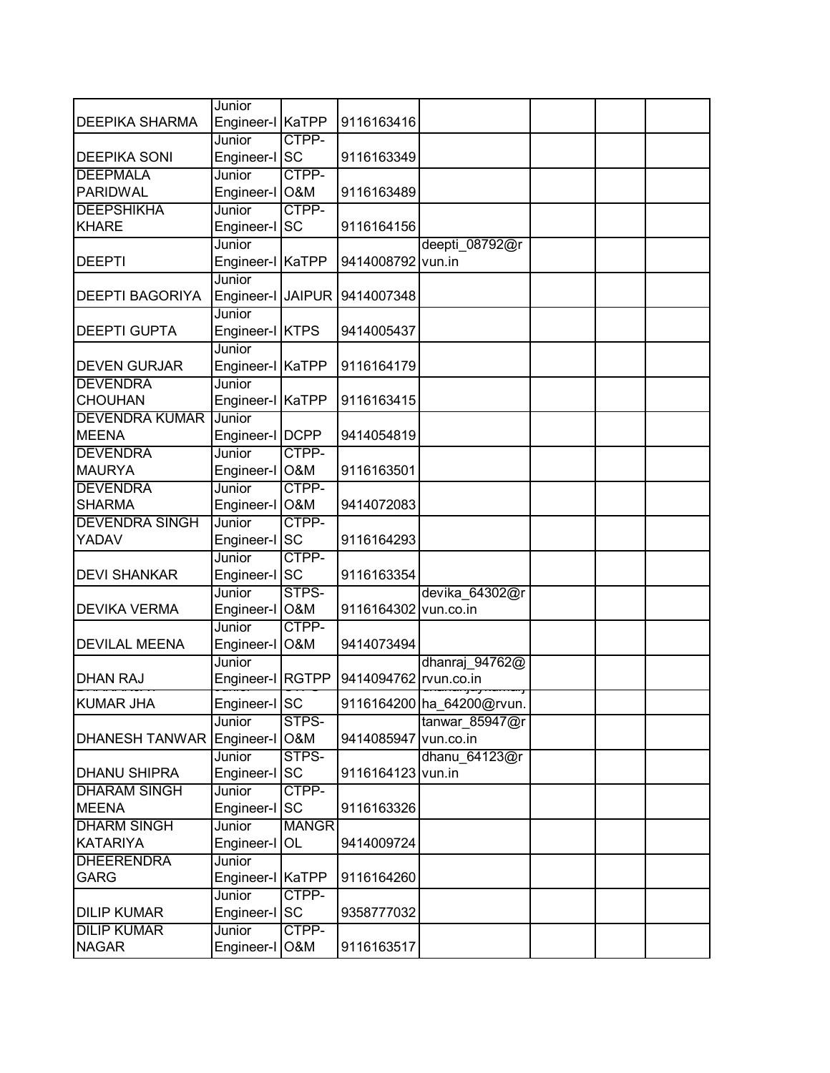|                        | Junior                      |              |                       |                           |  |  |
|------------------------|-----------------------------|--------------|-----------------------|---------------------------|--|--|
| <b>DEEPIKA SHARMA</b>  | Engineer-I KaTPP            |              | 9116163416            |                           |  |  |
|                        | Junior                      | CTPP-        |                       |                           |  |  |
| <b>DEEPIKA SONI</b>    | Engineer-I SC               |              | 9116163349            |                           |  |  |
| <b>DEEPMALA</b>        | Junior                      | CTPP-        |                       |                           |  |  |
| <b>PARIDWAL</b>        | Engineer-I O&M              |              | 9116163489            |                           |  |  |
| <b>DEEPSHIKHA</b>      | Junior                      | CTPP-        |                       |                           |  |  |
| <b>KHARE</b>           | Engineer-I SC               |              | 9116164156            |                           |  |  |
|                        | Junior                      |              |                       | deepti 08792@r            |  |  |
| <b>DEEPTI</b>          | Engineer-I KaTPP<br>Junior  |              | 9414008792 vun.in     |                           |  |  |
| <b>DEEPTI BAGORIYA</b> |                             |              |                       |                           |  |  |
|                        | Engineer-I JAIPUR<br>Junior |              | 9414007348            |                           |  |  |
| <b>DEEPTI GUPTA</b>    | Engineer-I KTPS             |              | 9414005437            |                           |  |  |
|                        | Junior                      |              |                       |                           |  |  |
| <b>DEVEN GURJAR</b>    | Engineer-I KaTPP            |              | 9116164179            |                           |  |  |
| <b>DEVENDRA</b>        | Junior                      |              |                       |                           |  |  |
| <b>CHOUHAN</b>         | Engineer-I KaTPP            |              | 9116163415            |                           |  |  |
| <b>DEVENDRA KUMAR</b>  | Junior                      |              |                       |                           |  |  |
| <b>MEENA</b>           | Engineer-I   DCPP           |              | 9414054819            |                           |  |  |
| <b>DEVENDRA</b>        | Junior                      | CTPP-        |                       |                           |  |  |
| <b>MAURYA</b>          | Engineer-I O&M              |              | 9116163501            |                           |  |  |
| <b>DEVENDRA</b>        | Junior                      | CTPP-        |                       |                           |  |  |
| <b>SHARMA</b>          | Engineer-I O&M              |              | 9414072083            |                           |  |  |
| <b>DEVENDRA SINGH</b>  | Junior                      | CTPP-        |                       |                           |  |  |
| YADAV                  | Engineer-I SC               |              | 9116164293            |                           |  |  |
|                        | Junior                      | CTPP-        |                       |                           |  |  |
| <b>DEVI SHANKAR</b>    | Engineer-I SC               |              | 9116163354            |                           |  |  |
|                        | Junior                      | STPS-        |                       | devika 64302@r            |  |  |
| <b>DEVIKA VERMA</b>    | Engineer-I O&M              |              | 9116164302 vun.co.in  |                           |  |  |
|                        | Junior                      | CTPP-        |                       |                           |  |  |
| <b>DEVILAL MEENA</b>   | Engineer-I O&M              |              | 9414073494            |                           |  |  |
|                        | Junior                      |              |                       | dhanraj 94762@            |  |  |
| <b>DHAN RAJ</b>        | Engineer-I RGTPP            |              | 9414094762 rvun.co.in |                           |  |  |
| <b>KUMAR JHA</b>       | Engineer-I SC               |              |                       | 9116164200 ha_64200@rvun. |  |  |
|                        | Junior                      | STPS-        |                       | tanwar_85947@r            |  |  |
| <b>DHANESH TANWAR</b>  | Engineer-I O&M              |              | 9414085947 vun.co.in  |                           |  |  |
|                        | Junior                      | STPS-        |                       | dhanu 64123@r             |  |  |
| <b>DHANU SHIPRA</b>    | Engineer-I SC               |              | 9116164123 vun.in     |                           |  |  |
| <b>DHARAM SINGH</b>    | Junior                      | CTPP-        |                       |                           |  |  |
| <b>MEENA</b>           | Engineer-I                  | <b>SC</b>    | 9116163326            |                           |  |  |
| <b>DHARM SINGH</b>     | Junior                      | <b>MANGR</b> |                       |                           |  |  |
| <b>KATARIYA</b>        | Engineer-I                  | OL           | 9414009724            |                           |  |  |
| <b>DHEERENDRA</b>      | Junior                      |              |                       |                           |  |  |
| <b>GARG</b>            | Engineer-I KaTPP            |              | 9116164260            |                           |  |  |
|                        | Junior                      | CTPP-        |                       |                           |  |  |
| <b>DILIP KUMAR</b>     | Engineer-I SC               |              | 9358777032            |                           |  |  |
| <b>DILIP KUMAR</b>     | Junior                      | CTPP-        |                       |                           |  |  |
| <b>NAGAR</b>           | Engineer-I                  | O&M          | 9116163517            |                           |  |  |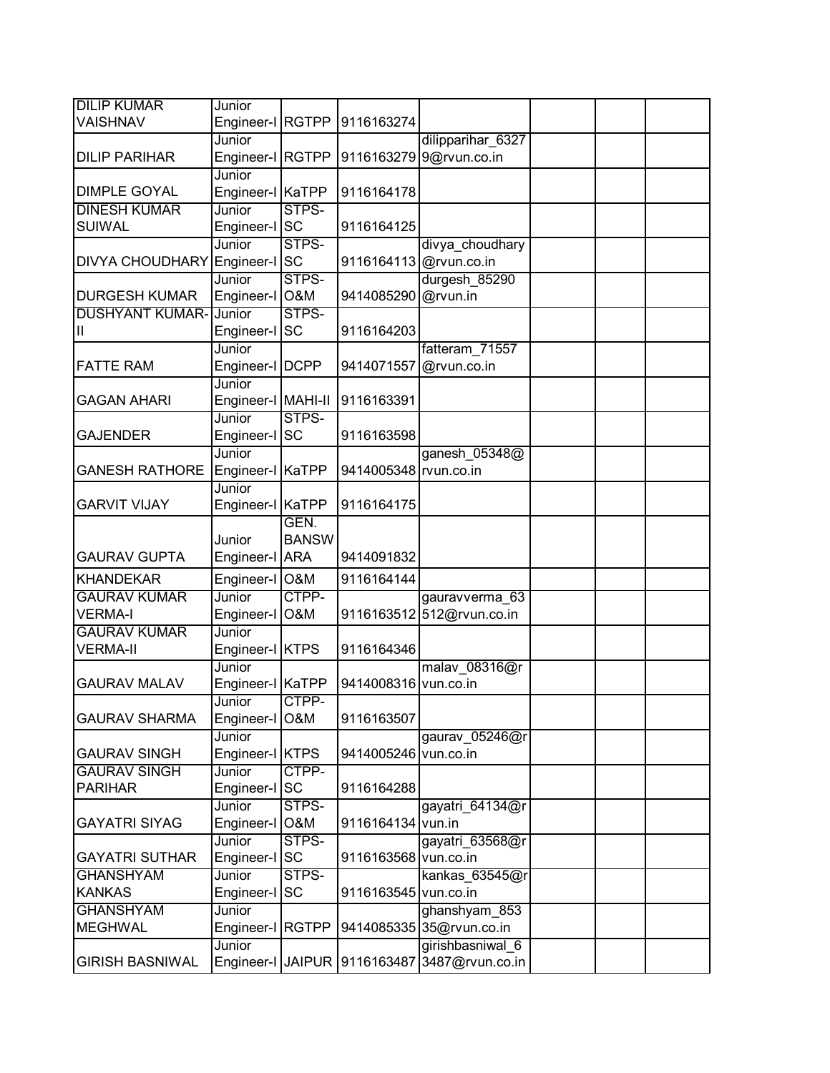| <b>DILIP KUMAR</b>                | Junior                  |                |                       |                            |  |  |
|-----------------------------------|-------------------------|----------------|-----------------------|----------------------------|--|--|
| VAISHNAV                          | Engineer-I RGTPP        |                | 9116163274            |                            |  |  |
|                                   | Junior                  |                |                       | dilipparihar 6327          |  |  |
| <b>DILIP PARIHAR</b>              | Engineer-I              | <b>RGTPP</b>   | 9116163279            | 9@rvun.co.in               |  |  |
|                                   | Junior                  |                |                       |                            |  |  |
| <b>DIMPLE GOYAL</b>               | Engineer-I KaTPP        |                | 9116164178            |                            |  |  |
| <b>DINESH KUMAR</b>               | Junior                  | STPS-          |                       |                            |  |  |
| <b>SUIWAL</b>                     | Engineer-I SC           |                | 9116164125            |                            |  |  |
|                                   | Junior                  | STPS-          |                       | divya_choudhary            |  |  |
| <b>DIVYA CHOUDHARY</b>            | Engineer-I SC           |                |                       | 9116164113 @rvun.co.in     |  |  |
|                                   | Junior                  | STPS-          |                       | durgesh 85290              |  |  |
| <b>DURGESH KUMAR</b>              | Engineer-I O&M          |                | 9414085290            | @rvun.in                   |  |  |
| <b>DUSHYANT KUMAR-</b>            | Junior                  | STPS-          |                       |                            |  |  |
| Ш                                 | Engineer-I SC           |                | 9116164203            |                            |  |  |
|                                   | Junior                  |                |                       | fatteram_71557             |  |  |
| <b>FATTE RAM</b>                  | Engineer-I   DCPP       |                | 9414071557            | @rvun.co.in                |  |  |
|                                   | Junior                  |                |                       |                            |  |  |
| GAGAN AHARI                       | Engineer-I   MAHI-II    |                | 9116163391            |                            |  |  |
|                                   | Junior                  | STPS-          |                       |                            |  |  |
| <b>GAJENDER</b>                   | Engineer-I              | <b>SC</b>      | 9116163598            |                            |  |  |
|                                   | Junior                  |                |                       | ganesh 05348@              |  |  |
| <b>GANESH RATHORE</b>             | Engineer-I KaTPP        |                | 9414005348 rvun.co.in |                            |  |  |
|                                   | Junior                  |                |                       |                            |  |  |
| <b>GARVIT VIJAY</b>               | Engineer-I KaTPP        |                | 9116164175            |                            |  |  |
|                                   |                         | GEN.           |                       |                            |  |  |
|                                   | Junior                  | <b>BANSW</b>   |                       |                            |  |  |
| <b>GAURAV GUPTA</b>               | Engineer-I ARA          |                | 9414091832            |                            |  |  |
| <b>KHANDEKAR</b>                  | Engineer-I              | <b>O&amp;M</b> | 9116164144            |                            |  |  |
| <b>GAURAV KUMAR</b>               | Junior                  | CTPP-          |                       | gauravverma 63             |  |  |
| <b>VERMA-I</b>                    | Engineer-I              | O&M            |                       | 9116163512 512@rvun.co.in  |  |  |
| <b>GAURAV KUMAR</b>               | Junior                  |                |                       |                            |  |  |
| <b>VERMA-II</b>                   | Engineer-I KTPS         |                | 9116164346            |                            |  |  |
|                                   | Junior                  |                |                       | malav_08316@r              |  |  |
| <b>GAURAV MALAV</b>               | Engineer-I KaTPP        |                | 9414008316 vun.co.in  |                            |  |  |
|                                   | Junior                  | CTPP-          |                       |                            |  |  |
| <b>GAURAV SHARMA</b>              | Engineer-I              | O&M            | 9116163507            |                            |  |  |
|                                   | Junior                  |                |                       | gaurav 05246@r             |  |  |
| <b>GAURAV SINGH</b>               | Engineer-I KTPS         |                | 9414005246 vun.co.in  |                            |  |  |
| <b>GAURAV SINGH</b>               | Junior                  | CTPP-          |                       |                            |  |  |
| <b>PARIHAR</b>                    | Engineer-I SC           |                | 9116164288            |                            |  |  |
|                                   | Junior                  | STPS-          |                       | gayatri 64134@r            |  |  |
| <b>GAYATRI SIYAG</b>              | Engineer-I              | <b>O&amp;M</b> | 9116164134 vun.in     |                            |  |  |
|                                   |                         | STPS-          |                       |                            |  |  |
| <b>GAYATRI SUTHAR</b>             | Junior<br>Engineer-I SC |                | 9116163568 vun.co.in  | gayatri 63568@r            |  |  |
|                                   |                         |                |                       |                            |  |  |
| <b>GHANSHYAM</b><br><b>KANKAS</b> | Junior                  | STPS-          |                       | kankas 63545@r             |  |  |
|                                   | Engineer-I SC           |                | 9116163545 vun.co.in  |                            |  |  |
| <b>GHANSHYAM</b>                  | Junior                  |                |                       | ghanshyam 853              |  |  |
| <b>MEGHWAL</b>                    | Engineer-I RGTPP        |                |                       | 9414085335 35@rvun.co.in   |  |  |
| <b>GIRISH BASNIWAL</b>            | Junior                  |                |                       | girishbasniwal 6           |  |  |
|                                   | Engineer-I JAIPUR       |                |                       | 9116163487 3487@rvun.co.in |  |  |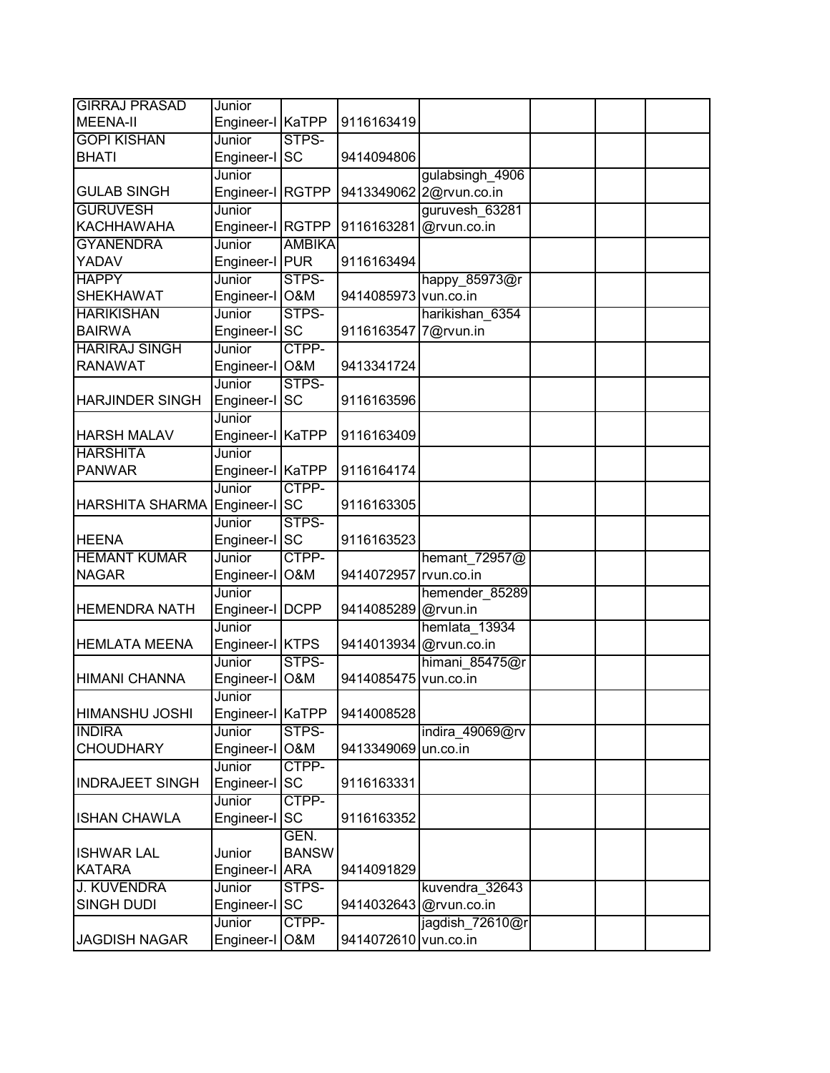| <b>GIRRAJ PRASAD</b>   | Junior                      |                |                       |                         |  |  |
|------------------------|-----------------------------|----------------|-----------------------|-------------------------|--|--|
| MEENA-II               | Engineer-I KaTPP            |                | 9116163419            |                         |  |  |
| <b>GOPI KISHAN</b>     | Junior                      | STPS-          |                       |                         |  |  |
| <b>BHATI</b>           | Engineer-I                  | <b>SC</b>      | 9414094806            |                         |  |  |
|                        | Junior                      |                |                       | gulabsingh 4906         |  |  |
| <b>GULAB SINGH</b>     | Engineer-I RGTPP            |                |                       | 9413349062 2@rvun.co.in |  |  |
| <b>GURUVESH</b>        | Junior                      |                |                       | guruvesh 63281          |  |  |
| <b>KACHHAWAHA</b>      | Engineer-I RGTPP            |                | 9116163281            | @rvun.co.in             |  |  |
| <b>GYANENDRA</b>       | Junior                      | <b>AMBIKA</b>  |                       |                         |  |  |
| YADAV                  | Engineer-I PUR              |                | 9116163494            |                         |  |  |
| <b>HAPPY</b>           | Junior                      | STPS-          |                       | happy 85973@r           |  |  |
| <b>SHEKHAWAT</b>       | Engineer-I O&M              |                | 9414085973 vun.co.in  |                         |  |  |
| <b>HARIKISHAN</b>      | Junior                      | STPS-          |                       | harikishan 6354         |  |  |
| <b>BAIRWA</b>          | Engineer-I SC               |                | 9116163547 7@rvun.in  |                         |  |  |
| <b>HARIRAJ SINGH</b>   | Junior                      | CTPP-          |                       |                         |  |  |
| <b>RANAWAT</b>         | Engineer-I O&M              |                | 9413341724            |                         |  |  |
|                        | Junior                      | STPS-          |                       |                         |  |  |
| <b>HARJINDER SINGH</b> | Engineer-I                  | <b>SC</b>      | 9116163596            |                         |  |  |
|                        | Junior                      |                |                       |                         |  |  |
| <b>HARSH MALAV</b>     | Engineer-I KaTPP            |                | 9116163409            |                         |  |  |
| <b>HARSHITA</b>        | Junior                      |                |                       |                         |  |  |
| <b>PANWAR</b>          | Engineer-I KaTPP            |                | 9116164174            |                         |  |  |
|                        | Junior                      | CTPP-          |                       |                         |  |  |
| <b>HARSHITA SHARMA</b> | Engineer-I SC               |                | 9116163305            |                         |  |  |
|                        | Junior                      | STPS-          |                       |                         |  |  |
| <b>HEENA</b>           | Engineer-I SC               |                | 9116163523            |                         |  |  |
| <b>HEMANT KUMAR</b>    | Junior                      | CTPP-          |                       | hemant 72957@           |  |  |
| <b>NAGAR</b>           | Engineer-I                  | <b>O&amp;M</b> | 9414072957 rvun.co.in |                         |  |  |
| <b>HEMENDRA NATH</b>   | Junior                      |                |                       | hemender_85289          |  |  |
|                        | Engineer-I   DCPP<br>Junior |                | 9414085289 @rvun.in   | hemlata 13934           |  |  |
| <b>HEMLATA MEENA</b>   | Engineer-I KTPS             |                |                       | 9414013934 @rvun.co.in  |  |  |
|                        | Junior                      | STPS-          |                       | himani 85475@r          |  |  |
| <b>HIMANI CHANNA</b>   | Engineer-I                  | <b>O&amp;M</b> | 9414085475            | vun.co.in               |  |  |
|                        | Junior                      |                |                       |                         |  |  |
| HIMANSHU JOSHI         | Engineer-I KaTPP            |                | 9414008528            |                         |  |  |
| <b>INDIRA</b>          | Junior                      | STPS-          |                       | indira_49069@rv         |  |  |
| <b>CHOUDHARY</b>       | Engineer-I                  | O&M            | 9413349069 un.co.in   |                         |  |  |
|                        | Junior                      | CTPP-          |                       |                         |  |  |
| <b>INDRAJEET SINGH</b> | Engineer-I                  | <b>SC</b>      | 9116163331            |                         |  |  |
|                        | Junior                      | CTPP-          |                       |                         |  |  |
| <b>ISHAN CHAWLA</b>    | Engineer-I SC               |                | 9116163352            |                         |  |  |
|                        |                             | GEN.           |                       |                         |  |  |
| <b>ISHWAR LAL</b>      | Junior                      | <b>BANSW</b>   |                       |                         |  |  |
| <b>KATARA</b>          | Engineer-I                  | <b>ARA</b>     | 9414091829            |                         |  |  |
| <b>J. KUVENDRA</b>     | Junior                      | STPS-          |                       | kuvendra 32643          |  |  |
| <b>SINGH DUDI</b>      | Engineer-I                  | <b>SC</b>      |                       | 9414032643 @rvun.co.in  |  |  |
|                        | Junior                      | CTPP-          |                       | jagdish 72610@r         |  |  |
| <b>JAGDISH NAGAR</b>   | Engineer-I                  | O&M            | 9414072610 vun.co.in  |                         |  |  |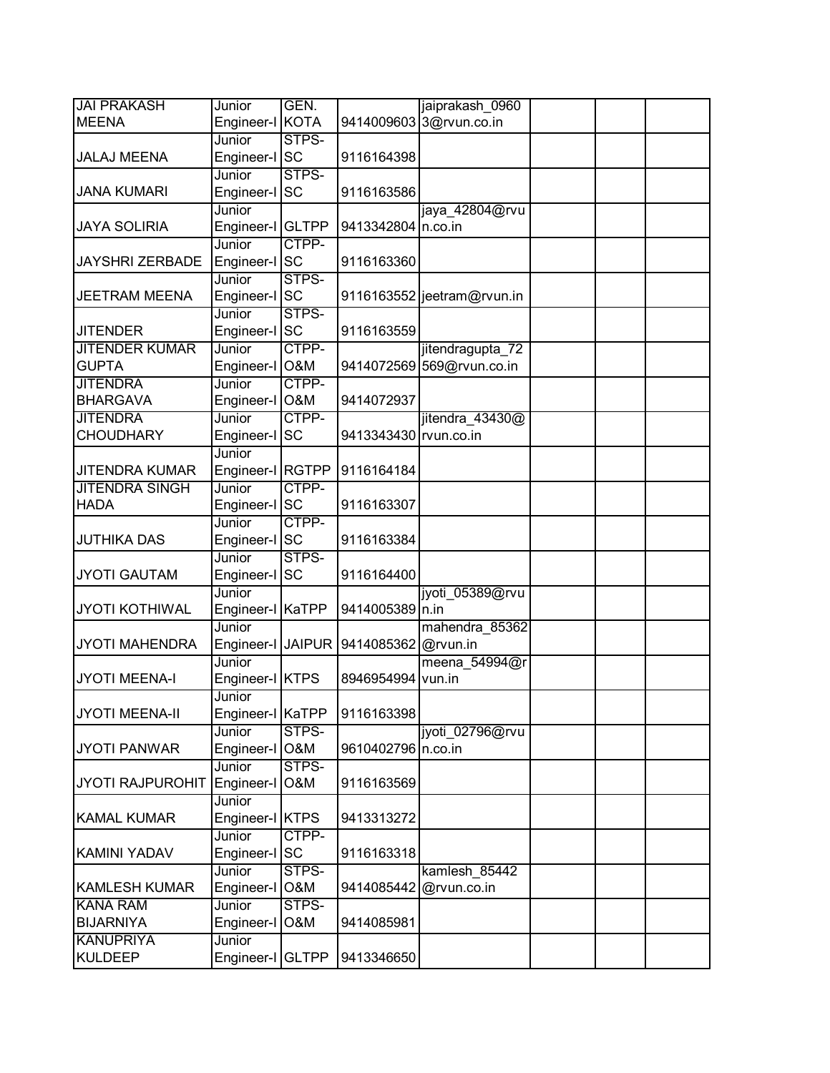| <b>JAI PRAKASH</b>      | Junior                    | GEN.                    |                       | jaiprakash 0960            |  |
|-------------------------|---------------------------|-------------------------|-----------------------|----------------------------|--|
| <b>MEENA</b>            | Engineer-I KOTA           |                         |                       | 9414009603 3@rvun.co.in    |  |
|                         | Junior                    | STPS-                   |                       |                            |  |
| <b>JALAJ MEENA</b>      | Engineer-I                | <b>SC</b>               | 9116164398            |                            |  |
|                         | Junior                    | STPS-                   |                       |                            |  |
| <b>JANA KUMARI</b>      | Engineer-I SC             |                         | 9116163586            |                            |  |
|                         | Junior                    |                         |                       | jaya 42804@rvu             |  |
| <b>JAYA SOLIRIA</b>     | Engineer-I GLTPP          |                         | 9413342804 n.co.in    |                            |  |
|                         | Junior                    | CTPP-                   |                       |                            |  |
| <b>JAYSHRI ZERBADE</b>  | Engineer-I SC             |                         | 9116163360            |                            |  |
|                         | Junior                    | STPS-                   |                       |                            |  |
| <b>JEETRAM MEENA</b>    | Engineer-I SC             |                         |                       | 9116163552 jeetram@rvun.in |  |
|                         | Junior                    | STPS-                   |                       |                            |  |
| <b>JITENDER</b>         | Engineer-I SC             |                         | 9116163559            |                            |  |
| <b>JITENDER KUMAR</b>   | Junior                    | CTPP-                   |                       | jitendragupta 72           |  |
| <b>GUPTA</b>            | Engineer-I O&M            |                         |                       | 9414072569 569@rvun.co.in  |  |
| <b>JITENDRA</b>         | Junior                    | CTPP-                   |                       |                            |  |
| <b>BHARGAVA</b>         | Engineer-I                | <b>O&amp;M</b>          | 9414072937            |                            |  |
| <b>JITENDRA</b>         | Junior                    | CTPP-                   |                       | jitendra 43430@            |  |
| <b>CHOUDHARY</b>        | Engineer-I                | <b>SC</b>               | 9413343430 rvun.co.in |                            |  |
|                         | Junior                    |                         |                       |                            |  |
| <b>JITENDRA KUMAR</b>   | Engineer-I RGTPP          |                         | 9116164184            |                            |  |
| <b>JITENDRA SINGH</b>   | Junior                    | CTPP-                   |                       |                            |  |
| <b>HADA</b>             | Engineer-I SC             |                         | 9116163307            |                            |  |
|                         | Junior                    | CTPP-                   |                       |                            |  |
| <b>JUTHIKA DAS</b>      | Engineer-I SC             |                         | 9116163384            |                            |  |
|                         | Junior                    | STPS-                   |                       |                            |  |
| <b>JYOTI GAUTAM</b>     | Engineer-I SC             |                         | 9116164400            |                            |  |
|                         | Junior                    |                         |                       | jyoti_05389@rvu            |  |
| <b>JYOTI KOTHIWAL</b>   | Engineer-I KaTPP          |                         | 9414005389 n.in       |                            |  |
|                         | Junior                    |                         |                       | mahendra_85362             |  |
| <b>JYOTI MAHENDRA</b>   | Engineer-I JAIPUR         |                         | 9414085362 @rvun.in   |                            |  |
|                         | Junior                    |                         |                       | meena 54994@r              |  |
| <b>JYOTI MEENA-I</b>    | Engineer-I KTPS           |                         | 8946954994            | vun.in                     |  |
|                         | Junior                    |                         |                       |                            |  |
| <b>JYOTI MEENA-II</b>   | Engineer-I KaTPP          |                         | 9116163398            |                            |  |
|                         | Junior                    | STPS-                   |                       | jyoti_02796@rvu            |  |
| <b>JYOTI PANWAR</b>     | Engineer-I O&M<br>Junior  |                         | 9610402796 n.co.in    |                            |  |
| <b>JYOTI RAJPUROHIT</b> | Engineer-I                | STPS-<br><b>O&amp;M</b> | 9116163569            |                            |  |
|                         |                           |                         |                       |                            |  |
| <b>KAMAL KUMAR</b>      | Junior<br>Engineer-I KTPS |                         | 9413313272            |                            |  |
|                         | Junior                    | CTPP-                   |                       |                            |  |
| <b>KAMINI YADAV</b>     | Engineer-I SC             |                         | 9116163318            |                            |  |
|                         | Junior                    | STPS-                   |                       |                            |  |
| <b>KAMLESH KUMAR</b>    | Engineer-I                | O&M                     | 9414085442            | kamlesh 85442              |  |
| <b>KANA RAM</b>         | Junior                    | STPS-                   |                       | @rvun.co.in                |  |
| <b>BIJARNIYA</b>        | Engineer-I                | O&M                     | 9414085981            |                            |  |
| <b>KANUPRIYA</b>        | Junior                    |                         |                       |                            |  |
| <b>KULDEEP</b>          | Engineer-I GLTPP          |                         | 9413346650            |                            |  |
|                         |                           |                         |                       |                            |  |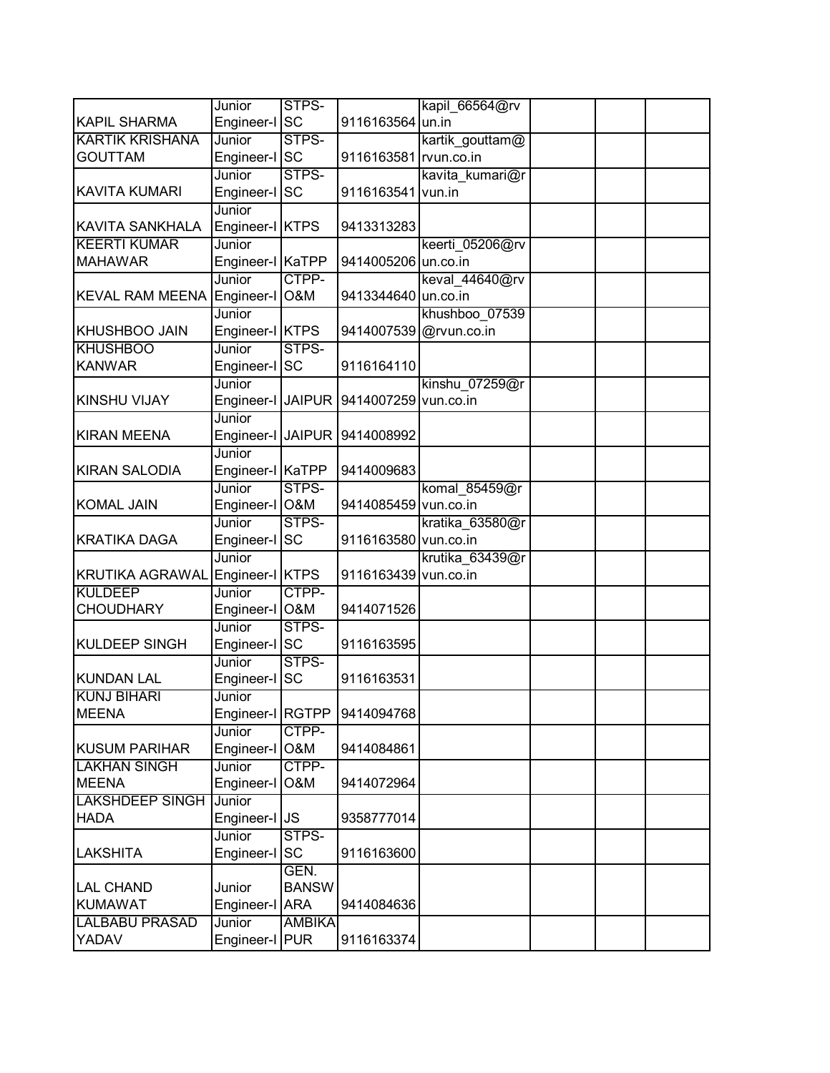|                        | Junior                     | STPS-         |                       | kapil_66564@rv         |  |  |
|------------------------|----------------------------|---------------|-----------------------|------------------------|--|--|
| <b>KAPIL SHARMA</b>    | Engineer-I SC              |               | 9116163564 un.in      |                        |  |  |
| <b>KARTIK KRISHANA</b> | Junior                     | STPS-         |                       | kartik gouttam@        |  |  |
| <b>GOUTTAM</b>         | Engineer-I SC              |               | 9116163581 rvun.co.in |                        |  |  |
|                        | Junior                     | STPS-         |                       | kavita kumari@r        |  |  |
| <b>KAVITA KUMARI</b>   | Engineer-I SC              |               | 9116163541 vun.in     |                        |  |  |
|                        | Junior                     |               |                       |                        |  |  |
| <b>KAVITA SANKHALA</b> | Engineer-I KTPS            |               | 9413313283            |                        |  |  |
| <b>KEERTI KUMAR</b>    | Junior                     |               |                       | keerti_05206@rv        |  |  |
| <b>MAHAWAR</b>         | Engineer-I KaTPP           |               | 9414005206 un.co.in   |                        |  |  |
|                        | Junior                     | CTPP-         |                       | keval 44640@rv         |  |  |
| <b>KEVAL RAM MEENA</b> | Engineer-I O&M             |               | 9413344640 un.co.in   |                        |  |  |
|                        | Junior                     |               |                       | khushboo 07539         |  |  |
| <b>KHUSHBOO JAIN</b>   | Engineer-I KTPS            |               |                       | 9414007539 @rvun.co.in |  |  |
| <b>KHUSHBOO</b>        | Junior                     | STPS-         |                       |                        |  |  |
| <b>KANWAR</b>          | Engineer-I SC              |               | 9116164110            |                        |  |  |
|                        | Junior                     |               |                       | kinshu 07259@r         |  |  |
| <b>KINSHU VIJAY</b>    | Engineer-I JAIPUR          |               | 9414007259 vun.co.in  |                        |  |  |
|                        | Junior                     |               |                       |                        |  |  |
| <b>KIRAN MEENA</b>     | Engineer-I JAIPUR          |               | 9414008992            |                        |  |  |
| <b>KIRAN SALODIA</b>   | Junior<br>Engineer-I KaTPP |               | 9414009683            |                        |  |  |
|                        | Junior                     | STPS-         |                       | komal 85459@r          |  |  |
| <b>KOMAL JAIN</b>      | Engineer-I O&M             |               | 9414085459 vun.co.in  |                        |  |  |
|                        | Junior                     | STPS-         |                       | kratika 63580@r        |  |  |
| <b>KRATIKA DAGA</b>    | Engineer-I SC              |               | 9116163580 vun.co.in  |                        |  |  |
|                        | Junior                     |               |                       | krutika 63439@r        |  |  |
| <b>KRUTIKA AGRAWAL</b> | Engineer-I KTPS            |               | 9116163439 vun.co.in  |                        |  |  |
| <b>KULDEEP</b>         | Junior                     | CTPP-         |                       |                        |  |  |
| <b>CHOUDHARY</b>       | Engineer-I O&M             |               | 9414071526            |                        |  |  |
|                        | Junior                     | STPS-         |                       |                        |  |  |
| <b>KULDEEP SINGH</b>   | Engineer-I SC              |               | 9116163595            |                        |  |  |
|                        | Junior                     | STPS-         |                       |                        |  |  |
| <b>KUNDAN LAL</b>      | Engineer-I                 | SC            | 9116163531            |                        |  |  |
| <b>KUNJ BIHARI</b>     | Junior                     |               |                       |                        |  |  |
| <b>MEENA</b>           | Engineer-I RGTPP           |               | 9414094768            |                        |  |  |
|                        | Junior                     | CTPP-         |                       |                        |  |  |
| <b>KUSUM PARIHAR</b>   | Engineer-I O&M             |               | 9414084861            |                        |  |  |
| <b>LAKHAN SINGH</b>    | Junior                     | CTPP-         |                       |                        |  |  |
| <b>MEENA</b>           | Engineer-I                 | O&M           | 9414072964            |                        |  |  |
| <b>LAKSHDEEP SINGH</b> | Junior                     |               |                       |                        |  |  |
| <b>HADA</b>            | Engineer-I                 | <b>JS</b>     | 9358777014            |                        |  |  |
|                        | Junior                     | STPS-         |                       |                        |  |  |
| LAKSHITA               | Engineer-I SC              |               | 9116163600            |                        |  |  |
|                        |                            | GEN.          |                       |                        |  |  |
| <b>LAL CHAND</b>       | Junior                     | <b>BANSW</b>  |                       |                        |  |  |
| <b>KUMAWAT</b>         | Engineer-I ARA             |               | 9414084636            |                        |  |  |
| <b>LALBABU PRASAD</b>  | Junior                     | <b>AMBIKA</b> |                       |                        |  |  |
| YADAV                  | Engineer-I PUR             |               | 9116163374            |                        |  |  |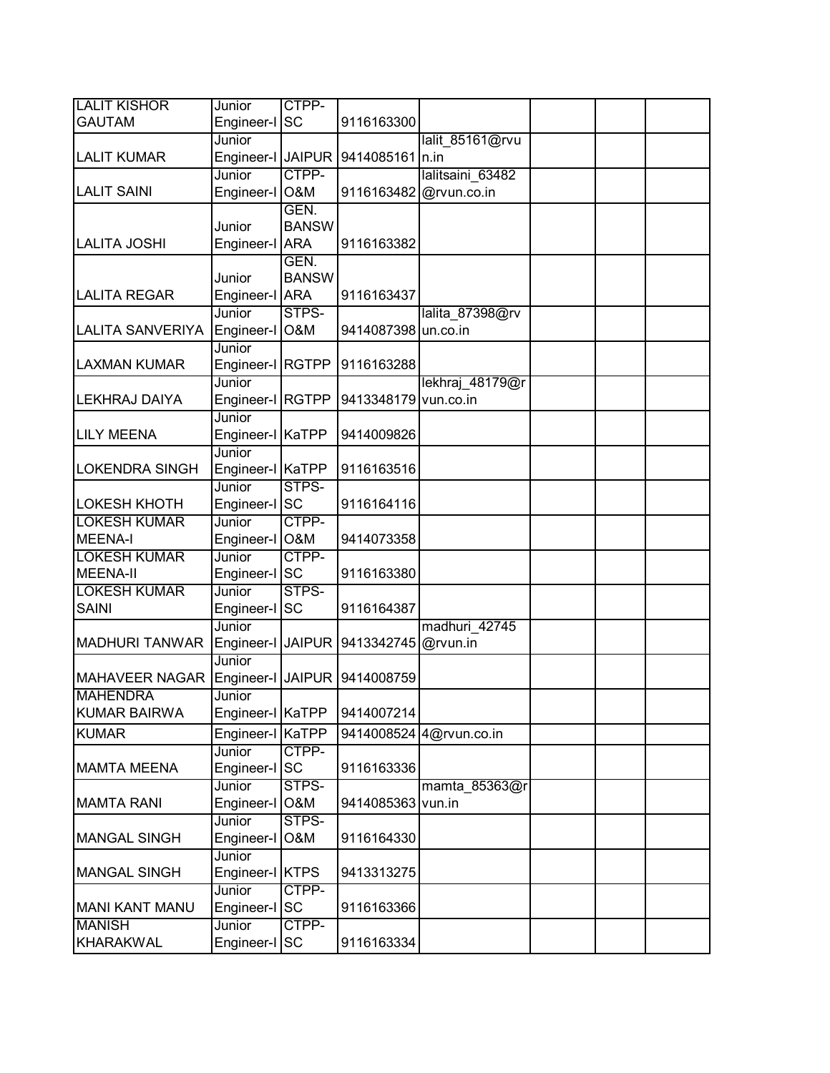| <b>LALIT KISHOR</b>     | Junior            | CTPP-        |                      |                         |  |  |
|-------------------------|-------------------|--------------|----------------------|-------------------------|--|--|
| <b>GAUTAM</b>           | Engineer-I        | <b>SC</b>    | 9116163300           |                         |  |  |
|                         | Junior            |              |                      | lalit 85161@rvu         |  |  |
| <b>LALIT KUMAR</b>      | Engineer-I JAIPUR |              | 9414085161           | n.in                    |  |  |
|                         | Junior            | CTPP-        |                      | lalitsaini 63482        |  |  |
| <b>LALIT SAINI</b>      | Engineer-I O&M    |              |                      | 9116163482 @rvun.co.in  |  |  |
|                         |                   | GEN.         |                      |                         |  |  |
|                         | Junior            | <b>BANSW</b> |                      |                         |  |  |
| <b>LALITA JOSHI</b>     | Engineer-I ARA    |              | 9116163382           |                         |  |  |
|                         |                   | GEN.         |                      |                         |  |  |
|                         | Junior            | <b>BANSW</b> |                      |                         |  |  |
| <b>LALITA REGAR</b>     | Engineer-I ARA    |              | 9116163437           |                         |  |  |
|                         | Junior            | STPS-        |                      | lalita 87398@rv         |  |  |
| <b>LALITA SANVERIYA</b> | Engineer-I O&M    |              | 9414087398 un.co.in  |                         |  |  |
|                         | Junior            |              |                      |                         |  |  |
| <b>LAXMAN KUMAR</b>     | Engineer-I RGTPP  |              | 9116163288           |                         |  |  |
|                         | Junior            |              |                      | lekhraj 48179@r         |  |  |
| <b>LEKHRAJ DAIYA</b>    | Engineer-I RGTPP  |              | 9413348179 vun.co.in |                         |  |  |
|                         | Junior            |              |                      |                         |  |  |
| <b>LILY MEENA</b>       | Engineer-I KaTPP  |              | 9414009826           |                         |  |  |
|                         | Junior            |              |                      |                         |  |  |
| <b>LOKENDRA SINGH</b>   | Engineer-I KaTPP  |              | 9116163516           |                         |  |  |
|                         | Junior            | STPS-        |                      |                         |  |  |
| <b>LOKESH KHOTH</b>     | Engineer-I SC     |              | 9116164116           |                         |  |  |
| <b>LOKESH KUMAR</b>     | Junior            | CTPP-        |                      |                         |  |  |
| <b>MEENA-I</b>          | Engineer-I O&M    |              | 9414073358           |                         |  |  |
| <b>LOKESH KUMAR</b>     | Junior            | CTPP-        |                      |                         |  |  |
| <b>MEENA-II</b>         | Engineer-I SC     |              | 9116163380           |                         |  |  |
| <b>LOKESH KUMAR</b>     | Junior            | STPS-        |                      |                         |  |  |
| <b>SAINI</b>            | Engineer-I SC     |              | 9116164387           |                         |  |  |
|                         | Junior            |              |                      | madhuri 42745           |  |  |
| <b>MADHURI TANWAR</b>   | Engineer-I JAIPUR |              | 9413342745 @rvun.in  |                         |  |  |
|                         | Junior            |              |                      |                         |  |  |
| <b>MAHAVEER NAGAR</b>   | Engineer-I JAIPUR |              | 9414008759           |                         |  |  |
| <b>MAHENDRA</b>         | Junior            |              |                      |                         |  |  |
| <b>KUMAR BAIRWA</b>     | Engineer-I KaTPP  |              | 9414007214           |                         |  |  |
| <b>KUMAR</b>            | Engineer-I        | KaTPP        |                      | 9414008524 4@rvun.co.in |  |  |
|                         | Junior            | CTPP-        |                      |                         |  |  |
| <b>MAMTA MEENA</b>      | Engineer-I SC     |              | 9116163336           |                         |  |  |
|                         | Junior            | STPS-        |                      | mamta 85363@r           |  |  |
| <b>MAMTA RANI</b>       | Engineer-I O&M    |              | 9414085363           | vun.in                  |  |  |
|                         | Junior            | STPS-        |                      |                         |  |  |
| <b>MANGAL SINGH</b>     | Engineer-I        | O&M          | 9116164330           |                         |  |  |
|                         | Junior            |              |                      |                         |  |  |
| <b>MANGAL SINGH</b>     | Engineer-I KTPS   |              | 9413313275           |                         |  |  |
|                         | Junior            | CTPP-        |                      |                         |  |  |
| <b>MANI KANT MANU</b>   | Engineer-I SC     |              | 9116163366           |                         |  |  |
| <b>MANISH</b>           | Junior            | CTPP-        |                      |                         |  |  |
| <b>KHARAKWAL</b>        | Engineer-I SC     |              | 9116163334           |                         |  |  |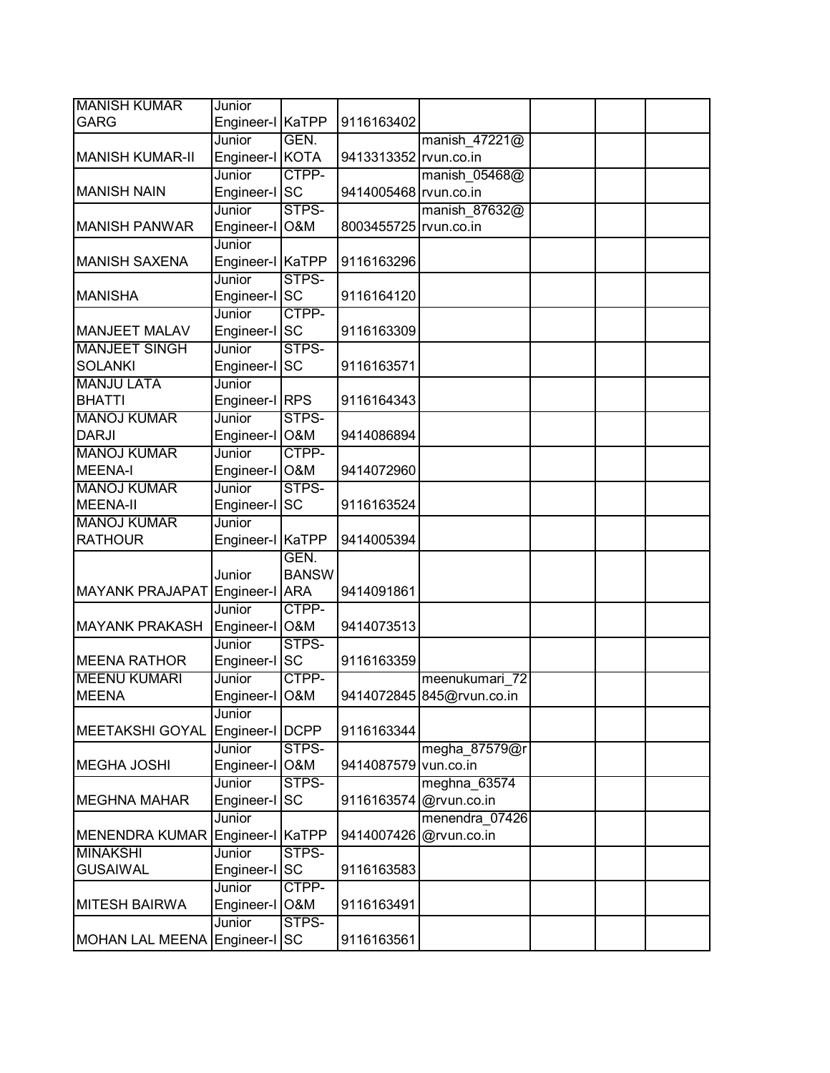| <b>MANISH KUMAR</b>            | Junior            |                |                       |                           |  |  |
|--------------------------------|-------------------|----------------|-----------------------|---------------------------|--|--|
| <b>GARG</b>                    | Engineer-I KaTPP  |                | 9116163402            |                           |  |  |
|                                | Junior            | GEN.           |                       | manish_47221@             |  |  |
| <b>MANISH KUMAR-II</b>         | Engineer-I KOTA   |                | 9413313352 rvun.co.in |                           |  |  |
|                                | Junior            | CTPP-          |                       | manish 05468@             |  |  |
| <b>MANISH NAIN</b>             | Engineer-I SC     |                | 9414005468 rvun.co.in |                           |  |  |
|                                | Junior            | STPS-          |                       | manish 87632@             |  |  |
| <b>MANISH PANWAR</b>           | Engineer-I O&M    |                | 8003455725 rvun.co.in |                           |  |  |
|                                | Junior            |                |                       |                           |  |  |
| <b>MANISH SAXENA</b>           | Engineer-I KaTPP  |                | 9116163296            |                           |  |  |
|                                | Junior            | STPS-          |                       |                           |  |  |
| <b>MANISHA</b>                 | Engineer-I SC     |                | 9116164120            |                           |  |  |
|                                | Junior            | CTPP-          |                       |                           |  |  |
| <b>MANJEET MALAV</b>           | Engineer-I SC     |                | 9116163309            |                           |  |  |
| <b>MANJEET SINGH</b>           | Junior            | STPS-          |                       |                           |  |  |
| <b>SOLANKI</b>                 | Engineer-I SC     |                | 9116163571            |                           |  |  |
| <b>MANJU LATA</b>              | Junior            |                |                       |                           |  |  |
| <b>BHATTI</b>                  | Engineer-I RPS    |                | 9116164343            |                           |  |  |
| <b>MANOJ KUMAR</b>             | Junior            | STPS-          |                       |                           |  |  |
| <b>DARJI</b>                   | Engineer-I O&M    |                | 9414086894            |                           |  |  |
| <b>MANOJ KUMAR</b>             | Junior            | CTPP-          |                       |                           |  |  |
| MEENA-I                        | Engineer-I O&M    |                | 9414072960            |                           |  |  |
| <b>MANOJ KUMAR</b>             | Junior            | STPS-          |                       |                           |  |  |
| <b>MEENA-II</b>                | Engineer-I SC     |                | 9116163524            |                           |  |  |
| <b>MANOJ KUMAR</b>             | Junior            |                |                       |                           |  |  |
| <b>RATHOUR</b>                 | Engineer-I KaTPP  |                | 9414005394            |                           |  |  |
|                                |                   | GEN.           |                       |                           |  |  |
|                                | Junior            | <b>BANSW</b>   |                       |                           |  |  |
| MAYANK PRAJAPAT Engineer-I ARA |                   |                | 9414091861            |                           |  |  |
|                                | Junior            | CTPP-          |                       |                           |  |  |
| MAYANK PRAKASH                 | Engineer-I        | <b>O&amp;M</b> | 9414073513            |                           |  |  |
|                                | Junior            | STPS-          |                       |                           |  |  |
| <b>MEENA RATHOR</b>            | Engineer-I SC     |                | 9116163359            |                           |  |  |
| <b>MEENU KUMARI</b>            | Junior            | CTPP-          |                       | meenukumari 72            |  |  |
| <b>MEENA</b>                   | Engineer-I   O&M  |                |                       | 9414072845 845@rvun.co.in |  |  |
|                                | Junior            |                |                       |                           |  |  |
| <b>MEETAKSHI GOYAL</b>         | Engineer-I   DCPP |                | 9116163344            |                           |  |  |
|                                | Junior            | STPS-          |                       | megha 87579@r             |  |  |
| <b>MEGHA JOSHI</b>             | Engineer-I        | O&M            | 9414087579            | vun.co.in                 |  |  |
|                                | Junior            | STPS-          |                       | meghna 63574              |  |  |
| <b>MEGHNA MAHAR</b>            | Engineer-I        | <b>SC</b>      | 9116163574            | @rvun.co.in               |  |  |
|                                | Junior            |                |                       | menendra 07426            |  |  |
| <b>MENENDRA KUMAR</b>          | Engineer-I KaTPP  |                | 9414007426            | @rvun.co.in               |  |  |
| <b>MINAKSHI</b>                | Junior            | STPS-          |                       |                           |  |  |
| <b>GUSAIWAL</b>                | Engineer-I SC     |                | 9116163583            |                           |  |  |
|                                | Junior            | CTPP-          |                       |                           |  |  |
| <b>MITESH BAIRWA</b>           | Engineer-I        | O&M            | 9116163491            |                           |  |  |
|                                | Junior            | STPS-          |                       |                           |  |  |
| MOHAN LAL MEENA Engineer-I SC  |                   |                | 9116163561            |                           |  |  |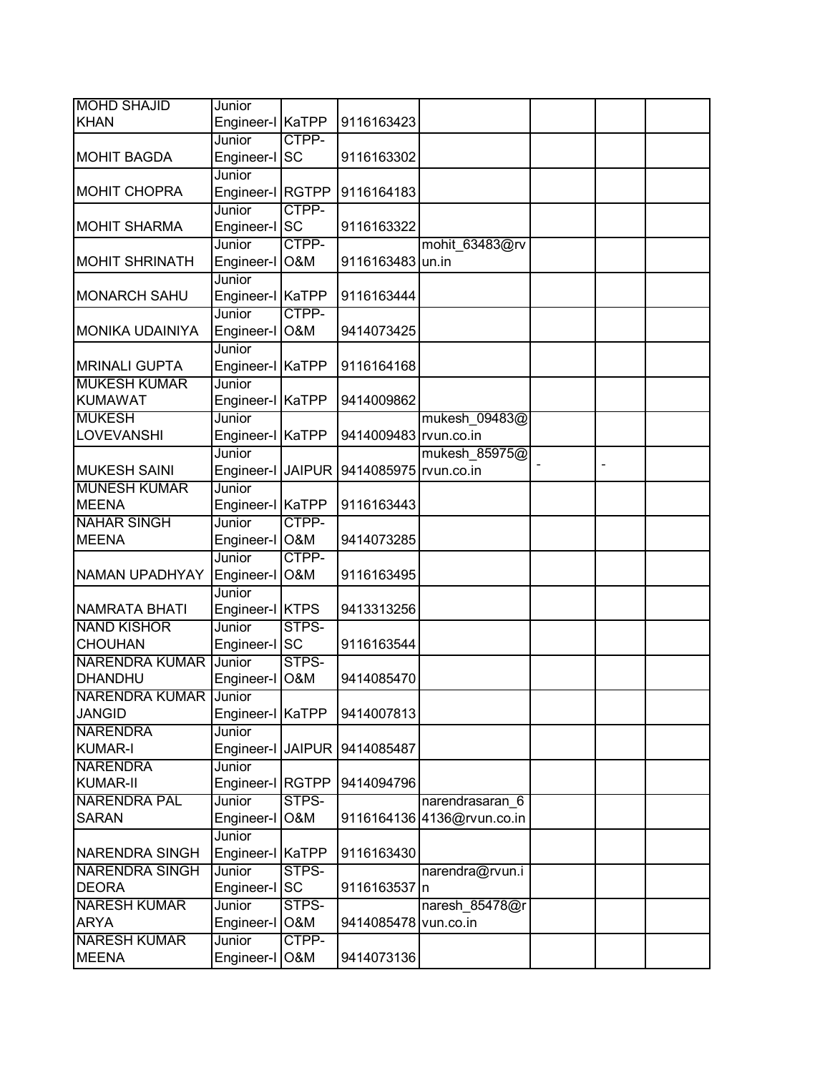| <b>MOHD SHAJID</b>                 | Junior                   |                |                       |                            |  |  |
|------------------------------------|--------------------------|----------------|-----------------------|----------------------------|--|--|
| <b>KHAN</b>                        | Engineer-I KaTPP         |                | 9116163423            |                            |  |  |
|                                    | Junior                   | CTPP-          |                       |                            |  |  |
| <b>MOHIT BAGDA</b>                 | Engineer-I               | <b>SC</b>      | 9116163302            |                            |  |  |
|                                    | Junior                   |                |                       |                            |  |  |
| <b>MOHIT CHOPRA</b>                | Engineer-I RGTPP         |                | 9116164183            |                            |  |  |
|                                    | Junior                   | CTPP-          |                       |                            |  |  |
| <b>MOHIT SHARMA</b>                | Engineer-I SC            |                | 9116163322            |                            |  |  |
|                                    | Junior                   | CTPP-          |                       | mohit 63483@rv             |  |  |
| <b>MOHIT SHRINATH</b>              | Engineer-I O&M           |                | 9116163483 un.in      |                            |  |  |
|                                    | Junior                   |                |                       |                            |  |  |
| <b>MONARCH SAHU</b>                | Engineer-I KaTPP         |                | 9116163444            |                            |  |  |
|                                    | Junior                   | CTPP-          |                       |                            |  |  |
| <b>MONIKA UDAINIYA</b>             | Engineer-I O&M           |                | 9414073425            |                            |  |  |
|                                    | Junior                   |                |                       |                            |  |  |
| <b>MRINALI GUPTA</b>               | Engineer-I KaTPP         |                | 9116164168            |                            |  |  |
| <b>MUKESH KUMAR</b>                | Junior                   |                |                       |                            |  |  |
| <b>KUMAWAT</b>                     | Engineer-I KaTPP         |                | 9414009862            |                            |  |  |
| <b>MUKESH</b>                      | Junior                   |                |                       | mukesh 09483@              |  |  |
| <b>LOVEVANSHI</b>                  | Engineer-I KaTPP         |                | 9414009483 rvun.co.in |                            |  |  |
|                                    | Junior                   |                |                       | mukesh 85975@              |  |  |
| <b>MUKESH SAINI</b>                | Engineer-I JAIPUR        |                | 9414085975 rvun.co.in |                            |  |  |
| <b>MUNESH KUMAR</b>                | Junior                   |                |                       |                            |  |  |
| <b>MEENA</b>                       | Engineer-I KaTPP         | CTPP-          | 9116163443            |                            |  |  |
| <b>NAHAR SINGH</b><br><b>MEENA</b> | Junior<br>Engineer-I O&M |                | 9414073285            |                            |  |  |
|                                    | Junior                   | CTPP-          |                       |                            |  |  |
| NAMAN UPADHYAY                     | Engineer-I O&M           |                | 9116163495            |                            |  |  |
|                                    | Junior                   |                |                       |                            |  |  |
| <b>NAMRATA BHATI</b>               | Engineer-I KTPS          |                | 9413313256            |                            |  |  |
| <b>NAND KISHOR</b>                 | Junior                   | STPS-          |                       |                            |  |  |
| <b>CHOUHAN</b>                     | Engineer-I SC            |                | 9116163544            |                            |  |  |
| <b>NARENDRA KUMAR</b>              | Junior                   | STPS-          |                       |                            |  |  |
| DHANDHU                            | Engineer-I               | <b>O&amp;M</b> | 9414085470            |                            |  |  |
| <b>NARENDRA KUMAR Junior</b>       |                          |                |                       |                            |  |  |
| <b>JANGID</b>                      | Engineer-I KaTPP         |                | 9414007813            |                            |  |  |
| <b>NARENDRA</b>                    | Junior                   |                |                       |                            |  |  |
| <b>KUMAR-I</b>                     | Engineer-I               | <b>JAIPUR</b>  | 9414085487            |                            |  |  |
| <b>NARENDRA</b>                    | Junior                   |                |                       |                            |  |  |
| <b>KUMAR-II</b>                    | Engineer-I               | <b>RGTPP</b>   | 9414094796            |                            |  |  |
| <b>NARENDRA PAL</b>                | Junior                   | STPS-          |                       | narendrasaran 6            |  |  |
| <b>SARAN</b>                       | Engineer-I               | O&M            |                       | 9116164136 4136@rvun.co.in |  |  |
|                                    | Junior                   |                |                       |                            |  |  |
| NARENDRA SINGH                     | Engineer-I KaTPP         |                | 9116163430            |                            |  |  |
| <b>NARENDRA SINGH</b>              | Junior                   | STPS-          |                       | narendra@rvun.i            |  |  |
| <b>DEORA</b>                       | Engineer-I SC            |                | 9116163537 n          |                            |  |  |
| <b>NARESH KUMAR</b>                | Junior                   | STPS-          |                       | naresh 85478@r             |  |  |
| <b>ARYA</b>                        | Engineer-I               | O&M            | 9414085478            | vun.co.in                  |  |  |
| <b>NARESH KUMAR</b>                | Junior                   | CTPP-          |                       |                            |  |  |
| <b>MEENA</b>                       | Engineer-I O&M           |                | 9414073136            |                            |  |  |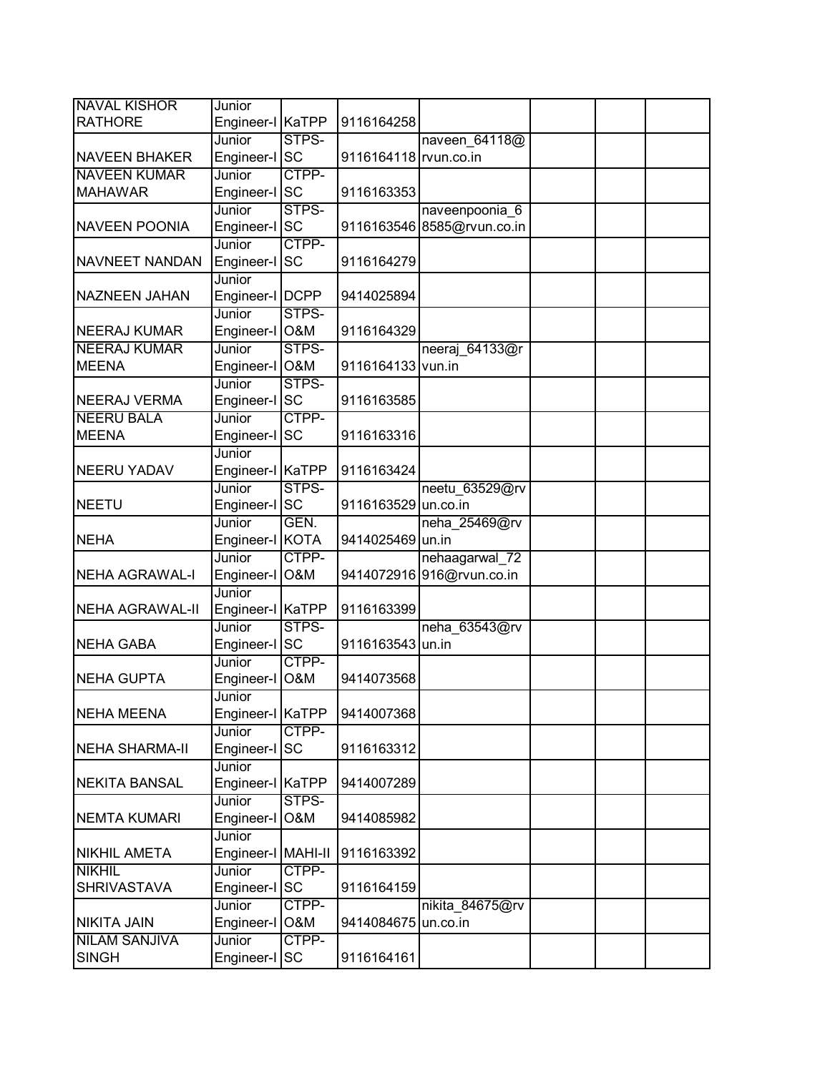| <b>NAVAL KISHOR</b>                      | Junior               |                |                       |                             |  |
|------------------------------------------|----------------------|----------------|-----------------------|-----------------------------|--|
| <b>RATHORE</b>                           | Engineer-I KaTPP     |                | 9116164258            |                             |  |
|                                          | Junior               | STPS-          |                       | naveen 64118@               |  |
| <b>NAVEEN BHAKER</b>                     | Engineer-I SC        |                | 9116164118 rvun.co.in |                             |  |
| <b>NAVEEN KUMAR</b>                      | Junior               | CTPP-          |                       |                             |  |
| <b>MAHAWAR</b>                           | Engineer-I SC        |                | 9116163353            |                             |  |
|                                          | Junior               | STPS-          |                       | naveenpoonia 6              |  |
| <b>NAVEEN POONIA</b>                     | Engineer-I SC        |                |                       | 9116163546 8585@rvun.co.in  |  |
|                                          | Junior               | CTPP-          |                       |                             |  |
| NAVNEET NANDAN                           | Engineer-I SC        |                | 9116164279            |                             |  |
|                                          | Junior               |                |                       |                             |  |
| <b>NAZNEEN JAHAN</b>                     | Engineer-I   DCPP    |                | 9414025894            |                             |  |
|                                          | Junior               | STPS-          |                       |                             |  |
| <b>NEERAJ KUMAR</b>                      | Engineer-I O&M       |                | 9116164329            |                             |  |
| <b>NEERAJ KUMAR</b>                      | Junior               | STPS-          |                       | neeraj 64133@r              |  |
| <b>MEENA</b>                             | Engineer-I O&M       |                | 9116164133 vun.in     |                             |  |
|                                          | Junior               | STPS-          |                       |                             |  |
| <b>NEERAJ VERMA</b><br><b>NEERU BALA</b> | Engineer-I SC        | CTPP-          | 9116163585            |                             |  |
| <b>MEENA</b>                             | Junior               | <b>SC</b>      | 9116163316            |                             |  |
|                                          | Engineer-I<br>Junior |                |                       |                             |  |
| <b>NEERU YADAV</b>                       | Engineer-I KaTPP     |                | 9116163424            |                             |  |
|                                          | Junior               | STPS-          |                       | neetu 63529@rv              |  |
| <b>NEETU</b>                             | Engineer-I SC        |                | 9116163529 un.co.in   |                             |  |
|                                          | Junior               | GEN.           |                       | neha 25469@rv               |  |
| <b>NEHA</b>                              | Engineer-I KOTA      |                | 9414025469            | un.in                       |  |
|                                          | Junior               | CTPP-          |                       | nehaagarwal_72              |  |
| NEHA AGRAWAL-I                           | Engineer-I O&M       |                |                       | 9414072916 916@rvun.co.in   |  |
|                                          | Junior               |                |                       |                             |  |
| NEHA AGRAWAL-II                          | Engineer-I KaTPP     |                | 9116163399            |                             |  |
|                                          | Junior               | STPS-          |                       | neha 63543@rv               |  |
| NEHA GABA                                | Engineer-I SC        |                | 9116163543 un.in      |                             |  |
|                                          | Junior               | CTPP-          |                       |                             |  |
| NEHA GUPTA                               | Engineer-I           | O&M            | 9414073568            |                             |  |
|                                          | Junior               |                |                       |                             |  |
| <b>NEHA MEENA</b>                        | Engineer-I KaTPP     |                | 9414007368            |                             |  |
|                                          | Junior               | CTPP-          |                       |                             |  |
| NEHA SHARMA-II                           | Engineer-I           | <b>SC</b>      | 9116163312            |                             |  |
|                                          | Junior               |                |                       |                             |  |
| <b>NEKITA BANSAL</b>                     | Engineer-I           | <b>KaTPP</b>   | 9414007289            |                             |  |
|                                          | Junior               | STPS-          |                       |                             |  |
| NEMTA KUMARI                             | Engineer-I           | O&M            | 9414085982            |                             |  |
|                                          | Junior               |                |                       |                             |  |
| <b>NIKHIL AMETA</b>                      | Engineer-I MAHI-II   |                | 9116163392            |                             |  |
| <b>NIKHIL</b>                            | Junior               | CTPP-          |                       |                             |  |
| <b>SHRIVASTAVA</b>                       | Engineer-I SC        | CTPP-          | 9116164159            |                             |  |
| <b>NIKITA JAIN</b>                       | Junior<br>Engineer-I | <b>O&amp;M</b> | 9414084675            | nikita 84675@rv<br>un.co.in |  |
| <b>NILAM SANJIVA</b>                     | Junior               | CTPP-          |                       |                             |  |
| <b>SINGH</b>                             |                      |                | 9116164161            |                             |  |
|                                          | Engineer-I SC        |                |                       |                             |  |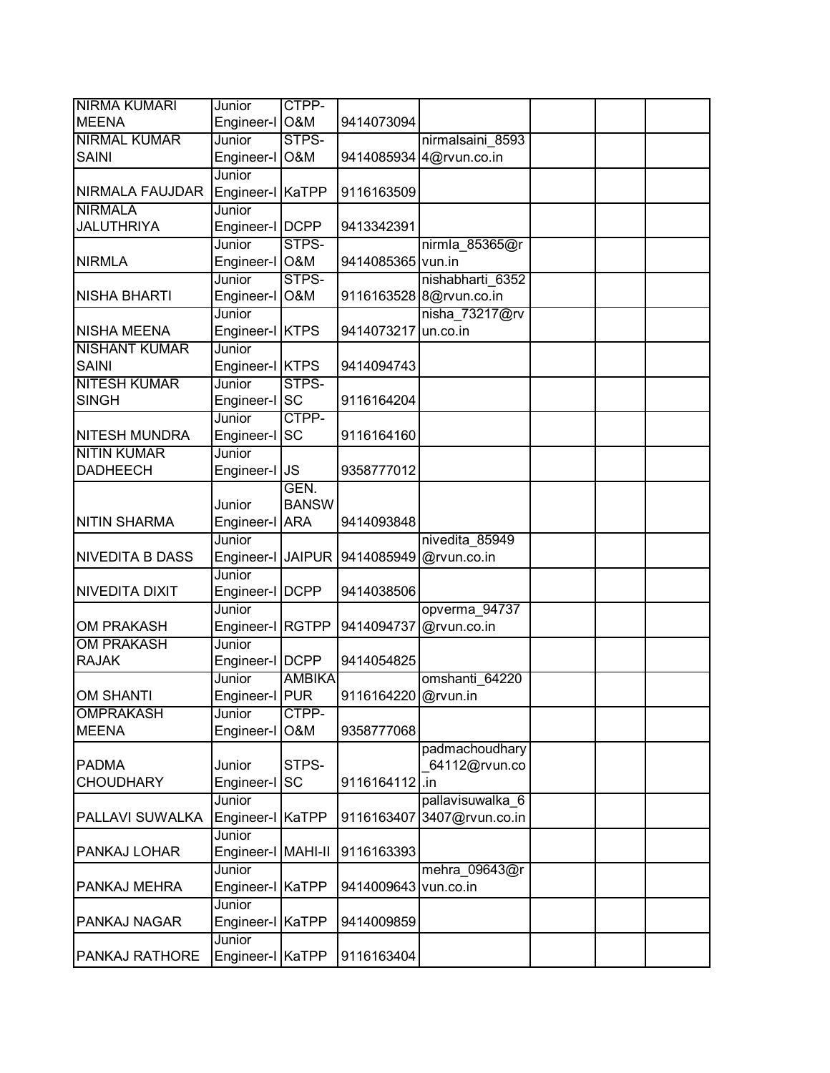| <b>NIRMA KUMARI</b>                        | Junior                  | CTPP-          |                     |                         |  |  |
|--------------------------------------------|-------------------------|----------------|---------------------|-------------------------|--|--|
| <b>MEENA</b>                               | Engineer-I              | <b>O&amp;M</b> | 9414073094          |                         |  |  |
| <b>NIRMAL KUMAR</b>                        | Junior                  | STPS-          |                     | nirmalsaini 8593        |  |  |
| <b>SAINI</b>                               | Engineer-I              | O&M            |                     | 9414085934 4@rvun.co.in |  |  |
|                                            | Junior                  |                |                     |                         |  |  |
| NIRMALA FAUJDAR                            | Engineer-I KaTPP        |                | 9116163509          |                         |  |  |
| <b>NIRMALA</b>                             | Junior                  |                |                     |                         |  |  |
| <b>JALUTHRIYA</b>                          | Engineer-I   DCPP       |                | 9413342391          |                         |  |  |
|                                            | Junior                  | STPS-          |                     | nirmla_85365@r          |  |  |
| <b>NIRMLA</b>                              | Engineer-I O&M          |                | 9414085365 vun.in   |                         |  |  |
|                                            | Junior                  | STPS-          |                     | nishabharti 6352        |  |  |
| <b>NISHA BHARTI</b>                        | Engineer-I O&M          |                |                     | 9116163528 8@rvun.co.in |  |  |
|                                            | Junior                  |                |                     | nisha $73217@rv$        |  |  |
| <b>NISHA MEENA</b>                         | Engineer-I KTPS         |                | 9414073217          | un.co.in                |  |  |
| <b>NISHANT KUMAR</b>                       | Junior                  |                |                     |                         |  |  |
| <b>SAINI</b>                               | Engineer-I KTPS         |                | 9414094743          |                         |  |  |
| <b>NITESH KUMAR</b>                        | Junior                  | STPS-          |                     |                         |  |  |
| <b>SINGH</b>                               | Engineer-I              | <b>SC</b>      | 9116164204          |                         |  |  |
|                                            | Junior                  | CTPP-          |                     |                         |  |  |
| <b>NITESH MUNDRA</b><br><b>NITIN KUMAR</b> | Engineer-I              | <b>SC</b>      | 9116164160          |                         |  |  |
| <b>DADHEECH</b>                            | Junior<br>Engineer-I JS |                | 9358777012          |                         |  |  |
|                                            |                         | GEN.           |                     |                         |  |  |
|                                            | Junior                  | <b>BANSW</b>   |                     |                         |  |  |
| <b>NITIN SHARMA</b>                        | Engineer-I ARA          |                | 9414093848          |                         |  |  |
|                                            | Junior                  |                |                     | nivedita 85949          |  |  |
| <b>NIVEDITA B DASS</b>                     | Engineer-I JAIPUR       |                | 9414085949          | @rvun.co.in             |  |  |
|                                            | Junior                  |                |                     |                         |  |  |
| <b>NIVEDITA DIXIT</b>                      | Engineer-I   DCPP       |                | 9414038506          |                         |  |  |
|                                            | Junior                  |                |                     | opverma 94737           |  |  |
| <b>OM PRAKASH</b>                          | Engineer-I RGTPP        |                | 9414094737          | @rvun.co.in             |  |  |
| <b>OM PRAKASH</b>                          | Junior                  |                |                     |                         |  |  |
| <b>RAJAK</b>                               | Engineer-I   DCPP       |                | 9414054825          |                         |  |  |
|                                            | Junior                  | <b>AMBIKA</b>  |                     | omshanti 64220          |  |  |
| <b>OM SHANTI</b>                           | Engineer-I PUR          |                | 9116164220 @rvun.in |                         |  |  |
| <b>OMPRAKASH</b>                           | Junior                  | CTPP-          |                     |                         |  |  |
| <b>MEENA</b>                               | Engineer-I              | O&M            | 9358777068          |                         |  |  |
|                                            |                         |                |                     | padmachoudhary          |  |  |
| <b>PADMA</b>                               | Junior                  | STPS-          |                     | 64112@rvun.co           |  |  |
| <b>CHOUDHARY</b>                           | Engineer-I              | <b>SC</b>      | 9116164112          | I.in                    |  |  |
|                                            | Junior                  |                |                     | pallavisuwalka 6        |  |  |
| PALLAVI SUWALKA                            | Engineer-I              | KaTPP          | 9116163407          | 3407@rvun.co.in         |  |  |
|                                            | Junior                  |                |                     |                         |  |  |
| PANKAJ LOHAR                               | Engineer-I   MAHI-II    |                | 9116163393          |                         |  |  |
|                                            | Junior                  |                |                     | mehra 09643@r           |  |  |
| PANKAJ MEHRA                               | Engineer-I KaTPP        |                | 9414009643          | vun.co.in               |  |  |
|                                            | Junior                  |                |                     |                         |  |  |
| PANKAJ NAGAR                               | Engineer-I KaTPP        |                | 9414009859          |                         |  |  |
|                                            | Junior                  |                |                     |                         |  |  |
| PANKAJ RATHORE                             | Engineer-I KaTPP        |                | 9116163404          |                         |  |  |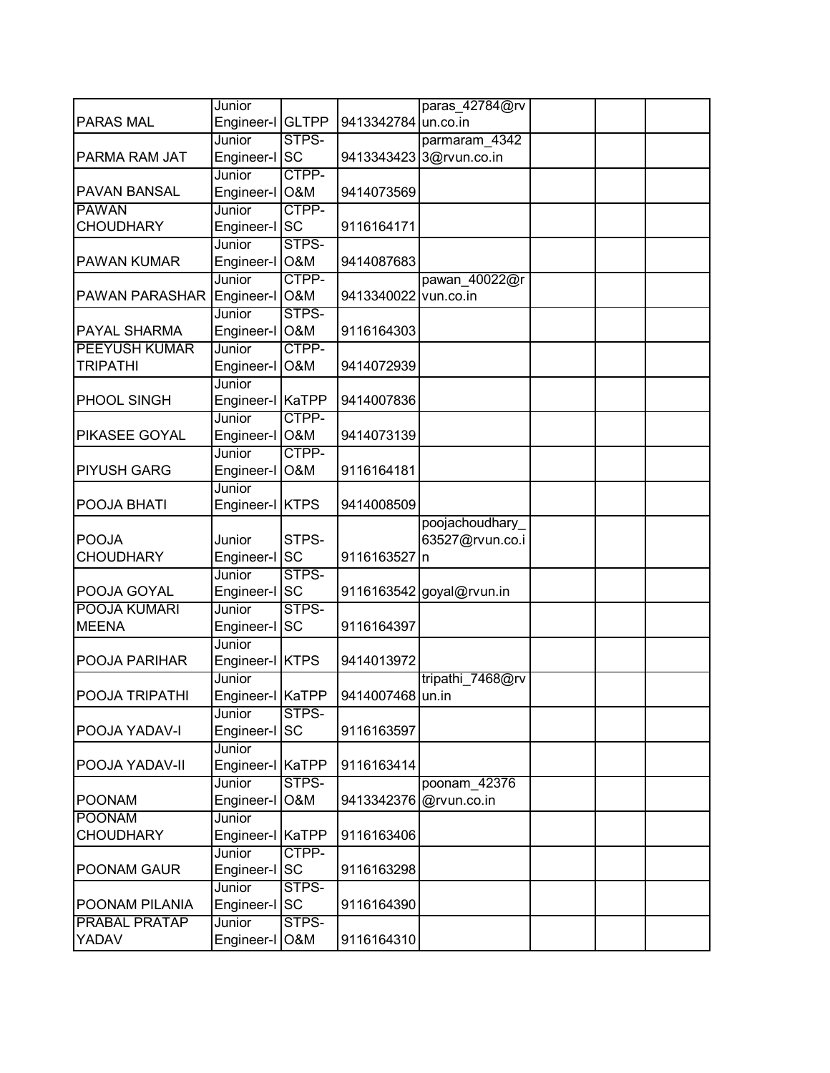|                      | Junior               |                |                     | paras_42784@rv           |  |
|----------------------|----------------------|----------------|---------------------|--------------------------|--|
| <b>PARAS MAL</b>     | Engineer-I GLTPP     |                | 9413342784 un.co.in |                          |  |
|                      | Junior               | STPS-          |                     | parmaram 4342            |  |
| PARMA RAM JAT        | Engineer-I SC        |                |                     | 9413343423 3@rvun.co.in  |  |
|                      | Junior               | CTPP-          |                     |                          |  |
| PAVAN BANSAL         | Engineer-I           | O&M            | 9414073569          |                          |  |
| <b>PAWAN</b>         | Junior               | CTPP-          |                     |                          |  |
| <b>CHOUDHARY</b>     | Engineer-I SC        |                | 9116164171          |                          |  |
|                      | Junior               | STPS-          |                     |                          |  |
| PAWAN KUMAR          | Engineer-I O&M       |                | 9414087683          |                          |  |
|                      | Junior               | CTPP-          |                     | pawan_40022@r            |  |
| PAWAN PARASHAR       | Engineer-I O&M       |                | 9413340022          | vun.co.in                |  |
|                      | Junior               | STPS-          |                     |                          |  |
| PAYAL SHARMA         | Engineer-I O&M       |                | 9116164303          |                          |  |
| <b>PEEYUSH KUMAR</b> | Junior               | CTPP-          |                     |                          |  |
| <b>TRIPATHI</b>      | Engineer-I O&M       |                | 9414072939          |                          |  |
|                      | Junior               |                |                     |                          |  |
| PHOOL SINGH          | Engineer-I KaTPP     |                | 9414007836          |                          |  |
|                      | Junior               | CTPP-          |                     |                          |  |
| PIKASEE GOYAL        | Engineer-I O&M       |                | 9414073139          |                          |  |
|                      | Junior               | CTPP-          |                     |                          |  |
| <b>PIYUSH GARG</b>   | Engineer-I           | <b>O&amp;M</b> | 9116164181          |                          |  |
|                      | Junior               |                |                     |                          |  |
| POOJA BHATI          | Engineer-I KTPS      |                | 9414008509          |                          |  |
| <b>POOJA</b>         |                      | STPS-          |                     | poojachoudhary           |  |
| <b>CHOUDHARY</b>     | Junior<br>Engineer-I | <b>SC</b>      | 9116163527          | 63527@rvun.co.i          |  |
|                      | Junior               | STPS-          |                     | In                       |  |
| POOJA GOYAL          | Engineer-I SC        |                |                     | 9116163542 goyal@rvun.in |  |
| POOJA KUMARI         | Junior               | STPS-          |                     |                          |  |
| <b>MEENA</b>         | Engineer-I SC        |                | 9116164397          |                          |  |
|                      | Junior               |                |                     |                          |  |
| POOJA PARIHAR        | Engineer-I KTPS      |                | 9414013972          |                          |  |
|                      | Junior               |                |                     | tripathi 7468@rv         |  |
| POOJA TRIPATHI       | Engineer-I KaTPP     |                | 9414007468 un.in    |                          |  |
|                      | Junior               | STPS-          |                     |                          |  |
| POOJA YADAV-I        | Engineer-I SC        |                | 9116163597          |                          |  |
|                      | Junior               |                |                     |                          |  |
| POOJA YADAV-II       | Engineer-I KaTPP     |                | 9116163414          |                          |  |
|                      | Junior               | STPS-          |                     | poonam 42376             |  |
| <b>POONAM</b>        | Engineer-I           | O&M            | 9413342376          | @rvun.co.in              |  |
| <b>POONAM</b>        | Junior               |                |                     |                          |  |
| <b>CHOUDHARY</b>     | Engineer-I KaTPP     |                | 9116163406          |                          |  |
|                      | Junior               | CTPP-          |                     |                          |  |
| POONAM GAUR          | Engineer-I SC        |                | 9116163298          |                          |  |
|                      | Junior               | STPS-          |                     |                          |  |
| POONAM PILANIA       | Engineer-I SC        |                | 9116164390          |                          |  |
| <b>PRABAL PRATAP</b> | Junior               | STPS-          |                     |                          |  |
| YADAV                | Engineer-I           | <b>O&amp;M</b> | 9116164310          |                          |  |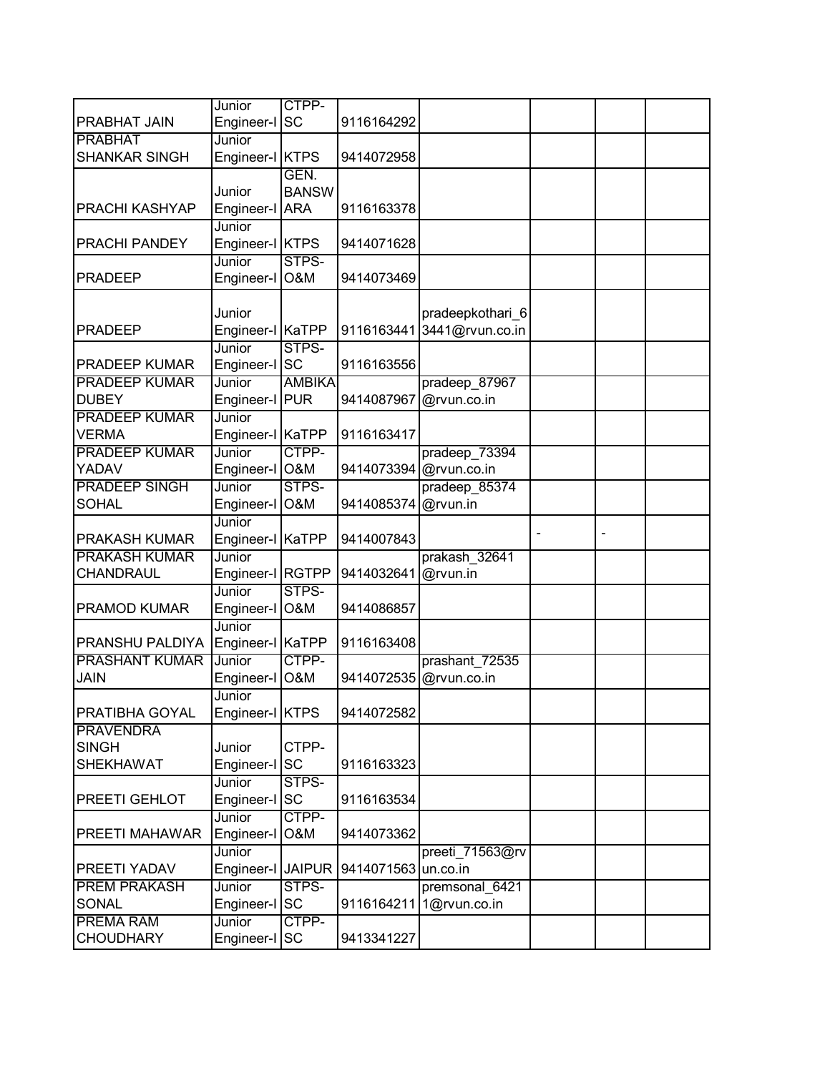|                       | Junior            | CTPP-          |                     |                            |  |  |
|-----------------------|-------------------|----------------|---------------------|----------------------------|--|--|
| PRABHAT JAIN          | Engineer-I SC     |                | 9116164292          |                            |  |  |
| <b>PRABHAT</b>        | Junior            |                |                     |                            |  |  |
| <b>SHANKAR SINGH</b>  | Engineer-I KTPS   |                | 9414072958          |                            |  |  |
|                       |                   | GEN.           |                     |                            |  |  |
|                       | Junior            | <b>BANSW</b>   |                     |                            |  |  |
| PRACHI KASHYAP        | Engineer-I ARA    |                | 9116163378          |                            |  |  |
|                       | Junior            |                |                     |                            |  |  |
| PRACHI PANDEY         | Engineer-I KTPS   |                | 9414071628          |                            |  |  |
|                       | Junior            | STPS-          |                     |                            |  |  |
| <b>PRADEEP</b>        | Engineer-I        | <b>O&amp;M</b> | 9414073469          |                            |  |  |
|                       |                   |                |                     |                            |  |  |
|                       | Junior            |                |                     | pradeepkothari_6           |  |  |
| <b>PRADEEP</b>        | Engineer-I KaTPP  |                |                     | 9116163441 3441@rvun.co.in |  |  |
|                       | Junior            | STPS-          |                     |                            |  |  |
| <b>PRADEEP KUMAR</b>  | Engineer-I SC     |                | 9116163556          |                            |  |  |
| <b>PRADEEP KUMAR</b>  | Junior            | <b>AMBIKA</b>  |                     | pradeep 87967              |  |  |
| <b>DUBEY</b>          | Engineer-I PUR    |                | 9414087967          | @rvun.co.in                |  |  |
| <b>PRADEEP KUMAR</b>  | Junior            |                |                     |                            |  |  |
| <b>VERMA</b>          | Engineer-I KaTPP  |                | 9116163417          |                            |  |  |
| <b>PRADEEP KUMAR</b>  | Junior            | CTPP-          |                     | pradeep 73394              |  |  |
| YADAV                 | Engineer-I        | <b>O&amp;M</b> |                     | 9414073394 @rvun.co.in     |  |  |
| <b>PRADEEP SINGH</b>  | Junior            | STPS-          |                     | pradeep 85374              |  |  |
| <b>SOHAL</b>          | Engineer-I O&M    |                | 9414085374          | @rvun.in                   |  |  |
|                       | Junior            |                |                     |                            |  |  |
| PRAKASH KUMAR         | Engineer-I KaTPP  |                | 9414007843          |                            |  |  |
| <b>PRAKASH KUMAR</b>  | Junior            |                |                     | prakash 32641              |  |  |
| CHANDRAUL             | Engineer-I RGTPP  |                | 9414032641          | @rvun.in                   |  |  |
|                       | Junior            | STPS-          |                     |                            |  |  |
| PRAMOD KUMAR          | Engineer-I        | <b>O&amp;M</b> | 9414086857          |                            |  |  |
|                       | Junior            |                |                     |                            |  |  |
| PRANSHU PALDIYA       | Engineer-I KaTPP  |                | 9116163408          |                            |  |  |
| <b>PRASHANT KUMAR</b> | Junior            | CTPP-          |                     | prashant 72535             |  |  |
| <b>JAIN</b>           | Engineer-I        | O&M            | 9414072535          | @rvun.co.in                |  |  |
|                       | Junior            |                |                     |                            |  |  |
| PRATIBHA GOYAL        | Engineer-I KTPS   |                | 9414072582          |                            |  |  |
| <b>PRAVENDRA</b>      |                   |                |                     |                            |  |  |
| <b>SINGH</b>          | Junior            | CTPP-          |                     |                            |  |  |
| <b>SHEKHAWAT</b>      | Engineer-I SC     |                | 9116163323          |                            |  |  |
|                       | Junior            | STPS-          |                     |                            |  |  |
| PREETI GEHLOT         | Engineer-I        | <b>SC</b>      | 9116163534          |                            |  |  |
|                       | Junior            | CTPP-          |                     |                            |  |  |
| PREETI MAHAWAR        | Engineer-I        | O&M            | 9414073362          |                            |  |  |
|                       | Junior            |                |                     | preeti_71563@rv            |  |  |
| PREETI YADAV          | Engineer-I JAIPUR |                | 9414071563 un.co.in |                            |  |  |
| <b>PREM PRAKASH</b>   | Junior            | STPS-          |                     | premsonal 6421             |  |  |
| SONAL                 | Engineer-I SC     |                | 9116164211          | 1@rvun.co.in               |  |  |
| <b>PREMA RAM</b>      | Junior            | CTPP-          |                     |                            |  |  |
| <b>CHOUDHARY</b>      | Engineer-I        | <b>SC</b>      | 9413341227          |                            |  |  |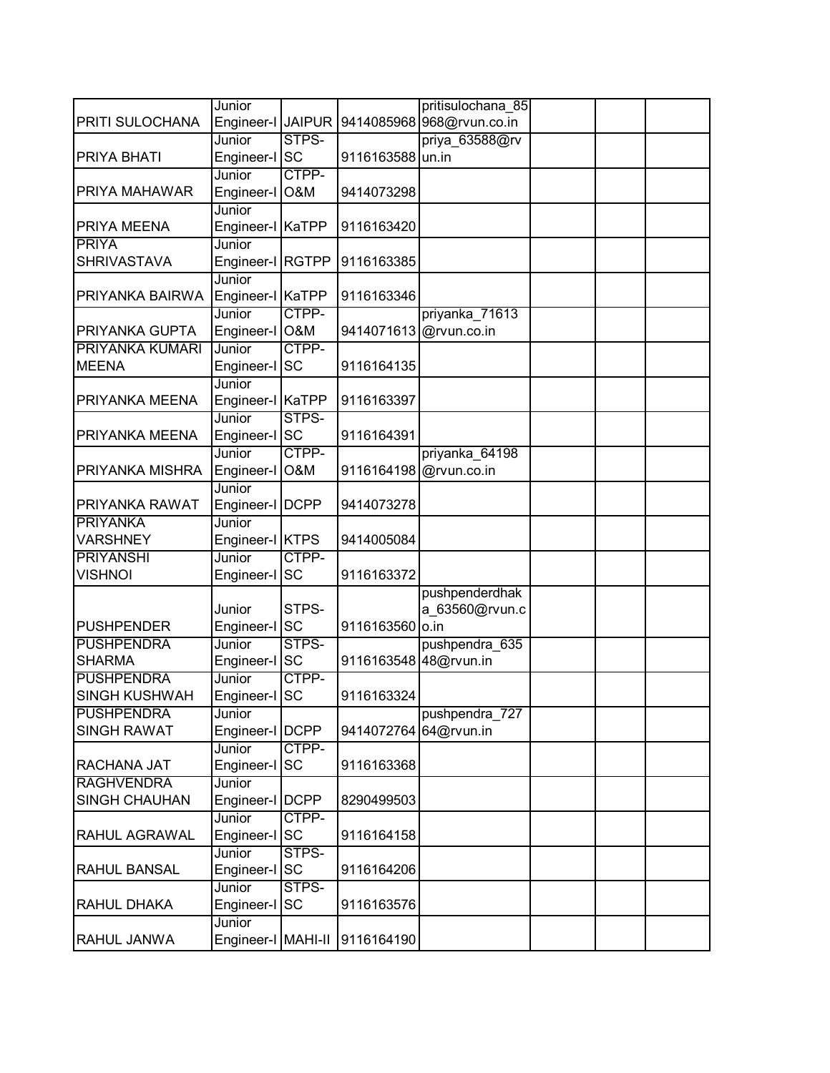|                                    | Junior                    |                |                       | pritisulochana 85         |  |  |
|------------------------------------|---------------------------|----------------|-----------------------|---------------------------|--|--|
| PRITI SULOCHANA                    | Engineer-I JAIPUR         |                |                       | 9414085968 968@rvun.co.in |  |  |
|                                    | Junior                    | STPS-          |                       | priya 63588@rv            |  |  |
| PRIYA BHATI                        | Engineer-I                | <b>SC</b>      | 9116163588 un.in      |                           |  |  |
|                                    | Junior                    | CTPP-          |                       |                           |  |  |
| PRIYA MAHAWAR                      | Engineer-I                | O&M            | 9414073298            |                           |  |  |
|                                    | Junior                    |                |                       |                           |  |  |
| PRIYA MEENA                        | Engineer-I KaTPP          |                | 9116163420            |                           |  |  |
| <b>PRIYA</b>                       | Junior                    |                |                       |                           |  |  |
| <b>SHRIVASTAVA</b>                 | Engineer-I RGTPP          |                | 9116163385            |                           |  |  |
|                                    | Junior                    |                |                       |                           |  |  |
| PRIYANKA BAIRWA                    | Engineer-I KaTPP          |                | 9116163346            |                           |  |  |
|                                    | Junior                    | CTPP-          |                       | priyanka_71613            |  |  |
| PRIYANKA GUPTA                     | Engineer-I O&M            |                |                       | 9414071613 @rvun.co.in    |  |  |
| <b>PRIYANKA KUMARI</b>             | Junior                    | CTPP-          |                       |                           |  |  |
| <b>MEENA</b>                       | Engineer-I SC             |                | 9116164135            |                           |  |  |
|                                    | Junior                    |                |                       |                           |  |  |
| PRIYANKA MEENA                     | Engineer-I                | <b>KaTPP</b>   | 9116163397            |                           |  |  |
|                                    | Junior                    | STPS-          |                       |                           |  |  |
| PRIYANKA MEENA                     | Engineer-I SC             |                | 9116164391            |                           |  |  |
|                                    | Junior                    | CTPP-          |                       | priyanka_64198            |  |  |
| PRIYANKA MISHRA                    | Engineer-I                | <b>O&amp;M</b> |                       | 9116164198 @rvun.co.in    |  |  |
|                                    | Junior                    |                |                       |                           |  |  |
| PRIYANKA RAWAT                     | Engineer-I   DCPP         |                | 9414073278            |                           |  |  |
| <b>PRIYANKA</b><br><b>VARSHNEY</b> | Junior<br>Engineer-I KTPS |                | 9414005084            |                           |  |  |
| <b>PRIYANSHI</b>                   | Junior                    | CTPP-          |                       |                           |  |  |
| <b>VISHNOI</b>                     | Engineer-I SC             |                | 9116163372            |                           |  |  |
|                                    |                           |                |                       | pushpenderdhak            |  |  |
|                                    | Junior                    | STPS-          |                       | a 63560@rvun.c            |  |  |
| <b>PUSHPENDER</b>                  | Engineer-I SC             |                | 9116163560 o.in       |                           |  |  |
| <b>PUSHPENDRA</b>                  | Junior                    | STPS-          |                       | pushpendra 635            |  |  |
| <b>SHARMA</b>                      | Engineer-I                | <b>SC</b>      | 9116163548 48@rvun.in |                           |  |  |
| <b>PUSHPENDRA</b>                  | Junior                    | CTPP-          |                       |                           |  |  |
| <b>SINGH KUSHWAH</b>               | Engineer-I SC             |                | 9116163324            |                           |  |  |
| <b>PUSHPENDRA</b>                  | Junior                    |                |                       | pushpendra 727            |  |  |
| <b>SINGH RAWAT</b>                 | Engineer-I DCPP           |                | 9414072764            | 64@rvun.in                |  |  |
|                                    | Junior                    | CTPP-          |                       |                           |  |  |
| RACHANA JAT                        | Engineer-I SC             |                | 9116163368            |                           |  |  |
| <b>RAGHVENDRA</b>                  | Junior                    |                |                       |                           |  |  |
| <b>SINGH CHAUHAN</b>               | Engineer-I   DCPP         |                | 8290499503            |                           |  |  |
|                                    | Junior                    | CTPP-          |                       |                           |  |  |
| RAHUL AGRAWAL                      | Engineer-I SC             |                | 9116164158            |                           |  |  |
|                                    | Junior                    | STPS-          |                       |                           |  |  |
| <b>RAHUL BANSAL</b>                | Engineer-I SC             |                | 9116164206            |                           |  |  |
|                                    | Junior                    | STPS-          |                       |                           |  |  |
| RAHUL DHAKA                        | Engineer-I                | <b>SC</b>      | 9116163576            |                           |  |  |
|                                    | Junior                    |                |                       |                           |  |  |
| RAHUL JANWA                        | Engineer-I MAHI-II        |                | 9116164190            |                           |  |  |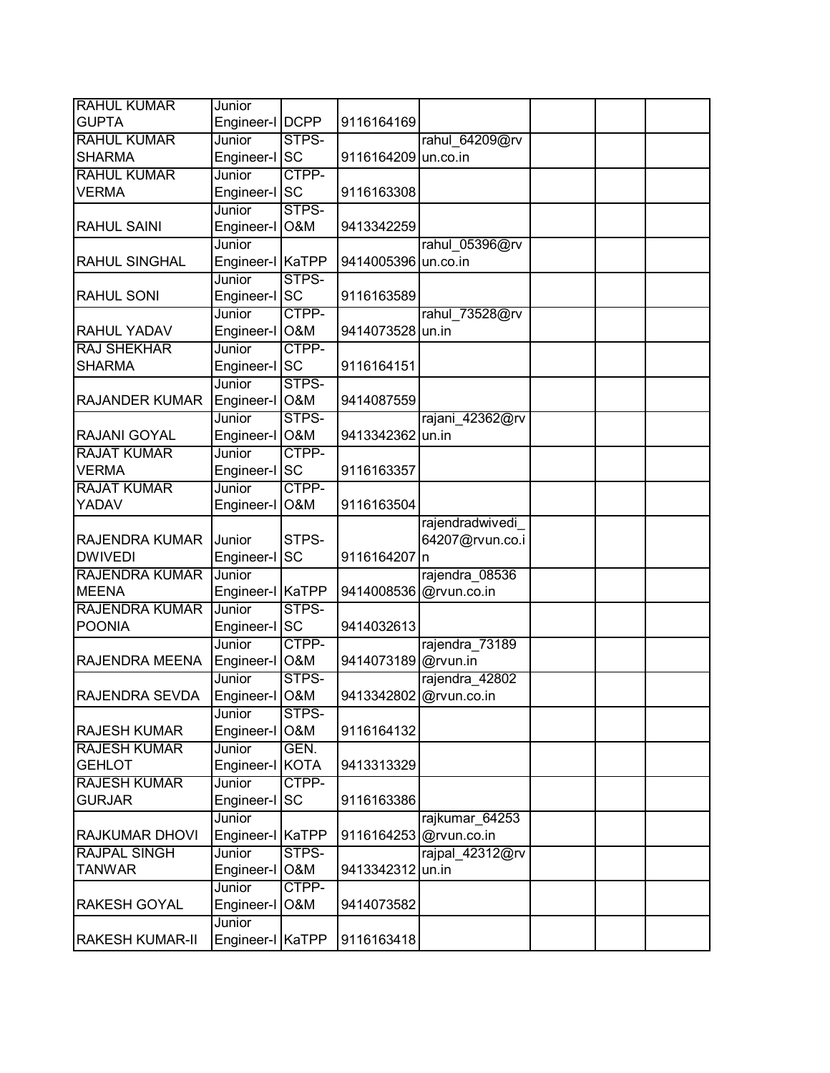| <b>RAHUL KUMAR</b>     | Junior                     |                |                        |                 |  |  |
|------------------------|----------------------------|----------------|------------------------|-----------------|--|--|
| <b>GUPTA</b>           | Engineer-I DCPP            |                | 9116164169             |                 |  |  |
| <b>RAHUL KUMAR</b>     | Junior                     | STPS-          |                        | rahul 64209@rv  |  |  |
| <b>SHARMA</b>          | Engineer-I SC              |                | 9116164209 un.co.in    |                 |  |  |
| <b>RAHUL KUMAR</b>     | Junior                     | CTPP-          |                        |                 |  |  |
| <b>VERMA</b>           | Engineer-I SC              |                | 9116163308             |                 |  |  |
|                        | Junior                     | STPS-          |                        |                 |  |  |
| <b>RAHUL SAINI</b>     | Engineer-I                 | <b>O&amp;M</b> | 9413342259             |                 |  |  |
|                        | Junior                     |                |                        | rahul 05396@rv  |  |  |
| <b>RAHUL SINGHAL</b>   | Engineer-I KaTPP           |                | 9414005396             | un.co.in        |  |  |
|                        | Junior                     | STPS-          |                        |                 |  |  |
| <b>RAHUL SONI</b>      | Engineer-I SC              |                | 9116163589             |                 |  |  |
|                        | Junior                     | CTPP-          |                        | rahul_73528@rv  |  |  |
| <b>RAHUL YADAV</b>     | Engineer-I O&M             |                | 9414073528 un.in       |                 |  |  |
| <b>RAJ SHEKHAR</b>     | Junior                     | CTPP-          |                        |                 |  |  |
| <b>SHARMA</b>          | Engineer-I SC              |                | 9116164151             |                 |  |  |
|                        | Junior                     | STPS-          |                        |                 |  |  |
| <b>RAJANDER KUMAR</b>  | Engineer-I                 | <b>O&amp;M</b> | 9414087559             |                 |  |  |
|                        | Junior                     | STPS-          |                        | rajani 42362@rv |  |  |
| <b>RAJANI GOYAL</b>    | Engineer-I O&M             |                | 9413342362             | lun.in          |  |  |
| <b>RAJAT KUMAR</b>     | Junior                     | CTPP-          |                        |                 |  |  |
| <b>VERMA</b>           | Engineer-I SC              |                | 9116163357             |                 |  |  |
| <b>RAJAT KUMAR</b>     | Junior                     | CTPP-          |                        |                 |  |  |
| YADAV                  | Engineer-I                 | <b>O&amp;M</b> | 9116163504             |                 |  |  |
|                        |                            |                |                        | rajendradwivedi |  |  |
|                        |                            |                |                        |                 |  |  |
|                        |                            |                |                        |                 |  |  |
| <b>RAJENDRA KUMAR</b>  | Junior                     | STPS-          |                        | 64207@rvun.co.i |  |  |
| <b>DWIVEDI</b>         | Engineer-I                 | <b>SC</b>      | 9116164207             | In              |  |  |
| <b>RAJENDRA KUMAR</b>  | Junior                     |                |                        | rajendra 08536  |  |  |
| <b>MEENA</b>           | Engineer-I KaTPP           |                | 9414008536 @rvun.co.in |                 |  |  |
| <b>RAJENDRA KUMAR</b>  | Junior                     | STPS-          |                        |                 |  |  |
| <b>POONIA</b>          | Engineer-I SC              |                | 9414032613             |                 |  |  |
|                        | Junior                     | CTPP-          |                        | rajendra 73189  |  |  |
| <b>RAJENDRA MEENA</b>  | Engineer-I                 | <b>O&amp;M</b> | 9414073189 @rvun.in    |                 |  |  |
|                        | Junior                     | STPS-          |                        | rajendra 42802  |  |  |
| <b>RAJENDRA SEVDA</b>  | Engineer-I O&M             |                | 9413342802 @rvun.co.in |                 |  |  |
|                        | Junior                     | STPS-          |                        |                 |  |  |
| <b>RAJESH KUMAR</b>    | Engineer-I                 | O&M            | 9116164132             |                 |  |  |
| <b>RAJESH KUMAR</b>    | Junior                     | GEN.           |                        |                 |  |  |
| <b>GEHLOT</b>          | Engineer-I KOTA            |                | 9413313329             |                 |  |  |
| <b>RAJESH KUMAR</b>    | Junior                     | CTPP-          |                        |                 |  |  |
| <b>GURJAR</b>          | Engineer-I                 | <b>SC</b>      | 9116163386             |                 |  |  |
|                        | Junior                     |                |                        | rajkumar 64253  |  |  |
| <b>RAJKUMAR DHOVI</b>  | Engineer-I KaTPP           |                | 9116164253 @rvun.co.in |                 |  |  |
| <b>RAJPAL SINGH</b>    | Junior                     | STPS-          |                        | rajpal 42312@rv |  |  |
| <b>TANWAR</b>          | Engineer-I                 | <b>O&amp;M</b> | 9413342312 un.in       |                 |  |  |
|                        | Junior                     | CTPP-          |                        |                 |  |  |
| <b>RAKESH GOYAL</b>    | Engineer-I                 | O&M            | 9414073582             |                 |  |  |
| <b>RAKESH KUMAR-II</b> | Junior<br>Engineer-I KaTPP |                | 9116163418             |                 |  |  |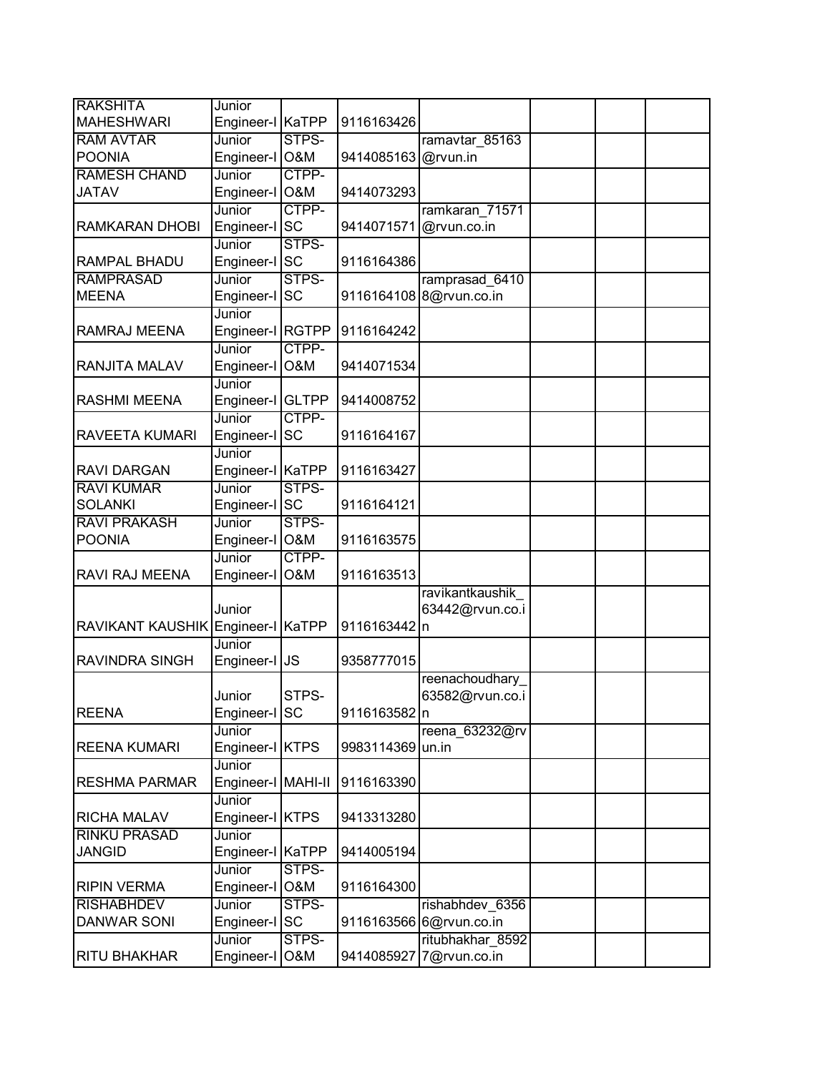| <b>RAKSHITA</b>         | Junior             |                |              |                         |  |  |
|-------------------------|--------------------|----------------|--------------|-------------------------|--|--|
| <b>MAHESHWARI</b>       | Engineer-I KaTPP   |                | 9116163426   |                         |  |  |
| <b>RAM AVTAR</b>        | Junior             | STPS-          |              | ramavtar 85163          |  |  |
| <b>POONIA</b>           | Engineer-I         | <b>O&amp;M</b> | 9414085163   | @rvun.in                |  |  |
| <b>RAMESH CHAND</b>     | Junior             | CTPP-          |              |                         |  |  |
| <b>JATAV</b>            | Engineer-I         | <b>O&amp;M</b> | 9414073293   |                         |  |  |
|                         | Junior             | CTPP-          |              | ramkaran 71571          |  |  |
| RAMKARAN DHOBI          | Engineer-I SC      |                | 9414071571   | @rvun.co.in             |  |  |
|                         | Junior             | STPS-          |              |                         |  |  |
| RAMPAL BHADU            | Engineer-I SC      |                | 9116164386   |                         |  |  |
| <b>RAMPRASAD</b>        | Junior             | STPS-          |              | ramprasad 6410          |  |  |
| <b>MEENA</b>            | Engineer-I         | <b>SC</b>      | 9116164108   | 8@rvun.co.in            |  |  |
|                         | Junior             |                |              |                         |  |  |
| RAMRAJ MEENA            | Engineer-I RGTPP   |                | 9116164242   |                         |  |  |
|                         | Junior             | CTPP-          |              |                         |  |  |
| RANJITA MALAV           | Engineer-I         | <b>O&amp;M</b> | 9414071534   |                         |  |  |
|                         | Junior             |                |              |                         |  |  |
| <b>RASHMI MEENA</b>     | Engineer-I         | <b>GLTPP</b>   | 9414008752   |                         |  |  |
|                         | Junior             | CTPP-          |              |                         |  |  |
| RAVEETA KUMARI          | Engineer-I         | <b>SC</b>      | 9116164167   |                         |  |  |
|                         | Junior             |                |              |                         |  |  |
| <b>RAVI DARGAN</b>      | Engineer-I KaTPP   |                | 9116163427   |                         |  |  |
| <b>RAVI KUMAR</b>       | Junior             | STPS-          |              |                         |  |  |
| <b>SOLANKI</b>          | Engineer-I SC      |                | 9116164121   |                         |  |  |
| <b>RAVI PRAKASH</b>     | Junior             | STPS-          |              |                         |  |  |
| <b>POONIA</b>           | Engineer-I         | <b>O&amp;M</b> | 9116163575   |                         |  |  |
|                         | Junior             | CTPP-          |              |                         |  |  |
| RAVI RAJ MEENA          | Engineer-I         | <b>O&amp;M</b> | 9116163513   |                         |  |  |
|                         |                    |                |              | ravikantkaushik         |  |  |
|                         | Junior             |                |              | 63442@rvun.co.i         |  |  |
| <b>RAVIKANT KAUSHIK</b> | Engineer-I         | <b>KaTPP</b>   | 9116163442 n |                         |  |  |
|                         | Junior             |                |              |                         |  |  |
| RAVINDRA SINGH          | Engineer-I         | <b>JS</b>      | 9358777015   |                         |  |  |
|                         |                    |                |              | reenachoudhary          |  |  |
|                         | Junior             | STPS-          |              | 63582@rvun.co.i         |  |  |
| <b>REENA</b>            | Engineer-I SC      |                | 9116163582 n |                         |  |  |
|                         | Junior             |                |              | reena_63232@rv          |  |  |
| <b>REENA KUMARI</b>     | Engineer-I KTPS    |                | 9983114369   | un.in                   |  |  |
|                         | Junior             |                |              |                         |  |  |
| <b>RESHMA PARMAR</b>    | Engineer-I MAHI-II |                | 9116163390   |                         |  |  |
|                         | Junior             |                |              |                         |  |  |
| RICHA MALAV             | Engineer-I KTPS    |                | 9413313280   |                         |  |  |
| <b>RINKU PRASAD</b>     | Junior             |                |              |                         |  |  |
| <b>JANGID</b>           | Engineer-I KaTPP   |                | 9414005194   |                         |  |  |
|                         | Junior             | STPS-          |              |                         |  |  |
| <b>RIPIN VERMA</b>      | Engineer-I         | <b>O&amp;M</b> | 9116164300   |                         |  |  |
| <b>RISHABHDEV</b>       | Junior             | STPS-          |              | rishabhdev 6356         |  |  |
| <b>DANWAR SONI</b>      | Engineer-I         | <b>SC</b>      |              | 9116163566 6@rvun.co.in |  |  |
|                         | Junior             | STPS-          |              | ritubhakhar 8592        |  |  |
| <b>RITU BHAKHAR</b>     | Engineer-I         | O&M            |              | 9414085927 7@rvun.co.in |  |  |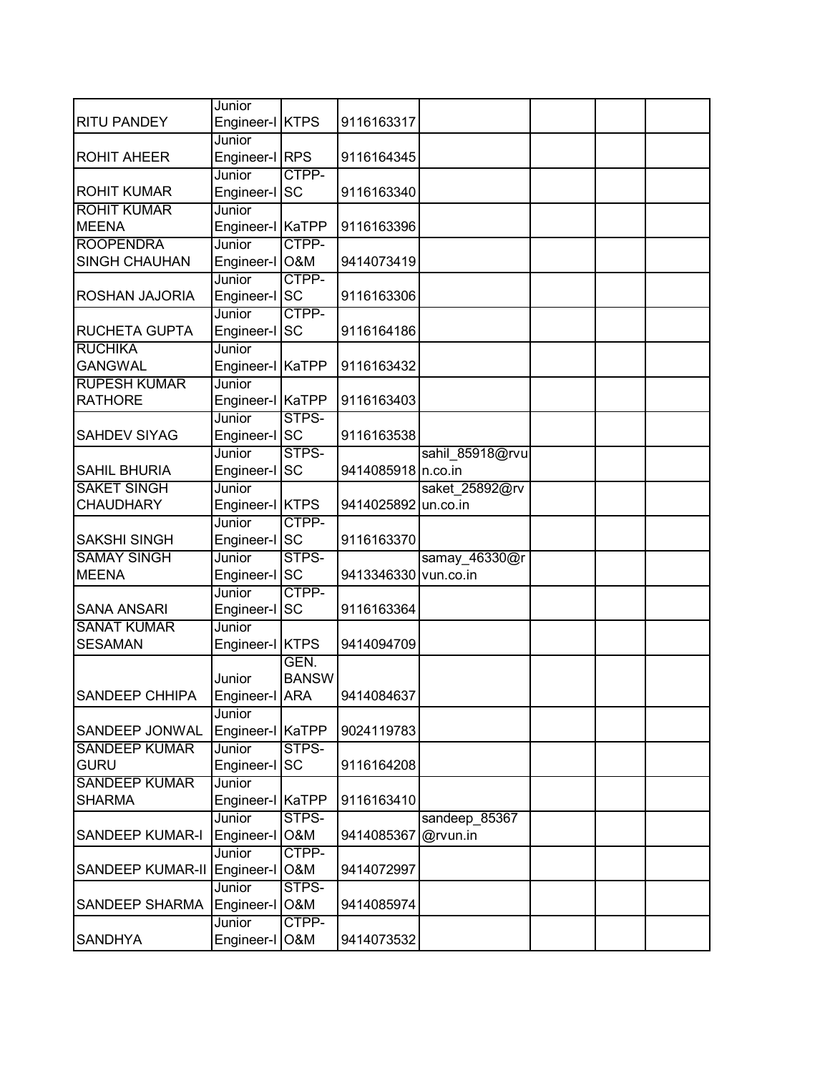|                                          | Junior                     |                      |                      |                           |  |  |
|------------------------------------------|----------------------------|----------------------|----------------------|---------------------------|--|--|
| <b>RITU PANDEY</b>                       | Engineer-I KTPS            |                      | 9116163317           |                           |  |  |
| <b>ROHIT AHEER</b>                       | Junior<br>Engineer-I RPS   |                      | 9116164345           |                           |  |  |
| <b>ROHIT KUMAR</b>                       | Junior<br>Engineer-I       | CTPP-<br><b>SC</b>   | 9116163340           |                           |  |  |
| <b>ROHIT KUMAR</b>                       | Junior                     |                      |                      |                           |  |  |
| <b>MEENA</b>                             | Engineer-I KaTPP           |                      | 9116163396           |                           |  |  |
| <b>ROOPENDRA</b><br><b>SINGH CHAUHAN</b> | Junior<br>Engineer-I O&M   | CTPP-                | 9414073419           |                           |  |  |
| ROSHAN JAJORIA                           | Junior<br>Engineer-I SC    | CTPP-                | 9116163306           |                           |  |  |
| RUCHETA GUPTA                            | Junior<br>Engineer-I       | CTPP-<br><b>SC</b>   | 9116164186           |                           |  |  |
| <b>RUCHIKA</b><br><b>GANGWAL</b>         | Junior<br>Engineer-I KaTPP |                      | 9116163432           |                           |  |  |
| <b>RUPESH KUMAR</b><br><b>RATHORE</b>    | Junior<br>Engineer-I KaTPP |                      | 9116163403           |                           |  |  |
| <b>SAHDEV SIYAG</b>                      | Junior<br>Engineer-I SC    | STPS-                | 9116163538           |                           |  |  |
|                                          | Junior                     | STPS-                |                      | sahil 85918@rvu           |  |  |
| <b>SAHIL BHURIA</b>                      | Engineer-I SC              |                      | 9414085918 n.co.in   |                           |  |  |
| <b>SAKET SINGH</b><br><b>CHAUDHARY</b>   | Junior<br>Engineer-I KTPS  |                      | 9414025892 un.co.in  | saket_25892@rv            |  |  |
| <b>SAKSHI SINGH</b>                      | Junior<br>Engineer-I SC    | CTPP-                | 9116163370           |                           |  |  |
| <b>SAMAY SINGH</b><br><b>MEENA</b>       | Junior<br>Engineer-I SC    | STPS-                | 9413346330 vun.co.in | samay 46330@r             |  |  |
| <b>SANA ANSARI</b>                       | Junior<br>Engineer-I SC    | CTPP-                | 9116163364           |                           |  |  |
| <b>SANAT KUMAR</b><br><b>SESAMAN</b>     | Junior<br>Engineer-I KTPS  |                      | 9414094709           |                           |  |  |
| SANDEEP CHHIPA                           | Junior<br>Engineer-I ARA   | GEN.<br><b>BANSW</b> | 9414084637           |                           |  |  |
| SANDEEP JONWAL                           | Junior<br>Engineer-I KaTPP |                      | 9024119783           |                           |  |  |
| <b>SANDEEP KUMAR</b><br><b>GURU</b>      | Junior<br>Engineer-I SC    | STPS-                | 9116164208           |                           |  |  |
| <b>SANDEEP KUMAR</b><br><b>SHARMA</b>    | Junior<br>Engineer-I       | <b>KaTPP</b>         | 9116163410           |                           |  |  |
| <b>SANDEEP KUMAR-I</b>                   | Junior<br>Engineer-I       | STPS-<br>O&M         | 9414085367           | sandeep 85367<br>@rvun.in |  |  |
| SANDEEP KUMAR-II                         | Junior<br>Engineer-I O&M   | CTPP-                | 9414072997           |                           |  |  |
| SANDEEP SHARMA                           | Junior<br>Engineer-I       | STPS-<br>O&M         | 9414085974           |                           |  |  |
| <b>SANDHYA</b>                           | Junior<br>Engineer-I       | CTPP-<br>O&M         | 9414073532           |                           |  |  |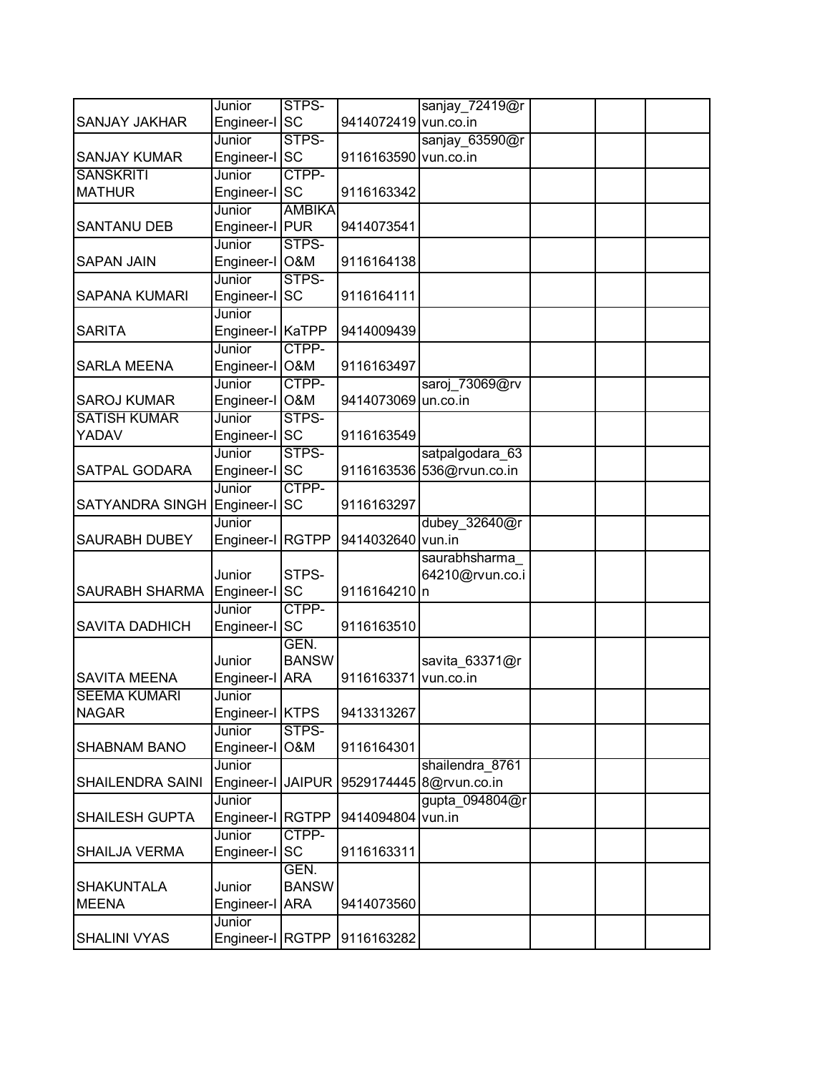|                        | Junior            | STPS-         |                      | sanjay_72419@r            |  |  |
|------------------------|-------------------|---------------|----------------------|---------------------------|--|--|
| SANJAY JAKHAR          | Engineer-I SC     |               | 9414072419 vun.co.in |                           |  |  |
|                        | Junior            | STPS-         |                      | sanjay 63590@r            |  |  |
| <b>SANJAY KUMAR</b>    | Engineer-I        | <b>SC</b>     | 9116163590 vun.co.in |                           |  |  |
| <b>SANSKRITI</b>       | Junior            | CTPP-         |                      |                           |  |  |
| <b>MATHUR</b>          | Engineer-I SC     |               | 9116163342           |                           |  |  |
|                        | Junior            | <b>AMBIKA</b> |                      |                           |  |  |
| <b>SANTANU DEB</b>     | Engineer-I PUR    |               | 9414073541           |                           |  |  |
|                        | Junior            | STPS-         |                      |                           |  |  |
| <b>SAPAN JAIN</b>      | Engineer-I O&M    |               | 9116164138           |                           |  |  |
|                        | Junior            | STPS-         |                      |                           |  |  |
| <b>SAPANA KUMARI</b>   | Engineer-I        | <b>SC</b>     | 9116164111           |                           |  |  |
|                        | Junior            |               |                      |                           |  |  |
| <b>SARITA</b>          | Engineer-I KaTPP  |               | 9414009439           |                           |  |  |
|                        | Junior            | CTPP-         |                      |                           |  |  |
| <b>SARLA MEENA</b>     | Engineer-I O&M    |               | 9116163497           |                           |  |  |
|                        | Junior            | CTPP-         |                      | saroj 73069@rv            |  |  |
| <b>SAROJ KUMAR</b>     | Engineer-I O&M    |               | 9414073069 un.co.in  |                           |  |  |
| <b>SATISH KUMAR</b>    | Junior            | STPS-         |                      |                           |  |  |
| YADAV                  | Engineer-I SC     |               | 9116163549           |                           |  |  |
|                        | Junior            | STPS-         |                      | satpalgodara 63           |  |  |
| SATPAL GODARA          | Engineer-I SC     |               |                      | 9116163536 536@rvun.co.in |  |  |
|                        | Junior            | CTPP-         |                      |                           |  |  |
| <b>SATYANDRA SINGH</b> | Engineer-I SC     |               | 9116163297           |                           |  |  |
|                        | Junior            |               |                      | dubey_32640@r             |  |  |
| <b>SAURABH DUBEY</b>   | Engineer-I RGTPP  |               | 9414032640 vun.in    |                           |  |  |
|                        |                   |               |                      | saurabhsharma             |  |  |
|                        | Junior            | STPS-         |                      | 64210@rvun.co.i           |  |  |
| SAURABH SHARMA         | Engineer-I SC     |               | 9116164210 n         |                           |  |  |
|                        | Junior            | CTPP-         |                      |                           |  |  |
| <b>SAVITA DADHICH</b>  | Engineer-I SC     |               | 9116163510           |                           |  |  |
|                        |                   | GEN.          |                      |                           |  |  |
|                        | Junior            | <b>BANSW</b>  |                      | savita_63371@r            |  |  |
| <b>SAVITA MEENA</b>    | Engineer-I        | <b>ARA</b>    | 9116163371           | vun.co.in                 |  |  |
| <b>SEEMA KUMARI</b>    | Junior            |               |                      |                           |  |  |
| <b>NAGAR</b>           | Engineer-I KTPS   |               | 9413313267           |                           |  |  |
|                        | Junior            | STPS-         |                      |                           |  |  |
| <b>SHABNAM BANO</b>    | Engineer-I O&M    |               | 9116164301           |                           |  |  |
|                        | Junior            |               |                      | shailendra 8761           |  |  |
| SHAILENDRA SAINI       | Engineer-I JAIPUR |               |                      | 9529174445 8@rvun.co.in   |  |  |
|                        | Junior            |               |                      | gupta 094804@r            |  |  |
| <b>SHAILESH GUPTA</b>  | Engineer-I RGTPP  |               | 9414094804 vun.in    |                           |  |  |
|                        |                   | CTPP-         |                      |                           |  |  |
|                        | Junior            |               |                      |                           |  |  |
| SHAILJA VERMA          | Engineer-I SC     |               | 9116163311           |                           |  |  |
|                        |                   | GEN.          |                      |                           |  |  |
| <b>SHAKUNTALA</b>      | Junior            | <b>BANSW</b>  |                      |                           |  |  |
| <b>MEENA</b>           | Engineer-I        | <b>ARA</b>    | 9414073560           |                           |  |  |
|                        | Junior            |               |                      |                           |  |  |
| SHALINI VYAS           | Engineer-I RGTPP  |               | 9116163282           |                           |  |  |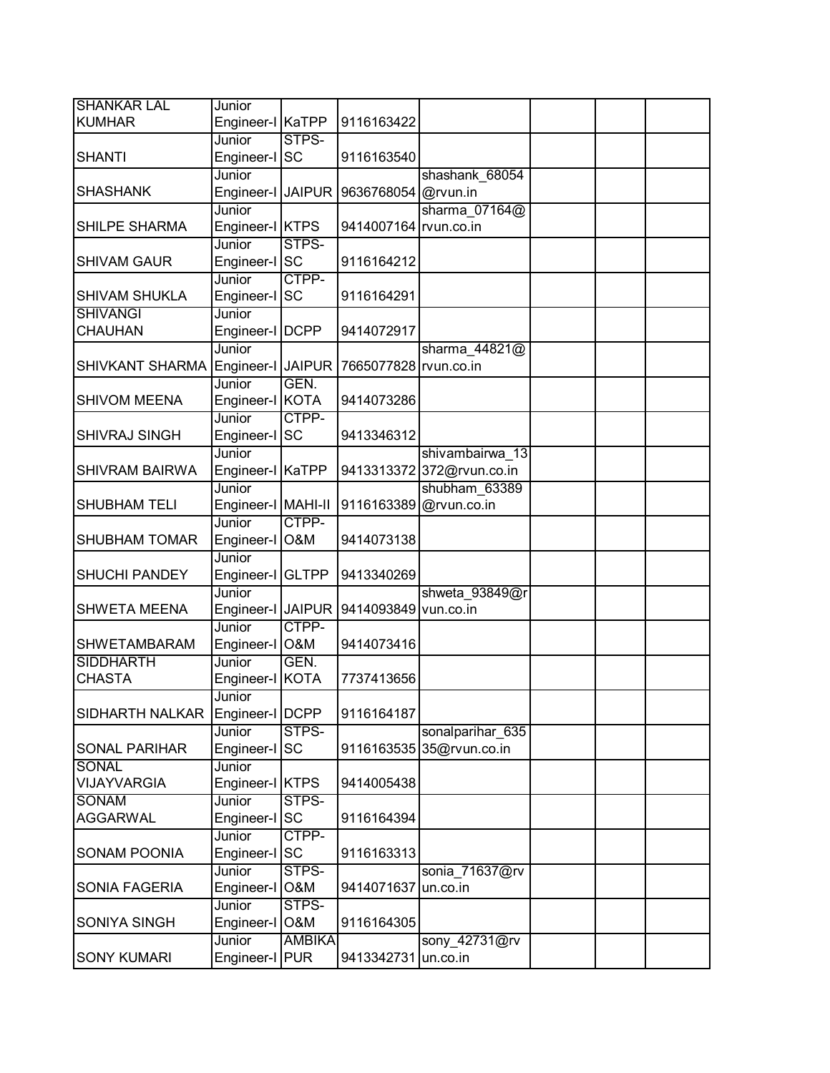| <b>SHANKAR LAL</b>    | Junior                     |                |                       |                                              |  |  |
|-----------------------|----------------------------|----------------|-----------------------|----------------------------------------------|--|--|
| <b>KUMHAR</b>         | Engineer-I KaTPP           |                | 9116163422            |                                              |  |  |
|                       | Junior                     | STPS-          |                       |                                              |  |  |
| <b>SHANTI</b>         | Engineer-I                 | <b>SC</b>      | 9116163540            |                                              |  |  |
|                       | Junior                     |                |                       | shashank 68054                               |  |  |
| <b>SHASHANK</b>       | Engineer-I JAIPUR          |                | 9636768054 @rvun.in   |                                              |  |  |
|                       | Junior                     |                |                       | sharma 07164@                                |  |  |
| SHILPE SHARMA         | Engineer-I KTPS            |                | 9414007164 rvun.co.in |                                              |  |  |
|                       | Junior                     | STPS-          |                       |                                              |  |  |
| <b>SHIVAM GAUR</b>    | Engineer-I SC              |                | 9116164212            |                                              |  |  |
|                       | Junior                     | CTPP-          |                       |                                              |  |  |
| <b>SHIVAM SHUKLA</b>  | Engineer-I                 | <b>SC</b>      | 9116164291            |                                              |  |  |
| <b>SHIVANGI</b>       | Junior                     |                |                       |                                              |  |  |
| CHAUHAN               | Engineer-I   DCPP          |                | 9414072917            |                                              |  |  |
|                       | Junior                     |                |                       | sharma 44821@                                |  |  |
| SHIVKANT SHARMA       | Engineer-I JAIPUR          |                | 7665077828 rvun.co.in |                                              |  |  |
|                       | Junior                     | GEN.           |                       |                                              |  |  |
| <b>SHIVOM MEENA</b>   | Engineer-I KOTA            |                | 9414073286            |                                              |  |  |
|                       | Junior                     | CTPP-          |                       |                                              |  |  |
| SHIVRAJ SINGH         | Engineer-I SC              |                | 9413346312            |                                              |  |  |
| <b>SHIVRAM BAIRWA</b> | Junior<br>Engineer-I KaTPP |                |                       | shivambairwa 13<br>9413313372 372@rvun.co.in |  |  |
|                       | Junior                     |                |                       | shubham 63389                                |  |  |
| <b>SHUBHAM TELI</b>   | Engineer-I   MAHI-II       |                | 9116163389            | @rvun.co.in                                  |  |  |
|                       | Junior                     | CTPP-          |                       |                                              |  |  |
| <b>SHUBHAM TOMAR</b>  | Engineer-I                 | <b>O&amp;M</b> | 9414073138            |                                              |  |  |
|                       | Junior                     |                |                       |                                              |  |  |
| <b>SHUCHI PANDEY</b>  | Engineer-I GLTPP           |                | 9413340269            |                                              |  |  |
|                       | Junior                     |                |                       | shweta 93849@r                               |  |  |
| <b>SHWETA MEENA</b>   | Engineer-I JAIPUR          |                | 9414093849 vun.co.in  |                                              |  |  |
|                       | Junior                     | CTPP-          |                       |                                              |  |  |
| <b>SHWETAMBARAM</b>   | Engineer-I                 | O&M            | 9414073416            |                                              |  |  |
| <b>SIDDHARTH</b>      | Junior                     | GEN.           |                       |                                              |  |  |
| <b>CHASTA</b>         | Engineer-I KOTA            |                | 7737413656            |                                              |  |  |
|                       | Junior                     |                |                       |                                              |  |  |
| SIDHARTH NALKAR       | Engineer-I   DCPP          |                | 9116164187            |                                              |  |  |
|                       | Junior                     | STPS-          |                       | sonalparihar 635                             |  |  |
| SONAL PARIHAR         | Engineer-I SC              |                |                       | 9116163535 35@rvun.co.in                     |  |  |
| SONAL                 | Junior                     |                |                       |                                              |  |  |
| <b>VIJAYVARGIA</b>    | Engineer-I KTPS            |                | 9414005438            |                                              |  |  |
| <b>SONAM</b>          | Junior                     | STPS-          |                       |                                              |  |  |
| <b>AGGARWAL</b>       | Engineer-I SC              |                | 9116164394            |                                              |  |  |
|                       | Junior                     | CTPP-          |                       |                                              |  |  |
| <b>SONAM POONIA</b>   | Engineer-I SC              |                | 9116163313            |                                              |  |  |
|                       | Junior                     | STPS-          |                       | sonia 71637@rv                               |  |  |
| SONIA FAGERIA         | Engineer-I                 | <b>O&amp;M</b> | 9414071637            | un.co.in                                     |  |  |
|                       | Junior                     | STPS-          |                       |                                              |  |  |
| SONIYA SINGH          | Engineer-I                 | <b>O&amp;M</b> | 9116164305            |                                              |  |  |
|                       | Junior                     | <b>AMBIKA</b>  |                       | sony_42731@rv                                |  |  |
| <b>SONY KUMARI</b>    | Engineer-I PUR             |                | 9413342731            | un.co.in                                     |  |  |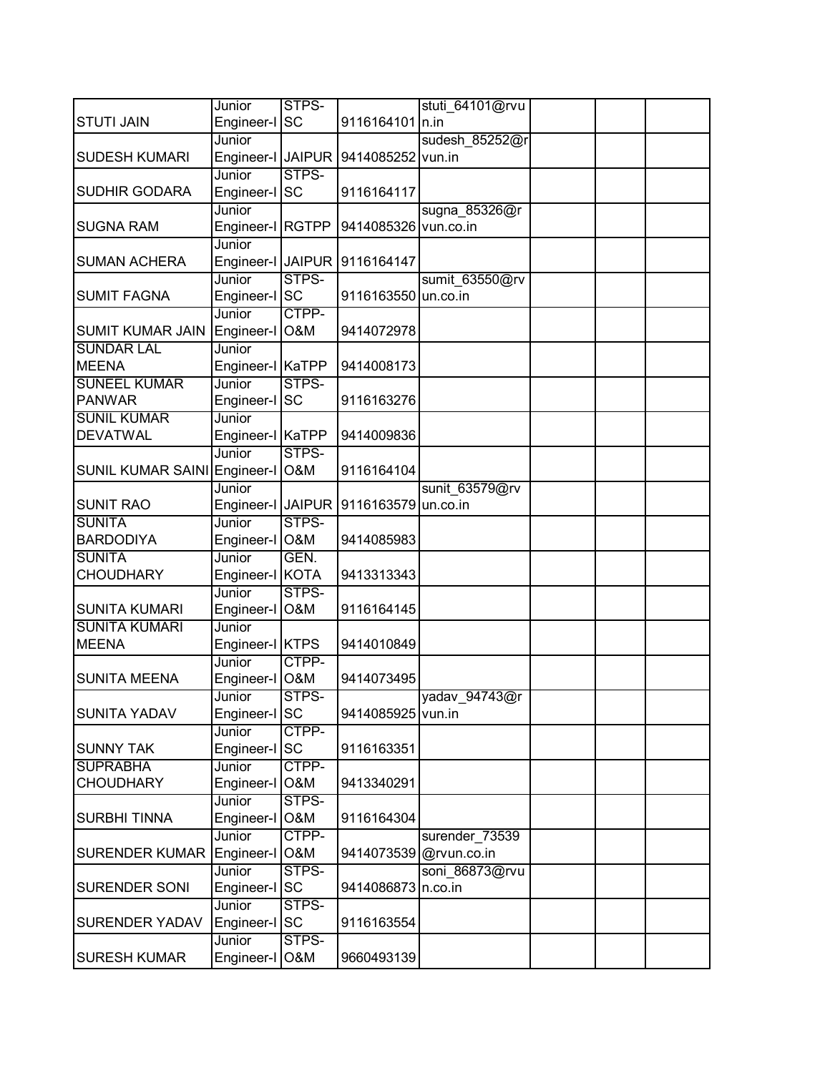|                                      | Junior                    | STPS-          |                      | stuti 64101@rvu        |  |  |
|--------------------------------------|---------------------------|----------------|----------------------|------------------------|--|--|
| <b>STUTI JAIN</b>                    | Engineer-I SC             |                | 9116164101 n.in      |                        |  |  |
|                                      | Junior                    |                |                      | sudesh 85252@r         |  |  |
| <b>SUDESH KUMARI</b>                 | Engineer-I JAIPUR         |                | 9414085252 vun.in    |                        |  |  |
|                                      | Junior                    | STPS-          |                      |                        |  |  |
| <b>SUDHIR GODARA</b>                 | Engineer-I                | <b>SC</b>      | 9116164117           |                        |  |  |
|                                      | Junior                    |                |                      | sugna 85326@r          |  |  |
| <b>SUGNA RAM</b>                     | Engineer-I RGTPP          |                | 9414085326 vun.co.in |                        |  |  |
|                                      | Junior                    |                |                      |                        |  |  |
| <b>SUMAN ACHERA</b>                  | Engineer-I JAIPUR         |                | 9116164147           |                        |  |  |
|                                      | Junior                    | STPS-          |                      | sumit 63550@rv         |  |  |
| <b>SUMIT FAGNA</b>                   | Engineer-I SC             |                | 9116163550 un.co.in  |                        |  |  |
|                                      | Junior                    | CTPP-          |                      |                        |  |  |
| <b>SUMIT KUMAR JAIN</b>              | Engineer-I                | <b>O&amp;M</b> | 9414072978           |                        |  |  |
| <b>SUNDAR LAL</b>                    | Junior                    |                |                      |                        |  |  |
| <b>MEENA</b>                         | Engineer-I KaTPP          |                | 9414008173           |                        |  |  |
| <b>SUNEEL KUMAR</b>                  | Junior                    | STPS-          |                      |                        |  |  |
| <b>PANWAR</b>                        | Engineer-I SC             |                | 9116163276           |                        |  |  |
| <b>SUNIL KUMAR</b>                   | Junior                    |                |                      |                        |  |  |
| <b>DEVATWAL</b>                      | Engineer-I KaTPP          |                | 9414009836           |                        |  |  |
|                                      | Junior                    | STPS-          |                      |                        |  |  |
| SUNIL KUMAR SAINI Engineer-I         |                           | <b>O&amp;M</b> | 9116164104           |                        |  |  |
|                                      | Junior                    |                |                      | sunit 63579@rv         |  |  |
| <b>SUNIT RAO</b>                     | Engineer-I JAIPUR         |                | 9116163579           | un.co.in               |  |  |
| <b>SUNITA</b>                        | Junior                    | STPS-          |                      |                        |  |  |
| <b>BARDODIYA</b>                     | Engineer-I O&M            |                | 9414085983           |                        |  |  |
| <b>SUNITA</b>                        | Junior                    | GEN.           |                      |                        |  |  |
| <b>CHOUDHARY</b>                     | Engineer-I KOTA           |                | 9413313343           |                        |  |  |
|                                      | Junior                    | STPS-          |                      |                        |  |  |
| <b>SUNITA KUMARI</b>                 | Engineer-I O&M            |                | 9116164145           |                        |  |  |
| <b>SUNITA KUMARI</b><br><b>MEENA</b> | Junior                    |                | 9414010849           |                        |  |  |
|                                      | Engineer-I KTPS<br>Junior | CTPP-          |                      |                        |  |  |
| <b>SUNITA MEENA</b>                  | Engineer-I                | O&M            | 9414073495           |                        |  |  |
|                                      | Junior                    | STPS-          |                      | vadav 94743@r          |  |  |
| <b>SUNITA YADAV</b>                  | Engineer-I SC             |                | 9414085925 vun.in    |                        |  |  |
|                                      | Junior                    | CTPP-          |                      |                        |  |  |
| <b>SUNNY TAK</b>                     | Engineer-I SC             |                | 9116163351           |                        |  |  |
| <b>SUPRABHA</b>                      | Junior                    | CTPP-          |                      |                        |  |  |
| <b>CHOUDHARY</b>                     | Engineer-I                | <b>O&amp;M</b> | 9413340291           |                        |  |  |
|                                      | Junior                    | STPS-          |                      |                        |  |  |
| <b>SURBHI TINNA</b>                  | Engineer-I                | <b>O&amp;M</b> | 9116164304           |                        |  |  |
|                                      | Junior                    | CTPP-          |                      | surender_73539         |  |  |
| <b>SURENDER KUMAR</b>                | Engineer-I                | <b>O&amp;M</b> |                      | 9414073539 @rvun.co.in |  |  |
|                                      | Junior                    | STPS-          |                      | soni_86873@rvu         |  |  |
| <b>SURENDER SONI</b>                 | Engineer-I SC             |                | 9414086873           | n.co.in                |  |  |
|                                      | Junior                    | STPS-          |                      |                        |  |  |
| <b>SURENDER YADAV</b>                | Engineer-I                | <b>SC</b>      | 9116163554           |                        |  |  |
|                                      | Junior                    | STPS-          |                      |                        |  |  |
| <b>SURESH KUMAR</b>                  | Engineer-I                | O&M            | 9660493139           |                        |  |  |
|                                      |                           |                |                      |                        |  |  |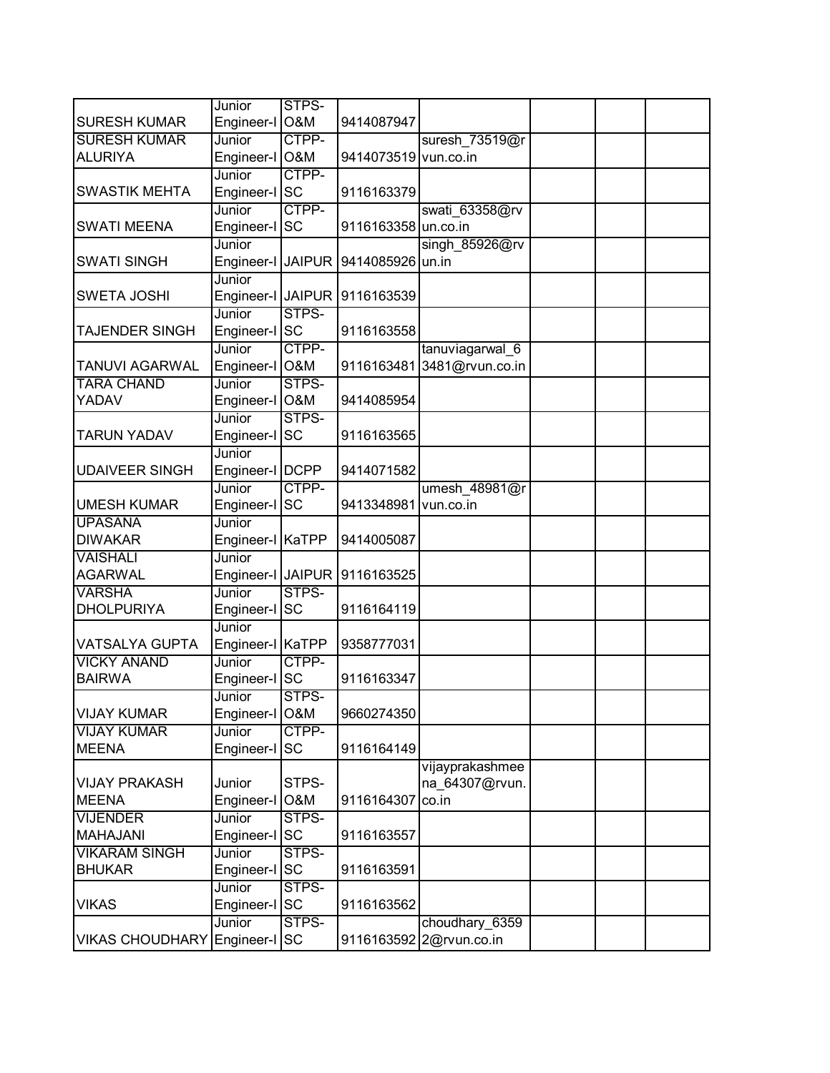|                                      | Junior                  | STPS-          |                      |                         |  |  |
|--------------------------------------|-------------------------|----------------|----------------------|-------------------------|--|--|
| <b>SURESH KUMAR</b>                  | Engineer-I O&M          |                | 9414087947           |                         |  |  |
| <b>SURESH KUMAR</b>                  | Junior                  | CTPP-          |                      | suresh 73519@r          |  |  |
| <b>ALURIYA</b>                       | Engineer-I O&M          |                | 9414073519 vun.co.in |                         |  |  |
|                                      | Junior                  | CTPP-          |                      |                         |  |  |
| <b>SWASTIK MEHTA</b>                 | Engineer-I              | <b>SC</b>      | 9116163379           |                         |  |  |
|                                      | Junior                  | CTPP-          |                      | swati 63358@rv          |  |  |
| <b>SWATI MEENA</b>                   | Engineer-I SC           |                | 9116163358 un.co.in  |                         |  |  |
|                                      | Junior                  |                |                      | singh $85926@rv$        |  |  |
| <b>SWATI SINGH</b>                   | Engineer-I JAIPUR       |                | 9414085926 un.in     |                         |  |  |
|                                      | Junior                  |                |                      |                         |  |  |
| <b>SWETA JOSHI</b>                   | Engineer-I JAIPUR       |                | 9116163539           |                         |  |  |
|                                      | Junior                  | STPS-          |                      |                         |  |  |
| TAJENDER SINGH                       | Engineer-I SC           |                | 9116163558           |                         |  |  |
|                                      | Junior                  | CTPP-          |                      | tanuviagarwal 6         |  |  |
| <b>TANUVI AGARWAL</b>                | Engineer-I O&M          |                | 9116163481           | 3481@rvun.co.in         |  |  |
| <b>TARA CHAND</b>                    | Junior                  | STPS-          |                      |                         |  |  |
| YADAV                                | Engineer-I O&M          |                | 9414085954           |                         |  |  |
|                                      | Junior                  | STPS-          |                      |                         |  |  |
| <b>TARUN YADAV</b>                   | Engineer-I              | <b>SC</b>      | 9116163565           |                         |  |  |
|                                      | Junior                  |                |                      |                         |  |  |
| <b>UDAIVEER SINGH</b>                | Engineer-I   DCPP       |                | 9414071582           |                         |  |  |
|                                      | Junior                  | CTPP-          |                      | umesh 48981@r           |  |  |
| <b>UMESH KUMAR</b>                   | Engineer-I SC           |                | 9413348981           | vun.co.in               |  |  |
| <b>UPASANA</b>                       | Junior                  |                |                      |                         |  |  |
| <b>DIWAKAR</b>                       | Engineer-I KaTPP        |                | 9414005087           |                         |  |  |
| <b>VAISHALI</b>                      | Junior                  |                |                      |                         |  |  |
| <b>AGARWAL</b>                       | Engineer-I JAIPUR       |                | 9116163525           |                         |  |  |
| <b>VARSHA</b>                        | Junior                  | STPS-          |                      |                         |  |  |
| <b>DHOLPURIYA</b>                    | Engineer-I SC           |                | 9116164119           |                         |  |  |
|                                      | Junior                  |                |                      |                         |  |  |
| VATSALYA GUPTA                       | Engineer-I KaTPP        |                | 9358777031           |                         |  |  |
| <b>VICKY ANAND</b>                   | Junior                  | CTPP-          |                      |                         |  |  |
| <b>BAIRWA</b>                        | Engineer-I SC           |                | 9116163347           |                         |  |  |
|                                      | Junior                  | STPS-          |                      |                         |  |  |
| <b>VIJAY KUMAR</b>                   | Engineer-I O&M          |                | 9660274350           |                         |  |  |
| <b>VIJAY KUMAR</b>                   | Junior                  | CTPP-          |                      |                         |  |  |
| <b>MEENA</b>                         | Engineer-I              | <b>SC</b>      | 9116164149           |                         |  |  |
|                                      |                         | STPS-          |                      | vijayprakashmee         |  |  |
| <b>VIJAY PRAKASH</b><br><b>MEENA</b> | Junior                  | <b>O&amp;M</b> |                      | na_64307@rvun.          |  |  |
|                                      | Engineer-I              |                | 9116164307           | co.in                   |  |  |
| <b>VIJENDER</b>                      | Junior                  | STPS-          |                      |                         |  |  |
| <b>MAHAJANI</b>                      | Engineer-I SC           | STPS-          | 9116163557           |                         |  |  |
| <b>VIKARAM SINGH</b>                 | Junior                  |                | 9116163591           |                         |  |  |
| <b>BHUKAR</b>                        | Engineer-I SC<br>Junior | STPS-          |                      |                         |  |  |
| <b>VIKAS</b>                         | Engineer-I SC           |                | 9116163562           |                         |  |  |
|                                      | Junior                  | STPS-          |                      | choudhary 6359          |  |  |
| <b>VIKAS CHOUDHARY</b>               |                         | <b>SC</b>      |                      |                         |  |  |
|                                      | Engineer-I              |                |                      | 9116163592 2@rvun.co.in |  |  |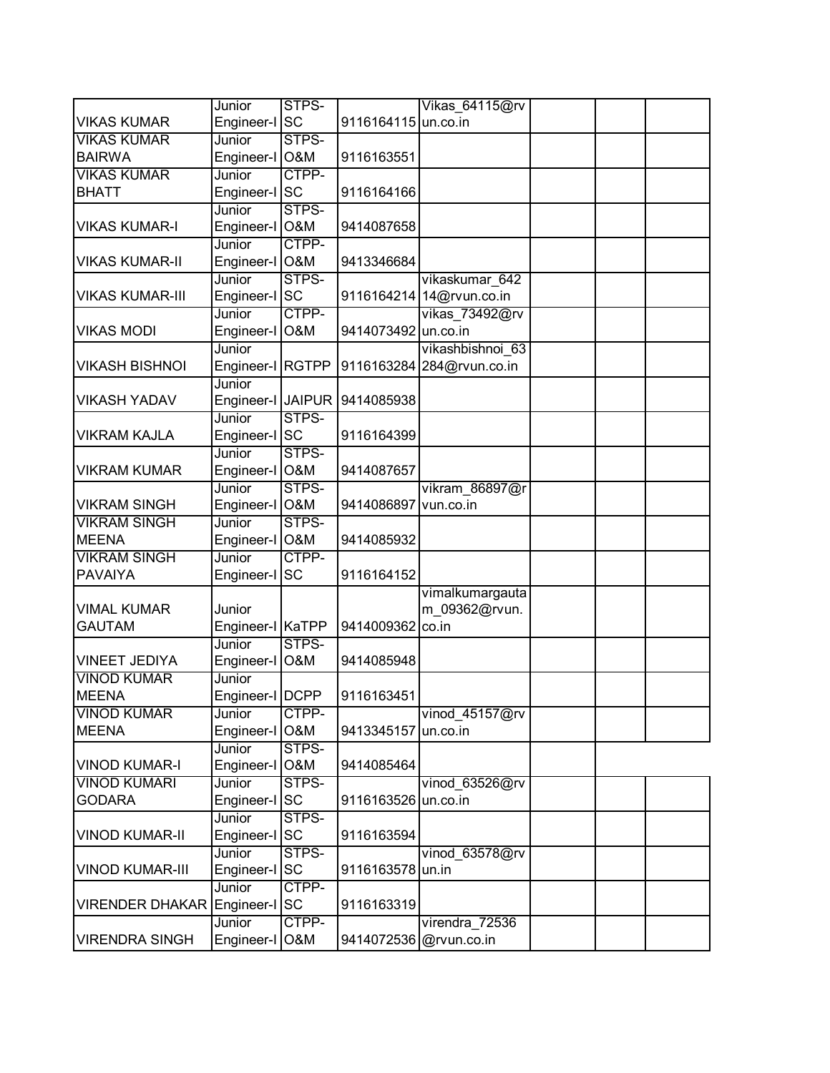|                                             | Junior                     | STPS-              |                     | Vikas 64115@rv            |  |  |
|---------------------------------------------|----------------------------|--------------------|---------------------|---------------------------|--|--|
| <b>VIKAS KUMAR</b>                          | Engineer-I SC              |                    | 9116164115 un.co.in |                           |  |  |
| <b>VIKAS KUMAR</b>                          | Junior                     | STPS-              |                     |                           |  |  |
| <b>BAIRWA</b>                               | Engineer-I O&M             |                    | 9116163551          |                           |  |  |
| <b>VIKAS KUMAR</b>                          | Junior                     | CTPP-              |                     |                           |  |  |
| <b>BHATT</b>                                | Engineer-I SC              |                    | 9116164166          |                           |  |  |
|                                             | Junior                     | STPS-              |                     |                           |  |  |
| <b>VIKAS KUMAR-I</b>                        | Engineer-I O&M             |                    | 9414087658          |                           |  |  |
|                                             | Junior                     | CTPP-              |                     |                           |  |  |
| <b>VIKAS KUMAR-II</b>                       | Engineer-I O&M             |                    | 9413346684          |                           |  |  |
|                                             | Junior                     | STPS-              |                     | vikaskumar 642            |  |  |
| <b>VIKAS KUMAR-III</b>                      | Engineer-I SC              |                    |                     | 9116164214 14@rvun.co.in  |  |  |
|                                             | Junior                     | CTPP-              |                     | vikas 73492@rv            |  |  |
| <b>VIKAS MODI</b>                           | Engineer-I                 | <b>O&amp;M</b>     | 9414073492 un.co.in |                           |  |  |
|                                             | Junior                     |                    |                     | vikashbishnoi 63          |  |  |
| <b>VIKASH BISHNOI</b>                       | Engineer-I RGTPP           |                    |                     | 9116163284 284@rvun.co.in |  |  |
|                                             | Junior                     |                    |                     |                           |  |  |
| <b>VIKASH YADAV</b>                         | Engineer-I JAIPUR          |                    | 9414085938          |                           |  |  |
|                                             | Junior                     | STPS-              |                     |                           |  |  |
| VIKRAM KAJLA                                | Engineer-I SC              |                    | 9116164399          |                           |  |  |
|                                             | Junior                     | STPS-              |                     |                           |  |  |
| <b>VIKRAM KUMAR</b>                         | Engineer-I O&M             |                    | 9414087657          |                           |  |  |
|                                             | Junior                     | STPS-              |                     | vikram 86897@r            |  |  |
| <b>VIKRAM SINGH</b>                         | Engineer-I O&M             |                    | 9414086897          | vun.co.in                 |  |  |
| <b>VIKRAM SINGH</b>                         | Junior                     | STPS-              |                     |                           |  |  |
| <b>MEENA</b>                                | Engineer-I O&M             |                    | 9414085932          |                           |  |  |
| <b>VIKRAM SINGH</b>                         | Junior                     | CTPP-              |                     |                           |  |  |
| <b>PAVAIYA</b>                              | Engineer-I                 | <b>SC</b>          | 9116164152          |                           |  |  |
|                                             |                            |                    |                     | vimalkumargauta           |  |  |
| <b>VIMAL KUMAR</b>                          | Junior                     |                    |                     | m 09362@rvun.             |  |  |
| <b>GAUTAM</b>                               | Engineer-I KaTPP<br>Junior |                    | 9414009362          | co.in                     |  |  |
|                                             |                            | STPS-              |                     |                           |  |  |
| <b>VINEET JEDIYA</b>                        | Engineer-I O&M             |                    | 9414085948          |                           |  |  |
| <b>VINOD KUMAR</b>                          | Junior                     |                    |                     |                           |  |  |
| <b>MEENA</b>                                | Engineer-I   DCPP          |                    | 9116163451          |                           |  |  |
| <b>VINOD KUMAR</b>                          | Junior                     | CTPP-              |                     | vinod 45157@rv            |  |  |
| <b>MEENA</b>                                | Engineer-I O&M             |                    | 9413345157          | un.co.in                  |  |  |
|                                             | Junior                     | STPS-              |                     |                           |  |  |
| <b>VINOD KUMAR-I</b><br><b>VINOD KUMARI</b> | Engineer-I O&M<br>Junior   | STPS-              | 9414085464          |                           |  |  |
| <b>GODARA</b>                               |                            | <b>SC</b>          |                     | vinod 63526@rv            |  |  |
|                                             | Engineer-I                 |                    | 9116163526 un.co.in |                           |  |  |
| <b>VINOD KUMAR-II</b>                       | Junior                     | STPS-<br><b>SC</b> | 9116163594          |                           |  |  |
|                                             | Engineer-I                 | STPS-              |                     |                           |  |  |
| <b>VINOD KUMAR-III</b>                      | Junior                     |                    | 9116163578 un.in    | vinod 63578@rv            |  |  |
|                                             | Engineer-I SC<br>Junior    | CTPP-              |                     |                           |  |  |
| <b>VIRENDER DHAKAR</b>                      | Engineer-I SC              |                    | 9116163319          |                           |  |  |
|                                             | Junior                     | CTPP-              |                     | virendra 72536            |  |  |
| <b>VIRENDRA SINGH</b>                       |                            | O&M                |                     |                           |  |  |
|                                             | Engineer-I                 |                    |                     | 9414072536 @rvun.co.in    |  |  |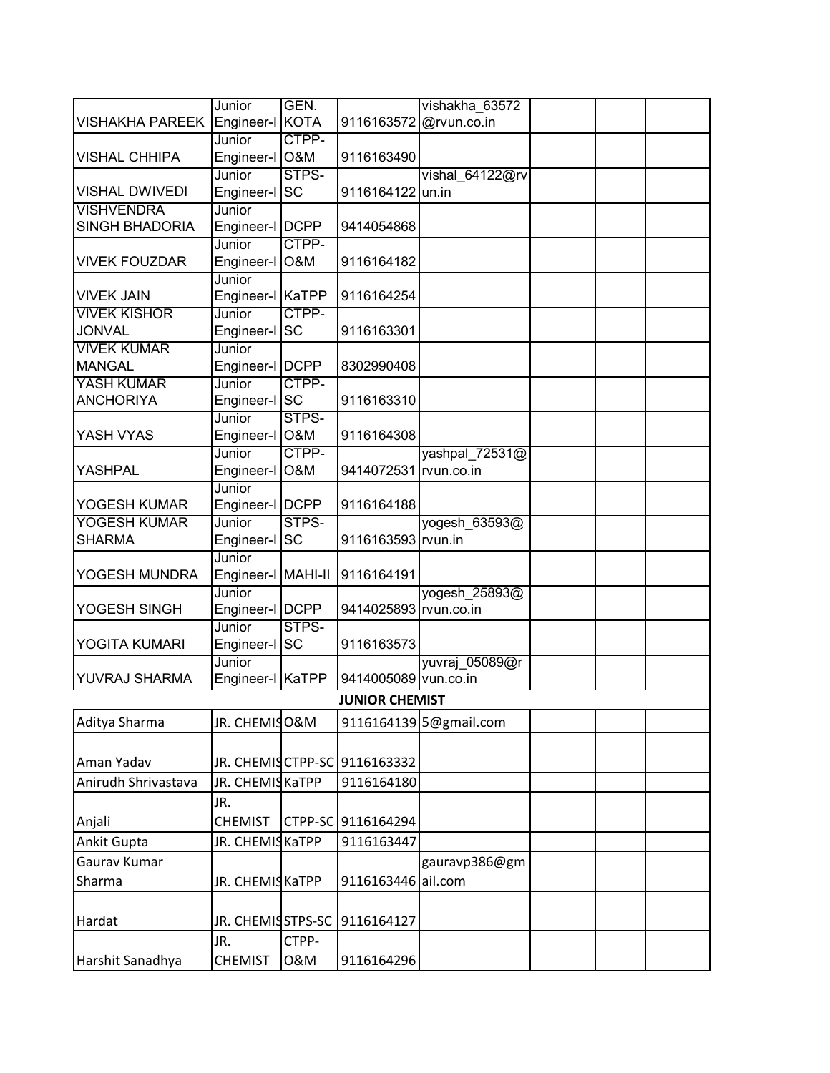|                               | Junior                   | GEN.           |                               | vishakha 63572         |  |  |
|-------------------------------|--------------------------|----------------|-------------------------------|------------------------|--|--|
| <b>VISHAKHA PAREEK</b>        | Engineer-I KOTA          |                | 9116163572                    | @rvun.co.in            |  |  |
|                               | Junior                   | CTPP-          |                               |                        |  |  |
| <b>VISHAL CHHIPA</b>          | Engineer-I O&M           |                | 9116163490                    |                        |  |  |
|                               | Junior                   | STPS-          |                               | vishal 64122@rv        |  |  |
| <b>VISHAL DWIVEDI</b>         | Engineer-I               | <b>SC</b>      | 9116164122 un.in              |                        |  |  |
| <b>VISHVENDRA</b>             | Junior                   |                |                               |                        |  |  |
| <b>SINGH BHADORIA</b>         | Engineer-I   DCPP        |                | 9414054868                    |                        |  |  |
| <b>VIVEK FOUZDAR</b>          | Junior                   | CTPP-          |                               |                        |  |  |
|                               | Engineer-I O&M<br>Junior |                | 9116164182                    |                        |  |  |
| <b>VIVEK JAIN</b>             | Engineer-I KaTPP         |                | 9116164254                    |                        |  |  |
| <b>VIVEK KISHOR</b>           | Junior                   | CTPP-          |                               |                        |  |  |
| <b>JONVAL</b>                 | Engineer-I               | <b>SC</b>      | 9116163301                    |                        |  |  |
| <b>VIVEK KUMAR</b>            | Junior                   |                |                               |                        |  |  |
| <b>MANGAL</b>                 | Engineer-I   DCPP        |                | 8302990408                    |                        |  |  |
| YASH KUMAR                    | Junior                   | CTPP-          |                               |                        |  |  |
| <b>ANCHORIYA</b>              | Engineer-I SC            |                | 9116163310                    |                        |  |  |
|                               | Junior                   | STPS-          |                               |                        |  |  |
| YASH VYAS                     | Engineer-I O&M           |                | 9116164308                    |                        |  |  |
|                               | Junior                   | CTPP-          |                               | yashpal 72531@         |  |  |
| YASHPAL                       | Engineer-I               | <b>O&amp;M</b> | 9414072531 rvun.co.in         |                        |  |  |
|                               | Junior                   |                |                               |                        |  |  |
| YOGESH KUMAR                  | Engineer-I   DCPP        | STPS-          | 9116164188                    |                        |  |  |
| YOGESH KUMAR<br><b>SHARMA</b> | Junior<br>Engineer-I SC  |                | 9116163593 rvun.in            | yogesh 63593@          |  |  |
|                               | Junior                   |                |                               |                        |  |  |
| YOGESH MUNDRA                 | Engineer-I MAHI-II       |                | 9116164191                    |                        |  |  |
|                               | Junior                   |                |                               | yogesh 25893@          |  |  |
| YOGESH SINGH                  | Engineer-I   DCPP        |                | 9414025893 rvun.co.in         |                        |  |  |
|                               | Junior                   | STPS-          |                               |                        |  |  |
| YOGITA KUMARI                 | Engineer-I SC            |                | 9116163573                    |                        |  |  |
|                               | Junior                   |                |                               | yuvraj 05089@r         |  |  |
| YUVRAJ SHARMA                 | Engineer-I               | KaTPP          | 9414005089 vun.co.in          |                        |  |  |
|                               |                          |                | <b>JUNIOR CHEMIST</b>         |                        |  |  |
| Aditya Sharma                 | JR. CHEMISO&M            |                |                               | 9116164139 5@gmail.com |  |  |
|                               |                          |                |                               |                        |  |  |
| Aman Yadav                    |                          |                | JR. CHEMIS CTPP-SC 9116163332 |                        |  |  |
| Anirudh Shrivastava           | JR. CHEMISKaTPP          |                | 9116164180                    |                        |  |  |
|                               | JR.                      |                |                               |                        |  |  |
| Anjali                        | <b>CHEMIST</b>           | CTPP-SC        | 9116164294                    |                        |  |  |
| Ankit Gupta                   | JR. CHEMIS KaTPP         |                | 9116163447                    |                        |  |  |
| Gaurav Kumar                  |                          |                |                               | gauravp386@gm          |  |  |
|                               |                          |                |                               |                        |  |  |
| Sharma                        | JR. CHEMISKaTPP          |                | 9116163446 ail.com            |                        |  |  |
|                               |                          |                |                               |                        |  |  |
| Hardat                        | JR. CHEMISSTPS-SC        |                | 9116164127                    |                        |  |  |
|                               | JR.                      | CTPP-          |                               |                        |  |  |
| Harshit Sanadhya              | <b>CHEMIST</b>           | 0&M            | 9116164296                    |                        |  |  |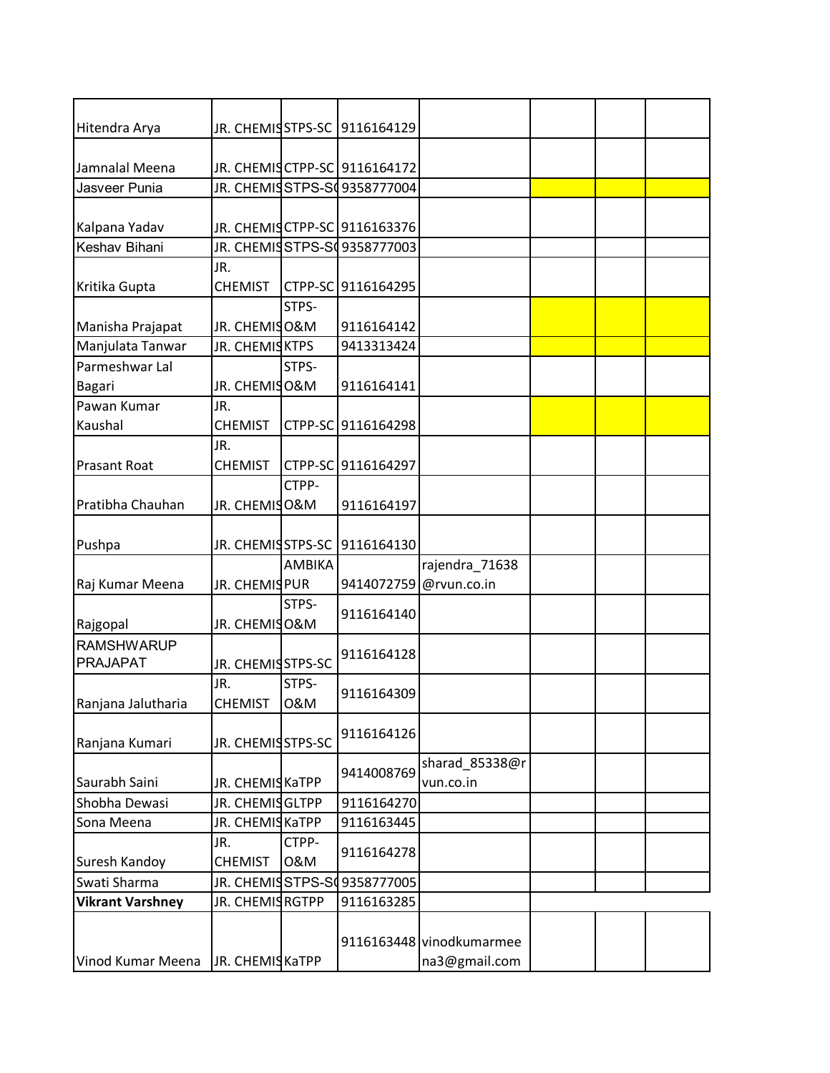| JR. CHEMISSTPS-SC<br>9116164129<br>JR. CHEMIS CTPP-SC 9116164172<br>JR. CHEMISSTPS-SO9358777004<br>Jasveer Punia<br>JR. CHEMISCTPP-SC 9116163376<br>JR. CHEMISSTPS-SC9358777003<br>JR.<br><b>CHEMIST</b><br>CTPP-SC 9116164295<br>STPS-<br>Manisha Prajapat<br>JR. CHEMISO&M<br>9116164142<br>Manjulata Tanwar<br>JR. CHEMISKTPS<br>9413313424<br>Parmeshwar Lal<br>STPS-<br>JR. CHEMISO&M<br><b>Bagari</b><br>9116164141<br>JR.<br>Pawan Kumar<br>Kaushal<br><b>CHEMIST</b><br>CTPP-SC 9116164298<br>JR.<br><b>CHEMIST</b><br><b>Prasant Roat</b><br>CTPP-SC 9116164297<br>CTPP-<br>Pratibha Chauhan<br>JR. CHEMISO&M<br>9116164197<br>JR. CHEMISSTPS-SC 9116164130<br>Pushpa<br>AMBIKA<br>rajendra_71638<br>JR. CHEMIS PUR<br>Raj Kumar Meena<br>9414072759<br>@rvun.co.in<br>STPS-<br>9116164140<br>JR. CHEMISO&M<br>Rajgopal<br><b>RAMSHWARUP</b><br>9116164128<br><b>PRAJAPAT</b><br>JR. CHEMISSTPS-SC<br>STPS-<br>JR.<br>9116164309<br>0&M<br>Ranjana Jalutharia<br><b>CHEMIST</b><br>9116164126<br>JR. CHEMISSTPS-SC<br>sharad_85338@r<br>9414008769<br>JR. CHEMIS KaTPP<br>vun.co.in<br>JR. CHEMISGLTPP<br>9116164270<br>JR. CHEMISKaTPP<br>9116163445<br>CTPP-<br>JR.<br>9116164278<br>0&M<br><b>CHEMIST</b><br>JR. CHEMISSTPS-SO9358777005<br>JR. CHEMISRGTPP<br>9116163285<br>9116163448 vinodkumarmee<br>JR. CHEMISKaTPP<br>na3@gmail.com |                         |  |  |  |  |
|-------------------------------------------------------------------------------------------------------------------------------------------------------------------------------------------------------------------------------------------------------------------------------------------------------------------------------------------------------------------------------------------------------------------------------------------------------------------------------------------------------------------------------------------------------------------------------------------------------------------------------------------------------------------------------------------------------------------------------------------------------------------------------------------------------------------------------------------------------------------------------------------------------------------------------------------------------------------------------------------------------------------------------------------------------------------------------------------------------------------------------------------------------------------------------------------------------------------------------------------------------------------------------------------------------------------------------------------------------|-------------------------|--|--|--|--|
|                                                                                                                                                                                                                                                                                                                                                                                                                                                                                                                                                                                                                                                                                                                                                                                                                                                                                                                                                                                                                                                                                                                                                                                                                                                                                                                                                       | Hitendra Arya           |  |  |  |  |
|                                                                                                                                                                                                                                                                                                                                                                                                                                                                                                                                                                                                                                                                                                                                                                                                                                                                                                                                                                                                                                                                                                                                                                                                                                                                                                                                                       | Jamnalal Meena          |  |  |  |  |
|                                                                                                                                                                                                                                                                                                                                                                                                                                                                                                                                                                                                                                                                                                                                                                                                                                                                                                                                                                                                                                                                                                                                                                                                                                                                                                                                                       |                         |  |  |  |  |
|                                                                                                                                                                                                                                                                                                                                                                                                                                                                                                                                                                                                                                                                                                                                                                                                                                                                                                                                                                                                                                                                                                                                                                                                                                                                                                                                                       |                         |  |  |  |  |
|                                                                                                                                                                                                                                                                                                                                                                                                                                                                                                                                                                                                                                                                                                                                                                                                                                                                                                                                                                                                                                                                                                                                                                                                                                                                                                                                                       | Kalpana Yadav           |  |  |  |  |
|                                                                                                                                                                                                                                                                                                                                                                                                                                                                                                                                                                                                                                                                                                                                                                                                                                                                                                                                                                                                                                                                                                                                                                                                                                                                                                                                                       | Keshav Bihani           |  |  |  |  |
|                                                                                                                                                                                                                                                                                                                                                                                                                                                                                                                                                                                                                                                                                                                                                                                                                                                                                                                                                                                                                                                                                                                                                                                                                                                                                                                                                       |                         |  |  |  |  |
|                                                                                                                                                                                                                                                                                                                                                                                                                                                                                                                                                                                                                                                                                                                                                                                                                                                                                                                                                                                                                                                                                                                                                                                                                                                                                                                                                       | Kritika Gupta           |  |  |  |  |
|                                                                                                                                                                                                                                                                                                                                                                                                                                                                                                                                                                                                                                                                                                                                                                                                                                                                                                                                                                                                                                                                                                                                                                                                                                                                                                                                                       |                         |  |  |  |  |
|                                                                                                                                                                                                                                                                                                                                                                                                                                                                                                                                                                                                                                                                                                                                                                                                                                                                                                                                                                                                                                                                                                                                                                                                                                                                                                                                                       |                         |  |  |  |  |
|                                                                                                                                                                                                                                                                                                                                                                                                                                                                                                                                                                                                                                                                                                                                                                                                                                                                                                                                                                                                                                                                                                                                                                                                                                                                                                                                                       |                         |  |  |  |  |
|                                                                                                                                                                                                                                                                                                                                                                                                                                                                                                                                                                                                                                                                                                                                                                                                                                                                                                                                                                                                                                                                                                                                                                                                                                                                                                                                                       |                         |  |  |  |  |
|                                                                                                                                                                                                                                                                                                                                                                                                                                                                                                                                                                                                                                                                                                                                                                                                                                                                                                                                                                                                                                                                                                                                                                                                                                                                                                                                                       |                         |  |  |  |  |
|                                                                                                                                                                                                                                                                                                                                                                                                                                                                                                                                                                                                                                                                                                                                                                                                                                                                                                                                                                                                                                                                                                                                                                                                                                                                                                                                                       |                         |  |  |  |  |
|                                                                                                                                                                                                                                                                                                                                                                                                                                                                                                                                                                                                                                                                                                                                                                                                                                                                                                                                                                                                                                                                                                                                                                                                                                                                                                                                                       |                         |  |  |  |  |
|                                                                                                                                                                                                                                                                                                                                                                                                                                                                                                                                                                                                                                                                                                                                                                                                                                                                                                                                                                                                                                                                                                                                                                                                                                                                                                                                                       |                         |  |  |  |  |
|                                                                                                                                                                                                                                                                                                                                                                                                                                                                                                                                                                                                                                                                                                                                                                                                                                                                                                                                                                                                                                                                                                                                                                                                                                                                                                                                                       |                         |  |  |  |  |
|                                                                                                                                                                                                                                                                                                                                                                                                                                                                                                                                                                                                                                                                                                                                                                                                                                                                                                                                                                                                                                                                                                                                                                                                                                                                                                                                                       |                         |  |  |  |  |
|                                                                                                                                                                                                                                                                                                                                                                                                                                                                                                                                                                                                                                                                                                                                                                                                                                                                                                                                                                                                                                                                                                                                                                                                                                                                                                                                                       |                         |  |  |  |  |
|                                                                                                                                                                                                                                                                                                                                                                                                                                                                                                                                                                                                                                                                                                                                                                                                                                                                                                                                                                                                                                                                                                                                                                                                                                                                                                                                                       |                         |  |  |  |  |
|                                                                                                                                                                                                                                                                                                                                                                                                                                                                                                                                                                                                                                                                                                                                                                                                                                                                                                                                                                                                                                                                                                                                                                                                                                                                                                                                                       |                         |  |  |  |  |
|                                                                                                                                                                                                                                                                                                                                                                                                                                                                                                                                                                                                                                                                                                                                                                                                                                                                                                                                                                                                                                                                                                                                                                                                                                                                                                                                                       |                         |  |  |  |  |
|                                                                                                                                                                                                                                                                                                                                                                                                                                                                                                                                                                                                                                                                                                                                                                                                                                                                                                                                                                                                                                                                                                                                                                                                                                                                                                                                                       |                         |  |  |  |  |
|                                                                                                                                                                                                                                                                                                                                                                                                                                                                                                                                                                                                                                                                                                                                                                                                                                                                                                                                                                                                                                                                                                                                                                                                                                                                                                                                                       |                         |  |  |  |  |
|                                                                                                                                                                                                                                                                                                                                                                                                                                                                                                                                                                                                                                                                                                                                                                                                                                                                                                                                                                                                                                                                                                                                                                                                                                                                                                                                                       |                         |  |  |  |  |
|                                                                                                                                                                                                                                                                                                                                                                                                                                                                                                                                                                                                                                                                                                                                                                                                                                                                                                                                                                                                                                                                                                                                                                                                                                                                                                                                                       |                         |  |  |  |  |
|                                                                                                                                                                                                                                                                                                                                                                                                                                                                                                                                                                                                                                                                                                                                                                                                                                                                                                                                                                                                                                                                                                                                                                                                                                                                                                                                                       |                         |  |  |  |  |
|                                                                                                                                                                                                                                                                                                                                                                                                                                                                                                                                                                                                                                                                                                                                                                                                                                                                                                                                                                                                                                                                                                                                                                                                                                                                                                                                                       |                         |  |  |  |  |
|                                                                                                                                                                                                                                                                                                                                                                                                                                                                                                                                                                                                                                                                                                                                                                                                                                                                                                                                                                                                                                                                                                                                                                                                                                                                                                                                                       |                         |  |  |  |  |
|                                                                                                                                                                                                                                                                                                                                                                                                                                                                                                                                                                                                                                                                                                                                                                                                                                                                                                                                                                                                                                                                                                                                                                                                                                                                                                                                                       |                         |  |  |  |  |
|                                                                                                                                                                                                                                                                                                                                                                                                                                                                                                                                                                                                                                                                                                                                                                                                                                                                                                                                                                                                                                                                                                                                                                                                                                                                                                                                                       |                         |  |  |  |  |
|                                                                                                                                                                                                                                                                                                                                                                                                                                                                                                                                                                                                                                                                                                                                                                                                                                                                                                                                                                                                                                                                                                                                                                                                                                                                                                                                                       | Ranjana Kumari          |  |  |  |  |
|                                                                                                                                                                                                                                                                                                                                                                                                                                                                                                                                                                                                                                                                                                                                                                                                                                                                                                                                                                                                                                                                                                                                                                                                                                                                                                                                                       |                         |  |  |  |  |
|                                                                                                                                                                                                                                                                                                                                                                                                                                                                                                                                                                                                                                                                                                                                                                                                                                                                                                                                                                                                                                                                                                                                                                                                                                                                                                                                                       | Saurabh Saini           |  |  |  |  |
|                                                                                                                                                                                                                                                                                                                                                                                                                                                                                                                                                                                                                                                                                                                                                                                                                                                                                                                                                                                                                                                                                                                                                                                                                                                                                                                                                       | Shobha Dewasi           |  |  |  |  |
|                                                                                                                                                                                                                                                                                                                                                                                                                                                                                                                                                                                                                                                                                                                                                                                                                                                                                                                                                                                                                                                                                                                                                                                                                                                                                                                                                       | Sona Meena              |  |  |  |  |
|                                                                                                                                                                                                                                                                                                                                                                                                                                                                                                                                                                                                                                                                                                                                                                                                                                                                                                                                                                                                                                                                                                                                                                                                                                                                                                                                                       |                         |  |  |  |  |
|                                                                                                                                                                                                                                                                                                                                                                                                                                                                                                                                                                                                                                                                                                                                                                                                                                                                                                                                                                                                                                                                                                                                                                                                                                                                                                                                                       | Suresh Kandoy           |  |  |  |  |
|                                                                                                                                                                                                                                                                                                                                                                                                                                                                                                                                                                                                                                                                                                                                                                                                                                                                                                                                                                                                                                                                                                                                                                                                                                                                                                                                                       | Swati Sharma            |  |  |  |  |
|                                                                                                                                                                                                                                                                                                                                                                                                                                                                                                                                                                                                                                                                                                                                                                                                                                                                                                                                                                                                                                                                                                                                                                                                                                                                                                                                                       | <b>Vikrant Varshney</b> |  |  |  |  |
|                                                                                                                                                                                                                                                                                                                                                                                                                                                                                                                                                                                                                                                                                                                                                                                                                                                                                                                                                                                                                                                                                                                                                                                                                                                                                                                                                       |                         |  |  |  |  |
|                                                                                                                                                                                                                                                                                                                                                                                                                                                                                                                                                                                                                                                                                                                                                                                                                                                                                                                                                                                                                                                                                                                                                                                                                                                                                                                                                       |                         |  |  |  |  |
|                                                                                                                                                                                                                                                                                                                                                                                                                                                                                                                                                                                                                                                                                                                                                                                                                                                                                                                                                                                                                                                                                                                                                                                                                                                                                                                                                       | Vinod Kumar Meena       |  |  |  |  |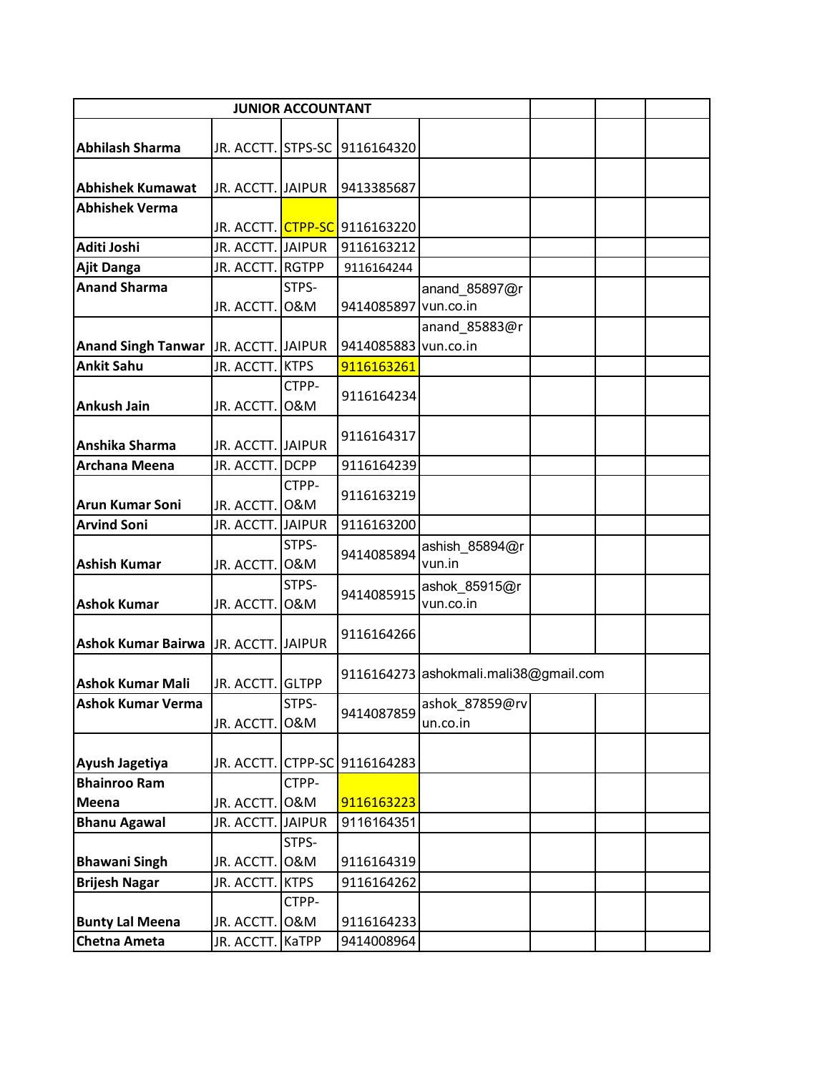|                                       |                   | <b>JUNIOR ACCOUNTANT</b> |                                            |                                       |  |  |
|---------------------------------------|-------------------|--------------------------|--------------------------------------------|---------------------------------------|--|--|
|                                       |                   |                          |                                            |                                       |  |  |
| <b>Abhilash Sharma</b>                |                   |                          | JR. ACCTT. STPS-SC 9116164320              |                                       |  |  |
| <b>Abhishek Kumawat</b>               | JR. ACCTT. JAIPUR |                          | 9413385687                                 |                                       |  |  |
| <b>Abhishek Verma</b>                 |                   |                          |                                            |                                       |  |  |
|                                       |                   |                          | JR. ACCTT. <mark>CTPP-SC</mark> 9116163220 |                                       |  |  |
| Aditi Joshi                           | JR. ACCTT. JAIPUR |                          | 9116163212                                 |                                       |  |  |
| <b>Ajit Danga</b>                     | JR. ACCTT. RGTPP  |                          | 9116164244                                 |                                       |  |  |
| <b>Anand Sharma</b>                   |                   | STPS-                    |                                            | anand 85897@r                         |  |  |
|                                       | JR. ACCTT.        | 0&M                      | 9414085897 vun.co.in                       |                                       |  |  |
|                                       |                   |                          |                                            | anand_85883@r                         |  |  |
| <b>Anand Singh Tanwar</b>             | JR. ACCTT. JAIPUR |                          | 9414085883                                 | vun.co.in                             |  |  |
| <b>Ankit Sahu</b>                     | JR. ACCTT. KTPS   |                          | 9116163261                                 |                                       |  |  |
|                                       |                   | CTPP-                    | 9116164234                                 |                                       |  |  |
| <b>Ankush Jain</b>                    | JR. ACCTT.        | 0&M                      |                                            |                                       |  |  |
|                                       |                   |                          | 9116164317                                 |                                       |  |  |
| Anshika Sharma                        | JR. ACCTT. JAIPUR |                          |                                            |                                       |  |  |
| <b>Archana Meena</b>                  | JR. ACCTT. DCPP   |                          | 9116164239                                 |                                       |  |  |
|                                       |                   | CTPP-                    | 9116163219                                 |                                       |  |  |
| <b>Arun Kumar Soni</b>                | JR. ACCTT. O&M    |                          |                                            |                                       |  |  |
| <b>Arvind Soni</b>                    | JR. ACCTT. JAIPUR | STPS-                    | 9116163200                                 |                                       |  |  |
| <b>Ashish Kumar</b>                   | JR. ACCTT. O&M    |                          | 9414085894                                 | ashish_85894@r<br>vun.in              |  |  |
|                                       |                   | STPS-                    |                                            | ashok_85915@r                         |  |  |
| <b>Ashok Kumar</b>                    | JR. ACCTT. O&M    |                          | 9414085915                                 | vun.co.in                             |  |  |
|                                       |                   |                          |                                            |                                       |  |  |
| Ashok Kumar Bairwa J.R. ACCTT. JAIPUR |                   |                          | 9116164266                                 |                                       |  |  |
|                                       |                   |                          |                                            | 9116164273 ashokmali.mali38@gmail.com |  |  |
| <b>Ashok Kumar Mali</b>               | JR. ACCTT.        | <b>GLTPP</b>             |                                            |                                       |  |  |
| <b>Ashok Kumar Verma</b>              |                   | STPS-                    | 9414087859                                 | ashok_87859@rv                        |  |  |
|                                       | JR. ACCTT.        | 0&M                      |                                            | un.co.in                              |  |  |
| Ayush Jagetiya                        |                   |                          | JR. ACCTT. CTPP-SC 9116164283              |                                       |  |  |
| <b>Bhainroo Ram</b>                   |                   | CTPP-                    |                                            |                                       |  |  |
| Meena                                 | JR. ACCTT.        | 0&M                      | 9116163223                                 |                                       |  |  |
| <b>Bhanu Agawal</b>                   | JR. ACCTT. JAIPUR |                          | 9116164351                                 |                                       |  |  |
|                                       |                   | STPS-                    |                                            |                                       |  |  |
| <b>Bhawani Singh</b>                  | JR. ACCTT.        | 0&M                      | 9116164319                                 |                                       |  |  |
| <b>Brijesh Nagar</b>                  | JR. ACCTT.        | <b>KTPS</b>              | 9116164262                                 |                                       |  |  |
|                                       |                   | CTPP-                    |                                            |                                       |  |  |
| <b>Bunty Lal Meena</b>                | JR. ACCTT.        | 0&M                      | 9116164233                                 |                                       |  |  |
| Chetna Ameta                          | JR. ACCTT. KaTPP  |                          | 9414008964                                 |                                       |  |  |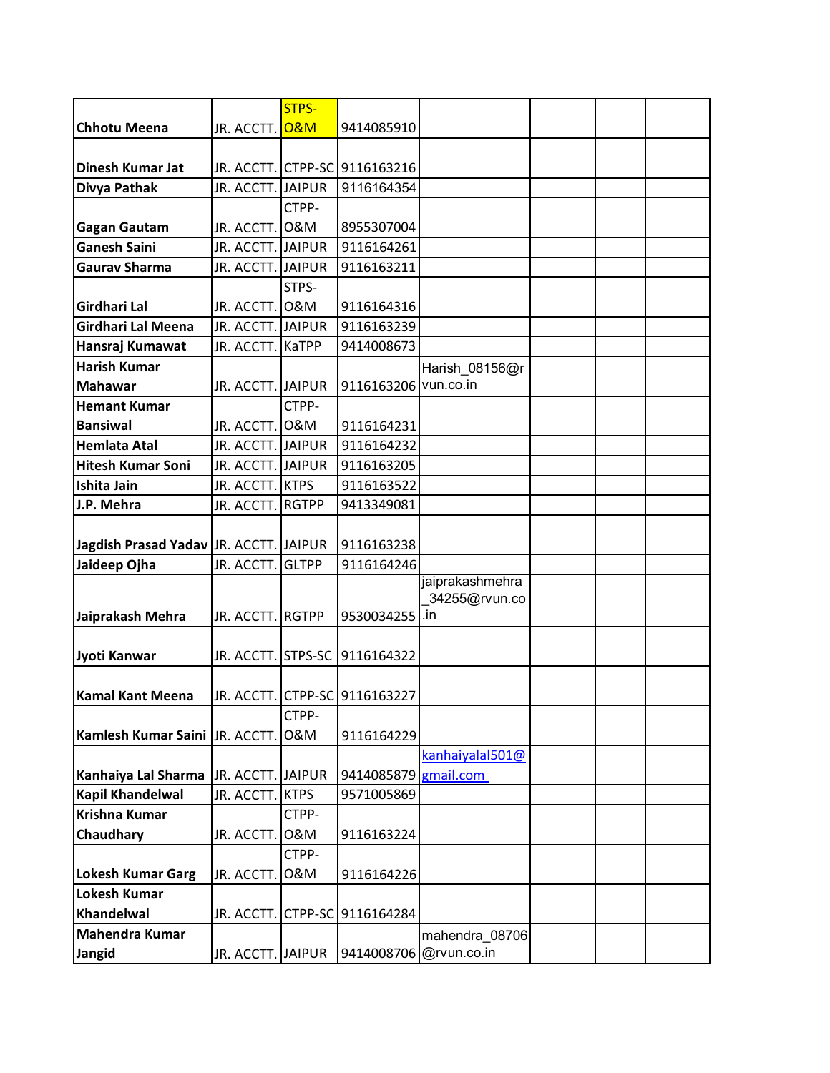|                                         |                                 | <b>STPS-</b> |                               |                        |  |  |
|-----------------------------------------|---------------------------------|--------------|-------------------------------|------------------------|--|--|
| <b>Chhotu Meena</b>                     | JR. ACCTT. <mark>O&amp;M</mark> |              | 9414085910                    |                        |  |  |
|                                         |                                 |              |                               |                        |  |  |
| <b>Dinesh Kumar Jat</b>                 |                                 |              | JR. ACCTT. CTPP-SC 9116163216 |                        |  |  |
| Divya Pathak                            | JR. ACCTT. JAIPUR               |              | 9116164354                    |                        |  |  |
|                                         |                                 | CTPP-        |                               |                        |  |  |
| <b>Gagan Gautam</b>                     | JR. ACCTT. O&M                  |              | 8955307004                    |                        |  |  |
| <b>Ganesh Saini</b>                     | JR. ACCTT. JAIPUR               |              | 9116164261                    |                        |  |  |
| <b>Gaurav Sharma</b>                    | JR. ACCTT. JAIPUR               |              | 9116163211                    |                        |  |  |
|                                         |                                 | STPS-        |                               |                        |  |  |
| <b>Girdhari Lal</b>                     | JR. ACCTT. O&M                  |              | 9116164316                    |                        |  |  |
| Girdhari Lal Meena                      | JR. ACCTT. JAIPUR               |              | 9116163239                    |                        |  |  |
| Hansraj Kumawat                         | JR. ACCTT. KaTPP                |              | 9414008673                    |                        |  |  |
| <b>Harish Kumar</b>                     |                                 |              |                               | Harish_08156@r         |  |  |
| <b>Mahawar</b>                          | JR. ACCTT. JAIPUR               |              | 9116163206 vun.co.in          |                        |  |  |
| <b>Hemant Kumar</b>                     |                                 | CTPP-        |                               |                        |  |  |
| <b>Bansiwal</b>                         | JR. ACCTT. O&M                  |              | 9116164231                    |                        |  |  |
| <b>Hemlata Atal</b>                     | JR. ACCTT. JAIPUR               |              | 9116164232                    |                        |  |  |
| <b>Hitesh Kumar Soni</b>                | JR. ACCTT. JAIPUR               |              | 9116163205                    |                        |  |  |
| Ishita Jain                             | JR. ACCTT. KTPS                 |              | 9116163522                    |                        |  |  |
| J.P. Mehra                              | JR. ACCTT. RGTPP                |              | 9413349081                    |                        |  |  |
|                                         |                                 |              |                               |                        |  |  |
| Jagdish Prasad Yadav J.R. ACCTT. JAIPUR |                                 |              | 9116163238                    |                        |  |  |
| Jaideep Ojha                            | JR. ACCTT.                      | <b>GLTPP</b> | 9116164246                    |                        |  |  |
|                                         |                                 |              |                               | jaiprakashmehra        |  |  |
|                                         |                                 |              |                               | 34255@rvun.co          |  |  |
| Jaiprakash Mehra                        | JR. ACCTT. RGTPP                |              | 9530034255 .in                |                        |  |  |
| Jyoti Kanwar                            | JR. ACCTT. STPS-SC              |              | 9116164322                    |                        |  |  |
|                                         |                                 |              |                               |                        |  |  |
| <b>Kamal Kant Meena</b>                 |                                 |              | JR. ACCTT. CTPP-SC 9116163227 |                        |  |  |
|                                         |                                 | CTPP-        |                               |                        |  |  |
| Kamlesh Kumar Saini JR. ACCTT.          |                                 | 0&M          | 9116164229                    |                        |  |  |
|                                         |                                 |              |                               | kanhaiyalal501@        |  |  |
| Kanhaiya Lal Sharma                     | JR. ACCTT. JAIPUR               |              | 9414085879                    | gmail.com              |  |  |
| <b>Kapil Khandelwal</b>                 | JR. ACCTT.                      | <b>KTPS</b>  | 9571005869                    |                        |  |  |
| Krishna Kumar                           |                                 | CTPP-        |                               |                        |  |  |
| Chaudhary                               | JR. ACCTT.                      | 0&M          | 9116163224                    |                        |  |  |
|                                         |                                 | CTPP-        |                               |                        |  |  |
| <b>Lokesh Kumar Garg</b>                | JR. ACCTT.                      | 0&M          | 9116164226                    |                        |  |  |
| <b>Lokesh Kumar</b>                     |                                 |              |                               |                        |  |  |
| Khandelwal                              | JR. ACCTT.                      |              | CTPP-SC 9116164284            |                        |  |  |
| Mahendra Kumar                          |                                 |              |                               | mahendra 08706         |  |  |
| Jangid                                  | JR. ACCTT. JAIPUR               |              |                               | 9414008706 @rvun.co.in |  |  |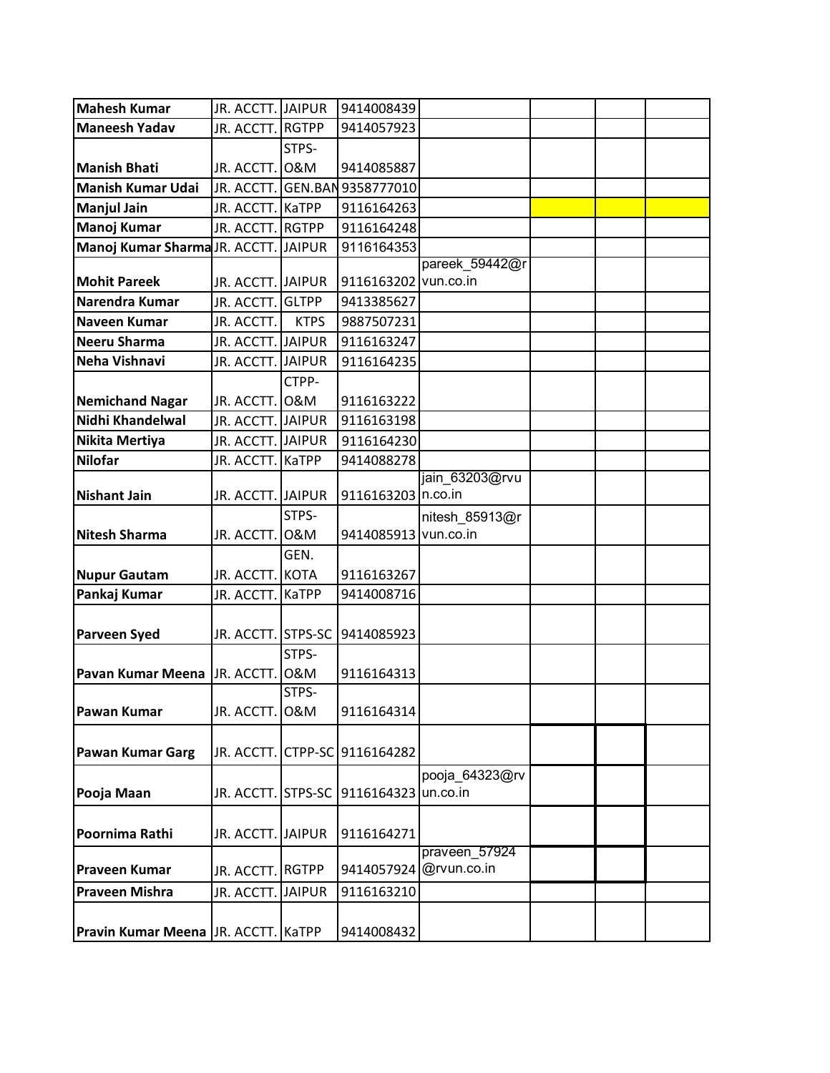| <b>Mahesh Kumar</b>                  | JR. ACCTT. JAIPUR  |             | 9414008439                    |                |  |
|--------------------------------------|--------------------|-------------|-------------------------------|----------------|--|
| <b>Maneesh Yadav</b>                 | JR. ACCTT. RGTPP   |             | 9414057923                    |                |  |
|                                      |                    | STPS-       |                               |                |  |
| <b>Manish Bhati</b>                  | JR. ACCTT. O&M     |             | 9414085887                    |                |  |
| <b>Manish Kumar Udai</b>             |                    |             | JR. ACCTT. GEN.BAN 9358777010 |                |  |
| <b>Manjul Jain</b>                   | JR. ACCTT. KaTPP   |             | 9116164263                    |                |  |
| Manoj Kumar                          | JR. ACCTT. RGTPP   |             | 9116164248                    |                |  |
| Manoj Kumar Sharma JR. ACCTT. JAIPUR |                    |             | 9116164353                    |                |  |
|                                      |                    |             |                               | pareek 59442@r |  |
| <b>Mohit Pareek</b>                  | JR. ACCTT. JAIPUR  |             | 9116163202                    | vun.co.in      |  |
| Narendra Kumar                       | JR. ACCTT. GLTPP   |             | 9413385627                    |                |  |
| <b>Naveen Kumar</b>                  | JR. ACCTT.         | <b>KTPS</b> | 9887507231                    |                |  |
| Neeru Sharma                         | JR. ACCTT. JAIPUR  |             | 9116163247                    |                |  |
| Neha Vishnavi                        | JR. ACCTT. JAIPUR  |             | 9116164235                    |                |  |
|                                      |                    | CTPP-       |                               |                |  |
| <b>Nemichand Nagar</b>               | JR. ACCTT. O&M     |             | 9116163222                    |                |  |
| Nidhi Khandelwal                     | JR. ACCTT. JAIPUR  |             | 9116163198                    |                |  |
| Nikita Mertiya                       | JR. ACCTT. JAIPUR  |             | 9116164230                    |                |  |
| <b>Nilofar</b>                       | JR. ACCTT. KaTPP   |             | 9414088278                    |                |  |
|                                      |                    |             |                               | jain 63203@rvu |  |
| <b>Nishant Jain</b>                  | JR. ACCTT. JAIPUR  |             | 9116163203 n.co.in            |                |  |
|                                      |                    | STPS-       |                               | nitesh_85913@r |  |
| <b>Nitesh Sharma</b>                 | JR. ACCTT.         | 0&M         | 9414085913 vun.co.in          |                |  |
|                                      |                    | GEN.        |                               |                |  |
| <b>Nupur Gautam</b>                  | JR. ACCTT. KOTA    |             | 9116163267                    |                |  |
| Pankaj Kumar                         | JR. ACCTT. KaTPP   |             | 9414008716                    |                |  |
|                                      |                    |             |                               |                |  |
| <b>Parveen Syed</b>                  | JR. ACCTT. STPS-SC |             | 9414085923                    |                |  |
|                                      |                    | STPS-       |                               |                |  |
| Pavan Kumar Meena J.R. ACCTT.        |                    | 0&M         | 9116164313                    |                |  |
|                                      |                    | STPS-       |                               |                |  |
| <b>Pawan Kumar</b>                   | JR. ACCTT. O&M     |             | 9116164314                    |                |  |
|                                      |                    |             |                               |                |  |
| <b>Pawan Kumar Garg</b>              |                    |             | JR. ACCTT. CTPP-SC 9116164282 |                |  |
|                                      |                    |             |                               | pooja_64323@rv |  |
| Pooja Maan                           | JR. ACCTT. STPS-SC |             | 9116164323                    | un.co.in       |  |
|                                      |                    |             |                               |                |  |
| Poornima Rathi                       | JR. ACCTT. JAIPUR  |             | 9116164271                    |                |  |
|                                      |                    |             |                               | praveen 57924  |  |
| <b>Praveen Kumar</b>                 | JR. ACCTT. RGTPP   |             | 9414057924                    | @rvun.co.in    |  |
| <b>Praveen Mishra</b>                | JR. ACCTT. JAIPUR  |             | 9116163210                    |                |  |
|                                      |                    |             |                               |                |  |
| Pravin Kumar Meena JR. ACCTT. KaTPP  |                    |             | 9414008432                    |                |  |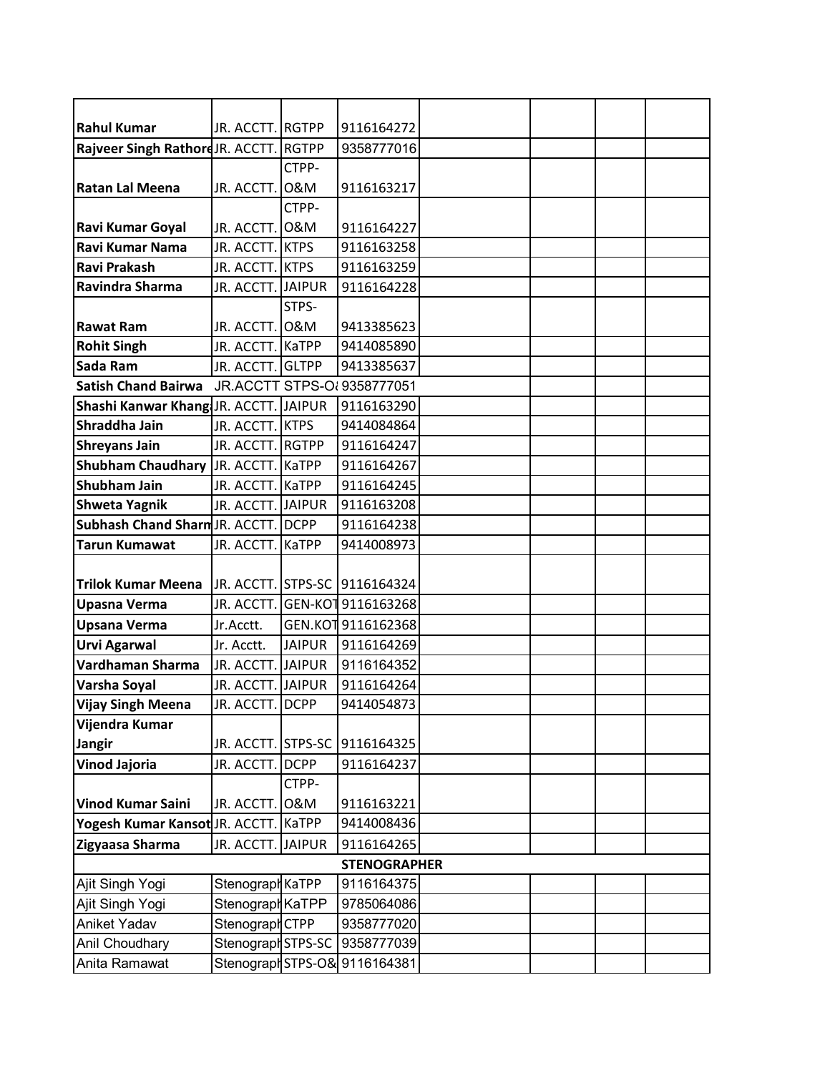| <b>Rahul Kumar</b>                     | JR. ACCTT. RGTPP   |               | 9116164272                    |  |  |
|----------------------------------------|--------------------|---------------|-------------------------------|--|--|
| Rajveer Singh Rathord JR. ACCTT. RGTPP |                    |               | 9358777016                    |  |  |
|                                        |                    | CTPP-         |                               |  |  |
| <b>Ratan Lal Meena</b>                 | JR. ACCTT. O&M     |               | 9116163217                    |  |  |
|                                        |                    | CTPP-         |                               |  |  |
| Ravi Kumar Goyal                       | JR. ACCTT.         | 0&M           | 9116164227                    |  |  |
| Ravi Kumar Nama                        | JR. ACCTT. KTPS    |               | 9116163258                    |  |  |
| <b>Ravi Prakash</b>                    | JR. ACCTT. KTPS    |               | 9116163259                    |  |  |
| Ravindra Sharma                        | JR. ACCTT. JAIPUR  |               | 9116164228                    |  |  |
|                                        |                    | STPS-         |                               |  |  |
| <b>Rawat Ram</b>                       | JR. ACCTT. O&M     |               | 9413385623                    |  |  |
| <b>Rohit Singh</b>                     | JR. ACCTT. KaTPP   |               | 9414085890                    |  |  |
| Sada Ram                               | JR. ACCTT. GLTPP   |               | 9413385637                    |  |  |
| <b>Satish Chand Bairwa</b>             |                    |               | JR.ACCTT STPS-OI 9358777051   |  |  |
| Shashi Kanwar Khang JR. ACCTT. JAIPUR  |                    |               | 9116163290                    |  |  |
| Shraddha Jain                          | JR. ACCTT. KTPS    |               | 9414084864                    |  |  |
| <b>Shreyans Jain</b>                   | JR. ACCTT. RGTPP   |               | 9116164247                    |  |  |
| <b>Shubham Chaudhary</b>               | JR. ACCTT. KaTPP   |               | 9116164267                    |  |  |
| <b>Shubham Jain</b>                    | JR. ACCTT. KaTPP   |               | 9116164245                    |  |  |
| <b>Shweta Yagnik</b>                   | JR. ACCTT. JAIPUR  |               | 9116163208                    |  |  |
| Subhash Chand Sharm JR. ACCTT. DCPP    |                    |               | 9116164238                    |  |  |
| <b>Tarun Kumawat</b>                   | JR. ACCTT. KaTPP   |               | 9414008973                    |  |  |
|                                        |                    |               |                               |  |  |
| <b>Trilok Kumar Meena</b>              |                    |               | JR. ACCTT. STPS-SC 9116164324 |  |  |
| <b>Upasna Verma</b>                    | JR. ACCTT.         |               | GEN-KOT 9116163268            |  |  |
| <b>Upsana Verma</b>                    | Jr.Acctt.          |               | GEN.KOT 9116162368            |  |  |
| <b>Urvi Agarwal</b>                    | Jr. Acctt.         | <b>JAIPUR</b> | 9116164269                    |  |  |
| Vardhaman Sharma                       | JR. ACCTT. JAIPUR  |               | 9116164352                    |  |  |
| Varsha Soyal                           | JR. ACCTT. JAIPUR  |               | 9116164264                    |  |  |
| <b>Vijay Singh Meena</b>               | JR. ACCTT. DCPP    |               | 9414054873                    |  |  |
| Vijendra Kumar                         |                    |               |                               |  |  |
| Jangir                                 | JR. ACCTT. STPS-SC |               | 9116164325                    |  |  |
| <b>Vinod Jajoria</b>                   | JR. ACCTT. DCPP    |               | 9116164237                    |  |  |
|                                        |                    | CTPP-         |                               |  |  |
| <b>Vinod Kumar Saini</b>               | JR. ACCTT.         | 0&M           | 9116163221                    |  |  |
| Yogesh Kumar Kansot JR. ACCTT.         |                    | <b>KaTPP</b>  | 9414008436                    |  |  |
| Zigyaasa Sharma                        | JR. ACCTT. JAIPUR  |               | 9116164265                    |  |  |
|                                        |                    |               | <b>STENOGRAPHER</b>           |  |  |
| Ajit Singh Yogi                        | Stenograph KaTPP   |               | 9116164375                    |  |  |
| Ajit Singh Yogi                        | Stenograph KaTPP   |               | 9785064086                    |  |  |
| Aniket Yadav                           | Stenograph CTPP    |               | 9358777020                    |  |  |
| Anil Choudhary                         | Stenograph STPS-SC |               | 9358777039                    |  |  |
| Anita Ramawat                          | Stenograph STPS-O& |               | 9116164381                    |  |  |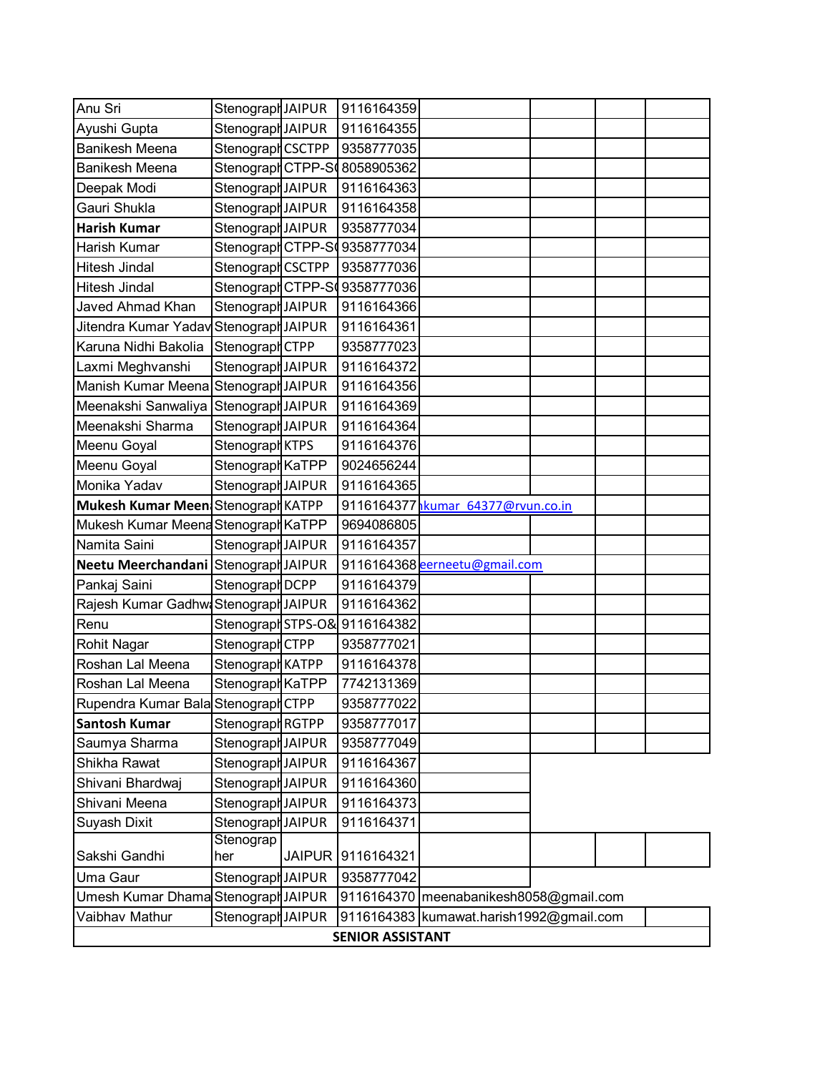| Anu Sri                                | Stenograph JAIPUR          |               | 9116164359              |                                         |  |  |
|----------------------------------------|----------------------------|---------------|-------------------------|-----------------------------------------|--|--|
| Ayushi Gupta                           | Stenograph JAIPUR          |               | 9116164355              |                                         |  |  |
| <b>Banikesh Meena</b>                  | Stenograph CSCTPP          |               | 9358777035              |                                         |  |  |
| <b>Banikesh Meena</b>                  | StenographCTPP-S           |               | 8058905362              |                                         |  |  |
| Deepak Modi                            | Stenograph JAIPUR          |               | 9116164363              |                                         |  |  |
| Gauri Shukla                           | Stenograph JAIPUR          |               | 9116164358              |                                         |  |  |
| <b>Harish Kumar</b>                    | Stenograph JAIPUR          |               | 9358777034              |                                         |  |  |
| Harish Kumar                           | StenographCTPP-S           |               | 9358777034              |                                         |  |  |
| Hitesh Jindal                          | Stenograph CSCTPP          |               | 9358777036              |                                         |  |  |
| <b>Hitesh Jindal</b>                   | StenographCTPP-S           |               | 9358777036              |                                         |  |  |
| Javed Ahmad Khan                       | Stenograph JAIPUR          |               | 9116164366              |                                         |  |  |
| Jitendra Kumar Yadav Stenograph JAIPUR |                            |               | 9116164361              |                                         |  |  |
| Karuna Nidhi Bakolia                   | Stenograph CTPP            |               | 9358777023              |                                         |  |  |
| Laxmi Meghvanshi                       | Stenograph JAIPUR          |               | 9116164372              |                                         |  |  |
| Manish Kumar Meena Stenograph JAIPUR   |                            |               | 9116164356              |                                         |  |  |
| Meenakshi Sanwaliya                    | Stenograph JAIPUR          |               | 9116164369              |                                         |  |  |
| Meenakshi Sharma                       | Stenograph JAIPUR          |               | 9116164364              |                                         |  |  |
| Meenu Goyal                            | Stenograph KTPS            |               | 9116164376              |                                         |  |  |
| Meenu Goyal                            | Stenograph KaTPP           |               | 9024656244              |                                         |  |  |
| Monika Yadav                           | Stenograph JAIPUR          |               | 9116164365              |                                         |  |  |
| Mukesh Kumar Meen Stenograph KATPP     |                            |               |                         | 9116164377 hkumar 64377@rvun.co.in      |  |  |
| Mukesh Kumar Meena Stenograph KaTPP    |                            |               | 9694086805              |                                         |  |  |
| Namita Saini                           | Stenograph JAIPUR          |               | 9116164357              |                                         |  |  |
| Neetu Meerchandani Stenograph JAIPUR   |                            |               |                         | 9116164368 eerneetu@gmail.com           |  |  |
| Pankaj Saini                           | Stenograph <sub>DCPP</sub> |               | 9116164379              |                                         |  |  |
| Rajesh Kumar Gadhw Stenograph JAIPUR   |                            |               | 9116164362              |                                         |  |  |
| Renu                                   | Stenograph STPS-O&         |               | 9116164382              |                                         |  |  |
| Rohit Nagar                            | Stenograph CTPP            |               | 9358777021              |                                         |  |  |
| Roshan Lal Meena                       | Stenograph KATPP           |               | 9116164378              |                                         |  |  |
| Roshan Lal Meena                       | Stenograph KaTPP           |               | 7742131369              |                                         |  |  |
| Rupendra Kumar Bala Stenograph CTPP    |                            |               | 9358777022              |                                         |  |  |
| <b>Santosh Kumar</b>                   | Stenograph RGTPP           |               | 9358777017              |                                         |  |  |
| Saumya Sharma                          | Stenograph JAIPUR          |               | 9358777049              |                                         |  |  |
| Shikha Rawat                           | Stenograph JAIPUR          |               | 9116164367              |                                         |  |  |
| Shivani Bhardwaj                       | Stenograph JAIPUR          |               | 9116164360              |                                         |  |  |
| Shivani Meena                          | Stenograph JAIPUR          |               | 9116164373              |                                         |  |  |
| Suyash Dixit                           | Stenograph JAIPUR          |               | 9116164371              |                                         |  |  |
|                                        | Stenograp                  |               |                         |                                         |  |  |
| Sakshi Gandhi                          | her                        | <b>JAIPUR</b> | 9116164321              |                                         |  |  |
| Uma Gaur                               | Stenograph JAIPUR          |               | 9358777042              |                                         |  |  |
| Umesh Kumar Dhama Stenograph JAIPUR    |                            |               |                         | 9116164370 meenabanikesh8058@gmail.com  |  |  |
| Vaibhav Mathur                         | Stenograph JAIPUR          |               |                         | 9116164383 kumawat.harish1992@gmail.com |  |  |
|                                        |                            |               | <b>SENIOR ASSISTANT</b> |                                         |  |  |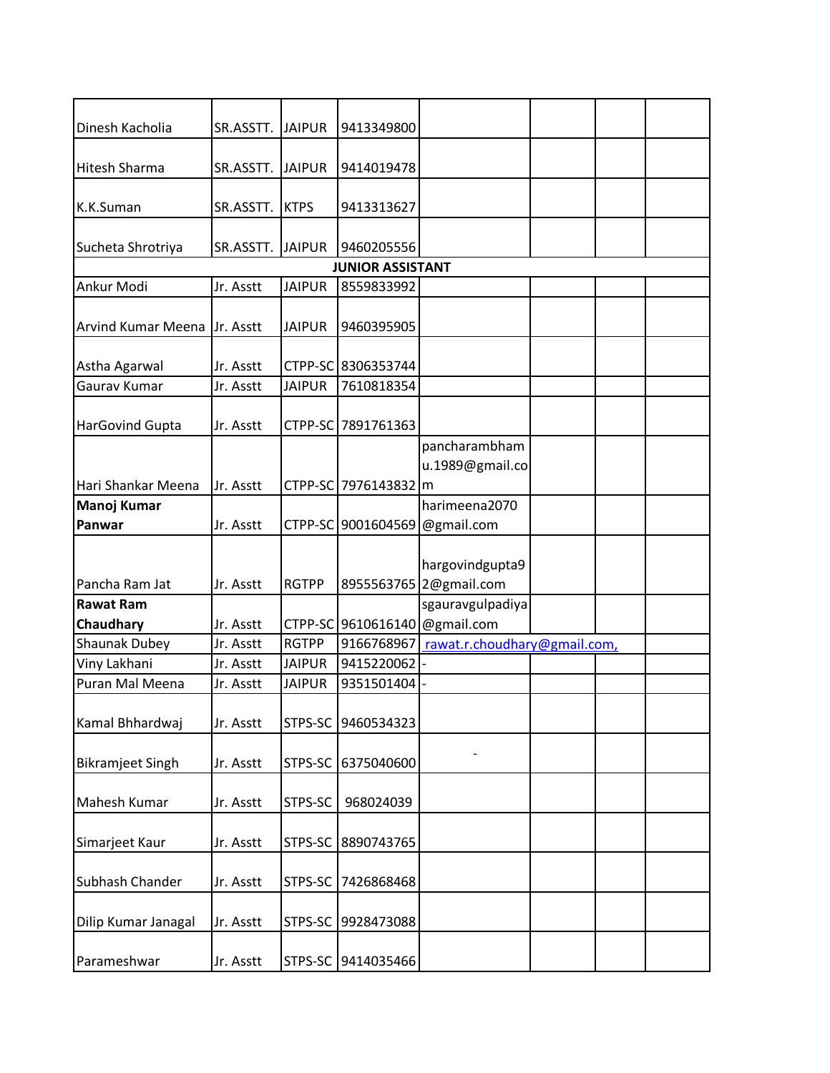| Dinesh Kacholia              | SR.ASSTT. | <b>JAIPUR</b> | 9413349800                    |                                  |  |  |
|------------------------------|-----------|---------------|-------------------------------|----------------------------------|--|--|
| <b>Hitesh Sharma</b>         | SR.ASSTT. | <b>JAIPUR</b> | 9414019478                    |                                  |  |  |
| K.K.Suman                    | SR.ASSTT. | <b>KTPS</b>   | 9413313627                    |                                  |  |  |
| Sucheta Shrotriya            | SR.ASSTT. | <b>JAIPUR</b> | 9460205556                    |                                  |  |  |
|                              |           |               | <b>JUNIOR ASSISTANT</b>       |                                  |  |  |
| Ankur Modi                   | Jr. Asstt | <b>JAIPUR</b> | 8559833992                    |                                  |  |  |
|                              |           |               |                               |                                  |  |  |
| <b>Arvind Kumar Meena</b>    | Jr. Asstt | <b>JAIPUR</b> | 9460395905                    |                                  |  |  |
| Astha Agarwal                | Jr. Asstt |               | CTPP-SC 8306353744            |                                  |  |  |
| Gaurav Kumar                 | Jr. Asstt | <b>JAIPUR</b> | 7610818354                    |                                  |  |  |
| <b>HarGovind Gupta</b>       | Jr. Asstt | CTPP-SC       | 7891761363                    |                                  |  |  |
|                              |           |               |                               | pancharambham<br>u.1989@gmail.co |  |  |
| Hari Shankar Meena           | Jr. Asstt |               | CTPP-SC 7976143832 m          |                                  |  |  |
| <b>Manoj Kumar</b><br>Panwar | Jr. Asstt | CTPP-SC       | 9001604569                    | harimeena2070                    |  |  |
|                              |           |               |                               | @gmail.com                       |  |  |
|                              |           |               |                               | hargovindgupta9                  |  |  |
| Pancha Ram Jat               | Jr. Asstt | <b>RGTPP</b>  |                               | 8955563765 2@gmail.com           |  |  |
| <b>Rawat Ram</b>             |           |               |                               | sgauravgulpadiya                 |  |  |
| <b>Chaudhary</b>             | Jr. Asstt |               | CTPP-SC 9610616140 @gmail.com |                                  |  |  |
| <b>Shaunak Dubey</b>         | Jr. Asstt | <b>RGTPP</b>  | 9166768967                    | rawat.r.choudhary@gmail.com,     |  |  |
| Viny Lakhani                 | Jr. Asstt | <b>JAIPUR</b> | 9415220062                    |                                  |  |  |
| Puran Mal Meena              | Jr. Asstt | <b>JAIPUR</b> | 9351501404                    |                                  |  |  |
| Kamal Bhhardwaj              | Jr. Asstt | STPS-SC       | 9460534323                    |                                  |  |  |
|                              |           |               |                               |                                  |  |  |
| <b>Bikramjeet Singh</b>      | Jr. Asstt | STPS-SC       | 6375040600                    |                                  |  |  |
| Mahesh Kumar                 | Jr. Asstt | STPS-SC       | 968024039                     |                                  |  |  |
| Simarjeet Kaur               | Jr. Asstt | STPS-SC       | 8890743765                    |                                  |  |  |
| Subhash Chander              | Jr. Asstt | STPS-SC       | 7426868468                    |                                  |  |  |
| Dilip Kumar Janagal          | Jr. Asstt | STPS-SC       | 9928473088                    |                                  |  |  |
| Parameshwar                  | Jr. Asstt |               | STPS-SC 9414035466            |                                  |  |  |